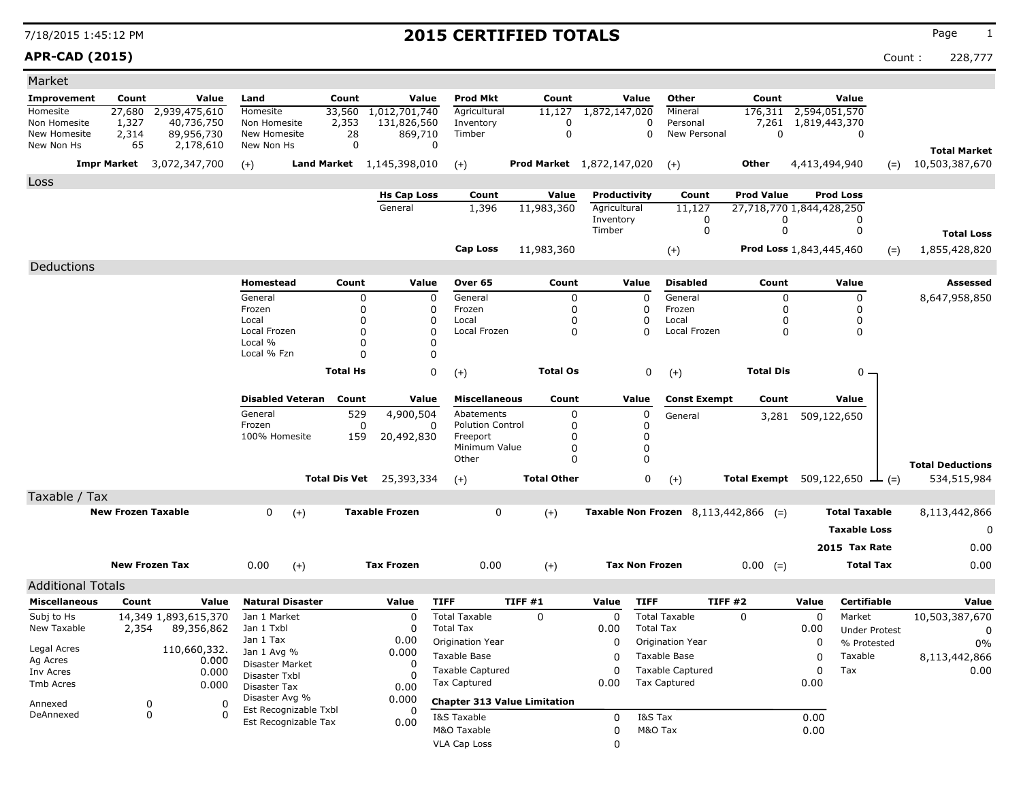### **APR-CAD (2015)** Count : 228,777

| Market                       |                           |                                  |                               |                         |                   |                                 |                                     |                                  |                       |                  |                                        |                                        |               |                      |       |                                       |
|------------------------------|---------------------------|----------------------------------|-------------------------------|-------------------------|-------------------|---------------------------------|-------------------------------------|----------------------------------|-----------------------|------------------|----------------------------------------|----------------------------------------|---------------|----------------------|-------|---------------------------------------|
| <b>Improvement</b>           | Count                     | Value                            | Land                          |                         | Count             | Value                           | <b>Prod Mkt</b>                     | Count                            |                       | Value            | Other                                  | Count                                  |               | Value                |       |                                       |
| Homesite                     | 27,680                    | 2,939,475,610                    | Homesite                      |                         | 33,560            | 1,012,701,740                   | Agricultural                        | 11,127                           | 1,872,147,020         |                  | Mineral                                | 176,311                                | 2,594,051,570 |                      |       |                                       |
| Non Homesite<br>New Homesite | 1,327                     | 40,736,750                       | Non Homesite                  |                         | 2,353             | 131,826,560<br>869,710          | Inventory                           | 0<br>0                           |                       | 0<br>0           | Personal<br>New Personal               | 7,261<br>$\mathbf 0$                   | 1,819,443,370 |                      |       |                                       |
| New Non Hs                   | 2,314<br>65               | 89,956,730<br>2,178,610          | New Homesite<br>New Non Hs    |                         | 28<br>$\mathbf 0$ |                                 | Timber<br>$\Omega$                  |                                  |                       |                  |                                        |                                        |               | 0                    |       |                                       |
|                              |                           | <b>Impr Market</b> 3,072,347,700 | $(+)$                         |                         |                   | Land Market 1,145,398,010       | $(+)$                               | <b>Prod Market</b> 1,872,147,020 |                       |                  | $(+)$                                  | Other                                  | 4,413,494,940 |                      | $(=)$ | <b>Total Market</b><br>10,503,387,670 |
| Loss                         |                           |                                  |                               |                         |                   |                                 |                                     |                                  |                       |                  |                                        |                                        |               |                      |       |                                       |
|                              |                           |                                  |                               |                         |                   | <b>Hs Cap Loss</b>              | Count                               | Value                            | Productivity          |                  | Count                                  | <b>Prod Value</b>                      |               | <b>Prod Loss</b>     |       |                                       |
|                              |                           |                                  |                               |                         |                   | General                         | 1,396                               | 11,983,360                       | Agricultural          |                  | 11,127                                 | 27,718,770 1,844,428,250               |               |                      |       |                                       |
|                              |                           |                                  |                               |                         |                   |                                 |                                     |                                  | Inventory<br>Timber   |                  | 0<br>0                                 | 0<br>0                                 |               | 0<br>0               |       |                                       |
|                              |                           |                                  |                               |                         |                   |                                 |                                     |                                  |                       |                  |                                        |                                        |               |                      |       | <b>Total Loss</b>                     |
|                              |                           |                                  |                               |                         |                   |                                 | <b>Cap Loss</b>                     | 11,983,360                       |                       |                  | $(+)$                                  | Prod Loss 1,843,445,460                |               |                      | $(=)$ | 1,855,428,820                         |
| Deductions                   |                           |                                  |                               |                         |                   |                                 |                                     |                                  |                       |                  |                                        |                                        |               |                      |       |                                       |
|                              |                           |                                  | Homestead                     |                         | Count             | Value                           | Over 65                             | Count                            |                       | Value            | <b>Disabled</b>                        | Count                                  |               | Value                |       | Assessed                              |
|                              |                           |                                  | General                       |                         | 0                 | 0                               | General                             | 0                                |                       | 0                | General                                | 0                                      |               | 0                    |       | 8,647,958,850                         |
|                              |                           |                                  | Frozen                        |                         | 0<br>O            | 0                               | Frozen                              | 0                                |                       | 0<br>0           | Frozen                                 | 0                                      |               | 0                    |       |                                       |
|                              |                           |                                  | Local<br>Local Frozen         |                         | O                 | 0<br>0                          | Local<br>Local Frozen               | 0<br>0                           |                       | 0                | Local<br>Local Frozen                  | 0<br>0                                 |               | 0<br>$\mathbf 0$     |       |                                       |
|                              |                           |                                  | Local %                       |                         | O                 | 0                               |                                     |                                  |                       |                  |                                        |                                        |               |                      |       |                                       |
|                              |                           |                                  | Local % Fzn                   |                         | O                 | 0                               |                                     |                                  |                       |                  |                                        |                                        |               |                      |       |                                       |
|                              |                           |                                  |                               |                         | <b>Total Hs</b>   | 0                               | $(+)$                               | <b>Total Os</b>                  |                       | 0                | $(+)$                                  | <b>Total Dis</b>                       |               | $0 -$                |       |                                       |
|                              |                           |                                  |                               |                         |                   |                                 |                                     |                                  |                       |                  |                                        |                                        |               |                      |       |                                       |
|                              |                           |                                  |                               | <b>Disabled Veteran</b> | Count             | Value                           | <b>Miscellaneous</b>                | Count                            |                       | Value            | <b>Const Exempt</b>                    | Count                                  |               | Value                |       |                                       |
|                              |                           |                                  | General                       |                         | 529               | 4,900,504                       | Abatements                          | 0                                |                       | 0                | General                                | 3,281                                  |               | 509,122,650          |       |                                       |
|                              |                           |                                  | Frozen                        |                         | 0                 | 0                               | <b>Polution Control</b>             | 0                                |                       | 0                |                                        |                                        |               |                      |       |                                       |
|                              |                           |                                  | 100% Homesite                 |                         | 159               | 20,492,830                      | Freeport<br>Minimum Value           | 0                                |                       | 0<br>0           |                                        |                                        |               |                      |       |                                       |
|                              |                           |                                  |                               |                         |                   |                                 | Other                               | 0<br>0                           |                       | $\Omega$         |                                        |                                        |               |                      |       |                                       |
|                              |                           |                                  |                               |                         |                   |                                 |                                     |                                  |                       |                  |                                        |                                        |               |                      |       | <b>Total Deductions</b>               |
|                              |                           |                                  |                               |                         |                   | <b>Total Dis Vet</b> 25,393,334 | $(+)$                               | <b>Total Other</b>               |                       | 0                | $(+)$                                  | Total Exempt $509,122,650$ $\perp$ (=) |               |                      |       | 534,515,984                           |
| Taxable / Tax                |                           |                                  |                               |                         |                   |                                 |                                     |                                  |                       |                  |                                        |                                        |               |                      |       |                                       |
|                              | <b>New Frozen Taxable</b> |                                  | 0                             | $(+)$                   |                   | <b>Taxable Frozen</b>           | 0                                   | $(+)$                            |                       |                  | Taxable Non Frozen $8,113,442,866$ (=) |                                        |               | <b>Total Taxable</b> |       | 8,113,442,866                         |
|                              |                           |                                  |                               |                         |                   |                                 |                                     |                                  |                       |                  |                                        |                                        |               | <b>Taxable Loss</b>  |       | 0                                     |
|                              |                           |                                  |                               |                         |                   |                                 |                                     |                                  |                       |                  |                                        |                                        |               | 2015 Tax Rate        |       | 0.00                                  |
|                              |                           | <b>New Frozen Tax</b>            | 0.00                          | $(+)$                   |                   | <b>Tax Frozen</b>               | 0.00                                | $(+)$                            | <b>Tax Non Frozen</b> |                  |                                        | $0.00 (=)$                             |               | <b>Total Tax</b>     |       | 0.00                                  |
| <b>Additional Totals</b>     |                           |                                  |                               |                         |                   |                                 |                                     |                                  |                       |                  |                                        |                                        |               |                      |       |                                       |
| <b>Miscellaneous</b>         | Count                     | Value                            |                               | <b>Natural Disaster</b> |                   | Value                           | <b>TIFF</b>                         | <b>TIFF #1</b>                   | Value                 | <b>TIFF</b>      | TIFF #2                                |                                        | Value         | <b>Certifiable</b>   |       | Value                                 |
| Subj to Hs                   |                           | 14,349 1,893,615,370             | Jan 1 Market                  |                         |                   | 0                               | <b>Total Taxable</b>                | $\Omega$                         | $\mathbf 0$           |                  | <b>Total Taxable</b>                   | 0                                      | 0             | Market               |       | 10,503,387,670                        |
| New Taxable                  | 2,354                     | 89,356,862                       | Jan 1 Txbl                    |                         |                   | 0                               | <b>Total Tax</b>                    |                                  | 0.00                  | <b>Total Tax</b> |                                        |                                        | 0.00          | <b>Under Protest</b> |       | 0                                     |
|                              |                           |                                  | Jan 1 Tax                     |                         |                   | 0.00                            | Origination Year                    |                                  | 0                     |                  | <b>Origination Year</b>                |                                        | 0             | % Protested          |       | 0%                                    |
| Legal Acres<br>Ag Acres      |                           | 110,660,332.                     | Jan 1 Avg %                   |                         |                   | 0.000                           | Taxable Base                        |                                  | 0                     |                  | Taxable Base                           |                                        | 0             | Taxable              |       | 8,113,442,866                         |
| Inv Acres                    |                           | 0.000<br>0.000                   | Disaster Market               |                         |                   | 0                               | <b>Taxable Captured</b>             |                                  | 0                     |                  | <b>Taxable Captured</b>                |                                        | 0             | Tax                  |       | 0.00                                  |
| Tmb Acres                    |                           | 0.000                            | Disaster Txbl<br>Disaster Tax |                         |                   | 0<br>0.00                       | <b>Tax Captured</b>                 |                                  | 0.00                  |                  | <b>Tax Captured</b>                    |                                        | 0.00          |                      |       |                                       |
|                              |                           |                                  | Disaster Avg %                |                         |                   | 0.000                           | <b>Chapter 313 Value Limitation</b> |                                  |                       |                  |                                        |                                        |               |                      |       |                                       |
| Annexed<br>DeAnnexed         |                           | 0<br>0<br>0<br>$\Omega$          |                               | Est Recognizable Txbl   |                   | 0                               |                                     |                                  |                       |                  |                                        |                                        |               |                      |       |                                       |
|                              |                           |                                  |                               | Est Recognizable Tax    |                   | 0.00                            | I&S Taxable                         |                                  | 0                     | I&S Tax          |                                        |                                        | 0.00          |                      |       |                                       |
|                              |                           |                                  |                               |                         |                   |                                 | M&O Taxable                         |                                  | 0                     | M&O Tax          |                                        |                                        | 0.00          |                      |       |                                       |
|                              |                           |                                  |                               |                         |                   |                                 | <b>VLA Cap Loss</b>                 |                                  | 0                     |                  |                                        |                                        |               |                      |       |                                       |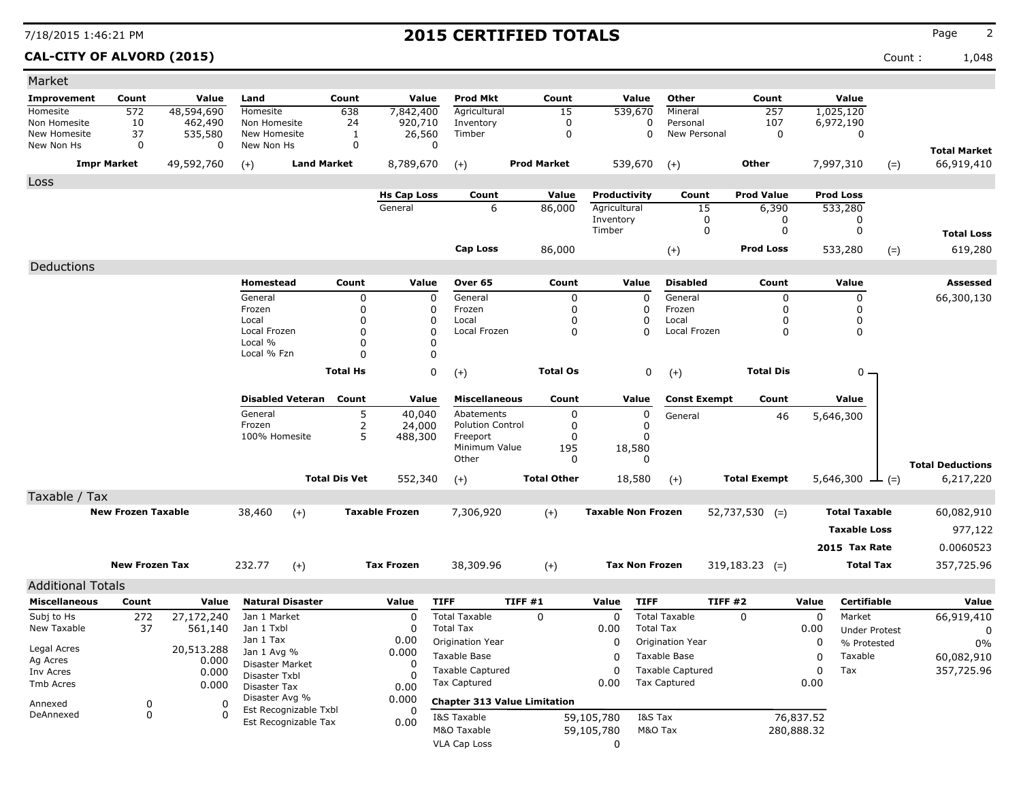**CAL-CITY OF ALVORD (2015)** Count : 1,048

| Market                     |                           |              |                            |                         |                      |                       |                                     |         |                      |                           |                       |                         |                     |            |                      |        |                         |
|----------------------------|---------------------------|--------------|----------------------------|-------------------------|----------------------|-----------------------|-------------------------------------|---------|----------------------|---------------------------|-----------------------|-------------------------|---------------------|------------|----------------------|--------|-------------------------|
| <b>Improvement</b>         | Count                     | Value        | Land                       |                         | Count                | Value                 | <b>Prod Mkt</b>                     |         | Count                |                           | Value                 | Other                   | Count               |            | Value                |        |                         |
| Homesite                   | 572                       | 48,594,690   | Homesite                   |                         | 638                  | 7,842,400             | Agricultural                        |         | $\overline{15}$      |                           | 539,670               | Mineral                 | 257                 |            | 1,025,120            |        |                         |
| Non Homesite               | 10                        | 462,490      | Non Homesite               |                         | 24                   | 920,710               | Inventory                           |         | $\mathbf 0$          |                           | 0                     | Personal                | 107                 |            | 6,972,190            |        |                         |
| New Homesite<br>New Non Hs | 37<br>0                   | 535,580<br>0 | New Homesite<br>New Non Hs |                         | 1<br>0               | 26,560<br>0           | Timber                              |         | 0                    |                           | 0                     | New Personal            | 0                   |            | 0                    |        |                         |
|                            |                           |              |                            |                         |                      |                       |                                     |         |                      |                           |                       |                         |                     |            |                      |        | <b>Total Market</b>     |
| <b>Impr Market</b>         |                           | 49,592,760   | $(+)$                      | <b>Land Market</b>      |                      | 8,789,670             | $(+)$                               |         | <b>Prod Market</b>   |                           | 539,670               | $(+)$                   | Other               |            | 7,997,310            | $(=)$  | 66,919,410              |
| Loss                       |                           |              |                            |                         |                      |                       |                                     |         |                      |                           |                       |                         |                     |            |                      |        |                         |
|                            |                           |              |                            |                         |                      | <b>Hs Cap Loss</b>    | Count                               |         | Value                | Productivity              |                       | Count                   | <b>Prod Value</b>   |            | <b>Prod Loss</b>     |        |                         |
|                            |                           |              |                            |                         |                      | General               | 6                                   |         | 86,000               | Agricultural              |                       | 15                      | 6,390               |            | 533,280              |        |                         |
|                            |                           |              |                            |                         |                      |                       |                                     |         |                      | Inventory<br>Timber       |                       | 0<br>0                  | 0<br>0              |            | 0<br>0               |        |                         |
|                            |                           |              |                            |                         |                      |                       |                                     |         |                      |                           |                       |                         |                     |            |                      |        | <b>Total Loss</b>       |
|                            |                           |              |                            |                         |                      |                       | Cap Loss                            |         | 86,000               |                           |                       | $(+)$                   | <b>Prod Loss</b>    |            | 533,280              | $(=)$  | 619,280                 |
| Deductions                 |                           |              |                            |                         |                      |                       |                                     |         |                      |                           |                       |                         |                     |            |                      |        |                         |
|                            |                           |              | Homestead                  |                         | Count                | Value                 | Over 65                             |         | Count                |                           | Value                 | <b>Disabled</b>         | Count               |            | Value                |        | Assessed                |
|                            |                           |              | General                    |                         | 0                    | 0                     | General                             |         | 0                    |                           | 0                     | General                 | 0                   |            | 0                    |        | 66,300,130              |
|                            |                           |              | Frozen                     |                         | 0                    | 0                     | Frozen                              |         | $\Omega$             |                           | 0                     | Frozen                  | 0                   |            | 0                    |        |                         |
|                            |                           |              | Local<br>Local Frozen      |                         | 0<br>0               | 0<br>$\Omega$         | Local<br>Local Frozen               |         | $\Omega$<br>$\Omega$ |                           | 0<br>$\Omega$         | Local<br>Local Frozen   | 0<br>0              |            | 0<br>0               |        |                         |
|                            |                           |              | Local %                    |                         | 0                    | $\Omega$              |                                     |         |                      |                           |                       |                         |                     |            |                      |        |                         |
|                            |                           |              | Local % Fzn                |                         | 0                    | $\Omega$              |                                     |         |                      |                           |                       |                         |                     |            |                      |        |                         |
|                            |                           |              |                            |                         | <b>Total Hs</b>      | 0                     | $(+)$                               |         | <b>Total Os</b>      |                           | 0                     | $(+)$                   | <b>Total Dis</b>    |            | 0 -                  |        |                         |
|                            |                           |              |                            |                         |                      |                       |                                     |         |                      |                           |                       |                         |                     |            |                      |        |                         |
|                            |                           |              |                            | <b>Disabled Veteran</b> | Count                | Value                 | <b>Miscellaneous</b>                |         | Count                |                           | Value                 | <b>Const Exempt</b>     | Count               |            | Value                |        |                         |
|                            |                           |              | General                    |                         | 5                    | 40,040                | Abatements                          |         | 0                    |                           | 0                     | General                 | 46                  |            | 5,646,300            |        |                         |
|                            |                           |              | Frozen                     |                         | 2                    | 24,000                | <b>Polution Control</b>             |         | 0                    |                           | 0                     |                         |                     |            |                      |        |                         |
|                            |                           |              | 100% Homesite              |                         | 5                    | 488,300               | Freeport<br>Minimum Value           |         | 0<br>195             | 18,580                    | 0                     |                         |                     |            |                      |        |                         |
|                            |                           |              |                            |                         |                      |                       | Other                               |         | 0                    |                           | $\Omega$              |                         |                     |            |                      |        |                         |
|                            |                           |              |                            |                         |                      |                       |                                     |         |                      |                           |                       |                         |                     |            |                      |        | <b>Total Deductions</b> |
|                            |                           |              |                            |                         | <b>Total Dis Vet</b> | 552,340               | $(+)$                               |         | <b>Total Other</b>   |                           | 18,580                | $(+)$                   | <b>Total Exempt</b> |            | 5,646,300            | $ (=)$ | 6,217,220               |
| Taxable / Tax              |                           |              |                            |                         |                      |                       |                                     |         |                      |                           |                       |                         |                     |            |                      |        |                         |
|                            | <b>New Frozen Taxable</b> |              | 38,460                     | $(+)$                   |                      | <b>Taxable Frozen</b> | 7,306,920                           |         | $(+)$                | <b>Taxable Non Frozen</b> |                       |                         | $52,737,530$ (=)    |            | <b>Total Taxable</b> |        | 60,082,910              |
|                            |                           |              |                            |                         |                      |                       |                                     |         |                      |                           |                       |                         |                     |            | <b>Taxable Loss</b>  |        | 977,122                 |
|                            |                           |              |                            |                         |                      |                       |                                     |         |                      |                           |                       |                         |                     |            | 2015 Tax Rate        |        | 0.0060523               |
|                            | <b>New Frozen Tax</b>     |              | 232.77                     | $(+)$                   |                      | <b>Tax Frozen</b>     | 38,309.96                           |         | $(+)$                |                           | <b>Tax Non Frozen</b> |                         | $319,183.23$ (=)    |            | <b>Total Tax</b>     |        | 357,725.96              |
|                            |                           |              |                            |                         |                      |                       |                                     |         |                      |                           |                       |                         |                     |            |                      |        |                         |
| <b>Additional Totals</b>   |                           |              |                            |                         |                      |                       |                                     |         |                      |                           |                       |                         |                     |            |                      |        |                         |
| <b>Miscellaneous</b>       | Count                     | Value        | <b>Natural Disaster</b>    |                         |                      | Value                 | <b>TIFF</b>                         | TIFF #1 |                      | Value                     | <b>TIFF</b>           | TIFF#2                  |                     | Value      | <b>Certifiable</b>   |        | Value                   |
| Subj to Hs                 | 272                       | 27,172,240   | Jan 1 Market               |                         |                      | 0                     | <b>Total Taxable</b>                |         | 0                    | 0                         |                       | <b>Total Taxable</b>    | 0                   | 0          | Market               |        | 66,919,410              |
| New Taxable                | 37                        | 561,140      | Jan 1 Txbl<br>Jan 1 Tax    |                         |                      | 0<br>0.00             | <b>Total Tax</b>                    |         |                      | 0.00                      | <b>Total Tax</b>      |                         |                     | 0.00       | <b>Under Protest</b> |        | 0                       |
| Legal Acres                |                           | 20,513.288   | Jan 1 Avg %                |                         |                      | 0.000                 | Origination Year                    |         |                      | 0                         |                       | Origination Year        |                     | 0          | % Protested          |        | $0\%$                   |
| Ag Acres                   |                           | 0.000        | Disaster Market            |                         |                      | 0                     | Taxable Base                        |         |                      | 0                         |                       | Taxable Base            |                     | 0          | Taxable              |        | 60,082,910              |
| Inv Acres                  |                           | 0.000        | Disaster Txbl              |                         |                      | <sup>0</sup>          | <b>Taxable Captured</b>             |         |                      | 0                         |                       | <b>Taxable Captured</b> |                     | 0          | Tax                  |        | 357,725.96              |
| Tmb Acres                  |                           | 0.000        | Disaster Tax               |                         |                      | 0.00                  | Tax Captured                        |         |                      | 0.00                      |                       | <b>Tax Captured</b>     |                     | 0.00       |                      |        |                         |
| Annexed                    | 0                         | 0            | Disaster Avg %             | Est Recognizable Txbl   |                      | 0.000                 | <b>Chapter 313 Value Limitation</b> |         |                      |                           |                       |                         |                     |            |                      |        |                         |
| DeAnnexed                  | 0                         | $\Omega$     |                            | Est Recognizable Tax    |                      | 0<br>0.00             | I&S Taxable                         |         |                      | 59,105,780                | I&S Tax               |                         |                     | 76,837.52  |                      |        |                         |
|                            |                           |              |                            |                         |                      |                       | M&O Taxable                         |         |                      | 59,105,780                | M&O Tax               |                         |                     | 280,888.32 |                      |        |                         |
|                            |                           |              |                            |                         |                      |                       | <b>VLA Cap Loss</b>                 |         |                      | 0                         |                       |                         |                     |            |                      |        |                         |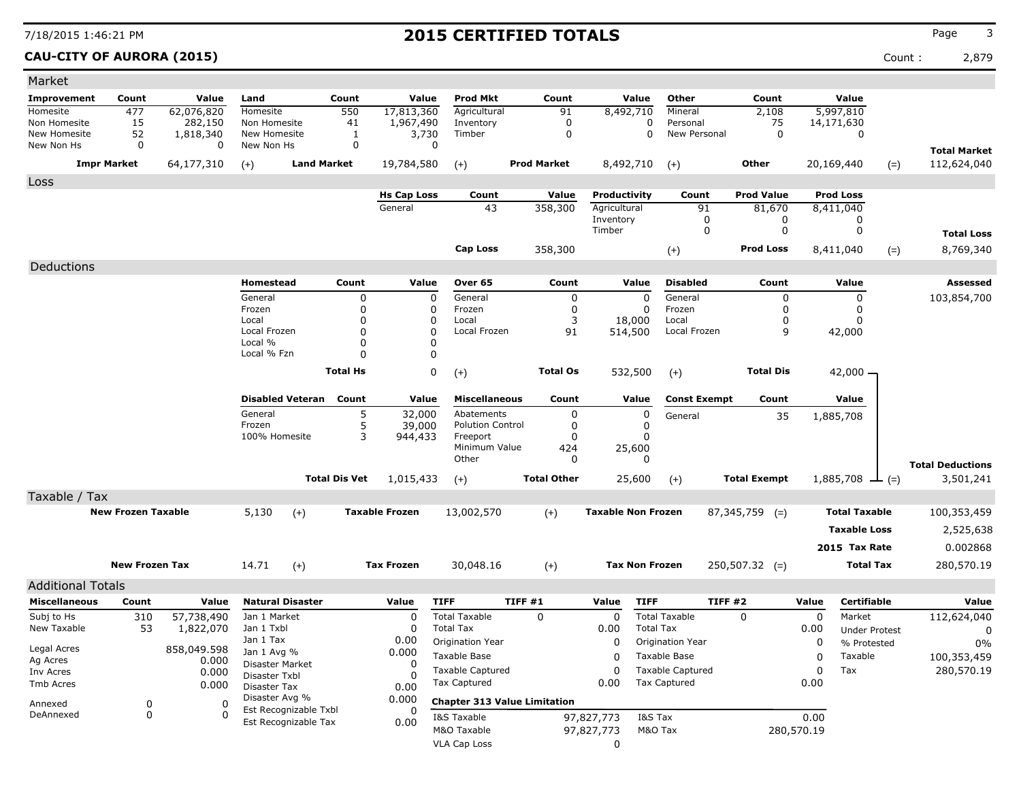**CAU-CITY OF AURORA (2015)** Count : 2,879

| Market                       |                           |                      |                                |                         |                      |                       |                                         |        |                    |                           |                       |                                                |                     |            |                      |        |                           |
|------------------------------|---------------------------|----------------------|--------------------------------|-------------------------|----------------------|-----------------------|-----------------------------------------|--------|--------------------|---------------------------|-----------------------|------------------------------------------------|---------------------|------------|----------------------|--------|---------------------------|
| <b>Improvement</b>           | Count                     | Value                | Land                           |                         | Count                | Value                 | <b>Prod Mkt</b>                         |        | Count              |                           | Value                 | Other                                          | Count               |            | Value                |        |                           |
| Homesite                     | 477                       | 62,076,820           | <b>Homesite</b>                |                         | 550                  | 17,813,360            | Agricultural                            |        | 91                 | 8,492,710                 |                       | Mineral                                        | 2,108               |            | 5,997,810            |        |                           |
| Non Homesite<br>New Homesite | 15<br>52                  | 282,150<br>1,818,340 | Non Homesite<br>New Homesite   |                         | 41<br>1              | 1,967,490<br>3,730    | Inventory<br>Timber                     |        | $\mathbf 0$<br>0   |                           | 0<br>$\mathbf 0$      | Personal<br>New Personal                       | 75<br>$\mathbf 0$   |            | 14,171,630<br>0      |        |                           |
| New Non Hs                   | 0                         | 0                    | New Non Hs                     |                         | 0                    | 0                     |                                         |        |                    |                           |                       |                                                |                     |            |                      |        | <b>Total Market</b>       |
| <b>Impr Market</b>           |                           | 64,177,310           | $(+)$                          | <b>Land Market</b>      |                      | 19,784,580            | $(+)$                                   |        | <b>Prod Market</b> | 8,492,710                 |                       | $(+)$                                          | Other               |            | 20,169,440           | $(=)$  | 112,624,040               |
| Loss                         |                           |                      |                                |                         |                      |                       |                                         |        |                    |                           |                       |                                                |                     |            |                      |        |                           |
|                              |                           |                      |                                |                         |                      | <b>Hs Cap Loss</b>    | Count                                   |        | Value              | Productivity              |                       | Count                                          | <b>Prod Value</b>   |            | <b>Prod Loss</b>     |        |                           |
|                              |                           |                      |                                |                         |                      | General               | 43                                      |        | 358,300            | Agricultural              |                       | 91                                             | 81,670              |            | 8,411,040            |        |                           |
|                              |                           |                      |                                |                         |                      |                       |                                         |        |                    | Inventory<br>Timber       |                       | 0<br>0                                         | 0<br>0              |            | 0<br>0               |        |                           |
|                              |                           |                      |                                |                         |                      |                       |                                         |        |                    |                           |                       |                                                |                     |            |                      |        | <b>Total Loss</b>         |
|                              |                           |                      |                                |                         |                      |                       | Cap Loss                                |        | 358,300            |                           |                       | $(+)$                                          | <b>Prod Loss</b>    |            | 8,411,040            | $(=)$  | 8,769,340                 |
| Deductions                   |                           |                      |                                |                         |                      |                       |                                         |        |                    |                           |                       |                                                |                     |            |                      |        |                           |
|                              |                           |                      | Homestead                      |                         | Count                | Value                 | Over 65                                 |        | Count              |                           | Value                 | <b>Disabled</b>                                | Count               |            | Value                |        | <b>Assessed</b>           |
|                              |                           |                      | General<br>Frozen              |                         | 0<br>0               | 0<br>0                | General<br>Frozen                       |        | 0<br>0             |                           | 0<br>0                | General<br>Frozen                              | 0<br>0              |            | 0<br>0               |        | 103,854,700               |
|                              |                           |                      | Local                          |                         | 0                    | 0                     | Local                                   |        | 3                  |                           | 18,000                | Local                                          | 0                   |            | 0                    |        |                           |
|                              |                           |                      | Local Frozen                   |                         | $\Omega$             | $\Omega$              | Local Frozen                            |        | 91                 | 514,500                   |                       | Local Frozen                                   | 9                   |            | 42,000               |        |                           |
|                              |                           |                      | Local %                        |                         | 0                    |                       |                                         |        |                    |                           |                       |                                                |                     |            |                      |        |                           |
|                              |                           |                      | Local % Fzn                    |                         | $\Omega$             | $\Omega$              |                                         |        |                    |                           |                       |                                                |                     |            |                      |        |                           |
|                              |                           |                      |                                |                         | <b>Total Hs</b>      | 0                     | $(+)$                                   |        | <b>Total Os</b>    |                           | 532,500               | $(+)$                                          | <b>Total Dis</b>    |            | $42,000 -$           |        |                           |
|                              |                           |                      |                                | <b>Disabled Veteran</b> | Count                | Value                 | <b>Miscellaneous</b>                    |        | Count              |                           | Value                 | <b>Const Exempt</b>                            | Count               |            | Value                |        |                           |
|                              |                           |                      | General                        |                         | 5                    | 32,000                | Abatements                              |        | 0                  |                           | 0                     | General                                        | 35                  |            | 1,885,708            |        |                           |
|                              |                           |                      | Frozen<br>100% Homesite        |                         | 5<br>3               | 39,000                | <b>Polution Control</b><br>Freeport     |        | 0<br>0             |                           | 0<br>0                |                                                |                     |            |                      |        |                           |
|                              |                           |                      |                                |                         |                      | 944,433               | Minimum Value                           |        | 424                |                           | 25,600                |                                                |                     |            |                      |        |                           |
|                              |                           |                      |                                |                         |                      |                       | Other                                   |        | 0                  |                           | 0                     |                                                |                     |            |                      |        | <b>Total Deductions</b>   |
|                              |                           |                      |                                |                         | <b>Total Dis Vet</b> | 1,015,433             | $(+)$                                   |        | <b>Total Other</b> |                           | 25,600                | $(+)$                                          | <b>Total Exempt</b> |            | 1,885,708            | $ (=)$ | 3,501,241                 |
| Taxable / Tax                |                           |                      |                                |                         |                      |                       |                                         |        |                    |                           |                       |                                                |                     |            |                      |        |                           |
|                              | <b>New Frozen Taxable</b> |                      | 5,130                          | $(+)$                   |                      | <b>Taxable Frozen</b> | 13,002,570                              |        | $(+)$              | <b>Taxable Non Frozen</b> |                       |                                                | $87,345,759$ (=)    |            | <b>Total Taxable</b> |        | 100,353,459               |
|                              |                           |                      |                                |                         |                      |                       |                                         |        |                    |                           |                       |                                                |                     |            | <b>Taxable Loss</b>  |        | 2,525,638                 |
|                              |                           |                      |                                |                         |                      |                       |                                         |        |                    |                           |                       |                                                |                     |            | 2015 Tax Rate        |        | 0.002868                  |
|                              | <b>New Frozen Tax</b>     |                      | 14.71                          |                         |                      | <b>Tax Frozen</b>     | 30,048.16                               |        |                    |                           | <b>Tax Non Frozen</b> |                                                | $250,507.32$ (=)    |            | <b>Total Tax</b>     |        | 280,570.19                |
|                              |                           |                      |                                | $(+)$                   |                      |                       |                                         |        | $(+)$              |                           |                       |                                                |                     |            |                      |        |                           |
| <b>Additional Totals</b>     |                           |                      |                                |                         |                      |                       |                                         |        |                    |                           |                       |                                                |                     |            |                      |        |                           |
| <b>Miscellaneous</b>         | Count                     | Value                |                                | <b>Natural Disaster</b> |                      | Value                 | <b>TIFF</b>                             | TIFF#1 |                    | Value                     | <b>TIFF</b>           | TIFF#2                                         |                     | Value      | Certifiable          |        | Value                     |
| Subj to Hs                   | 310                       | 57,738,490           | Jan 1 Market                   |                         |                      | 0                     | <b>Total Taxable</b>                    |        | 0                  | 0                         | <b>Total Tax</b>      | <b>Total Taxable</b>                           | $\Omega$            | 0          | Market               |        | 112,624,040               |
| New Taxable                  | 53                        | 1,822,070            | Jan 1 Txbl<br>Jan 1 Tax        |                         |                      | 0<br>0.00             | <b>Total Tax</b><br>Origination Year    |        |                    | 0.00<br>0                 |                       | Origination Year                               |                     | 0.00       | <b>Under Protest</b> |        | 0                         |
| Legal Acres                  |                           | 858,049.598          | Jan 1 Avg %                    |                         |                      | 0.000                 |                                         |        |                    |                           |                       |                                                |                     | 0          | % Protested          |        | $0\%$                     |
| Ag Acres                     |                           | 0.000                | Disaster Market                |                         |                      | 0                     | Taxable Base                            |        |                    | 0<br>0                    |                       | Taxable Base                                   |                     | 0          | Taxable              |        | 100,353,459<br>280,570.19 |
| Inv Acres<br>Tmb Acres       |                           | 0.000<br>0.000       | Disaster Txbl                  |                         |                      |                       | <b>Taxable Captured</b><br>Tax Captured |        |                    | 0.00                      |                       | <b>Taxable Captured</b><br><b>Tax Captured</b> |                     | 0<br>0.00  | Tax                  |        |                           |
|                              |                           |                      | Disaster Tax<br>Disaster Avg % |                         |                      | 0.00<br>0.000         |                                         |        |                    |                           |                       |                                                |                     |            |                      |        |                           |
| Annexed<br>DeAnnexed         | 0                         | 0<br>$\Omega$        |                                | Est Recognizable Txbl   |                      | 0                     | <b>Chapter 313 Value Limitation</b>     |        |                    |                           |                       |                                                |                     |            |                      |        |                           |
|                              | 0                         |                      |                                | Est Recognizable Tax    |                      | 0.00                  | I&S Taxable                             |        |                    | 97,827,773                | I&S Tax               |                                                |                     | 0.00       |                      |        |                           |
|                              |                           |                      |                                |                         |                      |                       | M&O Taxable<br><b>VLA Cap Loss</b>      |        |                    | 97,827,773                | M&O Tax               |                                                |                     | 280,570.19 |                      |        |                           |
|                              |                           |                      |                                |                         |                      |                       |                                         |        |                    | 0                         |                       |                                                |                     |            |                      |        |                           |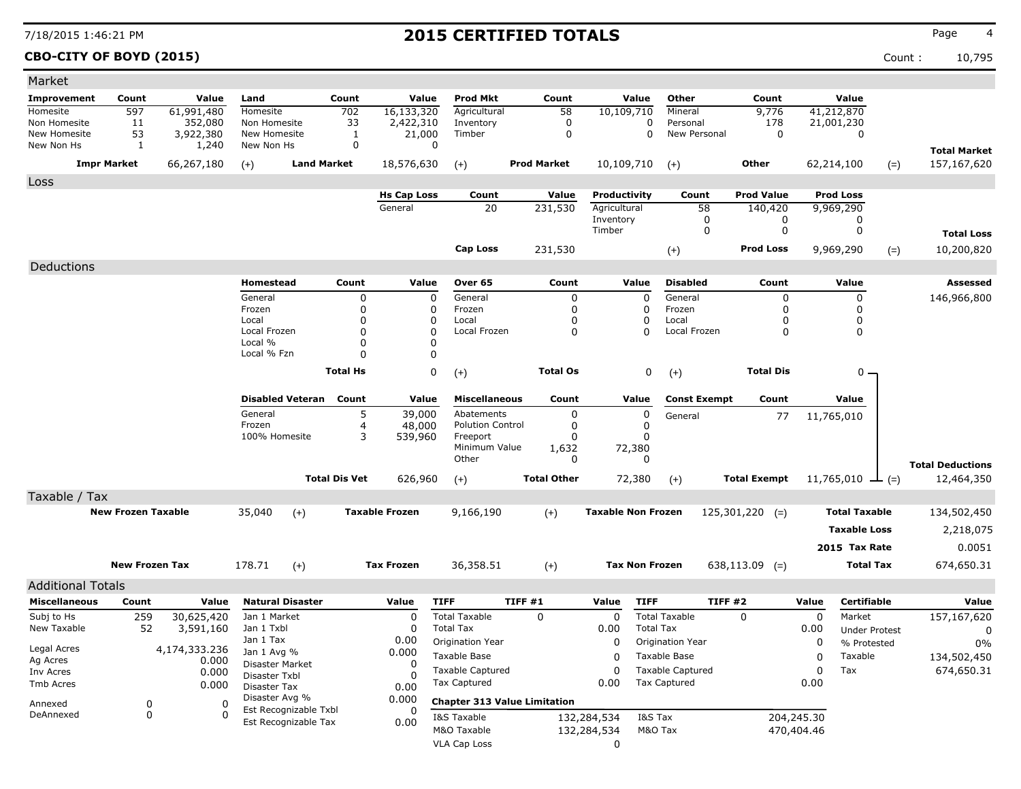**CBO-CITY OF BOYD (2015)** Count : 10,795

| Market                     |                           |                    |                                |                         |                      |                       |                                                |         |                       |                           |                  |                                         |                     |            |                        |       |                         |
|----------------------------|---------------------------|--------------------|--------------------------------|-------------------------|----------------------|-----------------------|------------------------------------------------|---------|-----------------------|---------------------------|------------------|-----------------------------------------|---------------------|------------|------------------------|-------|-------------------------|
| <b>Improvement</b>         | Count                     | Value              | Land                           |                         | Count                | Value                 | <b>Prod Mkt</b>                                |         | Count                 |                           | Value            | Other                                   | Count               |            | Value                  |       |                         |
| Homesite                   | 597                       | 61,991,480         | Homesite                       |                         | 702                  | 16,133,320            | Agricultural                                   |         | 58                    | 10,109,710                |                  | Mineral                                 | 9,776               |            | 41,212,870             |       |                         |
| Non Homesite               | 11                        | 352,080            | Non Homesite                   |                         | 33                   | 2,422,310             | Inventory                                      |         | 0                     |                           | 0                | Personal                                | 178                 |            | 21,001,230             |       |                         |
| New Homesite<br>New Non Hs | 53<br>-1                  | 3,922,380<br>1,240 | New Homesite<br>New Non Hs     |                         | $\mathbf{1}$<br>0    | 21,000<br>0           | Timber                                         |         | 0                     |                           | 0                | New Personal                            | 0                   |            | 0                      |       |                         |
|                            |                           |                    |                                |                         |                      |                       |                                                |         |                       |                           |                  |                                         |                     |            |                        |       | <b>Total Market</b>     |
|                            | <b>Impr Market</b>        | 66,267,180         | $(+)$                          | <b>Land Market</b>      |                      | 18,576,630            | $(+)$                                          |         | <b>Prod Market</b>    | 10,109,710                |                  | $(+)$                                   | Other               |            | 62,214,100             | $(=)$ | 157,167,620             |
| Loss                       |                           |                    |                                |                         |                      |                       |                                                |         |                       |                           |                  |                                         |                     |            |                        |       |                         |
|                            |                           |                    |                                |                         |                      | <b>Hs Cap Loss</b>    | Count                                          |         | Value                 | Productivity              |                  | Count                                   | <b>Prod Value</b>   |            | <b>Prod Loss</b>       |       |                         |
|                            |                           |                    |                                |                         |                      | General               | 20                                             |         | 231,530               | Agricultural<br>Inventory |                  | 58<br>0                                 | 140,420<br>0        |            | 9,969,290<br>0         |       |                         |
|                            |                           |                    |                                |                         |                      |                       |                                                |         |                       | Timber                    |                  | 0                                       | 0                   |            | 0                      |       | <b>Total Loss</b>       |
|                            |                           |                    |                                |                         |                      |                       | <b>Cap Loss</b>                                |         |                       |                           |                  |                                         | <b>Prod Loss</b>    |            |                        |       |                         |
|                            |                           |                    |                                |                         |                      |                       |                                                |         | 231,530               |                           |                  | $(+)$                                   |                     |            | 9,969,290              | $(=)$ | 10,200,820              |
| Deductions                 |                           |                    |                                |                         |                      |                       |                                                |         |                       |                           |                  |                                         |                     |            |                        |       |                         |
|                            |                           |                    | Homestead                      |                         | Count                | Value                 | Over 65                                        |         | Count                 |                           | Value            | <b>Disabled</b>                         | Count               |            | Value                  |       | Assessed                |
|                            |                           |                    | General<br>Frozen              |                         | 0<br>0               | $\mathbf 0$<br>0      | General                                        |         | $\pmb{0}$<br>$\Omega$ |                           | $\mathbf 0$      | General<br>Frozen                       | 0<br>$\Omega$       |            | 0<br>0                 |       | 146,966,800             |
|                            |                           |                    | Local                          |                         | 0                    | 0                     | Frozen<br>Local                                |         | $\Omega$              |                           | C<br>0           | Local                                   | 0                   |            | 0                      |       |                         |
|                            |                           |                    | Local Frozen                   |                         | 0                    | 0                     | Local Frozen                                   |         | 0                     |                           | 0                | Local Frozen                            | 0                   |            | 0                      |       |                         |
|                            |                           |                    | Local %                        |                         | 0                    | O                     |                                                |         |                       |                           |                  |                                         |                     |            |                        |       |                         |
|                            |                           |                    | Local % Fzn                    |                         | $\Omega$             | 0                     |                                                |         |                       |                           |                  |                                         |                     |            |                        |       |                         |
|                            |                           |                    |                                |                         | <b>Total Hs</b>      | 0                     | $(+)$                                          |         | <b>Total Os</b>       |                           | 0                | $(+)$                                   | <b>Total Dis</b>    |            | 0                      |       |                         |
|                            |                           |                    |                                | <b>Disabled Veteran</b> | Count                | Value                 | <b>Miscellaneous</b>                           |         | Count                 |                           | Value            | <b>Const Exempt</b>                     | Count               |            | Value                  |       |                         |
|                            |                           |                    | General                        |                         | 5                    | 39,000                | Abatements                                     |         | 0                     |                           | $\mathbf 0$      | General                                 | 77                  |            | 11,765,010             |       |                         |
|                            |                           |                    | Frozen                         |                         | 4                    | 48,000                | <b>Polution Control</b>                        |         | 0                     |                           | 0                |                                         |                     |            |                        |       |                         |
|                            |                           |                    | 100% Homesite                  |                         | 3                    | 539,960               | Freeport                                       |         | 0                     |                           | 0                |                                         |                     |            |                        |       |                         |
|                            |                           |                    |                                |                         |                      |                       | Minimum Value<br>Other                         |         | 1,632<br>0            | 72,380                    | 0                |                                         |                     |            |                        |       |                         |
|                            |                           |                    |                                |                         |                      |                       |                                                |         |                       |                           |                  |                                         |                     |            |                        |       | <b>Total Deductions</b> |
|                            |                           |                    |                                |                         | <b>Total Dis Vet</b> | 626,960               | $(+)$                                          |         | <b>Total Other</b>    | 72,380                    |                  | $(+)$                                   | <b>Total Exempt</b> |            | 11,765,010 $\perp$ (=) |       | 12,464,350              |
| Taxable / Tax              |                           |                    |                                |                         |                      |                       |                                                |         |                       |                           |                  |                                         |                     |            |                        |       |                         |
|                            | <b>New Frozen Taxable</b> |                    | 35,040                         | $(+)$                   |                      | <b>Taxable Frozen</b> | 9,166,190                                      |         | $(+)$                 | <b>Taxable Non Frozen</b> |                  |                                         | $125,301,220$ (=)   |            | <b>Total Taxable</b>   |       | 134,502,450             |
|                            |                           |                    |                                |                         |                      |                       |                                                |         |                       |                           |                  |                                         |                     |            | <b>Taxable Loss</b>    |       | 2,218,075               |
|                            |                           |                    |                                |                         |                      |                       |                                                |         |                       |                           |                  |                                         |                     |            | 2015 Tax Rate          |       | 0.0051                  |
|                            | <b>New Frozen Tax</b>     |                    | 178.71                         | $(+)$                   |                      | <b>Tax Frozen</b>     | 36,358.51                                      |         | $(+)$                 | <b>Tax Non Frozen</b>     |                  |                                         | $638,113.09$ (=)    |            | <b>Total Tax</b>       |       | 674,650.31              |
|                            |                           |                    |                                |                         |                      |                       |                                                |         |                       |                           |                  |                                         |                     |            |                        |       |                         |
| <b>Additional Totals</b>   |                           |                    |                                |                         |                      |                       |                                                |         |                       |                           |                  |                                         |                     |            |                        |       |                         |
| <b>Miscellaneous</b>       | Count                     | Value              |                                | <b>Natural Disaster</b> |                      | Value                 | <b>TIFF</b>                                    | TIFF #1 |                       | Value                     | <b>TIFF</b>      | <b>TIFF #2</b>                          |                     | Value      | <b>Certifiable</b>     |       | Value                   |
| Subj to Hs                 | 259                       | 30,625,420         | Jan 1 Market                   |                         |                      | 0                     | <b>Total Taxable</b>                           |         | 0                     | 0                         |                  | <b>Total Taxable</b>                    | 0                   | 0          | Market                 |       | 157,167,620             |
| New Taxable                | 52                        | 3,591,160          | Jan 1 Txbl<br>Jan 1 Tax        |                         |                      | O<br>0.00             | <b>Total Tax</b><br>Origination Year           |         |                       | 0.00<br>0                 | <b>Total Tax</b> |                                         |                     | 0.00       | <b>Under Protest</b>   |       | 0                       |
| Legal Acres                |                           | 4,174,333.236      | Jan 1 Avg %                    |                         |                      | 0.000                 |                                                |         |                       |                           |                  | Origination Year                        |                     | 0          | % Protested            |       | 0%                      |
| Ag Acres                   |                           | 0.000              | Disaster Market                |                         |                      | 0                     | Taxable Base                                   |         |                       | 0                         |                  | Taxable Base<br><b>Taxable Captured</b> |                     | 0          | Taxable                |       | 134,502,450             |
| Inv Acres<br>Tmb Acres     |                           | 0.000              | Disaster Txbl                  |                         |                      |                       | <b>Taxable Captured</b><br><b>Tax Captured</b> |         |                       | 0<br>0.00                 |                  | <b>Tax Captured</b>                     |                     | 0<br>0.00  | Tax                    |       | 674,650.31              |
|                            |                           | 0.000              | Disaster Tax<br>Disaster Avg % |                         |                      | 0.00                  |                                                |         |                       |                           |                  |                                         |                     |            |                        |       |                         |
| Annexed                    | 0                         | 0                  |                                | Est Recognizable Txbl   |                      | 0.000                 | <b>Chapter 313 Value Limitation</b>            |         |                       |                           |                  |                                         |                     |            |                        |       |                         |
| DeAnnexed                  | 0                         | $\Omega$           |                                | Est Recognizable Tax    |                      | 0.00                  | I&S Taxable                                    |         |                       | 132,284,534               | I&S Tax          |                                         |                     | 204,245.30 |                        |       |                         |
|                            |                           |                    |                                |                         |                      |                       | M&O Taxable                                    |         |                       | 132,284,534               | M&O Tax          |                                         |                     | 470,404.46 |                        |       |                         |
|                            |                           |                    |                                |                         |                      |                       | <b>VLA Cap Loss</b>                            |         |                       | 0                         |                  |                                         |                     |            |                        |       |                         |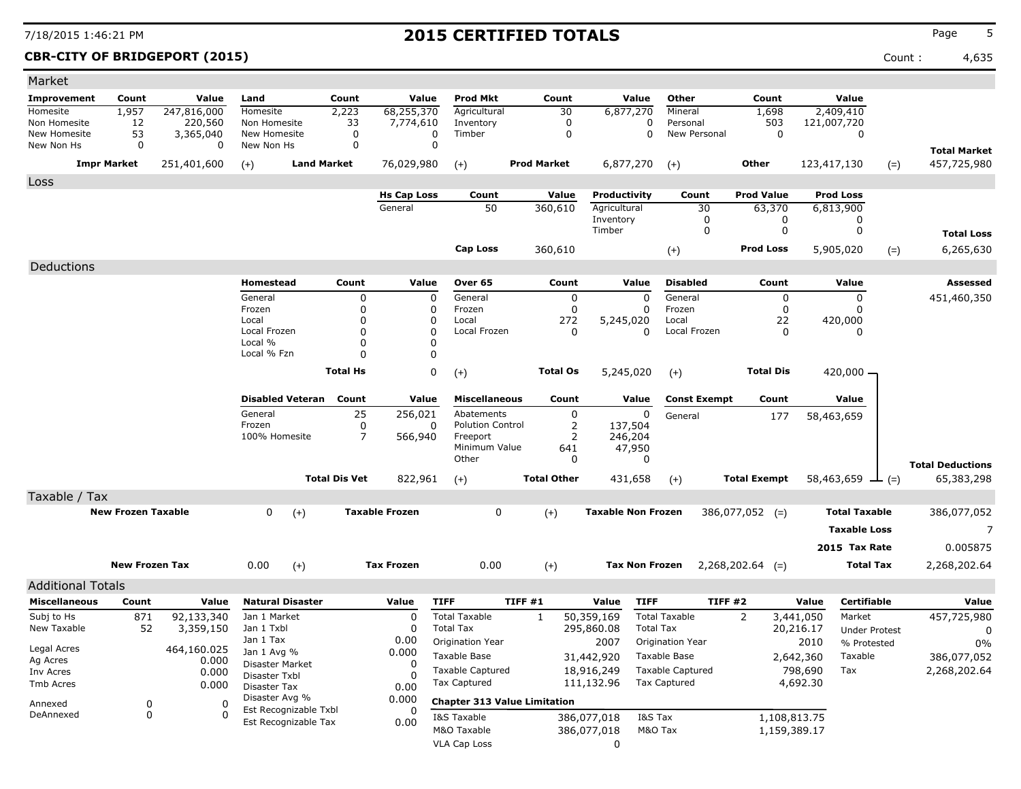**CBR-CITY OF BRIDGEPORT (2015)** Count : 4,635

| Market                     |                           |                      |                                  |                      |                       |                                     |                    |                 |                           |                         |                     |              |                      |                                       |
|----------------------------|---------------------------|----------------------|----------------------------------|----------------------|-----------------------|-------------------------------------|--------------------|-----------------|---------------------------|-------------------------|---------------------|--------------|----------------------|---------------------------------------|
| Improvement                | Count                     | Value                | Land                             | Count                | Value                 | Prod Mkt                            |                    | Count           | Value                     | Other                   | Count               |              | Value                |                                       |
| Homesite                   | 1,957                     | 247,816,000          | Homesite                         | 2,223                | 68,255,370            | Agricultural                        |                    | 30              | 6,877,270                 | Mineral                 | 1,698               |              | 2,409,410            |                                       |
| Non Homesite               | 12                        | 220,560              | Non Homesite                     | 33                   | 7,774,610             | Inventory                           |                    | 0<br>0          | 0<br>0                    | Personal                | 503<br>$\mathbf 0$  |              | 121,007,720          |                                       |
| New Homesite<br>New Non Hs | 53<br>$\mathbf 0$         | 3,365,040<br>0       | New Homesite<br>New Non Hs       | 0<br>0               | 0<br>0                | Timber                              |                    |                 |                           | New Personal            |                     |              | 0                    |                                       |
|                            | <b>Impr Market</b>        | 251,401,600          |                                  | <b>Land Market</b>   | 76,029,980            |                                     | <b>Prod Market</b> |                 | 6,877,270                 |                         | <b>Other</b>        |              | 123,417,130          | <b>Total Market</b><br>457,725,980    |
|                            |                           |                      | $(+)$                            |                      |                       | $(+)$                               |                    |                 |                           | $(+)$                   |                     |              | $(=)$                |                                       |
| Loss                       |                           |                      |                                  |                      | <b>Hs Cap Loss</b>    | Count                               |                    | Value           | Productivity              | Count                   | <b>Prod Value</b>   |              | <b>Prod Loss</b>     |                                       |
|                            |                           |                      |                                  |                      | General               | 50                                  |                    | 360,610         | Agricultural              | 30                      | 63,370              |              | 6,813,900            |                                       |
|                            |                           |                      |                                  |                      |                       |                                     |                    |                 | Inventory                 | 0                       | 0                   |              | 0                    |                                       |
|                            |                           |                      |                                  |                      |                       |                                     |                    |                 | Timber                    | 0                       | 0                   |              | 0                    | <b>Total Loss</b>                     |
|                            |                           |                      |                                  |                      |                       | <b>Cap Loss</b>                     |                    | 360,610         |                           | $(+)$                   | <b>Prod Loss</b>    |              | 5,905,020<br>$(=)$   | 6,265,630                             |
| Deductions                 |                           |                      |                                  |                      |                       |                                     |                    |                 |                           |                         |                     |              |                      |                                       |
|                            |                           |                      | Homestead                        | Count                | Value                 | Over 65                             |                    | Count           | Value                     | <b>Disabled</b>         | Count               |              | Value                | Assessed                              |
|                            |                           |                      | General                          | 0                    | 0                     | General                             |                    | 0               | $\mathbf 0$               | General                 |                     | 0            | 0                    | 451,460,350                           |
|                            |                           |                      | Frozen                           | $\mathbf 0$          | 0                     | Frozen                              |                    | 0               | n                         | Frozen                  |                     | 0            |                      |                                       |
|                            |                           |                      | Local                            | 0                    | 0                     | Local                               |                    | 272             | 5,245,020                 | Local                   | 22                  |              | 420,000              |                                       |
|                            |                           |                      | Local Frozen<br>Local %          | 0<br>0               | 0<br>O                | Local Frozen                        |                    | 0               | $\Omega$                  | Local Frozen            |                     | 0            | $\Omega$             |                                       |
|                            |                           |                      | Local % Fzn                      | $\Omega$             | $\Omega$              |                                     |                    |                 |                           |                         |                     |              |                      |                                       |
|                            |                           |                      |                                  | <b>Total Hs</b>      | 0                     | $(+)$                               |                    | <b>Total Os</b> | 5,245,020                 | $(+)$                   | <b>Total Dis</b>    |              | $420,000 -$          |                                       |
|                            |                           |                      |                                  |                      |                       |                                     |                    |                 |                           |                         |                     |              |                      |                                       |
|                            |                           |                      | <b>Disabled Veteran</b>          | Count                | Value                 | <b>Miscellaneous</b>                |                    | Count           | Value                     | <b>Const Exempt</b>     | Count               |              | Value                |                                       |
|                            |                           |                      | General                          | 25                   | 256,021               | Abatements                          |                    | 0               | $\mathbf 0$               | General                 | 177                 |              | 58,463,659           |                                       |
|                            |                           |                      | Frozen                           | 0                    | 0                     | <b>Polution Control</b>             |                    | 2               | 137,504                   |                         |                     |              |                      |                                       |
|                            |                           |                      | 100% Homesite                    | 7                    | 566,940               | Freeport<br>Minimum Value           |                    | 2<br>641        | 246,204<br>47,950         |                         |                     |              |                      |                                       |
|                            |                           |                      |                                  |                      |                       | Other                               |                    | 0               | 0                         |                         |                     |              |                      |                                       |
|                            |                           |                      |                                  | <b>Total Dis Vet</b> | 822,961               |                                     | <b>Total Other</b> |                 | 431,658                   |                         | <b>Total Exempt</b> |              | $58,463,659$ — (=)   | <b>Total Deductions</b><br>65,383,298 |
|                            |                           |                      |                                  |                      |                       | $(+)$                               |                    |                 |                           | $(+)$                   |                     |              |                      |                                       |
| Taxable / Tax              |                           |                      |                                  |                      |                       |                                     |                    |                 |                           |                         |                     |              |                      |                                       |
|                            | <b>New Frozen Taxable</b> |                      | 0<br>$(+)$                       |                      | <b>Taxable Frozen</b> | 0                                   | $(+)$              |                 | <b>Taxable Non Frozen</b> |                         | $386,077,052$ (=)   |              | <b>Total Taxable</b> | 386,077,052                           |
|                            |                           |                      |                                  |                      |                       |                                     |                    |                 |                           |                         |                     |              | <b>Taxable Loss</b>  | 7                                     |
|                            |                           |                      |                                  |                      |                       |                                     |                    |                 |                           |                         |                     |              | 2015 Tax Rate        | 0.005875                              |
|                            | <b>New Frozen Tax</b>     |                      | 0.00<br>$(+)$                    |                      | <b>Tax Frozen</b>     | 0.00                                | $(+)$              |                 | <b>Tax Non Frozen</b>     |                         | $2,268,202.64$ (=)  |              | <b>Total Tax</b>     | 2,268,202.64                          |
| <b>Additional Totals</b>   |                           |                      |                                  |                      |                       |                                     |                    |                 |                           |                         |                     |              |                      |                                       |
| <b>Miscellaneous</b>       | Count                     | Value                | <b>Natural Disaster</b>          |                      | Value                 | <b>TIFF</b>                         | TIFF#1             |                 | Value<br><b>TIFF</b>      |                         | <b>TIFF #2</b>      | Value        | <b>Certifiable</b>   | Value                                 |
| Subj to Hs                 | 871                       | 92,133,340           | Jan 1 Market                     |                      | 0                     | <b>Total Taxable</b>                | 1                  |                 | 50,359,169                | <b>Total Taxable</b>    | 2                   | 3,441,050    | Market               | 457,725,980                           |
| New Taxable                | 52                        | 3,359,150            | Jan 1 Txbl                       |                      | 0                     | <b>Total Tax</b>                    |                    |                 | 295,860.08                | <b>Total Tax</b>        |                     | 20,216.17    | <b>Under Protest</b> | 0                                     |
|                            |                           |                      | Jan 1 Tax                        |                      | 0.00                  | Origination Year                    |                    |                 | 2007                      | Origination Year        |                     | 2010         | % Protested          | 0%                                    |
| Legal Acres<br>Ag Acres    |                           | 464,160.025<br>0.000 | Jan 1 Avg %                      |                      | 0.000                 | Taxable Base                        |                    |                 | 31,442,920                | Taxable Base            |                     | 2,642,360    | Taxable              | 386,077,052                           |
| Inv Acres                  |                           | 0.000                | Disaster Market<br>Disaster Txbl |                      | 0                     | <b>Taxable Captured</b>             |                    |                 | 18,916,249                | <b>Taxable Captured</b> |                     | 798,690      | Tax                  | 2,268,202.64                          |
| Tmb Acres                  |                           | 0.000                | Disaster Tax                     |                      | 0.00                  | Tax Captured                        |                    |                 | 111,132.96                | <b>Tax Captured</b>     |                     | 4,692.30     |                      |                                       |
| Annexed                    | 0                         | 0                    | Disaster Avg %                   |                      | 0.000                 | <b>Chapter 313 Value Limitation</b> |                    |                 |                           |                         |                     |              |                      |                                       |
| DeAnnexed                  | 0                         | $\Omega$             | Est Recognizable Txbl            |                      |                       | I&S Taxable                         |                    |                 | I&S Tax<br>386,077,018    |                         |                     | 1,108,813.75 |                      |                                       |
|                            |                           |                      | Est Recognizable Tax             |                      | 0.00                  | M&O Taxable                         |                    |                 | 386,077,018               | M&O Tax                 |                     | 1,159,389.17 |                      |                                       |
|                            |                           |                      |                                  |                      |                       | <b>VLA Cap Loss</b>                 |                    |                 | 0                         |                         |                     |              |                      |                                       |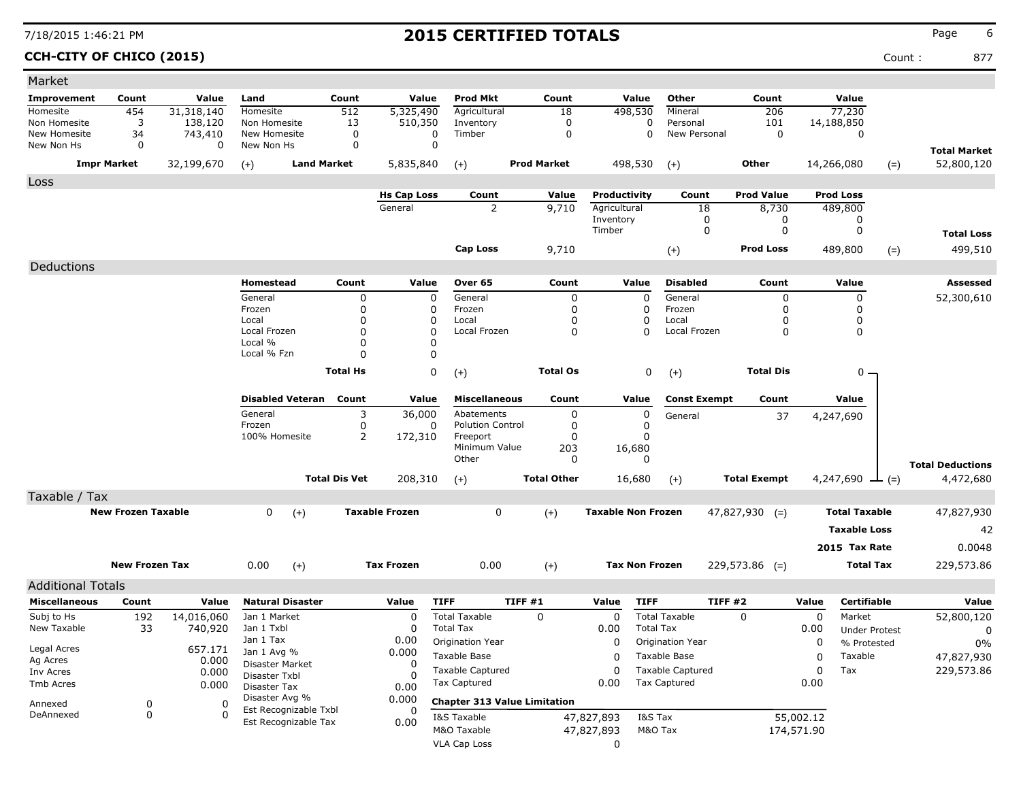**CCH-CITY OF CHICO (2015)** Count : 877

| Market                     |                           |                |                                |                      |                       |                         |                                     |               |                           |                       |                     |            |                       |       |                                   |
|----------------------------|---------------------------|----------------|--------------------------------|----------------------|-----------------------|-------------------------|-------------------------------------|---------------|---------------------------|-----------------------|---------------------|------------|-----------------------|-------|-----------------------------------|
| Improvement                | Count                     | Value          | Land                           | Count                | Value                 | <b>Prod Mkt</b>         | Count                               |               | Value                     | Other                 | Count               |            | Value                 |       |                                   |
| Homesite                   | 454                       | 31,318,140     | Homesite                       | 512                  | 5,325,490             | Agricultural            | 18                                  |               | 498,530                   | Mineral               | 206                 |            | 77,230                |       |                                   |
| Non Homesite               | 3                         | 138,120        | Non Homesite                   | 13                   | 510,350               | Inventory               | 0                                   |               | 0                         | Personal              | 101                 |            | 14,188,850            |       |                                   |
| New Homesite<br>New Non Hs | 34<br>0                   | 743,410<br>0   | New Homesite<br>New Non Hs     | 0<br>0               | 0<br>0                | Timber                  | $\mathbf 0$                         |               | $\Omega$                  | New Personal          | $\mathbf 0$         |            | 0                     |       |                                   |
|                            | <b>Impr Market</b>        | 32,199,670     | <b>Land Market</b><br>$(+)$    |                      | 5,835,840             | $(+)$                   | <b>Prod Market</b>                  |               | 498,530                   | $(+)$                 | Other               |            | 14,266,080            | $(=)$ | <b>Total Market</b><br>52,800,120 |
| Loss                       |                           |                |                                |                      |                       |                         |                                     |               |                           |                       |                     |            |                       |       |                                   |
|                            |                           |                |                                |                      | <b>Hs Cap Loss</b>    | Count                   | Value                               |               | Productivity              | Count                 | <b>Prod Value</b>   |            | <b>Prod Loss</b>      |       |                                   |
|                            |                           |                |                                |                      | General               | $\overline{2}$          | 9,710                               |               | Agricultural              | 18                    | 8,730               |            | 489,800               |       |                                   |
|                            |                           |                |                                |                      |                       |                         |                                     | Inventory     |                           | 0                     | 0                   |            | 0                     |       |                                   |
|                            |                           |                |                                |                      |                       |                         |                                     | Timber        |                           | 0                     | 0                   |            | 0                     |       | <b>Total Loss</b>                 |
|                            |                           |                |                                |                      |                       | Cap Loss                | 9,710                               |               |                           | $(+)$                 | <b>Prod Loss</b>    |            | 489,800               | $(=)$ | 499,510                           |
| Deductions                 |                           |                |                                |                      |                       |                         |                                     |               |                           |                       |                     |            |                       |       |                                   |
|                            |                           |                | Homestead                      | Count                | Value                 | Over 65                 | Count                               |               | Value                     | <b>Disabled</b>       | Count               |            | Value                 |       | Assessed                          |
|                            |                           |                | General                        | 0                    | $\mathbf 0$           | General                 |                                     | 0             | $\mathbf 0$               | General               | 0                   |            | $\mathbf 0$           |       | 52,300,610                        |
|                            |                           |                | Frozen                         | 0                    | 0                     | Frozen                  |                                     | 0             | 0                         | Frozen                | 0                   |            | 0                     |       |                                   |
|                            |                           |                | Local<br>Local Frozen          | 0<br>0               | 0<br>$\Omega$         | Local<br>Local Frozen   |                                     | $\Omega$<br>0 | 0<br>0                    | Local<br>Local Frozen | 0<br>0              |            | 0<br>0                |       |                                   |
|                            |                           |                | Local %                        | 0                    | 0                     |                         |                                     |               |                           |                       |                     |            |                       |       |                                   |
|                            |                           |                | Local % Fzn                    | 0                    | $\mathbf{0}$          |                         |                                     |               |                           |                       |                     |            |                       |       |                                   |
|                            |                           |                |                                | <b>Total Hs</b>      | 0                     | $(+)$                   | <b>Total Os</b>                     |               | 0                         | $(+)$                 | <b>Total Dis</b>    |            | $0 -$                 |       |                                   |
|                            |                           |                |                                |                      |                       |                         |                                     |               |                           |                       |                     |            |                       |       |                                   |
|                            |                           |                | <b>Disabled Veteran</b>        | Count                | Value                 | <b>Miscellaneous</b>    | Count                               |               | Value                     | <b>Const Exempt</b>   | Count               |            | Value                 |       |                                   |
|                            |                           |                | General                        | 3                    | 36,000                | Abatements              |                                     | 0             | 0                         | General               | 37                  |            | 4,247,690             |       |                                   |
|                            |                           |                | Frozen                         | 0                    | 0                     | <b>Polution Control</b> |                                     | 0             | 0                         |                       |                     |            |                       |       |                                   |
|                            |                           |                | 100% Homesite                  | 2                    | 172,310               | Freeport                |                                     | $\Omega$      | $\Omega$                  |                       |                     |            |                       |       |                                   |
|                            |                           |                |                                |                      |                       | Minimum Value<br>Other  | 203                                 | $\Omega$      | 16,680<br>$\Omega$        |                       |                     |            |                       |       |                                   |
|                            |                           |                |                                | <b>Total Dis Vet</b> |                       |                         |                                     |               |                           |                       |                     |            |                       |       | <b>Total Deductions</b>           |
|                            |                           |                |                                |                      | 208,310               | $(+)$                   | <b>Total Other</b>                  |               | 16,680                    | $(+)$                 | <b>Total Exempt</b> |            | 4,247,690 $\perp$ (=) |       | 4,472,680                         |
| Taxable / Tax              |                           |                |                                |                      |                       |                         |                                     |               |                           |                       |                     |            |                       |       |                                   |
|                            | <b>New Frozen Taxable</b> |                | 0<br>$(+)$                     |                      | <b>Taxable Frozen</b> | 0                       | $(+)$                               |               | <b>Taxable Non Frozen</b> |                       | $47,827,930$ (=)    |            | <b>Total Taxable</b>  |       | 47,827,930                        |
|                            |                           |                |                                |                      |                       |                         |                                     |               |                           |                       |                     |            | <b>Taxable Loss</b>   |       | 42                                |
|                            |                           |                |                                |                      |                       |                         |                                     |               |                           |                       |                     |            | 2015 Tax Rate         |       | 0.0048                            |
|                            | <b>New Frozen Tax</b>     |                | 0.00<br>$(+)$                  |                      | <b>Tax Frozen</b>     | 0.00                    | $(+)$                               |               | <b>Tax Non Frozen</b>     |                       | $229,573.86$ (=)    |            | <b>Total Tax</b>      |       | 229,573.86                        |
| <b>Additional Totals</b>   |                           |                |                                |                      |                       |                         |                                     |               |                           |                       |                     |            |                       |       |                                   |
| <b>Miscellaneous</b>       | Count                     | Value          | <b>Natural Disaster</b>        |                      | Value                 | <b>TIFF</b>             | TIFF #1                             | Value         | <b>TIFF</b>               |                       | <b>TIFF #2</b>      | Value      | <b>Certifiable</b>    |       | Value                             |
| Subj to Hs                 | 192                       | 14,016,060     | Jan 1 Market                   |                      | 0                     | <b>Total Taxable</b>    | 0                                   |               | 0                         | <b>Total Taxable</b>  | $\Omega$            | 0          | Market                |       | 52,800,120                        |
| New Taxable                | 33                        | 740,920        | Jan 1 Txbl                     |                      | O                     | <b>Total Tax</b>        |                                     | 0.00          | <b>Total Tax</b>          |                       |                     | 0.00       | <b>Under Protest</b>  |       | 0                                 |
|                            |                           |                | Jan 1 Tax                      |                      | 0.00                  | Origination Year        |                                     |               | 0                         | Origination Year      |                     | 0          | % Protested           |       | 0%                                |
| Legal Acres                |                           | 657.171        | Jan 1 Avg %                    |                      | 0.000                 | Taxable Base            |                                     |               | 0                         | Taxable Base          |                     | 0          | Taxable               |       | 47,827,930                        |
| Ag Acres<br>Inv Acres      |                           | 0.000<br>0.000 | Disaster Market                |                      | $\Omega$              | <b>Taxable Captured</b> |                                     |               | $\Omega$                  | Taxable Captured      |                     | $\Omega$   | Tax                   |       | 229,573.86                        |
| Tmb Acres                  |                           | 0.000          | Disaster Txbl                  |                      |                       | <b>Tax Captured</b>     |                                     | 0.00          |                           | <b>Tax Captured</b>   |                     | 0.00       |                       |       |                                   |
|                            |                           |                | Disaster Tax<br>Disaster Avg % |                      | 0.00<br>0.000         |                         |                                     |               |                           |                       |                     |            |                       |       |                                   |
| Annexed<br>DeAnnexed       | 0                         | 0<br>$\Omega$  | Est Recognizable Txbl          |                      | 0                     |                         | <b>Chapter 313 Value Limitation</b> |               |                           |                       |                     |            |                       |       |                                   |
|                            | $\pmb{0}$                 |                | Est Recognizable Tax           |                      | 0.00                  | I&S Taxable             |                                     | 47,827,893    | I&S Tax                   |                       |                     | 55,002.12  |                       |       |                                   |
|                            |                           |                |                                |                      |                       | M&O Taxable             |                                     | 47,827,893    | M&O Tax                   |                       |                     | 174,571.90 |                       |       |                                   |
|                            |                           |                |                                |                      |                       | <b>VLA Cap Loss</b>     |                                     |               | 0                         |                       |                     |            |                       |       |                                   |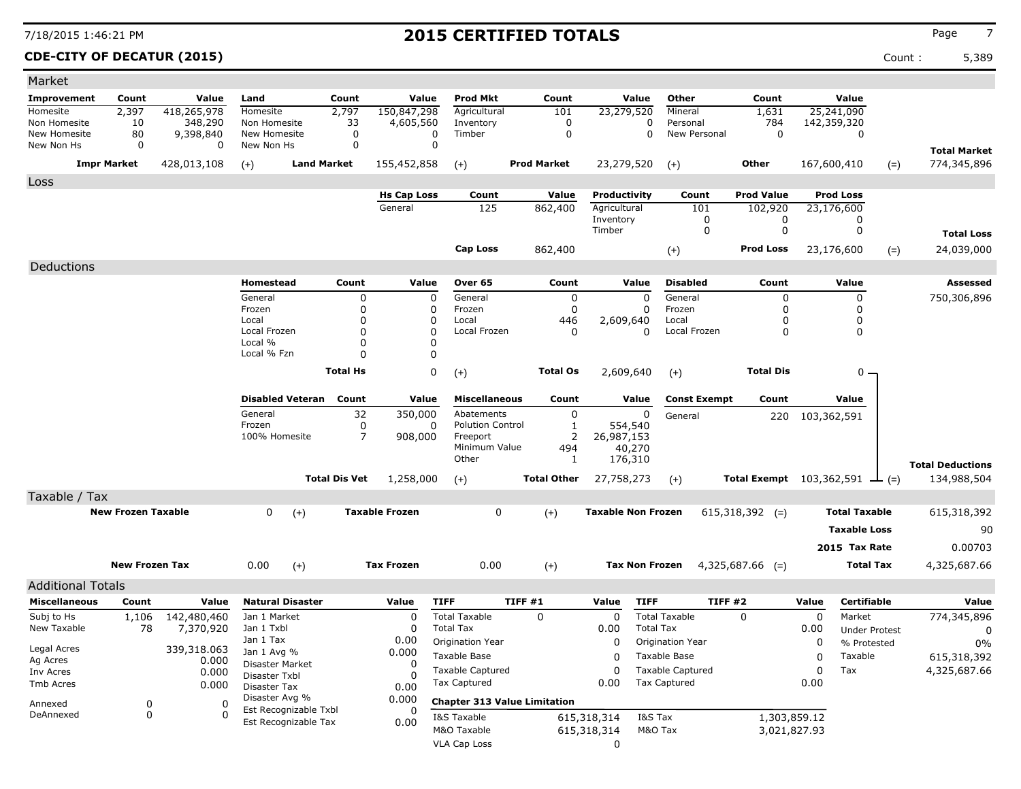### **CDE-CITY OF DECATUR (2015)** Count : 5,389

| Market                     |                           |                          |                                |                         |                      |                       |                                          |         |                    |                           |                         |                         |                                               |           |                        |       |                         |
|----------------------------|---------------------------|--------------------------|--------------------------------|-------------------------|----------------------|-----------------------|------------------------------------------|---------|--------------------|---------------------------|-------------------------|-------------------------|-----------------------------------------------|-----------|------------------------|-------|-------------------------|
| <b>Improvement</b>         | Count                     | Value                    | Land                           | Count                   |                      | Value                 | <b>Prod Mkt</b>                          |         | Count              |                           | Value                   | Other                   | Count                                         |           | Value                  |       |                         |
| Homesite                   | 2,397                     | 418,265,978              | Homesite                       | 2,797                   |                      | 150,847,298           | Agricultural                             |         | 101                |                           | 23,279,520              | Mineral                 | 1,631                                         |           | 25,241,090             |       |                         |
| Non Homesite               | 10                        | 348,290                  | Non Homesite                   |                         | 33                   | 4,605,560             | Inventory                                |         | 0<br>0             |                           | 0<br>0                  | Personal                | 784<br>$\mathbf 0$                            |           | 142,359,320            |       |                         |
| New Homesite<br>New Non Hs | 80<br>0                   | 9,398,840<br>0           | New Homesite<br>New Non Hs     |                         | 0<br>0               | 0<br>0                | Timber                                   |         |                    |                           |                         | New Personal            |                                               |           | 0                      |       |                         |
|                            |                           |                          |                                |                         |                      |                       |                                          |         |                    |                           |                         |                         |                                               |           |                        |       | <b>Total Market</b>     |
|                            | <b>Impr Market</b>        | 428,013,108              | $(+)$                          | <b>Land Market</b>      |                      | 155,452,858           | $(+)$                                    |         | <b>Prod Market</b> | 23,279,520                |                         | $(+)$                   | Other                                         |           | 167,600,410            | $(=)$ | 774,345,896             |
| Loss                       |                           |                          |                                |                         |                      |                       |                                          |         |                    |                           |                         |                         |                                               |           |                        |       |                         |
|                            |                           |                          |                                |                         |                      | <b>Hs Cap Loss</b>    | Count                                    |         | Value              | Productivity              |                         | Count                   | <b>Prod Value</b>                             |           | <b>Prod Loss</b>       |       |                         |
|                            |                           |                          |                                |                         |                      | General               | 125                                      |         | 862,400            | Agricultural<br>Inventory |                         | 101<br>0                | 102,920<br>0                                  |           | 23,176,600<br>0        |       |                         |
|                            |                           |                          |                                |                         |                      |                       |                                          |         |                    | Timber                    |                         | 0                       | 0                                             |           | 0                      |       | <b>Total Loss</b>       |
|                            |                           |                          |                                |                         |                      |                       | <b>Cap Loss</b>                          |         | 862,400            |                           |                         | $(+)$                   | <b>Prod Loss</b>                              |           | 23,176,600             |       | 24,039,000              |
|                            |                           |                          |                                |                         |                      |                       |                                          |         |                    |                           |                         |                         |                                               |           |                        | $(=)$ |                         |
| Deductions                 |                           |                          |                                |                         |                      |                       |                                          |         |                    |                           |                         |                         |                                               |           |                        |       |                         |
|                            |                           |                          | Homestead                      |                         | Count                | Value                 | Over 65                                  |         | Count              |                           | Value                   | <b>Disabled</b>         | Count                                         |           | Value                  |       | Assessed                |
|                            |                           |                          | General<br>Frozen              |                         | 0<br>0               | 0<br>0                | General<br>Frozen                        |         | $\mathbf 0$<br>0   |                           | $\mathbf 0$<br>$\Omega$ | General<br>Frozen       | 0<br>O                                        |           | 0<br>0                 |       | 750,306,896             |
|                            |                           |                          | Local                          |                         | 0                    | 0                     | Local                                    |         | 446                | 2,609,640                 |                         | Local                   | 0                                             |           | 0                      |       |                         |
|                            |                           |                          | Local Frozen                   |                         | $\Omega$             | 0                     | Local Frozen                             |         | 0                  |                           | $\Omega$                | Local Frozen            | 0                                             |           | 0                      |       |                         |
|                            |                           |                          | Local %<br>Local % Fzn         |                         | $\Omega$<br>$\Omega$ | 0<br>0                |                                          |         |                    |                           |                         |                         |                                               |           |                        |       |                         |
|                            |                           |                          |                                |                         |                      |                       |                                          |         |                    |                           |                         |                         |                                               |           |                        |       |                         |
|                            |                           |                          |                                | <b>Total Hs</b>         |                      | 0                     | $(+)$                                    |         | <b>Total Os</b>    |                           | 2,609,640               | $(+)$                   | <b>Total Dis</b>                              |           | $0 -$                  |       |                         |
|                            |                           |                          |                                | <b>Disabled Veteran</b> | Count                | Value                 | <b>Miscellaneous</b>                     |         | Count              |                           | Value                   | <b>Const Exempt</b>     | Count                                         |           | Value                  |       |                         |
|                            |                           |                          | General                        |                         | 32                   | 350,000               | Abatements                               |         | 0                  |                           | 0                       | General                 | 220                                           |           | 103,362,591            |       |                         |
|                            |                           |                          | Frozen                         |                         | 0                    | 0                     | <b>Polution Control</b>                  |         | $\mathbf{1}$       |                           | 554,540                 |                         |                                               |           |                        |       |                         |
|                            |                           |                          | 100% Homesite                  |                         | $\overline{7}$       | 908,000               | Freeport                                 |         | $\overline{2}$     | 26,987,153                |                         |                         |                                               |           |                        |       |                         |
|                            |                           |                          |                                |                         |                      |                       | Minimum Value<br>Other                   |         | 494<br>1           |                           | 40,270<br>176,310       |                         |                                               |           |                        |       |                         |
|                            |                           |                          |                                |                         |                      |                       |                                          |         |                    |                           |                         |                         |                                               |           |                        |       | <b>Total Deductions</b> |
|                            |                           |                          |                                | <b>Total Dis Vet</b>    |                      | 1,258,000             | $(+)$                                    |         | <b>Total Other</b> | 27,758,273                |                         | $(+)$                   | <b>Total Exempt</b> $103,362,591$ $\perp$ (=) |           |                        |       | 134,988,504             |
| Taxable / Tax              |                           |                          |                                |                         |                      |                       |                                          |         |                    |                           |                         |                         |                                               |           |                        |       |                         |
|                            | <b>New Frozen Taxable</b> |                          | 0                              | $(+)$                   |                      | <b>Taxable Frozen</b> | 0                                        |         | $(+)$              | <b>Taxable Non Frozen</b> |                         |                         | $615,318,392$ (=)                             |           | <b>Total Taxable</b>   |       | 615,318,392             |
|                            |                           |                          |                                |                         |                      |                       |                                          |         |                    |                           |                         |                         |                                               |           | <b>Taxable Loss</b>    |       | 90                      |
|                            |                           |                          |                                |                         |                      |                       |                                          |         |                    |                           |                         |                         |                                               |           | 2015 Tax Rate          |       | 0.00703                 |
|                            | <b>New Frozen Tax</b>     |                          | 0.00                           | $(+)$                   |                      | <b>Tax Frozen</b>     | 0.00                                     |         | $(+)$              |                           | <b>Tax Non Frozen</b>   |                         | $4,325,687.66$ (=)                            |           | <b>Total Tax</b>       |       | 4,325,687.66            |
|                            |                           |                          |                                |                         |                      |                       |                                          |         |                    |                           |                         |                         |                                               |           |                        |       |                         |
| <b>Additional Totals</b>   |                           |                          |                                |                         |                      |                       |                                          |         |                    |                           |                         |                         |                                               |           |                        |       |                         |
| <b>Miscellaneous</b>       | Count                     | Value                    | <b>Natural Disaster</b>        |                         |                      | Value                 | <b>TIFF</b>                              | TIFF #1 |                    | Value                     | <b>TIFF</b>             | TIFF#2                  |                                               | Value     | Certifiable            |       | Value                   |
| Subj to Hs<br>New Taxable  | 1,106<br>78               | 142,480,460<br>7,370,920 | Jan 1 Market<br>Jan 1 Txbl     |                         |                      | 0<br>0                | <b>Total Taxable</b><br><b>Total Tax</b> |         | 0                  | 0<br>0.00                 | <b>Total Tax</b>        | <b>Total Taxable</b>    | 0                                             | 0<br>0.00 | Market                 |       | 774,345,896             |
|                            |                           |                          | Jan 1 Tax                      |                         |                      | 0.00                  | Origination Year                         |         |                    | 0                         |                         | Origination Year        |                                               | 0         | <b>Under Protest</b>   |       | 0                       |
| Legal Acres                |                           | 339,318.063              | Jan 1 Avg %                    |                         |                      | 0.000                 | Taxable Base                             |         |                    | 0                         |                         | Taxable Base            |                                               | 0         | % Protested<br>Taxable |       | 0%<br>615,318,392       |
| Ag Acres                   |                           | 0.000                    | Disaster Market                |                         |                      | 0                     | <b>Taxable Captured</b>                  |         |                    | 0                         |                         | <b>Taxable Captured</b> |                                               | 0         | Tax                    |       | 4,325,687.66            |
| Inv Acres<br>Tmb Acres     |                           | 0.000<br>0.000           | Disaster Txbl                  |                         |                      |                       | <b>Tax Captured</b>                      |         |                    | 0.00                      |                         | <b>Tax Captured</b>     |                                               | 0.00      |                        |       |                         |
|                            |                           |                          | Disaster Tax<br>Disaster Avg % |                         |                      | 0.00<br>0.000         |                                          |         |                    |                           |                         |                         |                                               |           |                        |       |                         |
| Annexed<br>DeAnnexed       | 0<br>0                    | 0<br>$\mathbf{0}$        |                                | Est Recognizable Txbl   |                      |                       | <b>Chapter 313 Value Limitation</b>      |         |                    |                           |                         |                         |                                               |           |                        |       |                         |
|                            |                           |                          |                                | Est Recognizable Tax    |                      | 0.00                  | I&S Taxable<br>M&O Taxable               |         |                    | 615,318,314               | I&S Tax<br>M&O Tax      |                         | 1,303,859.12                                  |           |                        |       |                         |
|                            |                           |                          |                                |                         |                      |                       | VLA Cap Loss                             |         |                    | 615,318,314<br>0          |                         |                         | 3,021,827.93                                  |           |                        |       |                         |
|                            |                           |                          |                                |                         |                      |                       |                                          |         |                    |                           |                         |                         |                                               |           |                        |       |                         |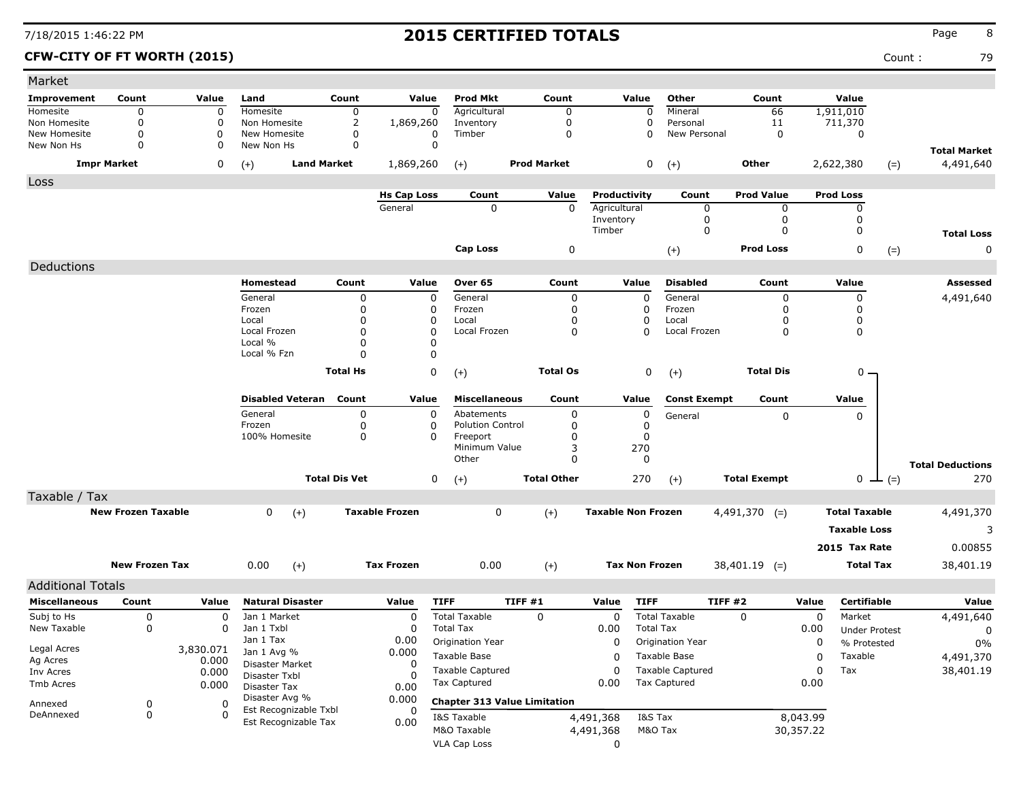**CFW-CITY OF FT WORTH (2015)** Count : 79

| Market                       |                           |              |                                         |                      |                       |                         |                                     |                           |                       |                          |                     |             |                            |       |                                  |
|------------------------------|---------------------------|--------------|-----------------------------------------|----------------------|-----------------------|-------------------------|-------------------------------------|---------------------------|-----------------------|--------------------------|---------------------|-------------|----------------------------|-------|----------------------------------|
| Improvement                  | Count                     | Value        | Land                                    | Count                | Value                 | <b>Prod Mkt</b>         | Count                               |                           | Value                 | Other                    | Count               |             | Value                      |       |                                  |
| Homesite                     | 0                         | 0            | Homesite                                | 0                    | $\mathbf 0$           | Agricultural            | 0                                   |                           | 0                     | Mineral                  | 66                  |             | 1,911,010                  |       |                                  |
| Non Homesite<br>New Homesite | 0<br>0                    | 0<br>0       | Non Homesite<br>New Homesite            | 2<br>0               | 1,869,260<br>0        | Inventory<br>Timber     | 0<br>0                              |                           | 0<br>$\Omega$         | Personal<br>New Personal | 11<br>$\mathbf 0$   |             | 711,370<br>0               |       |                                  |
| New Non Hs                   | 0                         | 0            | New Non Hs                              | 0                    | $\Omega$              |                         |                                     |                           |                       |                          |                     |             |                            |       |                                  |
| <b>Impr Market</b>           |                           | 0            | <b>Land Market</b><br>$(+)$             |                      | 1,869,260             | $(+)$                   | <b>Prod Market</b>                  |                           | 0                     | $(+)$                    | Other               |             | 2,622,380                  | $(=)$ | <b>Total Market</b><br>4,491,640 |
| Loss                         |                           |              |                                         |                      |                       |                         |                                     |                           |                       |                          |                     |             |                            |       |                                  |
|                              |                           |              |                                         |                      | <b>Hs Cap Loss</b>    | Count                   | Value                               | Productivity              |                       | Count                    | <b>Prod Value</b>   |             | <b>Prod Loss</b>           |       |                                  |
|                              |                           |              |                                         |                      | General               | $\mathbf 0$             | $\mathbf{0}$                        | Agricultural<br>Inventory |                       | 0<br>0                   | 0<br>0              |             | 0<br>0                     |       |                                  |
|                              |                           |              |                                         |                      |                       |                         |                                     | Timber                    |                       | 0                        | $\mathbf{0}$        |             | 0                          |       | <b>Total Loss</b>                |
|                              |                           |              |                                         |                      |                       | <b>Cap Loss</b>         | 0                                   |                           |                       | $(+)$                    | <b>Prod Loss</b>    |             | 0                          | $(=)$ | 0                                |
|                              |                           |              |                                         |                      |                       |                         |                                     |                           |                       |                          |                     |             |                            |       |                                  |
| Deductions                   |                           |              |                                         |                      |                       |                         |                                     |                           |                       |                          |                     |             |                            |       |                                  |
|                              |                           |              | Homestead                               | Count                | Value                 | Over 65                 | Count                               |                           | Value                 | <b>Disabled</b>          | Count               |             | Value                      |       | Assessed                         |
|                              |                           |              | General<br>Frozen                       | 0<br>$\Omega$        | $\mathbf 0$<br>0      | General<br>Frozen       | 0<br>0                              |                           | 0<br>0                | General<br>Frozen        | 0<br>0              |             | $\mathbf 0$<br>$\mathbf 0$ |       | 4,491,640                        |
|                              |                           |              | Local                                   | 0                    | 0                     | Local                   | 0                                   |                           | 0                     | Local                    | $\Omega$            |             | 0                          |       |                                  |
|                              |                           |              | Local Frozen                            | $\Omega$             | O                     | Local Frozen            | 0                                   |                           | 0                     | Local Frozen             | 0                   |             | 0                          |       |                                  |
|                              |                           |              | Local %                                 | <sup>0</sup>         | 0                     |                         |                                     |                           |                       |                          |                     |             |                            |       |                                  |
|                              |                           |              | Local % Fzn                             |                      | $\Omega$              |                         |                                     |                           |                       |                          |                     |             |                            |       |                                  |
|                              |                           |              |                                         | <b>Total Hs</b>      | 0                     | $(+)$                   | <b>Total Os</b>                     |                           | 0                     | $(+)$                    | <b>Total Dis</b>    |             | $0 -$                      |       |                                  |
|                              |                           |              | <b>Disabled Veteran</b>                 | Count                | Value                 | <b>Miscellaneous</b>    | Count                               |                           | Value                 | <b>Const Exempt</b>      | Count               |             | Value                      |       |                                  |
|                              |                           |              | General                                 | 0                    | 0                     | Abatements              | 0                                   |                           | 0                     | General                  | 0                   |             | 0                          |       |                                  |
|                              |                           |              | Frozen                                  | 0                    | 0                     | <b>Polution Control</b> | 0                                   |                           | 0                     |                          |                     |             |                            |       |                                  |
|                              |                           |              | 100% Homesite                           | 0                    | $\Omega$              | Freeport                | 0                                   |                           | 0                     |                          |                     |             |                            |       |                                  |
|                              |                           |              |                                         |                      |                       | Minimum Value<br>Other  | 3<br>0                              |                           | 270<br>0              |                          |                     |             |                            |       |                                  |
|                              |                           |              |                                         |                      |                       |                         |                                     |                           |                       |                          |                     |             |                            |       | <b>Total Deductions</b>          |
|                              |                           |              |                                         | <b>Total Dis Vet</b> | 0                     | $(+)$                   | <b>Total Other</b>                  |                           | 270                   | $(+)$                    | <b>Total Exempt</b> |             | $0 \perp (=)$              |       | 270                              |
| Taxable / Tax                |                           |              |                                         |                      |                       |                         |                                     |                           |                       |                          |                     |             |                            |       |                                  |
|                              | <b>New Frozen Taxable</b> |              | 0<br>$(+)$                              |                      | <b>Taxable Frozen</b> | 0                       | $(+)$                               | <b>Taxable Non Frozen</b> |                       |                          | $4,491,370$ (=)     |             | <b>Total Taxable</b>       |       | 4,491,370                        |
|                              |                           |              |                                         |                      |                       |                         |                                     |                           |                       |                          |                     |             | <b>Taxable Loss</b>        |       | 3                                |
|                              |                           |              |                                         |                      |                       |                         |                                     |                           |                       |                          |                     |             | 2015 Tax Rate              |       | 0.00855                          |
|                              | <b>New Frozen Tax</b>     |              | 0.00<br>$(+)$                           |                      | <b>Tax Frozen</b>     | 0.00                    | $(+)$                               |                           | <b>Tax Non Frozen</b> |                          | $38,401.19$ (=)     |             | <b>Total Tax</b>           |       | 38,401.19                        |
| <b>Additional Totals</b>     |                           |              |                                         |                      |                       |                         |                                     |                           |                       |                          |                     |             |                            |       |                                  |
| <b>Miscellaneous</b>         | Count                     | Value        | <b>Natural Disaster</b>                 |                      | <b>TIFF</b><br>Value  |                         | TIFF #1                             | Value                     | <b>TIFF</b>           | TIFF#2                   |                     | Value       | Certifiable                |       | Value                            |
| Subj to Hs                   | 0                         | 0            | Jan 1 Market                            |                      | $\overline{0}$        | <b>Total Taxable</b>    | $\Omega$                            | 0                         |                       | <b>Total Taxable</b>     | $\Omega$            | $\mathbf 0$ | Market                     |       | 4,491,640                        |
| New Taxable                  | 0                         | 0            | Jan 1 Txbl                              |                      | 0                     | <b>Total Tax</b>        |                                     | 0.00                      | <b>Total Tax</b>      |                          |                     | 0.00        | <b>Under Protest</b>       |       | 0                                |
|                              |                           |              | Jan 1 Tax                               |                      | 0.00                  | Origination Year        |                                     | 0                         |                       | Origination Year         |                     | 0           | % Protested                |       | 0%                               |
| Legal Acres                  |                           | 3,830.071    | Jan 1 Avg %                             |                      | 0.000                 | Taxable Base            |                                     | 0                         |                       | Taxable Base             |                     | 0           | Taxable                    |       | 4,491,370                        |
| Ag Acres                     |                           | 0.000        | Disaster Market                         |                      | 0                     | <b>Taxable Captured</b> |                                     |                           |                       | <b>Taxable Captured</b>  |                     | 0           |                            |       |                                  |
| Inv Acres                    |                           | 0.000        | Disaster Txbl                           |                      | -C                    | Tax Captured            |                                     | 0                         |                       | Tax Captured             |                     |             | Tax                        |       | 38,401.19                        |
| Tmb Acres                    |                           | 0.000        | Disaster Tax                            |                      | 0.00                  |                         |                                     | 0.00                      |                       |                          |                     | 0.00        |                            |       |                                  |
| Annexed                      | 0                         | 0            | Disaster Avg %<br>Est Recognizable Txbl |                      | 0.000<br>0            |                         | <b>Chapter 313 Value Limitation</b> |                           |                       |                          |                     |             |                            |       |                                  |
| DeAnnexed                    | 0                         | $\mathbf{0}$ | Est Recognizable Tax                    |                      | 0.00                  | I&S Taxable             |                                     | 4,491,368                 | I&S Tax               |                          |                     | 8,043.99    |                            |       |                                  |
|                              |                           |              |                                         |                      |                       | M&O Taxable             |                                     | 4,491,368                 | M&O Tax               |                          |                     | 30,357.22   |                            |       |                                  |
|                              |                           |              |                                         |                      |                       | VLA Cap Loss            |                                     | 0                         |                       |                          |                     |             |                            |       |                                  |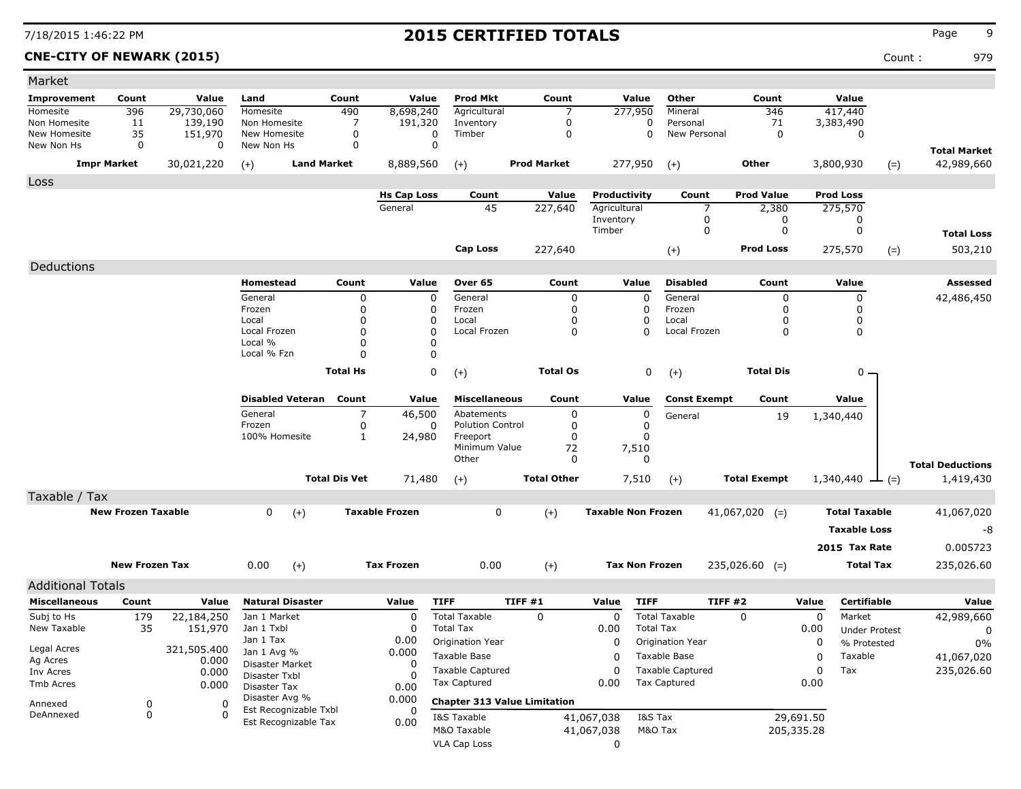**CNE-CITY OF NEWARK (2015)** Count : 979

| Market                     |                           |              |                                         |                      |                       |                                          |                                     |                           |                                                |                     |            |                      |                         |
|----------------------------|---------------------------|--------------|-----------------------------------------|----------------------|-----------------------|------------------------------------------|-------------------------------------|---------------------------|------------------------------------------------|---------------------|------------|----------------------|-------------------------|
| <b>Improvement</b>         | Count                     | Value        | Land                                    | Count                | Value                 | <b>Prod Mkt</b>                          | Count                               | Value                     | Other                                          | Count               |            | Value                |                         |
| Homesite                   | 396                       | 29,730,060   | Homesite                                | 490                  | 8,698,240             | Agricultural                             | 7                                   | 277,950                   | Mineral                                        | 346                 |            | 417,440              |                         |
| Non Homesite               | 11                        | 139,190      | Non Homesite                            | 7                    | 191,320               | Inventory                                | 0                                   | 0                         | Personal                                       | 71                  |            | 3,383,490            |                         |
| New Homesite<br>New Non Hs | 35<br>0                   | 151,970<br>0 | New Homesite<br>New Non Hs              | 0<br>0               | 0<br>$\mathbf 0$      | Timber                                   | $\mathbf 0$                         | $\Omega$                  | New Personal                                   | $\mathbf 0$         |            | 0                    |                         |
|                            |                           |              |                                         |                      |                       |                                          |                                     |                           |                                                |                     |            |                      | <b>Total Market</b>     |
|                            | <b>Impr Market</b>        | 30,021,220   | $(+)$                                   | <b>Land Market</b>   | 8,889,560             | $(+)$                                    | <b>Prod Market</b>                  | 277,950                   | $(+)$                                          | Other               |            | 3,800,930<br>$(=)$   | 42,989,660              |
| Loss                       |                           |              |                                         |                      |                       |                                          |                                     |                           |                                                |                     |            |                      |                         |
|                            |                           |              |                                         |                      | <b>Hs Cap Loss</b>    | Count                                    | Value                               | Productivity              | Count                                          | <b>Prod Value</b>   |            | <b>Prod Loss</b>     |                         |
|                            |                           |              |                                         |                      | General               | 45                                       | 227,640                             | Agricultural              | 7                                              | 2,380               |            | 275,570              |                         |
|                            |                           |              |                                         |                      |                       |                                          |                                     | Inventory<br>Timber       | 0<br>0                                         | 0<br>0              |            | 0<br>0               |                         |
|                            |                           |              |                                         |                      |                       |                                          |                                     |                           |                                                |                     |            |                      | <b>Total Loss</b>       |
|                            |                           |              |                                         |                      |                       | Cap Loss                                 | 227,640                             |                           | $(+)$                                          | <b>Prod Loss</b>    |            | 275,570<br>$(=)$     | 503,210                 |
| Deductions                 |                           |              |                                         |                      |                       |                                          |                                     |                           |                                                |                     |            |                      |                         |
|                            |                           |              | Homestead                               | Count                | Value                 | Over 65                                  | Count                               | Value                     | <b>Disabled</b>                                | Count               |            | Value                | Assessed                |
|                            |                           |              | General                                 | 0                    | $\mathbf 0$           | General                                  | $\mathbf 0$                         | $\mathbf 0$               | General                                        | 0                   |            | $\mathbf 0$          | 42,486,450              |
|                            |                           |              | Frozen                                  | 0                    | 0                     | Frozen                                   | $\mathbf 0$                         | 0                         | Frozen                                         | $\Omega$            |            | 0                    |                         |
|                            |                           |              | Local                                   | 0                    | 0                     | Local                                    | $\mathbf 0$                         | 0<br>$\Omega$             | Local                                          | 0                   |            | 0                    |                         |
|                            |                           |              | Local Frozen<br>Local %                 | 0<br>0               | 0<br>0                | Local Frozen                             | 0                                   |                           | Local Frozen                                   | 0                   |            | 0                    |                         |
|                            |                           |              | Local % Fzn                             | 0                    | O                     |                                          |                                     |                           |                                                |                     |            |                      |                         |
|                            |                           |              |                                         | <b>Total Hs</b>      | 0                     | $(+)$                                    | <b>Total Os</b>                     | 0                         |                                                | <b>Total Dis</b>    |            | ο.                   |                         |
|                            |                           |              |                                         |                      |                       |                                          |                                     |                           | $(+)$                                          |                     |            |                      |                         |
|                            |                           |              | <b>Disabled Veteran</b>                 | Count                | Value                 | <b>Miscellaneous</b>                     | Count                               | Value                     | <b>Const Exempt</b>                            | Count               |            | Value                |                         |
|                            |                           |              | General                                 | 7                    | 46,500                | Abatements                               | 0                                   | 0                         | General                                        | 19                  |            | 1,340,440            |                         |
|                            |                           |              | Frozen                                  | 0                    | 0                     | <b>Polution Control</b>                  | $\mathbf 0$                         | 0                         |                                                |                     |            |                      |                         |
|                            |                           |              | 100% Homesite                           | $\mathbf{1}$         | 24,980                | Freeport<br>Minimum Value                | $\mathbf 0$                         | 0                         |                                                |                     |            |                      |                         |
|                            |                           |              |                                         |                      |                       | Other                                    | 72<br>0                             | 7,510<br>0                |                                                |                     |            |                      |                         |
|                            |                           |              |                                         |                      |                       |                                          |                                     |                           |                                                |                     |            |                      | <b>Total Deductions</b> |
|                            |                           |              |                                         | <b>Total Dis Vet</b> | 71,480                | $(+)$                                    | <b>Total Other</b>                  | 7,510                     | $(+)$                                          | <b>Total Exempt</b> |            | 1,340,440<br>$-(-)$  | 1,419,430               |
| Taxable / Tax              |                           |              |                                         |                      |                       |                                          |                                     |                           |                                                |                     |            |                      |                         |
|                            | <b>New Frozen Taxable</b> |              | 0<br>$(+)$                              |                      | <b>Taxable Frozen</b> | 0                                        | $(+)$                               | <b>Taxable Non Frozen</b> |                                                | $41,067,020$ (=)    |            | <b>Total Taxable</b> | 41,067,020              |
|                            |                           |              |                                         |                      |                       |                                          |                                     |                           |                                                |                     |            | <b>Taxable Loss</b>  | -8                      |
|                            |                           |              |                                         |                      |                       |                                          |                                     |                           |                                                |                     |            | 2015 Tax Rate        | 0.005723                |
|                            | <b>New Frozen Tax</b>     |              | 0.00<br>$(+)$                           |                      | <b>Tax Frozen</b>     | 0.00                                     | $(+)$                               | <b>Tax Non Frozen</b>     |                                                | $235,026.60$ (=)    |            | <b>Total Tax</b>     | 235,026.60              |
|                            |                           |              |                                         |                      |                       |                                          |                                     |                           |                                                |                     |            |                      |                         |
| <b>Additional Totals</b>   |                           |              |                                         |                      |                       |                                          |                                     |                           |                                                |                     |            |                      |                         |
| <b>Miscellaneous</b>       | Count                     | Value        | <b>Natural Disaster</b>                 |                      | Value                 | <b>TIFF</b>                              | TIFF #1                             | <b>TIFF</b><br>Value      |                                                | TIFF #2             | Value      | Certifiable          | Value                   |
| Subj to Hs<br>New Taxable  | 179                       | 22,184,250   | Jan 1 Market<br>Jan 1 Txbl              |                      | 0<br><sup>0</sup>     | <b>Total Taxable</b><br><b>Total Tax</b> | 0                                   | 0                         | <b>Total Taxable</b><br><b>Total Tax</b>       | 0                   | 0          | Market               | 42,989,660              |
|                            | 35                        | 151,970      | Jan 1 Tax                               |                      | 0.00                  | Origination Year                         |                                     | 0.00<br>$\mathbf 0$       | Origination Year                               |                     | 0.00       | <b>Under Protest</b> | 0                       |
| Legal Acres                |                           | 321,505.400  | Jan 1 Avg %                             |                      | 0.000                 |                                          |                                     |                           |                                                |                     | 0          | % Protested          | $0\%$                   |
| Ag Acres                   |                           | 0.000        | Disaster Market                         |                      | 0                     | Taxable Base                             |                                     | 0                         | Taxable Base                                   |                     | 0          | Taxable              | 41,067,020              |
| Inv Acres                  |                           | 0.000        | Disaster Txbl                           |                      |                       | <b>Taxable Captured</b>                  |                                     | 0                         | <b>Taxable Captured</b><br><b>Tax Captured</b> |                     | 0          | Tax                  | 235,026.60              |
| Tmb Acres                  |                           | 0.000        | Disaster Tax                            |                      | 0.00                  | <b>Tax Captured</b>                      |                                     | 0.00                      |                                                |                     | 0.00       |                      |                         |
| Annexed                    | 0                         | 0            | Disaster Avg %<br>Est Recognizable Txbl |                      | 0.000                 |                                          | <b>Chapter 313 Value Limitation</b> |                           |                                                |                     |            |                      |                         |
| DeAnnexed                  | 0                         | $\Omega$     | Est Recognizable Tax                    |                      | 0.00                  | I&S Taxable                              |                                     | 41,067,038                | I&S Tax                                        |                     | 29,691.50  |                      |                         |
|                            |                           |              |                                         |                      |                       | M&O Taxable                              |                                     | 41,067,038                | M&O Tax                                        |                     | 205,335.28 |                      |                         |
|                            |                           |              |                                         |                      |                       | <b>VLA Cap Loss</b>                      |                                     | 0                         |                                                |                     |            |                      |                         |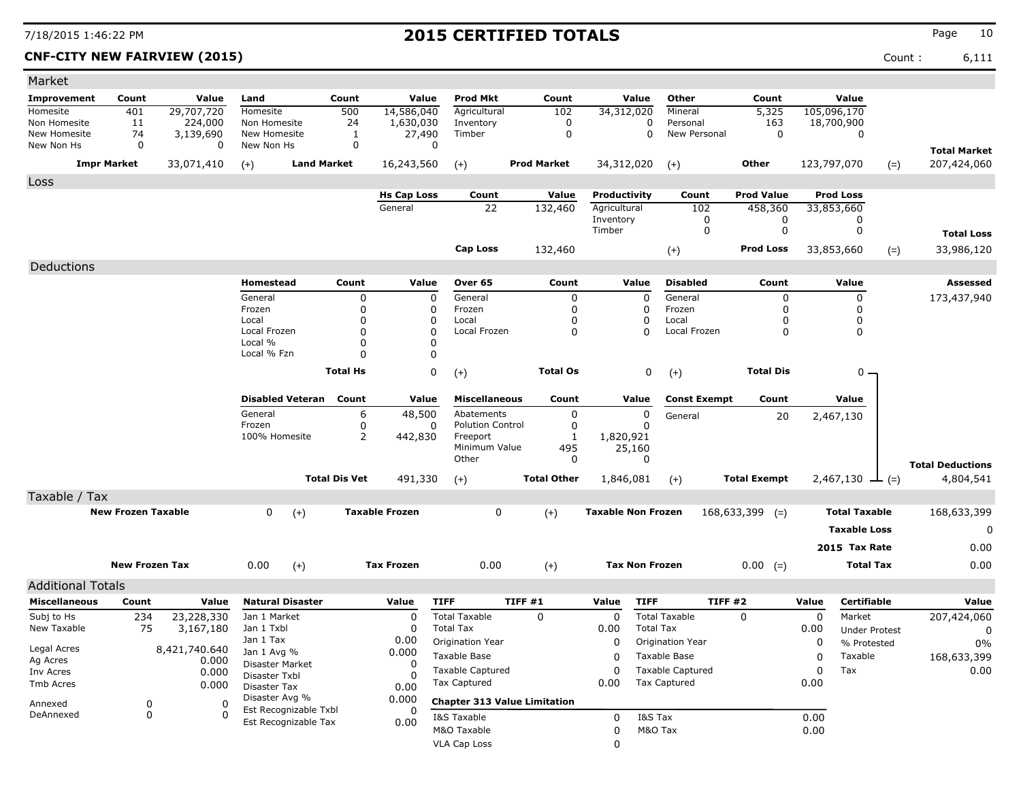**CNF-CITY NEW FAIRVIEW (2015)** Count : 6,111

| Market                                           |                           |                         |                            |                         |                      |                       |                                          |                                     |                           |                       |                                                |                     |           |                                     |       |                         |
|--------------------------------------------------|---------------------------|-------------------------|----------------------------|-------------------------|----------------------|-----------------------|------------------------------------------|-------------------------------------|---------------------------|-----------------------|------------------------------------------------|---------------------|-----------|-------------------------------------|-------|-------------------------|
| Improvement                                      | Count                     | Value                   | Land                       |                         | Count                | Value                 | <b>Prod Mkt</b>                          | Count                               |                           | Value                 | Other                                          | Count               |           | Value                               |       |                         |
| Homesite                                         | 401                       | 29,707,720              | Homesite                   |                         | 500                  | 14,586,040            | Agricultural                             | 102                                 | 34,312,020                |                       | Mineral                                        | 5,325               |           | 105,096,170                         |       |                         |
| Non Homesite                                     | 11                        | 224,000                 | Non Homesite               |                         | 24                   | 1,630,030             | Inventory                                | 0                                   |                           | 0                     | Personal                                       | 163                 |           | 18,700,900                          |       |                         |
| New Homesite<br>New Non Hs                       | 74<br>0                   | 3,139,690<br>0          | New Homesite<br>New Non Hs |                         | 1<br>0               | 27,490                | Timber<br>$\mathbf 0$                    | 0                                   |                           | 0                     | New Personal                                   | 0                   |           | 0                                   |       |                         |
|                                                  |                           |                         |                            |                         |                      |                       |                                          |                                     |                           |                       |                                                |                     |           |                                     |       | <b>Total Market</b>     |
|                                                  | <b>Impr Market</b>        | 33,071,410              | $(+)$                      | <b>Land Market</b>      |                      | 16,243,560            | $(+)$                                    | <b>Prod Market</b>                  | 34,312,020                |                       | $(+)$                                          | Other               |           | 123,797,070                         | $(=)$ | 207,424,060             |
| Loss                                             |                           |                         |                            |                         |                      |                       |                                          |                                     |                           |                       |                                                |                     |           |                                     |       |                         |
|                                                  |                           |                         |                            |                         |                      | <b>Hs Cap Loss</b>    | Count                                    | Value                               | Productivity              |                       | Count                                          | <b>Prod Value</b>   |           | <b>Prod Loss</b>                    |       |                         |
|                                                  |                           |                         |                            |                         |                      | General               | 22                                       | 132,460                             | Agricultural<br>Inventory |                       | 102<br>0                                       | 458,360<br>0        |           | 33,853,660<br>0                     |       |                         |
|                                                  |                           |                         |                            |                         |                      |                       |                                          |                                     | Timber                    |                       | 0                                              | 0                   |           | 0                                   |       | <b>Total Loss</b>       |
|                                                  |                           |                         |                            |                         |                      |                       | <b>Cap Loss</b>                          | 132,460                             |                           |                       |                                                | Prod Loss           |           | 33,853,660                          |       | 33,986,120              |
|                                                  |                           |                         |                            |                         |                      |                       |                                          |                                     |                           |                       | $(+)$                                          |                     |           |                                     | $(=)$ |                         |
| Deductions                                       |                           |                         |                            |                         |                      |                       |                                          |                                     |                           |                       |                                                |                     |           |                                     |       |                         |
|                                                  |                           |                         | Homestead                  |                         | Count                | Value                 | Over 65                                  | Count                               |                           | Value                 | <b>Disabled</b>                                | Count               |           | Value                               |       | Assessed                |
|                                                  |                           |                         | General<br>Frozen          |                         | 0<br>0               |                       | 0<br>General<br>0<br>Frozen              | 0<br>0                              |                           | $\Omega$<br>0         | General<br>Frozen                              | 0<br>0              |           | 0<br>0                              |       | 173,437,940             |
|                                                  |                           |                         | Local                      |                         | 0                    |                       | 0<br>Local                               | 0                                   |                           | 0                     | Local                                          | 0                   |           | 0                                   |       |                         |
|                                                  |                           |                         | Local Frozen               |                         | 0                    |                       | $\mathbf 0$<br>Local Frozen              | 0                                   |                           | O                     | Local Frozen                                   | $\mathbf 0$         |           | 0                                   |       |                         |
|                                                  |                           |                         | Local %                    |                         | 0                    |                       | 0                                        |                                     |                           |                       |                                                |                     |           |                                     |       |                         |
|                                                  |                           |                         | Local % Fzn                |                         | $\Omega$             |                       | $\Omega$                                 |                                     |                           |                       |                                                |                     |           |                                     |       |                         |
|                                                  |                           |                         |                            |                         | <b>Total Hs</b>      |                       | 0<br>$(+)$                               | <b>Total Os</b>                     |                           | 0                     | $(+)$                                          | <b>Total Dis</b>    |           | 0                                   |       |                         |
|                                                  |                           |                         |                            |                         |                      |                       |                                          |                                     |                           |                       |                                                |                     |           |                                     |       |                         |
|                                                  |                           |                         |                            | Disabled Veteran        | Count                | Value                 | <b>Miscellaneous</b>                     | Count                               |                           | Value                 | <b>Const Exempt</b>                            | Count               |           | Value                               |       |                         |
|                                                  |                           |                         | General                    |                         | 6                    | 48,500                | Abatements                               | 0                                   |                           | 0                     | General                                        | 20                  |           | 2,467,130                           |       |                         |
|                                                  |                           |                         | Frozen                     |                         | 0                    |                       | <b>Polution Control</b><br>0             | 0                                   |                           | $\Omega$              |                                                |                     |           |                                     |       |                         |
|                                                  |                           |                         | 100% Homesite              |                         | 2                    | 442,830               | Freeport<br>Minimum Value                | 1<br>495                            | 1,820,921                 | 25,160                |                                                |                     |           |                                     |       |                         |
|                                                  |                           |                         |                            |                         |                      |                       | Other                                    | 0                                   |                           | $\Omega$              |                                                |                     |           |                                     |       |                         |
|                                                  |                           |                         |                            |                         |                      |                       |                                          |                                     |                           |                       |                                                |                     |           |                                     |       | <b>Total Deductions</b> |
|                                                  |                           |                         |                            |                         | <b>Total Dis Vet</b> | 491,330               | $(+)$                                    | <b>Total Other</b>                  | 1,846,081                 |                       | $(+)$                                          | <b>Total Exempt</b> |           | 2,467,130 $\perp$ (=)               |       | 4,804,541               |
| Taxable / Tax                                    |                           |                         |                            |                         |                      |                       |                                          |                                     |                           |                       |                                                |                     |           |                                     |       |                         |
|                                                  | <b>New Frozen Taxable</b> |                         | 0                          | $(+)$                   |                      | <b>Taxable Frozen</b> | 0                                        | $(+)$                               | <b>Taxable Non Frozen</b> |                       |                                                | $168,633,399$ (=)   |           | <b>Total Taxable</b>                |       | 168,633,399             |
|                                                  |                           |                         |                            |                         |                      |                       |                                          |                                     |                           |                       |                                                |                     |           | <b>Taxable Loss</b>                 |       | 0                       |
|                                                  |                           |                         |                            |                         |                      |                       |                                          |                                     |                           |                       |                                                |                     |           | 2015 Tax Rate                       |       | 0.00                    |
|                                                  | <b>New Frozen Tax</b>     |                         | 0.00                       | $(+)$                   |                      | <b>Tax Frozen</b>     | 0.00                                     | $(+)$                               |                           | <b>Tax Non Frozen</b> |                                                | $0.00 (=)$          |           | <b>Total Tax</b>                    |       | 0.00                    |
|                                                  |                           |                         |                            |                         |                      |                       |                                          |                                     |                           |                       |                                                |                     |           |                                     |       |                         |
| <b>Additional Totals</b><br><b>Miscellaneous</b> | Count                     |                         |                            | <b>Natural Disaster</b> |                      |                       | <b>TIFF</b>                              | TIFF #1                             | Value                     | <b>TIFF</b>           | <b>TIFF #2</b>                                 |                     | Value     | <b>Certifiable</b>                  |       |                         |
|                                                  |                           | Value                   |                            |                         |                      | Value                 |                                          |                                     |                           |                       |                                                |                     |           |                                     |       | Value                   |
| Subj to Hs<br>New Taxable                        | 234<br>75                 | 23,228,330<br>3,167,180 | Jan 1 Market<br>Jan 1 Txbl |                         |                      | 0<br>$\Omega$         | <b>Total Taxable</b><br><b>Total Tax</b> | $\Omega$                            | 0<br>0.00                 | <b>Total Tax</b>      | <b>Total Taxable</b>                           | $\Omega$            | 0<br>0.00 | Market                              |       | 207,424,060             |
|                                                  |                           |                         | Jan 1 Tax                  |                         |                      | 0.00                  | Origination Year                         |                                     | 0                         |                       | <b>Origination Year</b>                        |                     | 0         | <b>Under Protest</b><br>% Protested |       | 0                       |
| Legal Acres                                      |                           | 8,421,740.640           | Jan 1 Avg %                |                         |                      | 0.000                 | Taxable Base                             |                                     |                           |                       | Taxable Base                                   |                     |           | Taxable                             |       | 0%                      |
| Ag Acres                                         |                           | 0.000                   | Disaster Market            |                         |                      | 0                     |                                          |                                     | 0                         |                       |                                                |                     | 0         |                                     |       | 168,633,399             |
| Inv Acres                                        |                           | 0.000                   | Disaster Txbl              |                         |                      | $\Omega$              | <b>Taxable Captured</b>                  |                                     | 0                         |                       | <b>Taxable Captured</b><br><b>Tax Captured</b> |                     | 0         | Tax                                 |       | 0.00                    |
| Tmb Acres                                        |                           | 0.000                   | Disaster Tax               |                         |                      | 0.00                  | Tax Captured                             |                                     | 0.00                      |                       |                                                |                     | 0.00      |                                     |       |                         |
| Annexed                                          | 0                         | 0                       | Disaster Avg %             | Est Recognizable Txbl   |                      | 0.000<br>0            |                                          | <b>Chapter 313 Value Limitation</b> |                           |                       |                                                |                     |           |                                     |       |                         |
| DeAnnexed                                        | 0                         |                         |                            | Est Recognizable Tax    |                      | 0.00                  | I&S Taxable                              |                                     | 0                         | I&S Tax               |                                                |                     | 0.00      |                                     |       |                         |
|                                                  |                           |                         |                            |                         |                      |                       | M&O Taxable                              |                                     | 0                         | M&O Tax               |                                                |                     | 0.00      |                                     |       |                         |
|                                                  |                           |                         |                            |                         |                      |                       | <b>VLA Cap Loss</b>                      |                                     | 0                         |                       |                                                |                     |           |                                     |       |                         |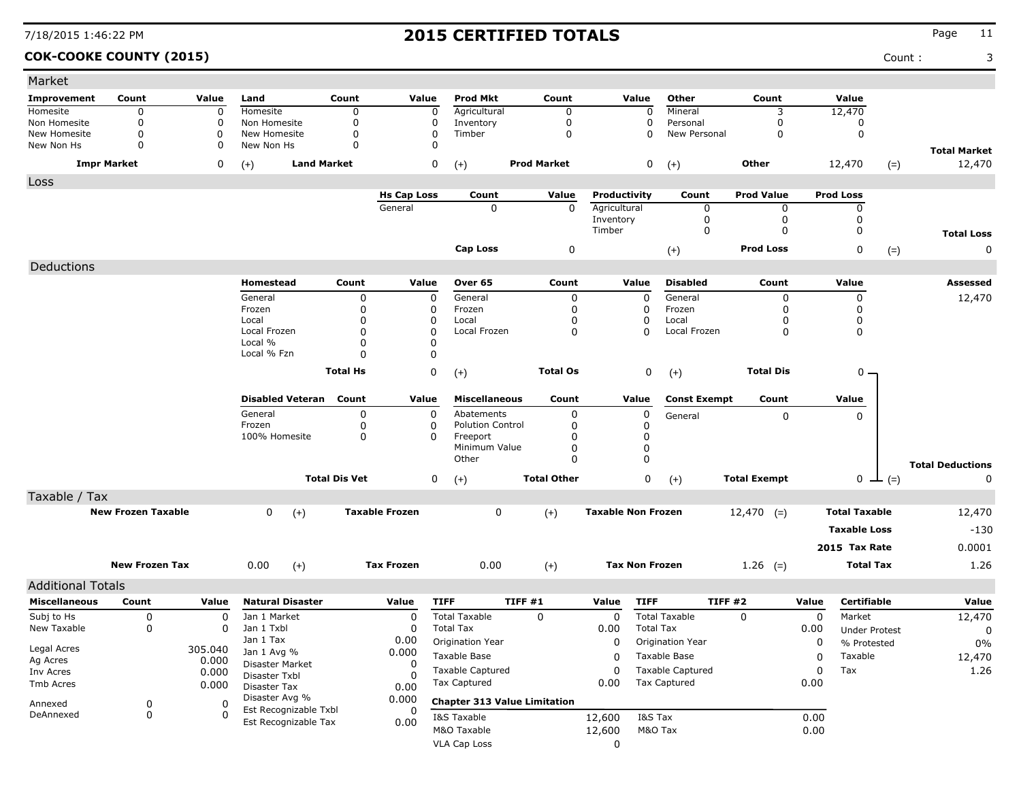### **COK-COOKE COUNTY (2015)** Count : 3

| Market                     |                            |          |                               |                      |                       |                                          |                    |                           |                                          |                         |                     |       |                      |       |                               |
|----------------------------|----------------------------|----------|-------------------------------|----------------------|-----------------------|------------------------------------------|--------------------|---------------------------|------------------------------------------|-------------------------|---------------------|-------|----------------------|-------|-------------------------------|
| Improvement                | Count                      | Value    | Land                          | Count                | Value                 | <b>Prod Mkt</b>                          | Count              |                           | Value                                    | Other                   | Count               |       | Value                |       |                               |
| Homesite                   | 0                          | 0        | Homesite                      | $\mathbf 0$          | $\mathbf 0$           | Agricultural                             | $\Omega$           |                           | 0                                        | Mineral                 | 3                   |       | 12,470               |       |                               |
| Non Homesite               | $\mathbf 0$                | 0<br>0   | Non Homesite                  | $\mathbf 0$          | 0<br>$\mathbf 0$      | Inventory                                | 0<br>$\Omega$      |                           | 0                                        | Personal                | 0                   |       | 0<br>$\mathbf 0$     |       |                               |
| New Homesite<br>New Non Hs | $\mathbf 0$<br>$\mathbf 0$ | 0        | New Homesite<br>New Non Hs    | 0<br>$\Omega$        | $\Omega$              | Timber                                   |                    |                           | 0                                        | New Personal            | 0                   |       |                      |       |                               |
| <b>Impr Market</b>         |                            | 0        | $(+)$                         | <b>Land Market</b>   | 0                     | $(+)$                                    | <b>Prod Market</b> |                           | 0                                        | $(+)$                   | <b>Other</b>        |       | 12,470               | $(=)$ | <b>Total Market</b><br>12,470 |
| Loss                       |                            |          |                               |                      |                       |                                          |                    |                           |                                          |                         |                     |       |                      |       |                               |
|                            |                            |          |                               |                      | <b>Hs Cap Loss</b>    | Count                                    | Value              | Productivity              |                                          | Count                   | <b>Prod Value</b>   |       | <b>Prod Loss</b>     |       |                               |
|                            |                            |          |                               |                      | General               | $\mathbf 0$                              | $\mathbf 0$        | Agricultural              |                                          | 0                       | 0                   |       | 0                    |       |                               |
|                            |                            |          |                               |                      |                       |                                          |                    | Inventory                 |                                          | 0                       | 0                   |       | 0                    |       |                               |
|                            |                            |          |                               |                      |                       |                                          |                    | Timber                    |                                          | 0                       | $\Omega$            |       | 0                    |       | <b>Total Loss</b>             |
|                            |                            |          |                               |                      |                       | Cap Loss                                 | 0                  |                           |                                          | $(+)$                   | <b>Prod Loss</b>    |       | 0                    | $(=)$ | 0                             |
| Deductions                 |                            |          |                               |                      |                       |                                          |                    |                           |                                          |                         |                     |       |                      |       |                               |
|                            |                            |          | <b>Homestead</b>              | Count                | Value                 | Over 65                                  | Count              | Value                     |                                          | <b>Disabled</b>         | Count               |       | Value                |       | <b>Assessed</b>               |
|                            |                            |          | General                       | 0                    | 0                     | General                                  | 0                  |                           | 0                                        | General                 | 0                   |       | 0                    |       | 12,470                        |
|                            |                            |          | Frozen                        | 0                    | 0                     | Frozen                                   | 0                  |                           | 0                                        | Frozen                  | 0                   |       | 0                    |       |                               |
|                            |                            |          | Local                         | 0                    | 0                     | Local                                    | <sup>0</sup>       |                           | 0                                        | Local                   | 0                   |       | 0                    |       |                               |
|                            |                            |          | Local Frozen<br>Local %       | 0<br>0               | 0<br>0                | Local Frozen                             | 0                  |                           | $\Omega$                                 | Local Frozen            | 0                   |       | 0                    |       |                               |
|                            |                            |          | Local % Fzn                   | $\Omega$             | 0                     |                                          |                    |                           |                                          |                         |                     |       |                      |       |                               |
|                            |                            |          |                               | <b>Total Hs</b>      | 0                     |                                          | <b>Total Os</b>    |                           | 0                                        |                         | <b>Total Dis</b>    |       | 0.                   |       |                               |
|                            |                            |          |                               |                      |                       | $(+)$                                    |                    |                           |                                          | $(+)$                   |                     |       |                      |       |                               |
|                            |                            |          | <b>Disabled Veteran</b> Count |                      | Value                 | <b>Miscellaneous</b>                     | Count              | Value                     |                                          | <b>Const Exempt</b>     | Count               |       | Value                |       |                               |
|                            |                            |          | General                       | 0                    | 0                     | Abatements                               | 0                  |                           | 0                                        | General                 | 0                   |       | 0                    |       |                               |
|                            |                            |          | Frozen<br>100% Homesite       | 0<br>0               | 0<br>0                | <b>Polution Control</b><br>Freeport      | 0<br>0             |                           | 0<br>0                                   |                         |                     |       |                      |       |                               |
|                            |                            |          |                               |                      |                       | Minimum Value                            | 0                  |                           | 0                                        |                         |                     |       |                      |       |                               |
|                            |                            |          |                               |                      |                       | Other                                    | 0                  |                           | 0                                        |                         |                     |       |                      |       |                               |
|                            |                            |          |                               | <b>Total Dis Vet</b> | 0                     | $(+)$                                    | <b>Total Other</b> |                           | 0                                        | $(+)$                   | <b>Total Exempt</b> |       | $0 \perp (=)$        |       | <b>Total Deductions</b><br>0  |
| Taxable / Tax              |                            |          |                               |                      |                       |                                          |                    |                           |                                          |                         |                     |       |                      |       |                               |
|                            | <b>New Frozen Taxable</b>  |          | 0<br>$(+)$                    |                      | <b>Taxable Frozen</b> | 0                                        | $(+)$              | <b>Taxable Non Frozen</b> |                                          |                         | $12,470$ (=)        |       | <b>Total Taxable</b> |       | 12,470                        |
|                            |                            |          |                               |                      |                       |                                          |                    |                           |                                          |                         |                     |       | <b>Taxable Loss</b>  |       | $-130$                        |
|                            |                            |          |                               |                      |                       |                                          |                    |                           |                                          |                         |                     |       | 2015 Tax Rate        |       | 0.0001                        |
|                            |                            |          |                               |                      |                       |                                          |                    |                           |                                          |                         |                     |       |                      |       |                               |
|                            | <b>New Frozen Tax</b>      |          | 0.00<br>$(+)$                 |                      | <b>Tax Frozen</b>     | 0.00                                     | $(+)$              | <b>Tax Non Frozen</b>     |                                          |                         | 1.26 $(=)$          |       | <b>Total Tax</b>     |       | 1.26                          |
| <b>Additional Totals</b>   |                            |          |                               |                      |                       |                                          |                    |                           |                                          | <b>TIFF #2</b>          |                     |       |                      |       |                               |
| <b>Miscellaneous</b>       | Count                      | Value    | <b>Natural Disaster</b>       |                      | Value                 | <b>TIFF</b>                              | <b>TIFF #1</b>     | Value                     | <b>TIFF</b>                              |                         |                     | Value | Certifiable          |       | Value                         |
| Subj to Hs<br>New Taxable  | 0                          | 0<br>0   | Jan 1 Market<br>Jan 1 Txbl    |                      | 0<br>0                | <b>Total Taxable</b><br><b>Total Tax</b> | 0                  | 0                         | <b>Total Taxable</b><br><b>Total Tax</b> |                         | $\Omega$            | 0     | Market               |       | 12,470                        |
|                            | 0                          |          | Jan 1 Tax                     |                      | 0.00                  | Origination Year                         |                    | 0.00                      |                                          |                         |                     | 0.00  | <b>Under Protest</b> |       | 0                             |
| Legal Acres                |                            | 305.040  | Jan 1 Avg %                   |                      | 0.000                 |                                          |                    | 0                         |                                          | Origination Year        |                     | 0     | % Protested          |       | 0%                            |
| Ag Acres                   |                            | 0.000    | Disaster Market               |                      | 0                     | Taxable Base                             |                    | 0                         | Taxable Base                             |                         |                     | 0     | Taxable              |       | 12,470                        |
| Inv Acres                  |                            | 0.000    | Disaster Txbl                 |                      | <sup>0</sup>          | <b>Taxable Captured</b>                  |                    | 0                         |                                          | <b>Taxable Captured</b> |                     | 0     | Tax                  |       | 1.26                          |
| Tmb Acres                  |                            | 0.000    | Disaster Tax                  |                      | 0.00                  | Tax Captured                             |                    | 0.00                      | <b>Tax Captured</b>                      |                         |                     | 0.00  |                      |       |                               |
| Annexed                    | 0                          | 0        | Disaster Avg %                |                      | 0.000                 | <b>Chapter 313 Value Limitation</b>      |                    |                           |                                          |                         |                     |       |                      |       |                               |
|                            |                            | $\Omega$ | Est Recognizable Txbl         |                      | 0                     | I&S Taxable                              |                    | 12,600                    | I&S Tax                                  |                         |                     | 0.00  |                      |       |                               |
| DeAnnexed                  | 0                          |          |                               |                      |                       |                                          |                    |                           |                                          |                         |                     |       |                      |       |                               |
|                            |                            |          | Est Recognizable Tax          |                      | 0.00                  | M&O Taxable                              |                    | 12,600                    | M&O Tax                                  |                         |                     | 0.00  |                      |       |                               |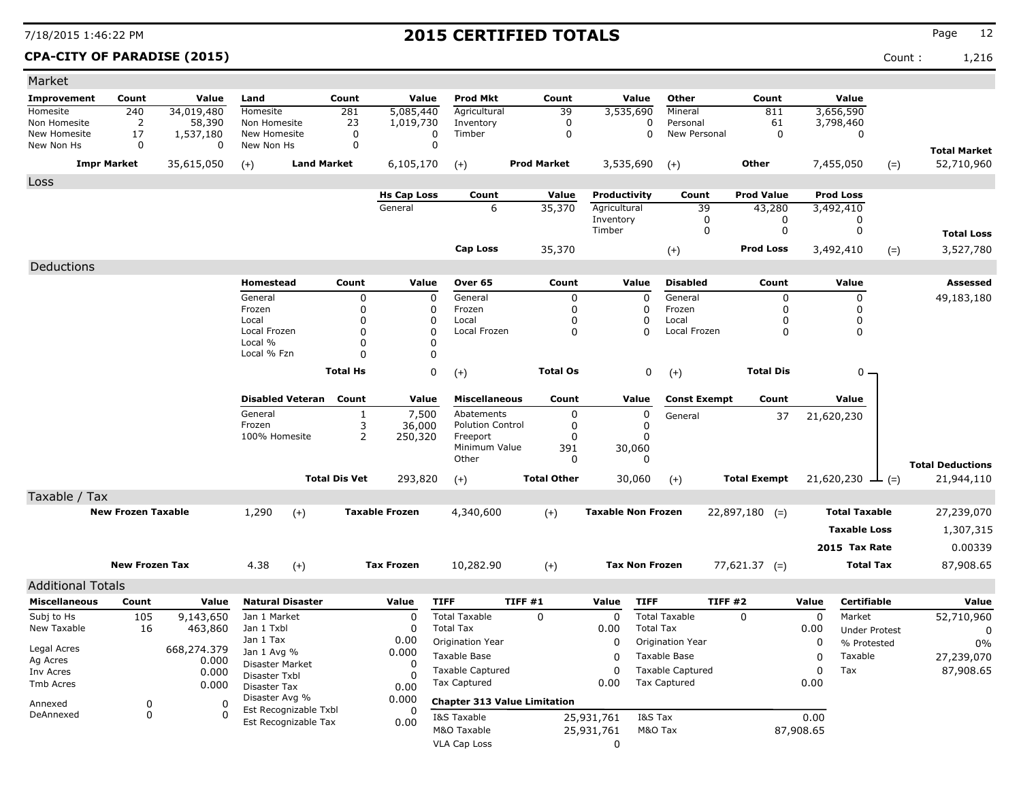**CPA-CITY OF PARADISE (2015)** Count : 1,216

| Market                     |                           |                |                                               |                      |                               |                           |                                     |                              |                       |                         |                             |             |                               |       |                         |
|----------------------------|---------------------------|----------------|-----------------------------------------------|----------------------|-------------------------------|---------------------------|-------------------------------------|------------------------------|-----------------------|-------------------------|-----------------------------|-------------|-------------------------------|-------|-------------------------|
| Improvement                | Count                     | Value          | Land                                          | Count                | Value                         | <b>Prod Mkt</b>           | Count                               |                              | Value                 | Other                   | Count                       |             | Value                         |       |                         |
| Homesite                   | 240                       | 34,019,480     | <b>Homesite</b>                               | 281                  | 5,085,440                     | Agricultural              | 39                                  |                              | 3,535,690             | Mineral                 | 811                         |             | 3,656,590                     |       |                         |
| Non Homesite               | 2                         | 58,390         | Non Homesite                                  | 23<br>$\mathbf 0$    | 1,019,730                     | Inventory<br>Timber       | 0<br>$\mathbf 0$                    |                              | 0<br>0                | Personal                | 61<br>$\mathbf 0$           |             | 3,798,460<br>$\mathbf 0$      |       |                         |
| New Homesite<br>New Non Hs | 17<br>0                   | 1,537,180<br>0 | New Homesite<br>New Non Hs                    | 0                    | 0<br>0                        |                           |                                     |                              |                       | New Personal            |                             |             |                               |       |                         |
|                            |                           |                |                                               | <b>Land Market</b>   |                               |                           | <b>Prod Market</b>                  |                              |                       |                         | <b>Other</b>                |             |                               |       | <b>Total Market</b>     |
| <b>Impr Market</b>         |                           | 35,615,050     | $(+)$                                         |                      | 6,105,170                     | $(+)$                     |                                     |                              | 3,535,690             | $(+)$                   |                             |             | 7,455,050                     | $(=)$ | 52,710,960              |
| Loss                       |                           |                |                                               |                      |                               |                           |                                     |                              |                       |                         |                             |             |                               |       |                         |
|                            |                           |                |                                               |                      | <b>Hs Cap Loss</b><br>General | Count<br>6                | Value<br>35,370                     | Productivity<br>Agricultural |                       | Count<br>39             | <b>Prod Value</b><br>43,280 |             | <b>Prod Loss</b><br>3,492,410 |       |                         |
|                            |                           |                |                                               |                      |                               |                           |                                     | Inventory                    |                       | 0                       | 0                           |             | 0                             |       |                         |
|                            |                           |                |                                               |                      |                               |                           |                                     | Timber                       |                       | 0                       | 0                           |             | 0                             |       | <b>Total Loss</b>       |
|                            |                           |                |                                               |                      |                               | <b>Cap Loss</b>           | 35,370                              |                              |                       | $(+)$                   | <b>Prod Loss</b>            |             | 3,492,410                     | $(=)$ | 3,527,780               |
| Deductions                 |                           |                |                                               |                      |                               |                           |                                     |                              |                       |                         |                             |             |                               |       |                         |
|                            |                           |                | Homestead                                     | Count                | Value                         | Over 65                   | Count                               |                              | Value                 | <b>Disabled</b>         | Count                       |             | Value                         |       | <b>Assessed</b>         |
|                            |                           |                | General                                       | 0                    | $\mathbf 0$                   | General                   |                                     | $\pmb{0}$                    | $\mathbf 0$           | General                 | $\mathbf 0$                 |             | 0                             |       | 49,183,180              |
|                            |                           |                | Frozen                                        | 0                    | $\mathbf 0$                   | Frozen                    | $\mathbf 0$                         |                              | $\mathbf 0$           | Frozen                  | $\Omega$                    |             | 0                             |       |                         |
|                            |                           |                | Local                                         | 0                    | $\Omega$                      | Local                     | $\mathbf 0$                         |                              | 0                     | Local                   | 0                           |             | 0                             |       |                         |
|                            |                           |                | Local Frozen<br>Local %                       | $\Omega$<br>0        | $\mathbf 0$<br>$\Omega$       | Local Frozen              | $\Omega$                            |                              | $\Omega$              | Local Frozen            | 0                           |             | 0                             |       |                         |
|                            |                           |                | Local % Fzn                                   | $\Omega$             | 0                             |                           |                                     |                              |                       |                         |                             |             |                               |       |                         |
|                            |                           |                |                                               | <b>Total Hs</b>      | $\mathbf 0$                   | $(+)$                     | <b>Total Os</b>                     |                              | 0                     | $(+)$                   | <b>Total Dis</b>            |             | 0                             |       |                         |
|                            |                           |                |                                               |                      |                               |                           |                                     |                              |                       |                         |                             |             |                               |       |                         |
|                            |                           |                | <b>Disabled Veteran</b>                       | Count                | Value                         | <b>Miscellaneous</b>      | Count                               |                              | Value                 | <b>Const Exempt</b>     | Count                       |             | Value                         |       |                         |
|                            |                           |                | General                                       | $\mathbf{1}$         | 7,500                         | Abatements                | $\mathbf 0$                         |                              | $\pmb{0}$             | General                 | 37                          |             | 21,620,230                    |       |                         |
|                            |                           |                | Frozen                                        | 3                    | 36,000                        | <b>Polution Control</b>   | 0                                   |                              | $\mathbf 0$           |                         |                             |             |                               |       |                         |
|                            |                           |                | 100% Homesite                                 | $\overline{2}$       | 250,320                       | Freeport<br>Minimum Value | $\mathbf 0$<br>391                  |                              | $\Omega$<br>30,060    |                         |                             |             |                               |       |                         |
|                            |                           |                |                                               |                      |                               | Other                     | $\mathbf 0$                         |                              | $\Omega$              |                         |                             |             |                               |       | <b>Total Deductions</b> |
|                            |                           |                |                                               | <b>Total Dis Vet</b> | 293,820                       | $(+)$                     | <b>Total Other</b>                  |                              | 30,060                | $(+)$                   | <b>Total Exempt</b>         |             | $21,620,230 \rightarrow$ (=)  |       | 21,944,110              |
| Taxable / Tax              |                           |                |                                               |                      |                               |                           |                                     |                              |                       |                         |                             |             |                               |       |                         |
|                            | <b>New Frozen Taxable</b> |                | 1,290<br>$(+)$                                |                      | <b>Taxable Frozen</b>         | 4,340,600                 |                                     | <b>Taxable Non Frozen</b>    |                       |                         | $22,897,180$ (=)            |             | <b>Total Taxable</b>          |       | 27,239,070              |
|                            |                           |                |                                               |                      |                               |                           | $(+)$                               |                              |                       |                         |                             |             |                               |       |                         |
|                            |                           |                |                                               |                      |                               |                           |                                     |                              |                       |                         |                             |             | <b>Taxable Loss</b>           |       | 1,307,315               |
|                            |                           |                |                                               |                      |                               |                           |                                     |                              |                       |                         |                             |             | 2015 Tax Rate                 |       | 0.00339                 |
|                            | <b>New Frozen Tax</b>     |                | 4.38<br>$(+)$                                 |                      | <b>Tax Frozen</b>             | 10,282.90                 | $(+)$                               |                              | <b>Tax Non Frozen</b> |                         | $77,621.37$ (=)             |             | <b>Total Tax</b>              |       | 87,908.65               |
| <b>Additional Totals</b>   |                           |                |                                               |                      |                               |                           |                                     |                              |                       |                         |                             |             |                               |       |                         |
| <b>Miscellaneous</b>       | Count                     | Value          | <b>Natural Disaster</b>                       |                      | Value                         | <b>TIFF</b>               | TIFF#1                              | Value                        | <b>TIFF</b>           | <b>TIFF #2</b>          |                             | Value       | <b>Certifiable</b>            |       | Value                   |
| Subj to Hs                 | 105                       | 9,143,650      | Jan 1 Market                                  |                      | $\Omega$                      | <b>Total Taxable</b>      | $\mathbf 0$                         | $\Omega$                     |                       | <b>Total Taxable</b>    | $\Omega$                    | $\mathbf 0$ | Market                        |       | 52,710,960              |
| New Taxable                | 16                        | 463,860        | Jan 1 Txbl                                    |                      | $\mathbf 0$                   | <b>Total Tax</b>          |                                     | 0.00                         | <b>Total Tax</b>      |                         |                             | 0.00        | <b>Under Protest</b>          |       | 0                       |
| Legal Acres                |                           | 668,274.379    | Jan 1 Tax                                     |                      | 0.00                          | Origination Year          |                                     | $\mathbf 0$                  |                       | Origination Year        |                             | 0           | % Protested                   |       | 0%                      |
| Ag Acres                   |                           | 0.000          | Jan 1 Avg %<br>Disaster Market                |                      | 0.000<br>0                    | <b>Taxable Base</b>       |                                     | $\Omega$                     |                       | Taxable Base            |                             | 0           | Taxable                       |       | 27,239,070              |
| Inv Acres                  |                           | 0.000          | Disaster Txbl                                 |                      | n                             | <b>Taxable Captured</b>   |                                     | 0                            |                       | <b>Taxable Captured</b> |                             | 0           | Tax                           |       | 87,908.65               |
| Tmb Acres                  |                           | 0.000          | Disaster Tax                                  |                      | 0.00                          | <b>Tax Captured</b>       |                                     | 0.00                         |                       | <b>Tax Captured</b>     |                             | 0.00        |                               |       |                         |
| Annexed                    | 0                         | 0              | Disaster Avg %                                |                      | 0.000                         |                           | <b>Chapter 313 Value Limitation</b> |                              |                       |                         |                             |             |                               |       |                         |
| DeAnnexed                  | $\mathbf 0$               | $\Omega$       | Est Recognizable Txbl<br>Est Recognizable Tax |                      | $\Omega$<br>0.00              | I&S Taxable               |                                     | 25,931,761                   | I&S Tax               |                         |                             | 0.00        |                               |       |                         |
|                            |                           |                |                                               |                      |                               | M&O Taxable               |                                     | 25,931,761                   | M&O Tax               |                         |                             | 87,908.65   |                               |       |                         |
|                            |                           |                |                                               |                      |                               | <b>VLA Cap Loss</b>       |                                     | $\Omega$                     |                       |                         |                             |             |                               |       |                         |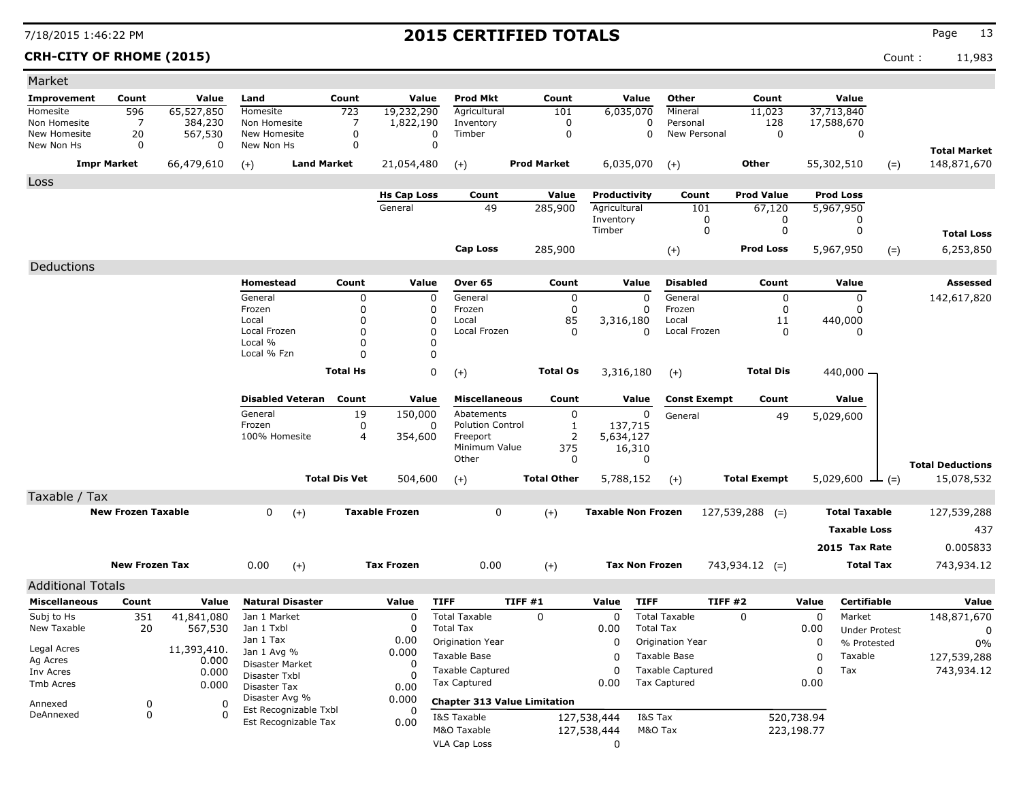**CRH-CITY OF RHOME (2015)** Count : 11,983

| Market                     |                           |                     |                                               |                      |                            |                           |                                     |                           |                             |                     |             |                      |                                       |
|----------------------------|---------------------------|---------------------|-----------------------------------------------|----------------------|----------------------------|---------------------------|-------------------------------------|---------------------------|-----------------------------|---------------------|-------------|----------------------|---------------------------------------|
| Improvement                | Count                     | Value               | Land                                          | Count                | Value                      | <b>Prod Mkt</b>           | Count                               | Value                     | Other                       | Count               |             | Value                |                                       |
| Homesite                   | 596                       | 65,527,850          | Homesite                                      | 723                  | 19,232,290                 | Agricultural              | 101                                 | 6,035,070                 | Mineral                     | 11,023              |             | 37,713,840           |                                       |
| Non Homesite               | 7                         | 384,230             | Non Homesite                                  | 7                    | 1,822,190                  | Inventory                 | 0                                   |                           | 0<br>Personal               | 128                 |             | 17,588,670           |                                       |
| New Homesite<br>New Non Hs | 20<br>$\Omega$            | 567,530<br>$\Omega$ | New Homesite<br>New Non Hs                    | 0<br>0               | 0<br>$\mathbf 0$           | Timber                    | 0                                   |                           | $\mathbf 0$<br>New Personal | $\mathbf 0$         |             | 0                    |                                       |
|                            | <b>Impr Market</b>        | 66,479,610          | <b>Land Market</b>                            |                      | 21,054,480                 |                           | <b>Prod Market</b>                  | 6,035,070                 |                             | Other               |             | 55,302,510           | <b>Total Market</b><br>148,871,670    |
|                            |                           |                     | $(+)$                                         |                      |                            | $(+)$                     |                                     |                           | $(+)$                       |                     |             | $(=)$                |                                       |
| Loss                       |                           |                     |                                               |                      | <b>Hs Cap Loss</b>         | Count                     | Value                               | Productivity              | Count                       | <b>Prod Value</b>   |             | <b>Prod Loss</b>     |                                       |
|                            |                           |                     |                                               |                      | General                    | 49                        | 285,900                             | Agricultural              | 101                         | 67,120              |             | 5,967,950            |                                       |
|                            |                           |                     |                                               |                      |                            |                           |                                     | Inventory                 | 0                           | 0                   |             | 0                    |                                       |
|                            |                           |                     |                                               |                      |                            |                           |                                     | Timber                    | 0                           | 0                   |             | 0                    | <b>Total Loss</b>                     |
|                            |                           |                     |                                               |                      |                            | Cap Loss                  | 285,900                             |                           | $(+)$                       | <b>Prod Loss</b>    |             | 5,967,950<br>$(=)$   | 6,253,850                             |
| Deductions                 |                           |                     |                                               |                      |                            |                           |                                     |                           |                             |                     |             |                      |                                       |
|                            |                           |                     | Homestead                                     | Count                | Value                      | Over 65                   | Count                               | Value                     | <b>Disabled</b>             | Count               |             | Value                | Assessed                              |
|                            |                           |                     | General                                       | 0                    | 0                          | General                   | 0                                   | $\mathbf 0$               | General                     | 0                   |             | 0                    | 142,617,820                           |
|                            |                           |                     | Frozen                                        | 0                    | $\mathbf 0$                | Frozen                    | 0                                   | 0                         | Frozen                      | 0                   |             | 0                    |                                       |
|                            |                           |                     | Local                                         | 0                    | 0                          | Local                     | 85                                  | 3,316,180                 | Local                       | 11                  |             | 440,000              |                                       |
|                            |                           |                     | Local Frozen<br>Local %                       | $\Omega$<br>$\Omega$ | $\mathbf 0$<br>$\mathbf 0$ | Local Frozen              | 0                                   | 0                         | Local Frozen                | 0                   |             | 0                    |                                       |
|                            |                           |                     | Local % Fzn                                   | $\Omega$             | 0                          |                           |                                     |                           |                             |                     |             |                      |                                       |
|                            |                           |                     |                                               | <b>Total Hs</b>      | 0                          | $(+)$                     | <b>Total Os</b>                     | 3,316,180                 | $(+)$                       | <b>Total Dis</b>    |             | $440,000 -$          |                                       |
|                            |                           |                     |                                               |                      |                            |                           |                                     |                           |                             |                     |             |                      |                                       |
|                            |                           |                     | <b>Disabled Veteran</b>                       | Count                | Value                      | <b>Miscellaneous</b>      | Count                               | Value                     | <b>Const Exempt</b>         | Count               |             | Value                |                                       |
|                            |                           |                     | General                                       | 19                   | 150,000                    | Abatements                | 0                                   | 0                         | General                     | 49                  |             | 5,029,600            |                                       |
|                            |                           |                     | Frozen                                        | 0                    | 0                          | <b>Polution Control</b>   | 1                                   | 137,715                   |                             |                     |             |                      |                                       |
|                            |                           |                     | 100% Homesite                                 | 4                    | 354,600                    | Freeport<br>Minimum Value | $\overline{2}$<br>375               | 5,634,127<br>16,310       |                             |                     |             |                      |                                       |
|                            |                           |                     |                                               |                      |                            | Other                     | 0                                   | 0                         |                             |                     |             |                      |                                       |
|                            |                           |                     |                                               | <b>Total Dis Vet</b> | 504,600                    | $(+)$                     | <b>Total Other</b>                  | 5,788,152                 | $(+)$                       | <b>Total Exempt</b> |             | 5,029,600<br>$ (=)$  | <b>Total Deductions</b><br>15,078,532 |
| Taxable / Tax              |                           |                     |                                               |                      |                            |                           |                                     |                           |                             |                     |             |                      |                                       |
|                            | <b>New Frozen Taxable</b> |                     | 0                                             |                      | <b>Taxable Frozen</b>      | 0                         | $(+)$                               | <b>Taxable Non Frozen</b> |                             | $127,539,288$ (=)   |             | <b>Total Taxable</b> | 127,539,288                           |
|                            |                           |                     | $(+)$                                         |                      |                            |                           |                                     |                           |                             |                     |             |                      |                                       |
|                            |                           |                     |                                               |                      |                            |                           |                                     |                           |                             |                     |             | <b>Taxable Loss</b>  | 437                                   |
|                            |                           |                     |                                               |                      |                            |                           |                                     |                           |                             |                     |             | 2015 Tax Rate        | 0.005833                              |
|                            | <b>New Frozen Tax</b>     |                     | 0.00<br>$(+)$                                 |                      | <b>Tax Frozen</b>          | 0.00                      | $(+)$                               | <b>Tax Non Frozen</b>     |                             | $743,934.12$ (=)    |             | <b>Total Tax</b>     | 743,934.12                            |
| <b>Additional Totals</b>   |                           |                     |                                               |                      |                            |                           |                                     |                           |                             |                     |             |                      |                                       |
| <b>Miscellaneous</b>       | Count                     | Value               | <b>Natural Disaster</b>                       |                      | Value                      | <b>TIFF</b>               | TIFF #1                             | Value<br><b>TIFF</b>      |                             | TIFF #2             | Value       | <b>Certifiable</b>   | Value                                 |
| Subj to Hs                 | 351                       | 41,841,080          | Jan 1 Market                                  |                      | 0                          | <b>Total Taxable</b>      | 0                                   | 0                         | <b>Total Taxable</b>        | $\Omega$            | $\mathbf 0$ | Market               | 148,871,670                           |
| New Taxable                | 20                        | 567,530             | Jan 1 Txbl                                    |                      | 0                          | <b>Total Tax</b>          |                                     | 0.00                      | <b>Total Tax</b>            |                     | 0.00        | <b>Under Protest</b> | 0                                     |
| Legal Acres                |                           | 11,393,410.         | Jan 1 Tax                                     |                      | 0.00                       | Origination Year          |                                     | $\mathbf 0$               | Origination Year            |                     | 0           | % Protested          | 0%                                    |
| Ag Acres                   |                           | 0.000               | Jan 1 Avg %                                   |                      | 0.000<br>0                 | Taxable Base              |                                     | 0                         | Taxable Base                |                     | 0           | Taxable              | 127,539,288                           |
| Inv Acres                  |                           | 0.000               | Disaster Market<br>Disaster Txbl              |                      | $\Omega$                   | <b>Taxable Captured</b>   |                                     | 0                         | <b>Taxable Captured</b>     |                     | 0           | Tax                  | 743,934.12                            |
| Tmb Acres                  |                           | 0.000               | Disaster Tax                                  |                      | 0.00                       | <b>Tax Captured</b>       |                                     | 0.00                      | <b>Tax Captured</b>         |                     | 0.00        |                      |                                       |
| Annexed                    | 0                         | 0                   | Disaster Avg %                                |                      | 0.000                      |                           | <b>Chapter 313 Value Limitation</b> |                           |                             |                     |             |                      |                                       |
| DeAnnexed                  | 0                         | $\Omega$            | Est Recognizable Txbl<br>Est Recognizable Tax |                      | 0                          | I&S Taxable               |                                     | 127,538,444               | I&S Tax                     |                     | 520,738.94  |                      |                                       |
|                            |                           |                     |                                               |                      | 0.00                       | M&O Taxable               |                                     | 127,538,444               | M&O Tax                     |                     | 223,198.77  |                      |                                       |
|                            |                           |                     |                                               |                      |                            | <b>VLA Cap Loss</b>       |                                     | 0                         |                             |                     |             |                      |                                       |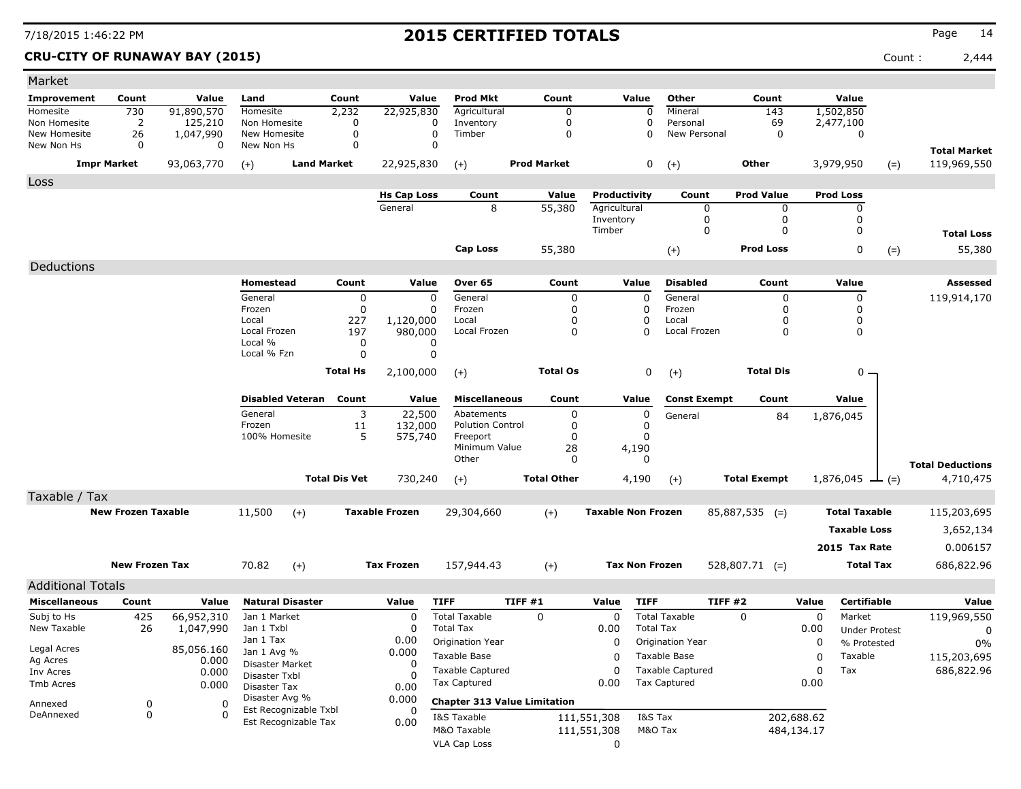**CRU-CITY OF RUNAWAY BAY (2015)** Count : 2,444

| Market                     |                           |                |                                |                      |                       |                                                |                    |                           |                                                |                     |            |                       |                                    |
|----------------------------|---------------------------|----------------|--------------------------------|----------------------|-----------------------|------------------------------------------------|--------------------|---------------------------|------------------------------------------------|---------------------|------------|-----------------------|------------------------------------|
| Improvement                | Count                     | Value          | Land                           | Count                | Value                 | <b>Prod Mkt</b>                                | Count              | Value                     | Other                                          | Count               |            | Value                 |                                    |
| Homesite                   | 730                       | 91,890,570     | Homesite                       | 2,232                | 22,925,830            | Agricultural                                   | 0                  |                           | $\boldsymbol{0}$<br>Mineral                    | 143                 |            | 1,502,850             |                                    |
| Non Homesite               | $\overline{2}$            | 125,210        | Non Homesite                   | 0                    |                       | Inventory<br>0                                 | 0                  |                           | 0<br>Personal                                  | 69                  |            | 2,477,100             |                                    |
| New Homesite<br>New Non Hs | 26<br>0                   | 1,047,990<br>0 | New Homesite<br>New Non Hs     | 0<br>$\Omega$        |                       | 0<br>Timber<br>$\Omega$                        | 0                  |                           | 0<br>New Personal                              | 0                   |            | 0                     |                                    |
|                            | <b>Impr Market</b>        | 93,063,770     | $(+)$                          | <b>Land Market</b>   | 22,925,830            | $(+)$                                          | <b>Prod Market</b> |                           | 0<br>$(+)$                                     | Other               |            | 3,979,950<br>$(=)$    | <b>Total Market</b><br>119,969,550 |
| Loss                       |                           |                |                                |                      |                       |                                                |                    |                           |                                                |                     |            |                       |                                    |
|                            |                           |                |                                |                      | <b>Hs Cap Loss</b>    | Count                                          | Value              | Productivity              | Count                                          | <b>Prod Value</b>   |            | <b>Prod Loss</b>      |                                    |
|                            |                           |                |                                |                      | General               | 8                                              | 55,380             | Agricultural              | 0                                              | 0                   |            | 0                     |                                    |
|                            |                           |                |                                |                      |                       |                                                |                    | Inventory                 | 0                                              | 0                   |            | 0                     |                                    |
|                            |                           |                |                                |                      |                       |                                                |                    | Timber                    | 0                                              | 0                   |            | 0                     | <b>Total Loss</b>                  |
|                            |                           |                |                                |                      |                       | <b>Cap Loss</b>                                | 55,380             |                           | $(+)$                                          | <b>Prod Loss</b>    |            | 0<br>$(=)$            | 55,380                             |
| Deductions                 |                           |                |                                |                      |                       |                                                |                    |                           |                                                |                     |            |                       |                                    |
|                            |                           |                | Homestead                      | Count                | Value                 | Over 65                                        | Count              | Value                     | <b>Disabled</b>                                | Count               |            | Value                 | Assessed                           |
|                            |                           |                | General                        | 0                    |                       | 0<br>General                                   | 0                  | 0                         | General                                        | 0                   |            | 0                     | 119,914,170                        |
|                            |                           |                | Frozen                         | $\mathbf 0$          |                       | Frozen<br>0                                    | 0                  | 0                         | Frozen                                         | 0                   |            | 0                     |                                    |
|                            |                           |                | Local<br>Local Frozen          | 227<br>197           | 1,120,000<br>980,000  | Local<br>Local Frozen                          | 0<br>0             | 0<br>$\Omega$             | Local<br>Local Frozen                          | 0<br>0              |            | 0<br>0                |                                    |
|                            |                           |                | Local %                        | 0                    |                       | 0                                              |                    |                           |                                                |                     |            |                       |                                    |
|                            |                           |                | Local % Fzn                    | 0                    |                       | 0                                              |                    |                           |                                                |                     |            |                       |                                    |
|                            |                           |                |                                | <b>Total Hs</b>      | 2,100,000             | $(+)$                                          | <b>Total Os</b>    |                           | 0<br>$(+)$                                     | <b>Total Dis</b>    |            | $0 -$                 |                                    |
|                            |                           |                |                                |                      |                       |                                                |                    |                           |                                                |                     |            |                       |                                    |
|                            |                           |                | <b>Disabled Veteran</b>        | Count                | Value                 | <b>Miscellaneous</b>                           | Count              | Value                     | <b>Const Exempt</b>                            | Count               |            | Value                 |                                    |
|                            |                           |                | General<br>Frozen              | 3<br>11              | 22,500<br>132,000     | Abatements<br><b>Polution Control</b>          | 0<br>0             | 0<br>0                    | General                                        | 84                  |            | 1,876,045             |                                    |
|                            |                           |                | 100% Homesite                  | 5                    | 575,740               | Freeport                                       | 0                  | 0                         |                                                |                     |            |                       |                                    |
|                            |                           |                |                                |                      |                       | Minimum Value                                  | 28                 | 4,190                     |                                                |                     |            |                       |                                    |
|                            |                           |                |                                |                      |                       | Other                                          | 0                  | $\Omega$                  |                                                |                     |            |                       | <b>Total Deductions</b>            |
|                            |                           |                |                                | <b>Total Dis Vet</b> | 730,240               | $(+)$                                          | <b>Total Other</b> | 4,190                     | $(+)$                                          | <b>Total Exempt</b> |            | 1,876,045 $\perp$ (=) | 4,710,475                          |
| Taxable / Tax              |                           |                |                                |                      |                       |                                                |                    |                           |                                                |                     |            |                       |                                    |
|                            | <b>New Frozen Taxable</b> |                | 11,500                         | $(+)$                | <b>Taxable Frozen</b> | 29,304,660                                     | $(+)$              | <b>Taxable Non Frozen</b> |                                                | $85,887,535$ (=)    |            | <b>Total Taxable</b>  | 115,203,695                        |
|                            |                           |                |                                |                      |                       |                                                |                    |                           |                                                |                     |            | <b>Taxable Loss</b>   | 3,652,134                          |
|                            |                           |                |                                |                      |                       |                                                |                    |                           |                                                |                     |            | 2015 Tax Rate         | 0.006157                           |
|                            | <b>New Frozen Tax</b>     |                | 70.82                          | $(+)$                | <b>Tax Frozen</b>     | 157,944.43                                     | $(+)$              | <b>Tax Non Frozen</b>     |                                                | $528,807.71$ (=)    |            | <b>Total Tax</b>      | 686,822.96                         |
|                            |                           |                |                                |                      |                       |                                                |                    |                           |                                                |                     |            |                       |                                    |
| <b>Additional Totals</b>   |                           |                |                                |                      |                       |                                                |                    |                           |                                                |                     |            |                       |                                    |
| <b>Miscellaneous</b>       | Count                     | Value          | <b>Natural Disaster</b>        |                      | Value                 | <b>TIFF</b>                                    | TIFF #1            | <b>TIFF</b><br>Value      |                                                | TIFF#2              | Value      | Certifiable           | Value                              |
| Subj to Hs                 | 425                       | 66,952,310     | Jan 1 Market                   |                      | 0                     | <b>Total Taxable</b>                           | 0                  | 0                         | <b>Total Taxable</b>                           | $\Omega$            | 0          | Market                | 119,969,550                        |
| New Taxable                | 26                        | 1,047,990      | Jan 1 Txbl<br>Jan 1 Tax        |                      | 0<br>0.00             | <b>Total Tax</b><br>Origination Year           |                    | 0.00<br>0                 | <b>Total Tax</b><br>Origination Year           |                     | 0.00<br>0  | <b>Under Protest</b>  | 0                                  |
| Legal Acres                |                           | 85,056.160     | Jan 1 Avg %                    |                      | 0.000                 |                                                |                    |                           |                                                |                     |            | % Protested           | 0%                                 |
| Ag Acres                   |                           | 0.000          | Disaster Market                |                      | 0                     | Taxable Base                                   |                    | 0<br>0                    | Taxable Base                                   |                     | 0          | Taxable               | 115,203,695                        |
| Inv Acres<br>Tmb Acres     |                           | 0.000          | Disaster Txbl                  |                      | O                     | <b>Taxable Captured</b><br><b>Tax Captured</b> |                    | 0.00                      | <b>Taxable Captured</b><br><b>Tax Captured</b> |                     | 0<br>0.00  | Tax                   | 686,822.96                         |
|                            |                           | 0.000          | Disaster Tax<br>Disaster Avg % |                      | 0.00<br>0.000         |                                                |                    |                           |                                                |                     |            |                       |                                    |
| Annexed<br>DeAnnexed       | 0<br>0                    | 0<br>$\Omega$  | Est Recognizable Txbl          |                      | 0                     | <b>Chapter 313 Value Limitation</b>            |                    |                           |                                                |                     |            |                       |                                    |
|                            |                           |                | Est Recognizable Tax           |                      | 0.00                  | I&S Taxable                                    |                    | 111,551,308               | I&S Tax                                        |                     | 202,688.62 |                       |                                    |
|                            |                           |                |                                |                      |                       | M&O Taxable<br>VLA Cap Loss                    |                    | 111,551,308<br>0          | M&O Tax                                        |                     | 484,134.17 |                       |                                    |
|                            |                           |                |                                |                      |                       |                                                |                    |                           |                                                |                     |            |                       |                                    |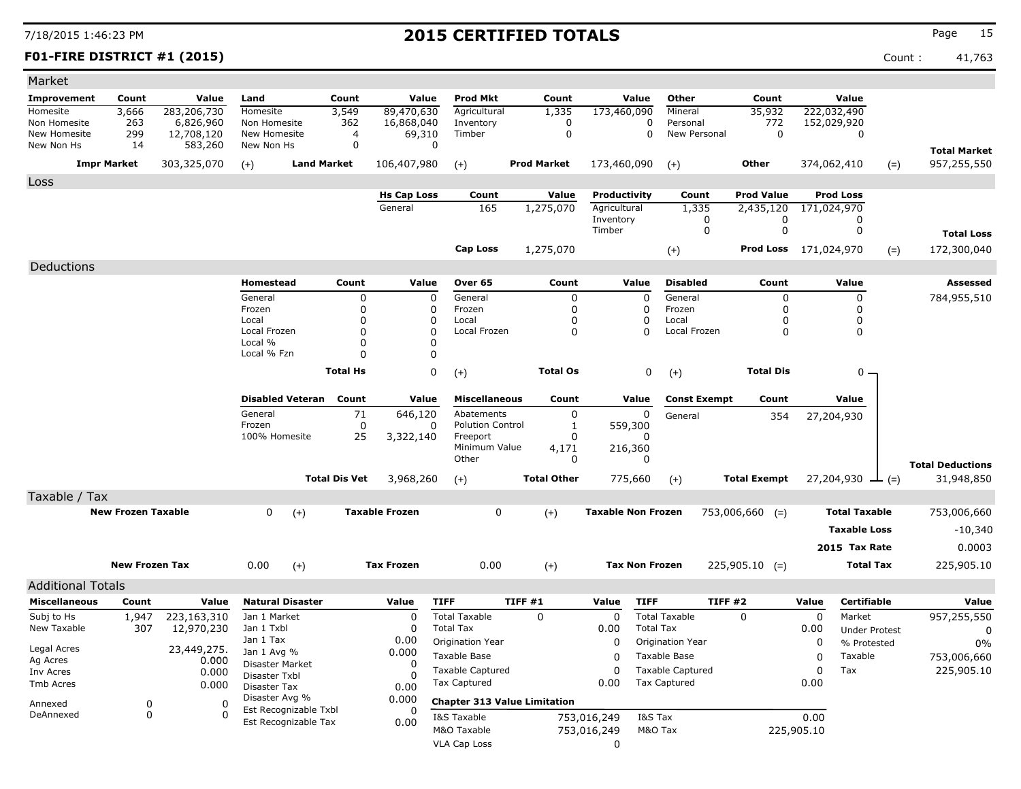### **F01-FIRE DISTRICT #1 (2015)** Count : 41,763

| Market                     |                           |                       |                                         |                      |                       |                                     |                                     |                           |                             |                              |             |                       |                         |
|----------------------------|---------------------------|-----------------------|-----------------------------------------|----------------------|-----------------------|-------------------------------------|-------------------------------------|---------------------------|-----------------------------|------------------------------|-------------|-----------------------|-------------------------|
| <b>Improvement</b>         | Count                     | Value                 | Land                                    | Count                | Value                 | <b>Prod Mkt</b>                     | Count                               | Value                     | Other                       | Count                        |             | Value                 |                         |
| Homesite                   | 3,666                     | 283,206,730           | Homesite                                | 3,549                | 89,470,630            | Agricultural                        | 1,335                               | 173,460,090               | Mineral                     | 35,932                       |             | 222,032,490           |                         |
| Non Homesite               | 263                       | 6,826,960             | Non Homesite                            | 362                  | 16,868,040            | Inventory                           | $\mathbf 0$                         |                           | $\Omega$<br>Personal        | 772                          |             | 152,029,920           |                         |
| New Homesite<br>New Non Hs | 299<br>14                 | 12,708,120<br>583,260 | New Homesite<br>New Non Hs              | $\overline{4}$<br>0  | 69,310<br>0           | Timber                              | $\mathbf 0$                         |                           | $\mathbf 0$<br>New Personal | $\Omega$                     |             | 0                     |                         |
|                            |                           |                       |                                         |                      |                       |                                     |                                     |                           |                             |                              |             |                       | <b>Total Market</b>     |
|                            | <b>Impr Market</b>        | 303,325,070           | $(+)$                                   | <b>Land Market</b>   | 106,407,980           | $(+)$                               | <b>Prod Market</b>                  | 173,460,090               | $(+)$                       | Other                        |             | 374,062,410<br>$(=)$  | 957,255,550             |
| Loss                       |                           |                       |                                         |                      |                       |                                     |                                     |                           |                             |                              |             |                       |                         |
|                            |                           |                       |                                         |                      | <b>Hs Cap Loss</b>    | Count                               | Value                               | Productivity              | Count                       | <b>Prod Value</b>            |             | <b>Prod Loss</b>      |                         |
|                            |                           |                       |                                         |                      | General               | 165                                 | 1,275,070                           | Agricultural<br>Inventory | 1,335<br>0                  | 2,435,120<br>0               |             | 171,024,970<br>0      |                         |
|                            |                           |                       |                                         |                      |                       |                                     |                                     | Timber                    | $\mathbf 0$                 | $\mathbf 0$                  |             | $\mathbf 0$           | <b>Total Loss</b>       |
|                            |                           |                       |                                         |                      |                       | <b>Cap Loss</b>                     | 1,275,070                           |                           |                             | <b>Prod Loss</b> 171,024,970 |             |                       | 172,300,040             |
|                            |                           |                       |                                         |                      |                       |                                     |                                     |                           | $(+)$                       |                              |             | $(=)$                 |                         |
| Deductions                 |                           |                       |                                         |                      |                       |                                     |                                     |                           |                             |                              |             |                       |                         |
|                            |                           |                       | Homestead                               | Count                | Value                 | Over 65                             | Count                               | Value                     | <b>Disabled</b>             | Count                        |             | Value                 | Assessed                |
|                            |                           |                       | General<br>Frozen                       | $\pmb{0}$<br>0       | $\mathbf 0$<br>0      | General<br>Frozen                   | $\mathbf 0$<br>$\mathbf 0$          | 0<br>0                    | General<br>Frozen           | 0<br>0                       |             | $\pmb{0}$<br>$\Omega$ | 784,955,510             |
|                            |                           |                       | Local                                   | $\mathbf 0$          | 0                     | Local                               | 0                                   | 0                         | Local                       | 0                            |             | 0                     |                         |
|                            |                           |                       | Local Frozen                            | $\Omega$             | $\Omega$              | Local Frozen                        | $\Omega$                            | $\Omega$                  | Local Frozen                | 0                            |             | $\mathbf{0}$          |                         |
|                            |                           |                       | Local %                                 | 0                    | 0                     |                                     |                                     |                           |                             |                              |             |                       |                         |
|                            |                           |                       | Local % Fzn                             | $\Omega$             | 0                     |                                     |                                     |                           |                             |                              |             |                       |                         |
|                            |                           |                       |                                         | <b>Total Hs</b>      | $\mathbf 0$           | $(+)$                               | <b>Total Os</b>                     |                           | 0<br>$(+)$                  | <b>Total Dis</b>             |             | 0                     |                         |
|                            |                           |                       | <b>Disabled Veteran</b>                 | Count                | Value                 | <b>Miscellaneous</b>                | Count                               | Value                     | <b>Const Exempt</b>         | Count                        |             | Value                 |                         |
|                            |                           |                       | General                                 | 71                   | 646,120               | Abatements                          | $\mathbf 0$                         | 0                         | General                     | 354                          |             | 27,204,930            |                         |
|                            |                           |                       | Frozen<br>100% Homesite                 | $\mathbf 0$<br>25    | 0<br>3,322,140        | <b>Polution Control</b><br>Freeport | 1<br>$\Omega$                       | 559,300                   |                             |                              |             |                       |                         |
|                            |                           |                       |                                         |                      |                       | Minimum Value                       | 4,171                               | 216,360                   |                             |                              |             |                       |                         |
|                            |                           |                       |                                         |                      |                       | Other                               | $\Omega$                            | $\Omega$                  |                             |                              |             |                       | <b>Total Deductions</b> |
|                            |                           |                       |                                         | <b>Total Dis Vet</b> | 3,968,260             | $(+)$                               | <b>Total Other</b>                  | 775,660                   | $(+)$                       | <b>Total Exempt</b>          |             | 27,204,930<br>$ (=)$  | 31,948,850              |
| Taxable / Tax              |                           |                       |                                         |                      |                       |                                     |                                     |                           |                             |                              |             |                       |                         |
|                            | <b>New Frozen Taxable</b> |                       | $\mathbf 0$<br>$(+)$                    |                      | <b>Taxable Frozen</b> | $\mathbf 0$                         | $(+)$                               | <b>Taxable Non Frozen</b> |                             | $753,006,660$ (=)            |             | <b>Total Taxable</b>  | 753,006,660             |
|                            |                           |                       |                                         |                      |                       |                                     |                                     |                           |                             |                              |             | <b>Taxable Loss</b>   | $-10,340$               |
|                            |                           |                       |                                         |                      |                       |                                     |                                     |                           |                             |                              |             | 2015 Tax Rate         | 0.0003                  |
|                            |                           |                       |                                         |                      |                       |                                     |                                     |                           |                             |                              |             |                       |                         |
|                            | <b>New Frozen Tax</b>     |                       | 0.00<br>$(+)$                           |                      | <b>Tax Frozen</b>     | 0.00                                | $(+)$                               | <b>Tax Non Frozen</b>     |                             | $225,905.10$ (=)             |             | <b>Total Tax</b>      | 225,905.10              |
| <b>Additional Totals</b>   |                           |                       |                                         |                      |                       |                                     |                                     |                           |                             |                              |             |                       |                         |
| <b>Miscellaneous</b>       | Count                     | Value                 | <b>Natural Disaster</b>                 |                      | Value                 | <b>TIFF</b>                         | TIFF#1                              | Value<br><b>TIFF</b>      |                             | <b>TIFF #2</b>               | Value       | <b>Certifiable</b>    | Value                   |
| Subj to Hs                 | 1,947                     | 223,163,310           | Jan 1 Market                            |                      | $\mathbf 0$           | <b>Total Taxable</b>                | 0                                   | $\mathbf 0$               | <b>Total Taxable</b>        | 0                            | $\mathbf 0$ | Market                | 957,255,550             |
| New Taxable                | 307                       | 12,970,230            | Jan 1 Txbl                              |                      | $\Omega$              | <b>Total Tax</b>                    |                                     | 0.00                      | <b>Total Tax</b>            |                              | 0.00        | <b>Under Protest</b>  | $\mathbf 0$             |
| Legal Acres                |                           | 23,449,275.           | Jan 1 Tax<br>Jan 1 Avg %                |                      | 0.00<br>0.000         | Origination Year                    |                                     | $\Omega$                  | Origination Year            |                              | 0           | % Protested           | $0\%$                   |
| Ag Acres                   |                           | 0.000                 | Disaster Market                         |                      | $\Omega$              | Taxable Base                        |                                     | $\Omega$                  | Taxable Base                |                              | $\Omega$    | Taxable               | 753,006,660             |
| Inv Acres                  |                           | 0.000                 | Disaster Txbl                           |                      | n                     | <b>Taxable Captured</b>             |                                     | $\Omega$                  | <b>Taxable Captured</b>     |                              | $\Omega$    | Tax                   | 225,905.10              |
| Tmb Acres                  |                           | 0.000                 | Disaster Tax                            |                      | 0.00                  | Tax Captured                        |                                     | 0.00                      | <b>Tax Captured</b>         |                              | 0.00        |                       |                         |
| Annexed                    | $\mathbf 0$               | $\Omega$              | Disaster Avg %<br>Est Recognizable Txbl |                      | 0.000<br>$\Omega$     |                                     | <b>Chapter 313 Value Limitation</b> |                           |                             |                              |             |                       |                         |
| DeAnnexed                  | $\Omega$                  | $\Omega$              | Est Recognizable Tax                    |                      | 0.00                  | I&S Taxable                         |                                     | 753,016,249               | I&S Tax                     |                              | 0.00        |                       |                         |
|                            |                           |                       |                                         |                      |                       | M&O Taxable                         |                                     | 753,016,249               | M&O Tax                     |                              | 225,905.10  |                       |                         |
|                            |                           |                       |                                         |                      |                       | <b>VLA Cap Loss</b>                 |                                     | 0                         |                             |                              |             |                       |                         |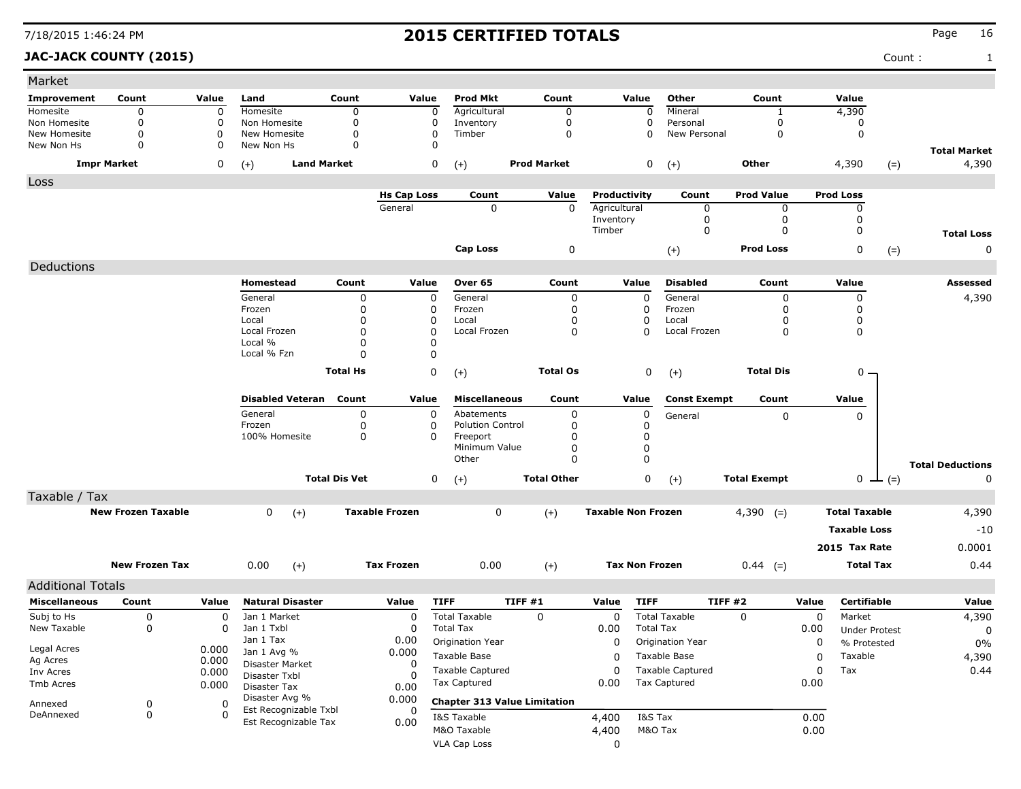### **JAC-JACK COUNTY (2015)** Count : 1

| <b>Prod Mkt</b><br>Other<br>Value<br>Improvement<br>Count<br>Value<br>Land<br>Count<br>Value<br>Count<br>Value<br>Count<br>Homesite<br>Agricultural<br>Mineral<br>4,390<br>Homesite<br>0<br>$\mathbf 0$<br>$\mathbf 0$<br>$\mathbf 0$<br>$\mathbf 0$<br>$\Omega$<br>$\mathbf{1}$<br>0<br>Non Homesite<br>$\mathbf 0$<br>Non Homesite<br>0<br>0<br>0<br>Inventory<br>Personal<br>0<br>0<br>0<br>$\mathbf 0$<br>New Homesite<br>0<br>New Homesite<br>0<br>0<br>Timber<br>New Personal<br>0<br>0<br>0<br>$\Omega$<br>$\mathbf 0$<br>New Non Hs<br>0<br>New Non Hs<br>$\Omega$<br>$\Omega$<br><b>Total Market</b><br><b>Land Market</b><br>0<br><b>Prod Market</b><br>0<br>4,390<br>4,390<br><b>Impr Market</b><br>0<br><b>Other</b><br>$(+)$<br>$(+)$<br>$(+)$<br>$(=)$<br>Loss<br><b>Prod Value</b><br><b>Prod Loss</b><br><b>Hs Cap Loss</b><br>Count<br>Value<br>Productivity<br>Count<br>General<br>0<br>0<br>$\mathbf{0}$<br>Agricultural<br>0<br>0<br>Inventory<br>0<br>0<br>0<br>0<br>Timber<br>0<br>0<br><b>Total Loss</b><br><b>Prod Loss</b><br>Cap Loss<br>0<br>0<br>0<br>$(+)$<br>$(=)$<br>Deductions |
|----------------------------------------------------------------------------------------------------------------------------------------------------------------------------------------------------------------------------------------------------------------------------------------------------------------------------------------------------------------------------------------------------------------------------------------------------------------------------------------------------------------------------------------------------------------------------------------------------------------------------------------------------------------------------------------------------------------------------------------------------------------------------------------------------------------------------------------------------------------------------------------------------------------------------------------------------------------------------------------------------------------------------------------------------------------------------------------------------------------|
|                                                                                                                                                                                                                                                                                                                                                                                                                                                                                                                                                                                                                                                                                                                                                                                                                                                                                                                                                                                                                                                                                                                |
|                                                                                                                                                                                                                                                                                                                                                                                                                                                                                                                                                                                                                                                                                                                                                                                                                                                                                                                                                                                                                                                                                                                |
|                                                                                                                                                                                                                                                                                                                                                                                                                                                                                                                                                                                                                                                                                                                                                                                                                                                                                                                                                                                                                                                                                                                |
|                                                                                                                                                                                                                                                                                                                                                                                                                                                                                                                                                                                                                                                                                                                                                                                                                                                                                                                                                                                                                                                                                                                |
|                                                                                                                                                                                                                                                                                                                                                                                                                                                                                                                                                                                                                                                                                                                                                                                                                                                                                                                                                                                                                                                                                                                |
|                                                                                                                                                                                                                                                                                                                                                                                                                                                                                                                                                                                                                                                                                                                                                                                                                                                                                                                                                                                                                                                                                                                |
|                                                                                                                                                                                                                                                                                                                                                                                                                                                                                                                                                                                                                                                                                                                                                                                                                                                                                                                                                                                                                                                                                                                |
|                                                                                                                                                                                                                                                                                                                                                                                                                                                                                                                                                                                                                                                                                                                                                                                                                                                                                                                                                                                                                                                                                                                |
|                                                                                                                                                                                                                                                                                                                                                                                                                                                                                                                                                                                                                                                                                                                                                                                                                                                                                                                                                                                                                                                                                                                |
|                                                                                                                                                                                                                                                                                                                                                                                                                                                                                                                                                                                                                                                                                                                                                                                                                                                                                                                                                                                                                                                                                                                |
|                                                                                                                                                                                                                                                                                                                                                                                                                                                                                                                                                                                                                                                                                                                                                                                                                                                                                                                                                                                                                                                                                                                |
| <b>Disabled</b><br>Homestead<br>Count<br>Value<br>Over 65<br>Count<br>Value<br>Count<br>Value<br>Assessed                                                                                                                                                                                                                                                                                                                                                                                                                                                                                                                                                                                                                                                                                                                                                                                                                                                                                                                                                                                                      |
| General<br>$\mathbf 0$<br>General<br>0<br>General<br>4,390<br>0<br>0<br>0<br>0                                                                                                                                                                                                                                                                                                                                                                                                                                                                                                                                                                                                                                                                                                                                                                                                                                                                                                                                                                                                                                 |
| 0<br>Frozen<br>Frozen<br>0<br>0<br>Frozen<br>0<br>0<br>0                                                                                                                                                                                                                                                                                                                                                                                                                                                                                                                                                                                                                                                                                                                                                                                                                                                                                                                                                                                                                                                       |
| 0<br>$\mathbf 0$<br>0<br>0<br>Local<br>0<br>Local<br>Local<br>0<br>0<br>0<br>$\Omega$<br>0<br>Local Frozen<br>0<br>Local Frozen<br>Local Frozen<br>0                                                                                                                                                                                                                                                                                                                                                                                                                                                                                                                                                                                                                                                                                                                                                                                                                                                                                                                                                           |
| Local %<br>0<br>0                                                                                                                                                                                                                                                                                                                                                                                                                                                                                                                                                                                                                                                                                                                                                                                                                                                                                                                                                                                                                                                                                              |
| Local % Fzn<br>0<br>0                                                                                                                                                                                                                                                                                                                                                                                                                                                                                                                                                                                                                                                                                                                                                                                                                                                                                                                                                                                                                                                                                          |
| 0<br>0<br><b>Total Hs</b><br><b>Total Os</b><br><b>Total Dis</b><br>0 –<br>$(+)$<br>$(+)$                                                                                                                                                                                                                                                                                                                                                                                                                                                                                                                                                                                                                                                                                                                                                                                                                                                                                                                                                                                                                      |
|                                                                                                                                                                                                                                                                                                                                                                                                                                                                                                                                                                                                                                                                                                                                                                                                                                                                                                                                                                                                                                                                                                                |
| <b>Disabled Veteran</b><br>Value<br>Count<br>Value<br><b>Miscellaneous</b><br>Count<br>Value<br><b>Const Exempt</b><br>Count<br>$\mathbf 0$                                                                                                                                                                                                                                                                                                                                                                                                                                                                                                                                                                                                                                                                                                                                                                                                                                                                                                                                                                    |
| 0<br>0<br>General<br>0<br>Abatements<br>0<br>$\mathbf{0}$<br>General<br>Frozen<br>0<br><b>Polution Control</b><br>0<br>0<br>0                                                                                                                                                                                                                                                                                                                                                                                                                                                                                                                                                                                                                                                                                                                                                                                                                                                                                                                                                                                  |
| 100% Homesite<br>0<br>0<br>0<br>Freeport<br>$\Omega$                                                                                                                                                                                                                                                                                                                                                                                                                                                                                                                                                                                                                                                                                                                                                                                                                                                                                                                                                                                                                                                           |
| $\mathbf 0$<br>Minimum Value<br>0<br>$\Omega$<br>$\mathbf 0$<br>Other                                                                                                                                                                                                                                                                                                                                                                                                                                                                                                                                                                                                                                                                                                                                                                                                                                                                                                                                                                                                                                          |
| <b>Total Deductions</b>                                                                                                                                                                                                                                                                                                                                                                                                                                                                                                                                                                                                                                                                                                                                                                                                                                                                                                                                                                                                                                                                                        |
| <b>Total Dis Vet</b><br>0<br><b>Total Other</b><br>0<br><b>Total Exempt</b><br>$0 \perp (=)$<br>0<br>$(+)$<br>$(+)$                                                                                                                                                                                                                                                                                                                                                                                                                                                                                                                                                                                                                                                                                                                                                                                                                                                                                                                                                                                            |
| Taxable / Tax                                                                                                                                                                                                                                                                                                                                                                                                                                                                                                                                                                                                                                                                                                                                                                                                                                                                                                                                                                                                                                                                                                  |
| 0<br>4,390<br><b>New Frozen Taxable</b><br>0<br><b>Taxable Frozen</b><br><b>Taxable Non Frozen</b><br>$4,390$ (=)<br><b>Total Taxable</b><br>$(+)$<br>$(+)$                                                                                                                                                                                                                                                                                                                                                                                                                                                                                                                                                                                                                                                                                                                                                                                                                                                                                                                                                    |
| <b>Taxable Loss</b><br>$-10$                                                                                                                                                                                                                                                                                                                                                                                                                                                                                                                                                                                                                                                                                                                                                                                                                                                                                                                                                                                                                                                                                   |
| 0.0001<br>2015 Tax Rate                                                                                                                                                                                                                                                                                                                                                                                                                                                                                                                                                                                                                                                                                                                                                                                                                                                                                                                                                                                                                                                                                        |
| <b>New Frozen Tax</b><br>0.00<br><b>Tax Frozen</b><br>0.00<br><b>Tax Non Frozen</b><br>$0.44$ (=)<br><b>Total Tax</b><br>0.44<br>$(+)$<br>$(+)$                                                                                                                                                                                                                                                                                                                                                                                                                                                                                                                                                                                                                                                                                                                                                                                                                                                                                                                                                                |
| <b>Additional Totals</b>                                                                                                                                                                                                                                                                                                                                                                                                                                                                                                                                                                                                                                                                                                                                                                                                                                                                                                                                                                                                                                                                                       |
| <b>Natural Disaster</b><br><b>TIFF</b><br>TIFF#1<br><b>TIFF</b><br>TIFF #2<br>Certifiable<br><b>Miscellaneous</b><br>Count<br>Value<br>Value<br>Value<br>Value<br>Value                                                                                                                                                                                                                                                                                                                                                                                                                                                                                                                                                                                                                                                                                                                                                                                                                                                                                                                                        |
| Subj to Hs<br><b>Total Taxable</b><br>0<br>Market<br>0<br>Jan 1 Market<br>0<br><b>Total Taxable</b><br>0<br>0<br>0<br>4,390<br>0                                                                                                                                                                                                                                                                                                                                                                                                                                                                                                                                                                                                                                                                                                                                                                                                                                                                                                                                                                               |
| New Taxable<br>0<br>Jan 1 Txbl<br><b>Total Tax</b><br><b>Total Tax</b><br>0<br>0<br>0.00<br>0.00<br><b>Under Protest</b><br>0                                                                                                                                                                                                                                                                                                                                                                                                                                                                                                                                                                                                                                                                                                                                                                                                                                                                                                                                                                                  |
| Jan 1 Tax<br>0.00<br>Origination Year<br>0<br>Origination Year<br>0<br>% Protested<br>0%<br>Legal Acres<br>0.000                                                                                                                                                                                                                                                                                                                                                                                                                                                                                                                                                                                                                                                                                                                                                                                                                                                                                                                                                                                               |
| Jan 1 Avg %<br>0.000<br>Taxable<br>Taxable Base<br>Taxable Base<br>0<br>4,390<br>0<br>Ag Acres<br>0.000                                                                                                                                                                                                                                                                                                                                                                                                                                                                                                                                                                                                                                                                                                                                                                                                                                                                                                                                                                                                        |
| Disaster Market<br>0<br>0.44<br><b>Taxable Captured</b><br>Taxable Captured<br>Tax<br>0<br>0<br>Inv Acres<br>0.000<br>Disaster Txbl<br>-0                                                                                                                                                                                                                                                                                                                                                                                                                                                                                                                                                                                                                                                                                                                                                                                                                                                                                                                                                                      |
| Tax Captured<br><b>Tax Captured</b><br>0.00<br>Tmb Acres<br>0.00<br>0.000<br>Disaster Tax<br>0.00                                                                                                                                                                                                                                                                                                                                                                                                                                                                                                                                                                                                                                                                                                                                                                                                                                                                                                                                                                                                              |
| Disaster Avg %<br>0.000<br><b>Chapter 313 Value Limitation</b><br>Annexed<br>0<br>0                                                                                                                                                                                                                                                                                                                                                                                                                                                                                                                                                                                                                                                                                                                                                                                                                                                                                                                                                                                                                            |
| Est Recognizable Txbl<br>0<br>$\mathbf 0$<br>DeAnnexed<br>0<br>I&S Tax<br>0.00<br>I&S Taxable<br>4,400                                                                                                                                                                                                                                                                                                                                                                                                                                                                                                                                                                                                                                                                                                                                                                                                                                                                                                                                                                                                         |
| Est Recognizable Tax<br>0.00<br>M&O Taxable<br>M&O Tax<br>0.00<br>4,400                                                                                                                                                                                                                                                                                                                                                                                                                                                                                                                                                                                                                                                                                                                                                                                                                                                                                                                                                                                                                                        |
| <b>VLA Cap Loss</b><br>0                                                                                                                                                                                                                                                                                                                                                                                                                                                                                                                                                                                                                                                                                                                                                                                                                                                                                                                                                                                                                                                                                       |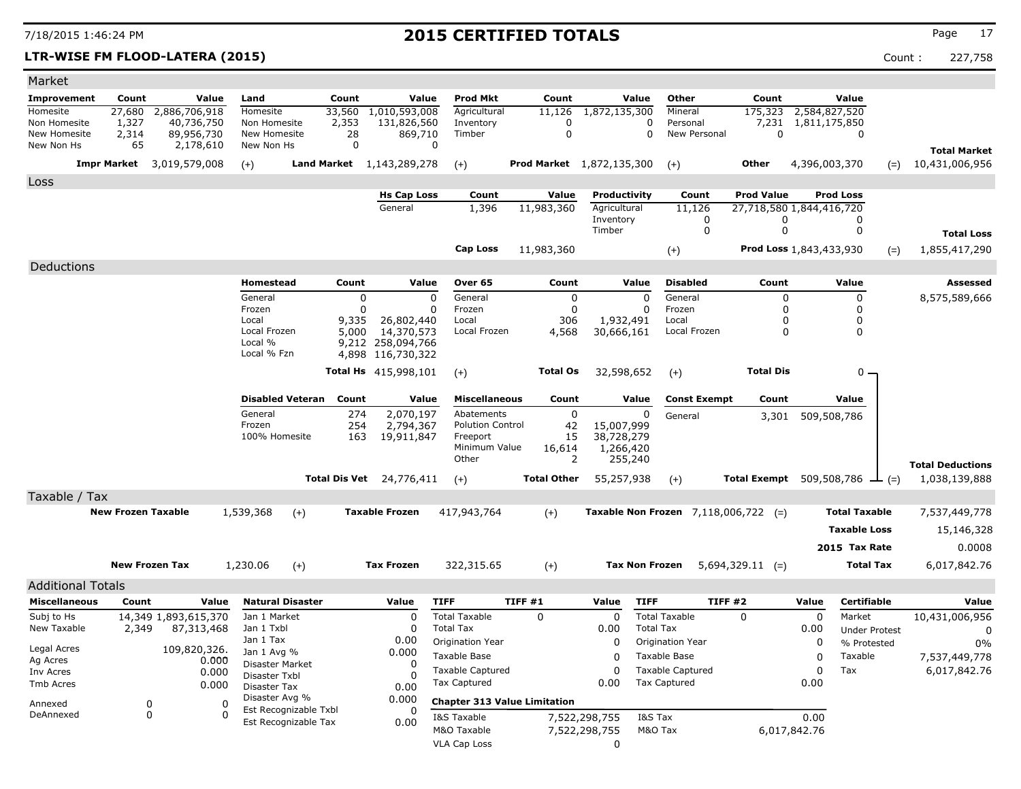### **LTR-WISE FM FLOOD-LATERA (2015)** Count : 227,758

| Market                       |                                  |                          |                                               |               |                                 |                                     |                                  |                              |                                        |                                |               |                                             |                                       |
|------------------------------|----------------------------------|--------------------------|-----------------------------------------------|---------------|---------------------------------|-------------------------------------|----------------------------------|------------------------------|----------------------------------------|--------------------------------|---------------|---------------------------------------------|---------------------------------------|
| Improvement                  | Count                            | Value                    | Land                                          | Count         | Value                           | <b>Prod Mkt</b>                     | Count                            | Value                        | Other                                  | Count                          |               | Value                                       |                                       |
| Homesite                     | 27,680                           | 2,886,706,918            | Homesite                                      | 33,560        | 1,010,593,008                   | Agricultural                        | 11,126                           | 1,872,135,300                | Mineral                                | 175,323                        | 2,584,827,520 |                                             |                                       |
| Non Homesite<br>New Homesite | 1,327<br>2,314                   | 40,736,750<br>89,956,730 | Non Homesite<br>New Homesite                  | 2,353<br>28   | 131,826,560<br>869,710          | Inventory<br>Timber                 | O<br>$\mathbf 0$                 |                              | Personal<br>0<br>0<br>New Personal     | 7,231<br>$\mathbf 0$           | 1,811,175,850 | 0                                           |                                       |
| New Non Hs                   | 65                               | 2,178,610                | New Non Hs                                    | $\Omega$      | $\Omega$                        |                                     |                                  |                              |                                        |                                |               |                                             |                                       |
|                              | <b>Impr Market</b> 3,019,579,008 |                          | $(+)$                                         |               | Land Market 1, 143, 289, 278    |                                     | <b>Prod Market</b> 1,872,135,300 |                              |                                        | <b>Other</b>                   | 4,396,003,370 |                                             | <b>Total Market</b><br>10,431,006,956 |
|                              |                                  |                          |                                               |               |                                 | $(+)$                               |                                  |                              | $(+)$                                  |                                |               | $(=)$                                       |                                       |
| Loss                         |                                  |                          |                                               |               |                                 |                                     |                                  |                              |                                        | <b>Prod Value</b>              |               | <b>Prod Loss</b>                            |                                       |
|                              |                                  |                          |                                               |               | <b>Hs Cap Loss</b><br>General   | Count<br>1,396                      | Value<br>11,983,360              | Productivity<br>Agricultural | Count<br>11,126                        | 27,718,580 1,844,416,720       |               |                                             |                                       |
|                              |                                  |                          |                                               |               |                                 |                                     |                                  | Inventory                    | 0                                      | 0                              |               | 0                                           |                                       |
|                              |                                  |                          |                                               |               |                                 |                                     |                                  | Timber                       | $\mathbf 0$                            | $\mathbf 0$                    |               | $\mathbf 0$                                 | <b>Total Loss</b>                     |
|                              |                                  |                          |                                               |               |                                 | <b>Cap Loss</b>                     | 11,983,360                       |                              | $(+)$                                  | <b>Prod Loss 1,843,433,930</b> |               | $(=)$                                       | 1,855,417,290                         |
| Deductions                   |                                  |                          |                                               |               |                                 |                                     |                                  |                              |                                        |                                |               |                                             |                                       |
|                              |                                  |                          | Homestead                                     | Count         | Value                           | Over 65                             | Count                            | Value                        | <b>Disabled</b>                        | Count                          |               | Value                                       | <b>Assessed</b>                       |
|                              |                                  |                          | General                                       | $\Omega$      | $\Omega$                        | General                             | $\Omega$                         |                              | $\Omega$<br>General                    | $\Omega$                       |               | $\Omega$                                    | 8,575,589,666                         |
|                              |                                  |                          | Frozen                                        | $\mathbf 0$   | 0                               | Frozen                              | $\mathbf 0$                      |                              | $\mathbf 0$<br>Frozen                  | 0                              |               | 0                                           |                                       |
|                              |                                  |                          | Local                                         | 9,335         | 26,802,440                      | Local                               | 306                              | 1,932,491                    | Local                                  | $\mathbf 0$                    |               | 0                                           |                                       |
|                              |                                  |                          | Local Frozen<br>Local %                       | 5,000         | 14,370,573<br>9,212 258,094,766 | Local Frozen                        | 4,568                            | 30,666,161                   | Local Frozen                           | $\Omega$                       |               | 0                                           |                                       |
|                              |                                  |                          | Local % Fzn                                   |               | 4,898 116,730,322               |                                     |                                  |                              |                                        |                                |               |                                             |                                       |
|                              |                                  |                          |                                               |               | Total Hs 415,998,101            | $(+)$                               | <b>Total Os</b>                  | 32,598,652                   | $(+)$                                  | <b>Total Dis</b>               |               | 0                                           |                                       |
|                              |                                  |                          |                                               |               |                                 |                                     |                                  |                              |                                        |                                |               |                                             |                                       |
|                              |                                  |                          | <b>Disabled Veteran</b>                       | Count         | Value                           | <b>Miscellaneous</b>                | Count                            | Value                        | <b>Const Exempt</b>                    | Count                          |               | Value                                       |                                       |
|                              |                                  |                          | General                                       | 274           | 2,070,197                       | Abatements                          | 0                                |                              | 0<br>General                           | 3,301                          | 509,508,786   |                                             |                                       |
|                              |                                  |                          | Frozen                                        | 254           | 2,794,367                       | <b>Polution Control</b>             | 42                               | 15,007,999                   |                                        |                                |               |                                             |                                       |
|                              |                                  |                          | 100% Homesite                                 | 163           | 19,911,847                      | Freeport<br>Minimum Value           | 15<br>16,614                     | 38,728,279<br>1,266,420      |                                        |                                |               |                                             |                                       |
|                              |                                  |                          |                                               |               |                                 | Other                               | 2                                | 255,240                      |                                        |                                |               |                                             | <b>Total Deductions</b>               |
|                              |                                  |                          |                                               | Total Dis Vet | 24,776,411                      | $(+)$                               | <b>Total Other</b>               | 55,257,938                   | $(+)$                                  |                                |               | <b>Total Exempt</b> 509,508,786 $\perp$ (=) | 1,038,139,888                         |
| Taxable / Tax                |                                  |                          |                                               |               |                                 |                                     |                                  |                              |                                        |                                |               |                                             |                                       |
|                              | <b>New Frozen Taxable</b>        |                          | 1,539,368                                     |               | <b>Taxable Frozen</b>           | 417,943,764                         |                                  |                              |                                        |                                |               | <b>Total Taxable</b>                        |                                       |
|                              |                                  |                          | $(+)$                                         |               |                                 |                                     | $(+)$                            |                              | Taxable Non Frozen $7,118,006,722$ (=) |                                |               |                                             | 7,537,449,778                         |
|                              |                                  |                          |                                               |               |                                 |                                     |                                  |                              |                                        |                                |               | <b>Taxable Loss</b>                         | 15,146,328                            |
|                              |                                  |                          |                                               |               |                                 |                                     |                                  |                              |                                        |                                |               | 2015 Tax Rate                               | 0.0008                                |
|                              | <b>New Frozen Tax</b>            |                          | 1,230.06<br>$(+)$                             |               | <b>Tax Frozen</b>               | 322,315.65                          | $(+)$                            |                              | <b>Tax Non Frozen</b>                  | $5,694,329.11$ (=)             |               | <b>Total Tax</b>                            | 6,017,842.76                          |
| <b>Additional Totals</b>     |                                  |                          |                                               |               |                                 |                                     |                                  |                              |                                        |                                |               |                                             |                                       |
| <b>Miscellaneous</b>         | Count                            | Value                    | <b>Natural Disaster</b>                       |               | Value                           | <b>TIFF</b>                         | TIFF #1                          | Value                        | <b>TIFF</b>                            | <b>TIFF #2</b>                 | Value         | <b>Certifiable</b>                          | Value                                 |
| Subj to Hs                   |                                  | 14,349 1,893,615,370     | Jan 1 Market                                  |               | 0                               | <b>Total Taxable</b>                | $\Omega$                         | $\Omega$                     | <b>Total Taxable</b>                   | $\Omega$                       | $\Omega$      | Market                                      | 10,431,006,956                        |
| New Taxable                  | 2,349                            | 87,313,468               | Jan 1 Txbl                                    |               | 0                               | <b>Total Tax</b>                    |                                  | 0.00                         | <b>Total Tax</b>                       |                                | 0.00          | <b>Under Protest</b>                        | $\mathbf{0}$                          |
| Legal Acres                  |                                  | 109,820,326.             | Jan 1 Tax                                     |               | 0.00                            | Origination Year                    |                                  | $\Omega$                     | Origination Year                       |                                | $\Omega$      | % Protested                                 | 0%                                    |
| Ag Acres                     |                                  | 0.000                    | Jan 1 Avg %<br>Disaster Market                |               | 0.000<br>0                      | Taxable Base                        |                                  | O                            | Taxable Base                           |                                | $\Omega$      | Taxable                                     | 7,537,449,778                         |
| Inv Acres                    |                                  | 0.000                    | Disaster Txbl                                 |               | O                               | <b>Taxable Captured</b>             |                                  | $\mathbf 0$                  | <b>Taxable Captured</b>                |                                | $\mathbf 0$   | Tax                                         | 6,017,842.76                          |
| Tmb Acres                    |                                  | 0.000                    | Disaster Tax                                  |               | 0.00                            | Tax Captured                        |                                  | 0.00                         | <b>Tax Captured</b>                    |                                | 0.00          |                                             |                                       |
| Annexed                      | 0                                | $\Omega$                 | Disaster Avg %                                |               | 0.000                           | <b>Chapter 313 Value Limitation</b> |                                  |                              |                                        |                                |               |                                             |                                       |
| DeAnnexed                    | 0                                | $\Omega$                 | Est Recognizable Txbl<br>Est Recognizable Tax |               | 0<br>0.00                       | I&S Taxable                         |                                  | 7,522,298,755                | I&S Tax                                |                                | 0.00          |                                             |                                       |
|                              |                                  |                          |                                               |               |                                 | M&O Taxable                         |                                  | 7,522,298,755                | M&O Tax                                |                                | 6,017,842.76  |                                             |                                       |
|                              |                                  |                          |                                               |               |                                 | VLA Cap Loss                        |                                  | 0                            |                                        |                                |               |                                             |                                       |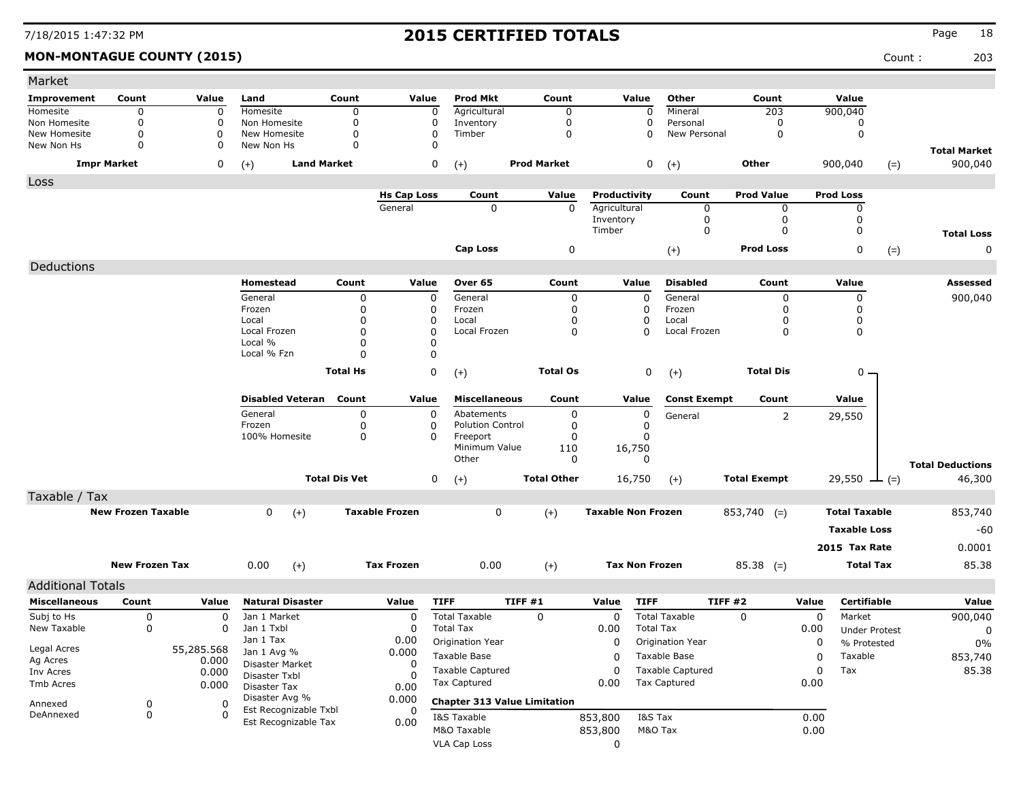**MON-MONTAGUE COUNTY (2015)** Count : 203

| Market                       |                           |                |                               |                      |                               |                         |                                     |              |                              |                          |                                |       |                       |       |                         |
|------------------------------|---------------------------|----------------|-------------------------------|----------------------|-------------------------------|-------------------------|-------------------------------------|--------------|------------------------------|--------------------------|--------------------------------|-------|-----------------------|-------|-------------------------|
| Improvement                  | Count                     | Value          | Land                          | Count                | Value                         | <b>Prod Mkt</b>         | Count                               |              | Value                        | Other                    | Count                          |       | Value                 |       |                         |
| Homesite                     | 0                         | 0              | Homesite                      | $\Omega$             | 0                             | Agricultural            | $\mathbf 0$                         |              | $\Omega$                     | Mineral                  | 203                            |       | 900,040               |       |                         |
| Non Homesite<br>New Homesite | $\Omega$<br>0             | 0<br>0         | Non Homesite<br>New Homesite  | $\Omega$<br>0        | 0<br>0                        | Inventory<br>Timber     | $\mathbf 0$<br>$\mathbf 0$          |              | 0                            | Personal<br>New Personal | 0<br>$\mathbf 0$               |       | 0<br>0                |       |                         |
| New Non Hs                   | $\Omega$                  | 0              | New Non Hs                    | $\Omega$             | O                             |                         |                                     |              |                              |                          |                                |       |                       |       | <b>Total Market</b>     |
|                              | <b>Impr Market</b>        | 0              | <b>Land Market</b><br>$(+)$   |                      | $\pmb{0}$                     | $(+)$                   | <b>Prod Market</b>                  |              | 0                            | $(+)$                    | Other                          |       | 900,040               | $(=)$ | 900,040                 |
| Loss                         |                           |                |                               |                      |                               |                         |                                     |              |                              |                          |                                |       |                       |       |                         |
|                              |                           |                |                               |                      | <b>Hs Cap Loss</b><br>General | Count<br>0              | Value                               | $\mathbf{0}$ | Productivity<br>Agricultural | Count<br>0               | <b>Prod Value</b><br>$\pmb{0}$ |       | <b>Prod Loss</b><br>0 |       |                         |
|                              |                           |                |                               |                      |                               |                         |                                     |              | Inventory                    | 0                        | $\mathbf 0$                    |       | $\mathbf 0$           |       |                         |
|                              |                           |                |                               |                      |                               |                         |                                     | Timber       |                              | 0                        | 0                              |       | 0                     |       | <b>Total Loss</b>       |
|                              |                           |                |                               |                      |                               | Cap Loss                |                                     | 0            |                              | $(+)$                    | <b>Prod Loss</b>               |       | 0                     | $(=)$ | 0                       |
| Deductions                   |                           |                |                               |                      |                               |                         |                                     |              |                              |                          |                                |       |                       |       |                         |
|                              |                           |                | Homestead                     | Count                | Value                         | Over 65                 | Count                               |              | Value                        | <b>Disabled</b>          | Count                          |       | Value                 |       | Assessed                |
|                              |                           |                | General                       | 0                    | 0                             | General                 |                                     | 0            | 0                            | General                  | 0                              |       | 0                     |       | 900,040                 |
|                              |                           |                | Frozen                        | 0                    | 0                             | Frozen                  |                                     | 0            | 0                            | Frozen                   | 0                              |       | 0                     |       |                         |
|                              |                           |                | Local                         | 0                    | 0                             | Local                   |                                     | 0            | 0                            | Local                    | O                              |       | 0                     |       |                         |
|                              |                           |                | Local Frozen<br>Local %       | 0<br>$\mathbf 0$     | 0                             | Local Frozen            |                                     | 0            | $\Omega$                     | Local Frozen             | 0                              |       | 0                     |       |                         |
|                              |                           |                | Local % Fzn                   | $\Omega$             | 0<br>0                        |                         |                                     |              |                              |                          |                                |       |                       |       |                         |
|                              |                           |                |                               | <b>Total Hs</b>      | 0                             |                         | <b>Total Os</b>                     |              | 0                            |                          | <b>Total Dis</b>               |       | $0 -$                 |       |                         |
|                              |                           |                |                               |                      |                               | $(+)$                   |                                     |              |                              | $(+)$                    |                                |       |                       |       |                         |
|                              |                           |                | <b>Disabled Veteran</b>       | Count                | Value                         | <b>Miscellaneous</b>    | Count                               |              | Value                        | <b>Const Exempt</b>      | Count                          |       | Value                 |       |                         |
|                              |                           |                | General                       | 0                    | 0                             | Abatements              |                                     | 0            | 0                            | General                  | $\overline{2}$                 |       | 29,550                |       |                         |
|                              |                           |                | Frozen                        | 0                    | 0                             | <b>Polution Control</b> |                                     | 0            | $\mathbf 0$                  |                          |                                |       |                       |       |                         |
|                              |                           |                | 100% Homesite                 | 0                    | 0                             | Freeport                |                                     | 0            | 0                            |                          |                                |       |                       |       |                         |
|                              |                           |                |                               |                      |                               | Minimum Value<br>Other  | 110                                 | $\Omega$     | 16,750<br>$\Omega$           |                          |                                |       |                       |       |                         |
|                              |                           |                |                               |                      |                               |                         |                                     |              |                              |                          |                                |       |                       |       | <b>Total Deductions</b> |
|                              |                           |                |                               | <b>Total Dis Vet</b> | 0                             | $(+)$                   | <b>Total Other</b>                  |              | 16,750                       | $(+)$                    | <b>Total Exempt</b>            |       | 29,550 $\perp$ (=)    |       | 46,300                  |
| Taxable / Tax                |                           |                |                               |                      |                               |                         |                                     |              |                              |                          |                                |       |                       |       |                         |
|                              | <b>New Frozen Taxable</b> |                | 0<br>$(+)$                    |                      | <b>Taxable Frozen</b>         | 0                       | $(+)$                               |              | <b>Taxable Non Frozen</b>    |                          | $853,740$ (=)                  |       | <b>Total Taxable</b>  |       | 853,740                 |
|                              |                           |                |                               |                      |                               |                         |                                     |              |                              |                          |                                |       | <b>Taxable Loss</b>   |       | $-60$                   |
|                              |                           |                |                               |                      |                               |                         |                                     |              |                              |                          |                                |       | 2015 Tax Rate         |       | 0.0001                  |
|                              | <b>New Frozen Tax</b>     |                | 0.00<br>$(+)$                 |                      | <b>Tax Frozen</b>             | 0.00                    | $(+)$                               |              | <b>Tax Non Frozen</b>        |                          | $85.38$ (=)                    |       | <b>Total Tax</b>      |       | 85.38                   |
| <b>Additional Totals</b>     |                           |                |                               |                      |                               |                         |                                     |              |                              |                          |                                |       |                       |       |                         |
| <b>Miscellaneous</b>         | Count                     | Value          | <b>Natural Disaster</b>       |                      | Value                         | <b>TIFF</b>             | <b>TIFF #1</b>                      | Value        | <b>TIFF</b>                  |                          | <b>TIFF #2</b>                 | Value | <b>Certifiable</b>    |       | Value                   |
| Subj to Hs                   | 0                         | 0              | Jan 1 Market                  |                      | $\mathbf 0$                   | <b>Total Taxable</b>    | 0                                   |              | $\mathbf 0$                  | <b>Total Taxable</b>     | $\Omega$                       | 0     | Market                |       | 900,040                 |
| New Taxable                  | 0                         | 0              | Jan 1 Txbl                    |                      | 0                             | <b>Total Tax</b>        |                                     | 0.00         |                              | <b>Total Tax</b>         |                                | 0.00  | <b>Under Protest</b>  |       | 0                       |
|                              |                           |                | Jan 1 Tax                     |                      | 0.00                          | Origination Year        |                                     |              | 0                            | Origination Year         |                                | 0     | % Protested           |       | 0%                      |
| Legal Acres<br>Ag Acres      |                           | 55,285.568     | Jan 1 Avg %                   |                      | 0.000                         | Taxable Base            |                                     |              | 0                            | Taxable Base             |                                | 0     | Taxable               |       | 853,740                 |
| Inv Acres                    |                           | 0.000<br>0.000 | Disaster Market               |                      | 0                             | <b>Taxable Captured</b> |                                     |              | 0                            | <b>Taxable Captured</b>  |                                | 0     | Tax                   |       | 85.38                   |
| Tmb Acres                    |                           | 0.000          | Disaster Txbl<br>Disaster Tax |                      | $\Omega$<br>0.00              | <b>Tax Captured</b>     |                                     | 0.00         |                              | <b>Tax Captured</b>      |                                | 0.00  |                       |       |                         |
|                              |                           |                | Disaster Avg %                |                      | 0.000                         |                         |                                     |              |                              |                          |                                |       |                       |       |                         |
| Annexed<br>DeAnnexed         | 0<br>0                    | 0<br>$\Omega$  | Est Recognizable Txbl         |                      | 0                             |                         | <b>Chapter 313 Value Limitation</b> |              |                              |                          |                                |       |                       |       |                         |
|                              |                           |                | Est Recognizable Tax          |                      | 0.00                          | I&S Taxable             |                                     | 853,800      | I&S Tax                      |                          |                                | 0.00  |                       |       |                         |
|                              |                           |                |                               |                      |                               | M&O Taxable             |                                     | 853,800      |                              | M&O Tax                  |                                | 0.00  |                       |       |                         |
|                              |                           |                |                               |                      |                               | VLA Cap Loss            |                                     |              | 0                            |                          |                                |       |                       |       |                         |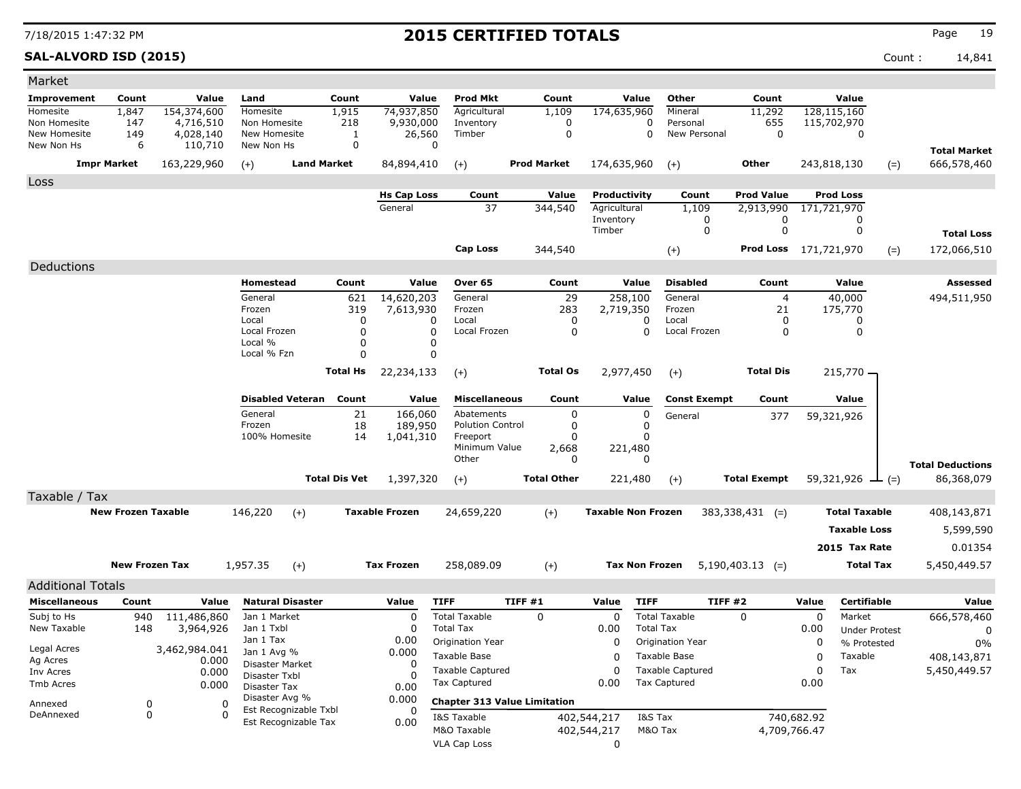**SAL-ALVORD ISD (2015)** Count : 14,841

| Market                       |                           |                        |                                |                         |                      |                         |                                     |                    |                    |                           |                       |                          |                      |             |                      |       |                         |
|------------------------------|---------------------------|------------------------|--------------------------------|-------------------------|----------------------|-------------------------|-------------------------------------|--------------------|--------------------|---------------------------|-----------------------|--------------------------|----------------------|-------------|----------------------|-------|-------------------------|
| Improvement                  | Count                     | Value                  | Land                           |                         | Count                | Value                   | <b>Prod Mkt</b>                     |                    | Count              |                           | Value                 | Other                    | Count                |             | Value                |       |                         |
| Homesite                     | 1,847                     | 154,374,600            | Homesite                       |                         | 1,915                | 74,937,850              | Agricultural                        |                    | 1,109              | 174,635,960               |                       | Mineral                  | 11,292               |             | 128,115,160          |       |                         |
| Non Homesite<br>New Homesite | 147<br>149                | 4,716,510<br>4,028,140 | Non Homesite<br>New Homesite   |                         | 218<br>1             | 9,930,000<br>26,560     | Inventory<br>Timber                 |                    | 0<br>$\mathbf 0$   |                           | 0<br>0                | Personal<br>New Personal | 655<br>$\mathbf 0$   |             | 115,702,970<br>0     |       |                         |
| New Non Hs                   | 6                         | 110,710                | New Non Hs                     |                         | 0                    |                         | 0                                   |                    |                    |                           |                       |                          |                      |             |                      |       | <b>Total Market</b>     |
| <b>Impr Market</b>           |                           | 163,229,960            | $(+)$                          |                         | <b>Land Market</b>   | 84,894,410              | $(+)$                               | <b>Prod Market</b> |                    | 174,635,960               |                       | $(+)$                    | Other                |             | 243,818,130          | $(=)$ | 666,578,460             |
| Loss                         |                           |                        |                                |                         |                      |                         |                                     |                    |                    |                           |                       |                          |                      |             |                      |       |                         |
|                              |                           |                        |                                |                         |                      | <b>Hs Cap Loss</b>      | Count                               |                    | Value              | Productivity              |                       | Count                    | <b>Prod Value</b>    |             | <b>Prod Loss</b>     |       |                         |
|                              |                           |                        |                                |                         |                      | General                 | 37                                  |                    | 344,540            | Agricultural              |                       | 1,109                    | 2,913,990            |             | 171,721,970          |       |                         |
|                              |                           |                        |                                |                         |                      |                         |                                     |                    |                    | Inventory<br>Timber       |                       | 0<br>0                   | 0<br>0               |             | 0<br>0               |       |                         |
|                              |                           |                        |                                |                         |                      |                         |                                     |                    |                    |                           |                       |                          |                      |             |                      |       | <b>Total Loss</b>       |
|                              |                           |                        |                                |                         |                      |                         | <b>Cap Loss</b>                     |                    | 344,540            |                           |                       | $(+)$                    | Prod Loss            | 171,721,970 |                      | $(=)$ | 172,066,510             |
| Deductions                   |                           |                        |                                |                         |                      |                         |                                     |                    |                    |                           |                       |                          |                      |             |                      |       |                         |
|                              |                           |                        | Homestead                      |                         | Count                | Value                   | Over 65                             |                    | Count              |                           | Value                 | <b>Disabled</b>          | Count                |             | Value                |       | Assessed                |
|                              |                           |                        | General<br>Frozen              |                         | 621<br>319           | 14,620,203<br>7,613,930 | General<br>Frozen                   |                    | 29<br>283          | 258,100<br>2,719,350      |                       | General<br>Frozen        | $\overline{4}$<br>21 |             | 40,000<br>175,770    |       | 494,511,950             |
|                              |                           |                        | Local                          |                         | 0                    |                         | Local<br>0                          |                    | 0                  |                           | 0                     | Local                    | 0                    |             | 0                    |       |                         |
|                              |                           |                        | Local Frozen                   |                         | $\mathbf 0$          |                         | 0<br>Local Frozen                   |                    | 0                  |                           | $\mathbf 0$           | Local Frozen             | 0                    |             | 0                    |       |                         |
|                              |                           |                        | Local %<br>Local % Fzn         |                         | 0<br>0               |                         | 0<br>0                              |                    |                    |                           |                       |                          |                      |             |                      |       |                         |
|                              |                           |                        |                                |                         | <b>Total Hs</b>      | 22,234,133              | $(+)$                               |                    | <b>Total Os</b>    | 2,977,450                 |                       | $(+)$                    | <b>Total Dis</b>     |             | 215,770 -            |       |                         |
|                              |                           |                        |                                |                         |                      |                         |                                     |                    |                    |                           |                       |                          |                      |             |                      |       |                         |
|                              |                           |                        |                                | <b>Disabled Veteran</b> | Count                | Value                   | <b>Miscellaneous</b>                |                    | Count              |                           | Value                 | <b>Const Exempt</b>      | Count                |             | Value                |       |                         |
|                              |                           |                        | General                        |                         | 21                   | 166,060                 | Abatements                          |                    | 0                  |                           | 0                     | General                  | 377                  |             | 59,321,926           |       |                         |
|                              |                           |                        | Frozen<br>100% Homesite        |                         | 18<br>14             | 189,950<br>1,041,310    | <b>Polution Control</b><br>Freeport |                    | 0<br>0             |                           | 0<br>0                |                          |                      |             |                      |       |                         |
|                              |                           |                        |                                |                         |                      |                         | Minimum Value                       |                    | 2,668              | 221,480                   |                       |                          |                      |             |                      |       |                         |
|                              |                           |                        |                                |                         |                      |                         | Other                               |                    | 0                  |                           | 0                     |                          |                      |             |                      |       | <b>Total Deductions</b> |
|                              |                           |                        |                                |                         | <b>Total Dis Vet</b> | 1,397,320               | $(+)$                               |                    | <b>Total Other</b> |                           | 221,480               | $(+)$                    | <b>Total Exempt</b>  |             | $59,321,926$ — (=)   |       | 86,368,079              |
| Taxable / Tax                |                           |                        |                                |                         |                      |                         |                                     |                    |                    |                           |                       |                          |                      |             |                      |       |                         |
|                              | <b>New Frozen Taxable</b> |                        | 146,220                        | $(+)$                   |                      | <b>Taxable Frozen</b>   | 24,659,220                          |                    | $(+)$              | <b>Taxable Non Frozen</b> |                       |                          | $383,338,431$ (=)    |             | <b>Total Taxable</b> |       | 408,143,871             |
|                              |                           |                        |                                |                         |                      |                         |                                     |                    |                    |                           |                       |                          |                      |             | <b>Taxable Loss</b>  |       | 5,599,590               |
|                              |                           |                        |                                |                         |                      |                         |                                     |                    |                    |                           |                       |                          |                      |             | 2015 Tax Rate        |       | 0.01354                 |
|                              | <b>New Frozen Tax</b>     |                        | 1,957.35                       | $(+)$                   |                      | <b>Tax Frozen</b>       | 258,089.09                          |                    | $(+)$              |                           | <b>Tax Non Frozen</b> |                          | $5,190,403.13$ (=)   |             | <b>Total Tax</b>     |       | 5,450,449.57            |
| <b>Additional Totals</b>     |                           |                        |                                |                         |                      |                         |                                     |                    |                    |                           |                       |                          |                      |             |                      |       |                         |
| <b>Miscellaneous</b>         | Count                     | Value                  |                                | <b>Natural Disaster</b> |                      | Value                   | <b>TIFF</b>                         | TIFF #1            |                    | Value                     | <b>TIFF</b>           | <b>TIFF #2</b>           |                      | Value       | <b>Certifiable</b>   |       | Value                   |
| Subj to Hs                   | 940                       | 111,486,860            | Jan 1 Market                   |                         |                      | 0                       | <b>Total Taxable</b>                | 0                  |                    | 0                         |                       | <b>Total Taxable</b>     | 0                    | 0           | Market               |       | 666,578,460             |
| New Taxable                  | 148                       | 3,964,926              | Jan 1 Txbl                     |                         |                      | 0                       | <b>Total Tax</b>                    |                    |                    | 0.00                      | <b>Total Tax</b>      |                          |                      | 0.00        | <b>Under Protest</b> |       | 0                       |
| Legal Acres                  |                           | 3,462,984.041          | Jan 1 Tax                      |                         |                      | 0.00                    | Origination Year                    |                    |                    | 0                         |                       | Origination Year         |                      | 0           | % Protested          |       | $0\%$                   |
| Ag Acres                     |                           | 0.000                  | Jan 1 Avg %<br>Disaster Market |                         |                      | 0.000<br>0              | Taxable Base                        |                    |                    | 0                         |                       | Taxable Base             |                      | 0           | Taxable              |       | 408,143,871             |
| Inv Acres                    |                           | 0.000                  | Disaster Txbl                  |                         |                      | O                       | <b>Taxable Captured</b>             |                    |                    | 0                         |                       | <b>Taxable Captured</b>  |                      | 0           | Tax                  |       | 5,450,449.57            |
| Tmb Acres                    |                           | 0.000                  | <b>Disaster Tax</b>            |                         |                      | 0.00                    | <b>Tax Captured</b>                 |                    |                    | 0.00                      |                       | <b>Tax Captured</b>      |                      | 0.00        |                      |       |                         |
| Annexed                      | 0                         | 0                      | Disaster Avg %                 | Est Recognizable Txbl   |                      | 0.000                   | <b>Chapter 313 Value Limitation</b> |                    |                    |                           |                       |                          |                      |             |                      |       |                         |
| DeAnnexed                    | 0                         | 0                      |                                | Est Recognizable Tax    |                      | 0.00                    | I&S Taxable                         |                    |                    | 402,544,217               | I&S Tax               |                          |                      | 740,682.92  |                      |       |                         |
|                              |                           |                        |                                |                         |                      |                         | M&O Taxable                         |                    |                    | 402,544,217               | M&O Tax               |                          | 4,709,766.47         |             |                      |       |                         |
|                              |                           |                        |                                |                         |                      |                         | VLA Cap Loss                        |                    |                    | 0                         |                       |                          |                      |             |                      |       |                         |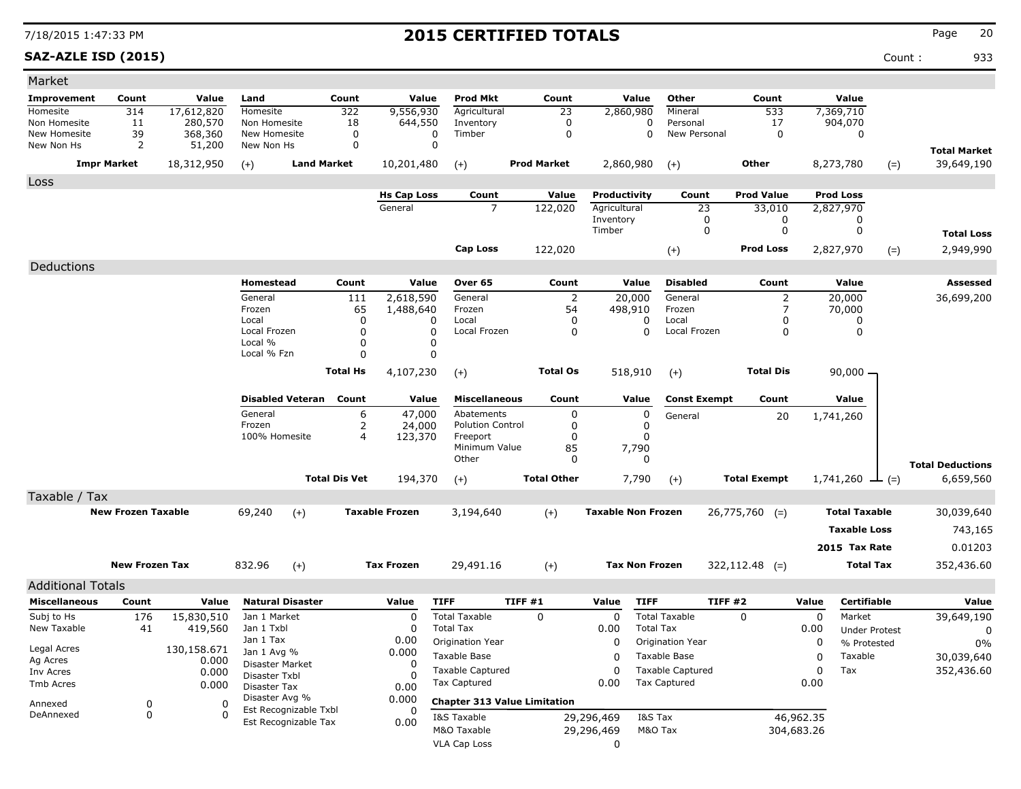### **SAZ-AZLE ISD (2015)** Count : 933

| Market                                           |                           |                      |                                |                                               |                      |                       |                                     |                    |                           |                                    |                     |                   |                  |                       |                         |
|--------------------------------------------------|---------------------------|----------------------|--------------------------------|-----------------------------------------------|----------------------|-----------------------|-------------------------------------|--------------------|---------------------------|------------------------------------|---------------------|-------------------|------------------|-----------------------|-------------------------|
| Improvement                                      | Count                     | Value                | Land                           |                                               | Count                | Value                 | <b>Prod Mkt</b>                     | Count              | Value                     | Other                              |                     | Count             |                  | Value                 |                         |
| Homesite                                         | 314                       | 17,612,820           | Homesite                       |                                               | 322                  | 9,556,930             | Agricultural                        | 23                 | 2,860,980                 | Mineral                            |                     | 533               | 7,369,710        |                       |                         |
| Non Homesite<br>New Homesite                     | 11<br>39                  | 280,570<br>368,360   | Non Homesite<br>New Homesite   |                                               | 18<br>0              | 644,550<br>0          | Inventory<br>Timber                 | 0<br>0             |                           | 0<br>Personal<br>0<br>New Personal |                     | 17<br>0           | 904,070          | 0                     |                         |
| New Non Hs                                       | 2                         | 51,200               | New Non Hs                     |                                               | $\mathbf 0$          | $\mathbf 0$           |                                     |                    |                           |                                    |                     |                   |                  |                       | <b>Total Market</b>     |
|                                                  | <b>Impr Market</b>        | 18,312,950           | $(+)$                          | <b>Land Market</b>                            |                      | 10,201,480            | $(+)$                               | <b>Prod Market</b> | 2,860,980                 | $(+)$                              | Other               |                   | 8,273,780        | $(=)$                 | 39,649,190              |
| Loss                                             |                           |                      |                                |                                               |                      |                       |                                     |                    |                           |                                    |                     |                   |                  |                       |                         |
|                                                  |                           |                      |                                |                                               |                      | <b>Hs Cap Loss</b>    | Count                               | Value              | Productivity              | Count                              |                     | <b>Prod Value</b> | <b>Prod Loss</b> |                       |                         |
|                                                  |                           |                      |                                |                                               |                      | General               | $\overline{7}$                      | 122,020            | Agricultural<br>Inventory |                                    | 23<br>0             | 33,010<br>0       | 2,827,970        | 0                     |                         |
|                                                  |                           |                      |                                |                                               |                      |                       |                                     |                    | Timber                    |                                    | 0                   | 0                 |                  | 0                     | <b>Total Loss</b>       |
|                                                  |                           |                      |                                |                                               |                      |                       | <b>Cap Loss</b>                     | 122,020            |                           | $(+)$                              |                     | <b>Prod Loss</b>  | 2,827,970        | $(=)$                 | 2,949,990               |
| Deductions                                       |                           |                      |                                |                                               |                      |                       |                                     |                    |                           |                                    |                     |                   |                  |                       |                         |
|                                                  |                           |                      | Homestead                      |                                               | Count                | Value                 | Over 65                             | Count              | Value                     | <b>Disabled</b>                    |                     | Count             |                  | Value                 | Assessed                |
|                                                  |                           |                      | General                        |                                               | 111                  | 2,618,590             | General                             | $\overline{2}$     | 20,000                    | General                            |                     | 2                 | 20,000           |                       | 36,699,200              |
|                                                  |                           |                      | Frozen                         |                                               | 65                   | 1,488,640             | Frozen                              | 54                 | 498,910                   | Frozen                             |                     | 7                 | 70,000           |                       |                         |
|                                                  |                           |                      | Local<br>Local Frozen          |                                               | $\Omega$<br>0        | 0<br>0                | Local<br>Local Frozen               | 0<br>0             | 0<br>0                    | Local<br>Local Frozen              |                     | 0<br>0            |                  | 0<br>0                |                         |
|                                                  |                           |                      | Local %                        |                                               | 0                    | 0                     |                                     |                    |                           |                                    |                     |                   |                  |                       |                         |
|                                                  |                           |                      | Local % Fzn                    |                                               | $\Omega$             | $\mathbf 0$           |                                     |                    |                           |                                    |                     |                   |                  |                       |                         |
|                                                  |                           |                      |                                |                                               | <b>Total Hs</b>      | 4,107,230             | $(+)$                               | <b>Total Os</b>    | 518,910                   | $(+)$                              |                     | <b>Total Dis</b>  |                  | $90,000 -$            |                         |
|                                                  |                           |                      |                                | <b>Disabled Veteran</b>                       | Count                | Value                 | <b>Miscellaneous</b>                | Count              | Value                     | <b>Const Exempt</b>                |                     | Count             |                  | Value                 |                         |
|                                                  |                           |                      | General                        |                                               | 6                    | 47,000                | Abatements                          | 0                  | 0                         | General                            |                     | 20                | 1,741,260        |                       |                         |
|                                                  |                           |                      | Frozen<br>100% Homesite        |                                               | 2<br>$\overline{4}$  | 24,000<br>123,370     | <b>Polution Control</b><br>Freeport | 0<br>$\Omega$      | 0                         |                                    |                     |                   |                  |                       |                         |
|                                                  |                           |                      |                                |                                               |                      |                       | Minimum Value                       | 85                 | 7,790                     |                                    |                     |                   |                  |                       |                         |
|                                                  |                           |                      |                                |                                               |                      |                       | Other                               | 0                  | $\Omega$                  |                                    |                     |                   |                  |                       | <b>Total Deductions</b> |
|                                                  |                           |                      |                                |                                               | <b>Total Dis Vet</b> | 194,370               | $(+)$                               | <b>Total Other</b> | 7,790                     | $(+)$                              | <b>Total Exempt</b> |                   |                  | $1,741,260 \perp (=)$ | 6,659,560               |
| Taxable / Tax                                    |                           |                      |                                |                                               |                      |                       |                                     |                    |                           |                                    |                     |                   |                  |                       |                         |
|                                                  | <b>New Frozen Taxable</b> |                      | 69,240                         | $(+)$                                         |                      | <b>Taxable Frozen</b> | 3,194,640                           | $(+)$              | <b>Taxable Non Frozen</b> |                                    | $26,775,760$ (=)    |                   |                  | <b>Total Taxable</b>  | 30,039,640              |
|                                                  |                           |                      |                                |                                               |                      |                       |                                     |                    |                           |                                    |                     |                   |                  | <b>Taxable Loss</b>   | 743,165                 |
|                                                  |                           |                      |                                |                                               |                      |                       |                                     |                    |                           |                                    |                     |                   |                  | 2015 Tax Rate         | 0.01203                 |
|                                                  | <b>New Frozen Tax</b>     |                      | 832.96                         | $(+)$                                         |                      | <b>Tax Frozen</b>     | 29,491.16                           | $(+)$              | <b>Tax Non Frozen</b>     |                                    | $322,112.48$ (=)    |                   |                  | <b>Total Tax</b>      | 352,436.60              |
|                                                  |                           |                      |                                |                                               |                      |                       |                                     |                    |                           |                                    |                     |                   |                  |                       |                         |
| <b>Additional Totals</b><br><b>Miscellaneous</b> | Count                     | Value                |                                | <b>Natural Disaster</b>                       |                      | Value                 | <b>TIFF</b>                         | TIFF#1             | <b>TIFF</b><br>Value      |                                    | TIFF #2             |                   | Value            | <b>Certifiable</b>    | Value                   |
| Subj to Hs                                       | 176                       | 15,830,510           | Jan 1 Market                   |                                               |                      | 0                     | <b>Total Taxable</b>                | 0                  | 0                         | <b>Total Taxable</b>               | 0                   |                   | 0                | Market                | 39,649,190              |
| New Taxable                                      | 41                        | 419,560              | Jan 1 Txbl                     |                                               |                      | $\Omega$              | <b>Total Tax</b>                    |                    | 0.00                      | <b>Total Tax</b>                   |                     |                   | 0.00             | <b>Under Protest</b>  | 0                       |
|                                                  |                           |                      | Jan 1 Tax                      |                                               |                      | 0.00                  | Origination Year                    |                    | 0                         | Origination Year                   |                     |                   | 0                | % Protested           | $0\%$                   |
| Legal Acres<br>Ag Acres                          |                           | 130,158.671<br>0.000 | Jan 1 Avg %<br>Disaster Market |                                               |                      | 0.000                 | Taxable Base                        |                    | 0                         | Taxable Base                       |                     |                   | $\Omega$         | Taxable               | 30,039,640              |
| Inv Acres                                        |                           | 0.000                | Disaster Txbl                  |                                               |                      | 0<br>0                | <b>Taxable Captured</b>             |                    | $\mathbf 0$               | <b>Taxable Captured</b>            |                     |                   | $\Omega$         | Tax                   | 352,436.60              |
| Tmb Acres                                        |                           | 0.000                | Disaster Tax                   |                                               |                      | 0.00                  | <b>Tax Captured</b>                 |                    | 0.00                      | <b>Tax Captured</b>                |                     |                   | 0.00             |                       |                         |
| Annexed                                          | 0                         | 0                    | Disaster Avg %                 |                                               |                      | 0.000                 | <b>Chapter 313 Value Limitation</b> |                    |                           |                                    |                     |                   |                  |                       |                         |
| DeAnnexed                                        | 0                         | $\Omega$             |                                | Est Recognizable Txbl<br>Est Recognizable Tax |                      | 0<br>0.00             | I&S Taxable                         |                    | 29,296,469                | I&S Tax                            |                     |                   | 46,962.35        |                       |                         |
|                                                  |                           |                      |                                |                                               |                      |                       | M&O Taxable                         |                    | 29,296,469                | M&O Tax                            |                     | 304,683.26        |                  |                       |                         |
|                                                  |                           |                      |                                |                                               |                      |                       | <b>VLA Cap Loss</b>                 |                    | 0                         |                                    |                     |                   |                  |                       |                         |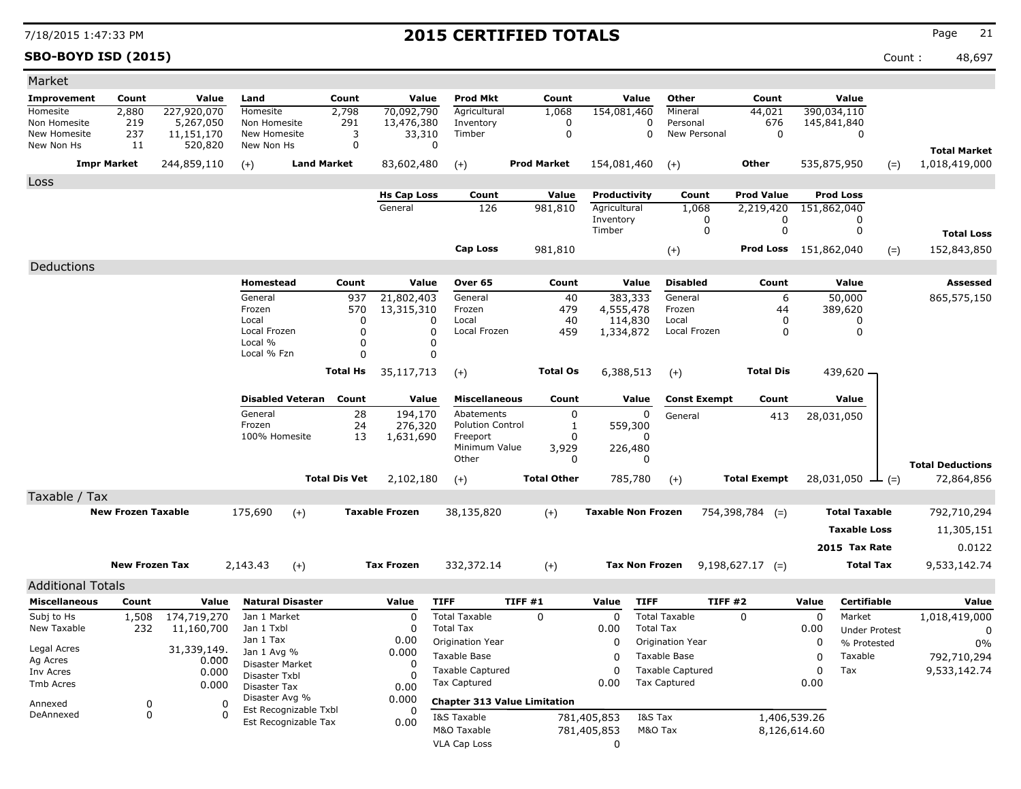**SBO-BOYD ISD (2015)** Count : 48,697

| Market                       |                           |                         |                              |                         |                      |                               |                                         |                                     |                              |                                         |                                |                                 |                        |                         |
|------------------------------|---------------------------|-------------------------|------------------------------|-------------------------|----------------------|-------------------------------|-----------------------------------------|-------------------------------------|------------------------------|-----------------------------------------|--------------------------------|---------------------------------|------------------------|-------------------------|
| <b>Improvement</b>           | Count                     | Value                   | Land                         |                         | Count                | Value                         | Prod Mkt                                | Count                               | Value                        | Other                                   | Count                          |                                 | Value                  |                         |
| Homesite                     | 2,880                     | 227,920,070             | Homesite                     |                         | 2,798                | 70,092,790                    | Agricultural                            | 1,068                               | 154,081,460                  | Mineral                                 | 44,021                         | 390,034,110                     |                        |                         |
| Non Homesite<br>New Homesite | 219<br>237                | 5,267,050<br>11,151,170 | Non Homesite<br>New Homesite |                         | 291<br>3             | 13,476,380<br>33,310          | Inventory<br>Timber                     | 0<br>0                              |                              | 0<br>Personal<br>0<br>New Personal      | 676<br>0                       | 145,841,840                     | 0                      |                         |
| New Non Hs                   | 11                        | 520,820                 | New Non Hs                   |                         | 0                    | 0                             |                                         |                                     |                              |                                         |                                |                                 |                        |                         |
|                              |                           | 244,859,110             |                              | <b>Land Market</b>      |                      |                               |                                         | <b>Prod Market</b>                  |                              |                                         | Other                          |                                 |                        | <b>Total Market</b>     |
|                              | <b>Impr Market</b>        |                         | $(+)$                        |                         |                      | 83,602,480                    | $(+)$                                   |                                     | 154,081,460                  | $(+)$                                   |                                | 535,875,950                     | $(=)$                  | 1,018,419,000           |
| Loss                         |                           |                         |                              |                         |                      |                               |                                         |                                     |                              |                                         |                                |                                 |                        |                         |
|                              |                           |                         |                              |                         |                      | <b>Hs Cap Loss</b><br>General | Count<br>126                            | Value<br>981,810                    | Productivity<br>Agricultural | Count<br>1,068                          | <b>Prod Value</b><br>2,219,420 | <b>Prod Loss</b><br>151,862,040 |                        |                         |
|                              |                           |                         |                              |                         |                      |                               |                                         |                                     | Inventory                    | 0                                       | 0                              |                                 | 0                      |                         |
|                              |                           |                         |                              |                         |                      |                               |                                         |                                     | Timber                       | 0                                       | 0                              |                                 | 0                      | <b>Total Loss</b>       |
|                              |                           |                         |                              |                         |                      |                               | Cap Loss                                | 981,810                             |                              | $(+)$                                   |                                | <b>Prod Loss</b> 151,862,040    | $(=)$                  | 152,843,850             |
| Deductions                   |                           |                         |                              |                         |                      |                               |                                         |                                     |                              |                                         |                                |                                 |                        |                         |
|                              |                           |                         | Homestead                    |                         | Count                | Value                         | Over 65                                 | Count                               | Value                        | <b>Disabled</b>                         | Count                          |                                 | Value                  | Assessed                |
|                              |                           |                         | General                      |                         | 937                  | 21,802,403                    | General                                 | 40                                  | 383,333                      | General                                 | 6                              |                                 | 50,000                 | 865,575,150             |
|                              |                           |                         | Frozen                       |                         | 570                  | 13,315,310                    | Frozen                                  | 479                                 | 4,555,478                    | Frozen                                  | 44                             |                                 | 389,620                |                         |
|                              |                           |                         | Local                        |                         | 0                    | $\Omega$                      | Local                                   | 40                                  | 114,830                      | Local                                   | 0                              |                                 | 0                      |                         |
|                              |                           |                         | Local Frozen<br>Local %      |                         | 0<br>0               | $\Omega$<br>$\Omega$          | Local Frozen                            | 459                                 | 1,334,872                    | Local Frozen                            | 0                              |                                 | 0                      |                         |
|                              |                           |                         | Local % Fzn                  |                         | 0                    | 0                             |                                         |                                     |                              |                                         |                                |                                 |                        |                         |
|                              |                           |                         |                              |                         | <b>Total Hs</b>      | 35,117,713                    | $(+)$                                   | <b>Total Os</b>                     | 6,388,513                    | $(+)$                                   | <b>Total Dis</b>               |                                 | 439,620 -              |                         |
|                              |                           |                         |                              |                         |                      |                               |                                         |                                     |                              |                                         |                                |                                 |                        |                         |
|                              |                           |                         |                              | <b>Disabled Veteran</b> | Count                | Value                         | <b>Miscellaneous</b>                    | Count                               | Value                        | <b>Const Exempt</b>                     | Count                          |                                 | Value                  |                         |
|                              |                           |                         | General                      |                         | 28                   | 194,170                       | Abatements                              | 0                                   | 0                            | General                                 | 413                            | 28,031,050                      |                        |                         |
|                              |                           |                         | Frozen                       |                         | 24                   | 276,320                       | <b>Polution Control</b>                 | 1                                   | 559,300                      |                                         |                                |                                 |                        |                         |
|                              |                           |                         | 100% Homesite                |                         | 13                   | 1,631,690                     | Freeport<br>Minimum Value               | 0<br>3,929                          | 0<br>226,480                 |                                         |                                |                                 |                        |                         |
|                              |                           |                         |                              |                         |                      |                               | Other                                   | 0                                   | 0                            |                                         |                                |                                 |                        | <b>Total Deductions</b> |
|                              |                           |                         |                              |                         | <b>Total Dis Vet</b> | 2,102,180                     | $(+)$                                   | <b>Total Other</b>                  | 785,780                      | $(+)$                                   | <b>Total Exempt</b>            |                                 | 28,031,050 $\perp$ (=) | 72,864,856              |
| Taxable / Tax                |                           |                         |                              |                         |                      |                               |                                         |                                     |                              |                                         |                                |                                 |                        |                         |
|                              | <b>New Frozen Taxable</b> |                         | 175,690                      | $(+)$                   |                      | <b>Taxable Frozen</b>         | 38,135,820                              | $(+)$                               | <b>Taxable Non Frozen</b>    |                                         | $754,398,784$ (=)              |                                 | <b>Total Taxable</b>   | 792,710,294             |
|                              |                           |                         |                              |                         |                      |                               |                                         |                                     |                              |                                         |                                |                                 | <b>Taxable Loss</b>    | 11,305,151              |
|                              |                           |                         |                              |                         |                      |                               |                                         |                                     |                              |                                         |                                |                                 |                        |                         |
|                              |                           |                         |                              |                         |                      |                               |                                         |                                     |                              |                                         |                                |                                 | 2015 Tax Rate          | 0.0122                  |
|                              | <b>New Frozen Tax</b>     |                         | 2,143.43                     | $(+)$                   |                      | <b>Tax Frozen</b>             | 332,372.14                              | $(+)$                               | <b>Tax Non Frozen</b>        |                                         | $9,198,627.17$ (=)             |                                 | <b>Total Tax</b>       | 9,533,142.74            |
| <b>Additional Totals</b>     |                           |                         |                              |                         |                      |                               |                                         |                                     |                              |                                         |                                |                                 |                        |                         |
| <b>Miscellaneous</b>         | Count                     | Value                   |                              | <b>Natural Disaster</b> |                      | Value                         | <b>TIFF</b>                             | TIFF#1                              | Value                        | <b>TIFF</b>                             | TIFF #2                        | Value                           | <b>Certifiable</b>     | Value                   |
| Subj to Hs                   | 1,508                     | 174,719,270             | Jan 1 Market                 |                         |                      | 0                             | <b>Total Taxable</b>                    | 0                                   | 0                            | <b>Total Taxable</b>                    | 0                              | 0                               | Market                 | 1,018,419,000           |
| New Taxable                  | 232                       | 11,160,700              | Jan 1 Txbl                   |                         |                      | 0                             | <b>Total Tax</b>                        |                                     | 0.00                         | <b>Total Tax</b>                        |                                | 0.00                            | <b>Under Protest</b>   | 0                       |
| Legal Acres                  |                           | 31,339,149.             | Jan 1 Tax<br>Jan 1 Avg %     |                         |                      | 0.00<br>0.000                 | Origination Year                        |                                     | 0                            | Origination Year                        |                                | 0                               | % Protested            | $0\%$                   |
| Ag Acres                     |                           | 0.000                   | Disaster Market              |                         |                      | $\Omega$                      | Taxable Base                            |                                     | 0                            | Taxable Base                            |                                | $\pmb{0}$                       | Taxable                | 792,710,294             |
| Inv Acres                    |                           | 0.000                   | Disaster Txbl                |                         |                      |                               | <b>Taxable Captured</b><br>Tax Captured |                                     | 0                            | <b>Taxable Captured</b><br>Tax Captured |                                | 0                               | Tax                    | 9,533,142.74            |
| Tmb Acres                    |                           | 0.000                   | Disaster Tax                 |                         |                      | 0.00                          |                                         |                                     | 0.00                         |                                         |                                | 0.00                            |                        |                         |
| Annexed                      | 0                         | 0                       | Disaster Avg %               | Est Recognizable Txbl   |                      | 0.000<br>0                    |                                         | <b>Chapter 313 Value Limitation</b> |                              |                                         |                                |                                 |                        |                         |
| DeAnnexed                    | 0                         | $\Omega$                |                              | Est Recognizable Tax    |                      | 0.00                          | I&S Taxable                             |                                     | 781,405,853                  | I&S Tax                                 |                                | 1,406,539.26                    |                        |                         |
|                              |                           |                         |                              |                         |                      |                               | M&O Taxable                             |                                     | 781,405,853                  | M&O Tax                                 |                                | 8,126,614.60                    |                        |                         |
|                              |                           |                         |                              |                         |                      |                               | <b>VLA Cap Loss</b>                     |                                     | 0                            |                                         |                                |                                 |                        |                         |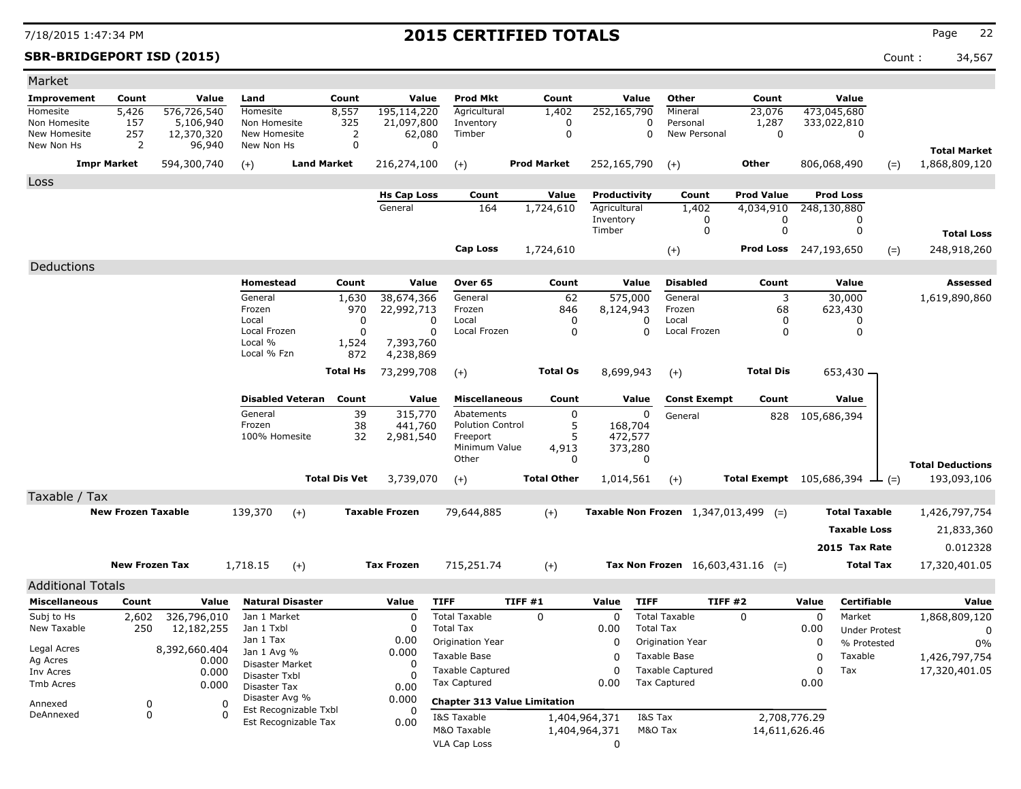**SBR-BRIDGEPORT ISD (2015)** Count : 34,567

| Market                       |                           |                         |                               |                      |                        |                                     |                         |                      |                                    |                              |             |                                               |                                      |
|------------------------------|---------------------------|-------------------------|-------------------------------|----------------------|------------------------|-------------------------------------|-------------------------|----------------------|------------------------------------|------------------------------|-------------|-----------------------------------------------|--------------------------------------|
| <b>Improvement</b>           | Count                     | Value                   | Land                          | Count                | Value                  | <b>Prod Mkt</b>                     | Count                   | Value                | Other                              | Count                        |             | Value                                         |                                      |
| Homesite                     | 5,426                     | 576,726,540             | Homesite                      | 8,557                | 195,114,220            | Agricultural                        | 1,402                   | 252,165,790          | Mineral                            | 23,076                       |             | 473,045,680                                   |                                      |
| Non Homesite<br>New Homesite | 157<br>257                | 5,106,940<br>12,370,320 | Non Homesite<br>New Homesite  | 325<br>2             | 21,097,800<br>62,080   | Inventory<br>Timber                 | $\Omega$<br>$\mathbf 0$ | 0<br>0               | Personal<br>New Personal           | 1,287<br>$\mathbf 0$         |             | 333,022,810                                   |                                      |
| New Non Hs                   | 2                         | 96,940                  | New Non Hs                    | 0                    | 0                      |                                     |                         |                      |                                    |                              |             | 0                                             |                                      |
|                              | <b>Impr Market</b>        | 594,300,740             |                               | <b>Land Market</b>   | 216,274,100            |                                     | <b>Prod Market</b>      | 252,165,790          |                                    | <b>Other</b>                 |             | 806,068,490                                   | <b>Total Market</b><br>1,868,809,120 |
|                              |                           |                         | $(+)$                         |                      |                        | $(+)$                               |                         |                      | $(+)$                              |                              |             | $(=)$                                         |                                      |
| Loss                         |                           |                         |                               |                      | <b>Hs Cap Loss</b>     | Count                               | Value                   | Productivity         | Count                              | <b>Prod Value</b>            |             | <b>Prod Loss</b>                              |                                      |
|                              |                           |                         |                               |                      | General                | 164                                 | 1,724,610               | Agricultural         | 1,402                              | 4,034,910                    |             | 248,130,880                                   |                                      |
|                              |                           |                         |                               |                      |                        |                                     |                         | Inventory            | 0                                  | 0                            |             | 0                                             |                                      |
|                              |                           |                         |                               |                      |                        |                                     |                         | Timber               | 0                                  | $\mathbf 0$                  |             | $\mathbf 0$                                   | <b>Total Loss</b>                    |
|                              |                           |                         |                               |                      |                        | <b>Cap Loss</b>                     | 1,724,610               |                      | $(+)$                              | <b>Prod Loss</b> 247,193,650 |             | $(=)$                                         | 248,918,260                          |
| Deductions                   |                           |                         |                               |                      |                        |                                     |                         |                      |                                    |                              |             |                                               |                                      |
|                              |                           |                         | Homestead                     | Count                | Value                  | Over 65                             | Count                   | Value                | <b>Disabled</b>                    | Count                        |             | Value                                         | <b>Assessed</b>                      |
|                              |                           |                         | General                       | 1,630                | 38,674,366             | General                             | 62                      | 575,000              | General                            | 3                            |             | 30,000                                        | 1,619,890,860                        |
|                              |                           |                         | Frozen                        | 970                  | 22,992,713             | Frozen                              | 846                     | 8,124,943            | Frozen                             | 68                           |             | 623,430                                       |                                      |
|                              |                           |                         | Local                         | 0                    | 0                      | Local                               | $\mathbf 0$             | 0                    | Local                              | 0                            |             | $\mathbf 0$                                   |                                      |
|                              |                           |                         | Local Frozen<br>Local %       | 0                    | 0                      | Local Frozen                        | 0                       | 0                    | Local Frozen                       | 0                            |             | 0                                             |                                      |
|                              |                           |                         | Local % Fzn                   | 1,524<br>872         | 7,393,760<br>4,238,869 |                                     |                         |                      |                                    |                              |             |                                               |                                      |
|                              |                           |                         |                               | <b>Total Hs</b>      | 73,299,708             |                                     | <b>Total Os</b>         | 8,699,943            |                                    | <b>Total Dis</b>             |             | 653,430 –                                     |                                      |
|                              |                           |                         |                               |                      |                        | $(+)$                               |                         |                      | $(+)$                              |                              |             |                                               |                                      |
|                              |                           |                         | <b>Disabled Veteran</b>       | Count                | Value                  | <b>Miscellaneous</b>                | Count                   | Value                | <b>Const Exempt</b>                | Count                        |             | Value                                         |                                      |
|                              |                           |                         | General                       | 39                   | 315,770                | Abatements                          | $\mathbf 0$             | 0                    | General                            | 828                          | 105,686,394 |                                               |                                      |
|                              |                           |                         | Frozen                        | 38                   | 441,760                | <b>Polution Control</b>             | 5                       | 168,704              |                                    |                              |             |                                               |                                      |
|                              |                           |                         | 100% Homesite                 | 32                   | 2,981,540              | Freeport<br>Minimum Value           | 5                       | 472,577              |                                    |                              |             |                                               |                                      |
|                              |                           |                         |                               |                      |                        | Other                               | 4,913<br>0              | 373,280<br>0         |                                    |                              |             |                                               |                                      |
|                              |                           |                         |                               |                      |                        |                                     |                         |                      |                                    |                              |             |                                               | <b>Total Deductions</b>              |
|                              |                           |                         |                               | <b>Total Dis Vet</b> | 3,739,070              | $(+)$                               | <b>Total Other</b>      | 1,014,561            | $(+)$                              |                              |             | <b>Total Exempt</b> $105,686,394$ $\perp$ (=) | 193,093,106                          |
| Taxable / Tax                |                           |                         |                               |                      |                        |                                     |                         |                      |                                    |                              |             |                                               |                                      |
|                              | <b>New Frozen Taxable</b> |                         | 139,370<br>$(+)$              |                      | <b>Taxable Frozen</b>  | 79,644,885                          | $(+)$                   |                      | Taxable Non Frozen 1,347,013,499   | $(=)$                        |             | <b>Total Taxable</b>                          | 1,426,797,754                        |
|                              |                           |                         |                               |                      |                        |                                     |                         |                      |                                    |                              |             | <b>Taxable Loss</b>                           | 21,833,360                           |
|                              |                           |                         |                               |                      |                        |                                     |                         |                      |                                    |                              |             | 2015 Tax Rate                                 | 0.012328                             |
|                              | <b>New Frozen Tax</b>     |                         | 1,718.15<br>$(+)$             |                      | <b>Tax Frozen</b>      | 715,251.74                          | $(+)$                   |                      | Tax Non Frozen $16,603,431.16$ (=) |                              |             | <b>Total Tax</b>                              | 17,320,401.05                        |
| <b>Additional Totals</b>     |                           |                         |                               |                      |                        |                                     |                         |                      |                                    |                              |             |                                               |                                      |
| <b>Miscellaneous</b>         | Count                     | Value                   | <b>Natural Disaster</b>       |                      | Value                  | <b>TIFF</b>                         | TIFF #1                 | Value<br><b>TIFF</b> |                                    | TIFF#2                       | Value       | <b>Certifiable</b>                            | Value                                |
| Subj to Hs                   | 2,602                     | 326,796,010             | Jan 1 Market                  |                      | $\Omega$               | <b>Total Taxable</b>                | $\Omega$                | $\Omega$             | <b>Total Taxable</b>               | $\Omega$                     | 0           | Market                                        | 1,868,809,120                        |
| New Taxable                  | 250                       | 12,182,255              | Jan 1 Txbl                    |                      | $\Omega$               | <b>Total Tax</b>                    |                         | 0.00                 | <b>Total Tax</b>                   |                              | 0.00        | <b>Under Protest</b>                          | 0                                    |
|                              |                           |                         | Jan 1 Tax                     |                      | 0.00                   | Origination Year                    |                         | $\mathbf 0$          | Origination Year                   |                              | 0           | % Protested                                   | 0%                                   |
| Legal Acres                  |                           | 8,392,660.404           | Jan 1 Avg %                   |                      | 0.000                  | <b>Taxable Base</b>                 |                         | $\Omega$             | Taxable Base                       |                              | 0           | Taxable                                       | 1,426,797,754                        |
| Ag Acres<br>Inv Acres        |                           | 0.000<br>0.000          | <b>Disaster Market</b>        |                      | $\Omega$               | <b>Taxable Captured</b>             |                         | $\Omega$             | <b>Taxable Captured</b>            |                              | 0           | Tax                                           | 17,320,401.05                        |
| Tmb Acres                    |                           | 0.000                   | Disaster Txbl<br>Disaster Tax |                      | $\Omega$<br>0.00       | <b>Tax Captured</b>                 |                         | 0.00                 | <b>Tax Captured</b>                |                              | 0.00        |                                               |                                      |
|                              |                           |                         | Disaster Avg %                |                      | 0.000                  | <b>Chapter 313 Value Limitation</b> |                         |                      |                                    |                              |             |                                               |                                      |
| Annexed<br>DeAnnexed         | 0<br>$\Omega$             | $\Omega$<br>$\Omega$    | Est Recognizable Txbl         |                      | 0                      | I&S Taxable                         |                         | 1,404,964,371        | I&S Tax                            | 2,708,776,29                 |             |                                               |                                      |
|                              |                           |                         | Est Recognizable Tax          |                      | 0.00                   | M&O Taxable                         |                         | 1,404,964,371        | M&O Tax                            | 14,611,626.46                |             |                                               |                                      |
|                              |                           |                         |                               |                      |                        | <b>VLA Cap Loss</b>                 |                         | 0                    |                                    |                              |             |                                               |                                      |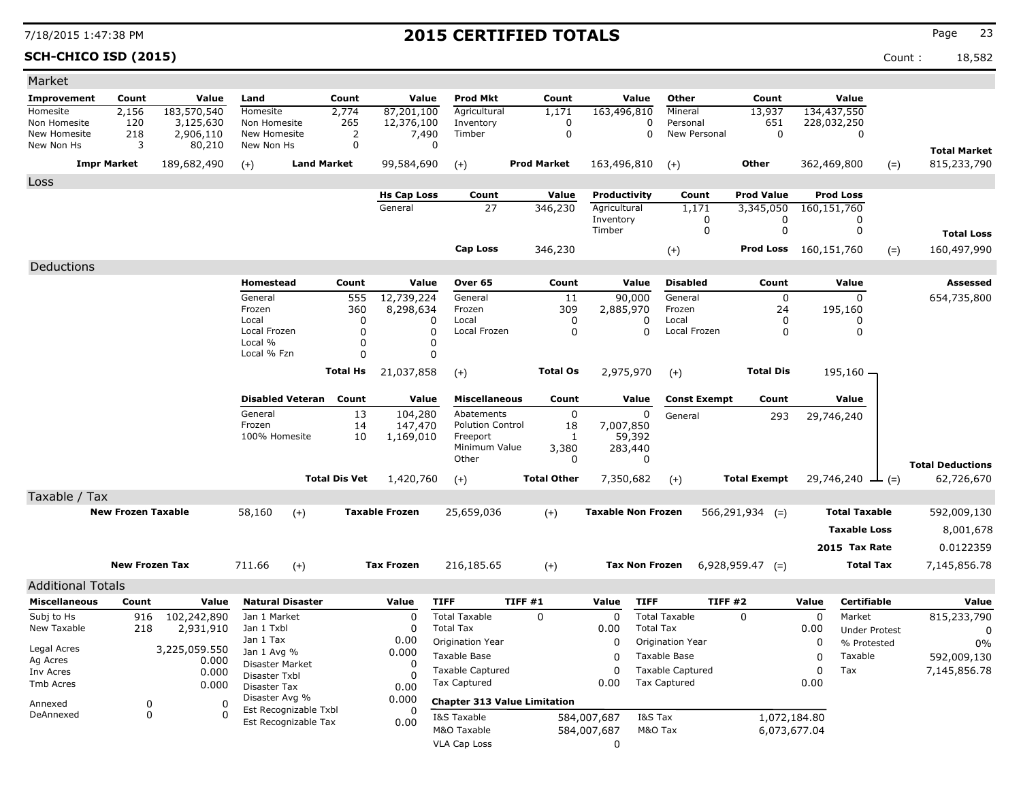**SCH-CHICO ISD (2015)** Count : 18,582

| Market                     |                           |                          |                                |                         |                      |                         |                                          |                                     |                           |                       |                          |                     |             |                                |       |                         |
|----------------------------|---------------------------|--------------------------|--------------------------------|-------------------------|----------------------|-------------------------|------------------------------------------|-------------------------------------|---------------------------|-----------------------|--------------------------|---------------------|-------------|--------------------------------|-------|-------------------------|
| <b>Improvement</b>         | Count                     | Value                    | Land                           |                         | Count                | Value                   | <b>Prod Mkt</b>                          | Count                               |                           | Value                 | Other                    | Count               |             | Value                          |       |                         |
| Homesite                   | 2,156                     | 183,570,540              | Homesite                       |                         | 2,774                | 87,201,100              | Agricultural                             | 1,171                               | 163,496,810               |                       | Mineral                  | 13,937              |             | 134,437,550                    |       |                         |
| Non Homesite               | 120                       | 3,125,630                | Non Homesite                   |                         | 265<br>2             | 12,376,100              | Inventory<br>Timber                      | 0<br>0                              |                           | 0<br>0                | Personal<br>New Personal | 651<br>$\mathbf 0$  |             | 228,032,250<br>0               |       |                         |
| New Homesite<br>New Non Hs | 218<br>3                  | 2,906,110<br>80,210      | New Homesite<br>New Non Hs     |                         | 0                    | 7,490<br>$\Omega$       |                                          |                                     |                           |                       |                          |                     |             |                                |       |                         |
|                            |                           |                          |                                |                         |                      |                         |                                          | <b>Prod Market</b>                  |                           |                       |                          |                     |             |                                |       | <b>Total Market</b>     |
|                            | <b>Impr Market</b>        | 189,682,490              | $(+)$                          | <b>Land Market</b>      |                      | 99,584,690              | $(+)$                                    |                                     | 163,496,810               |                       | $(+)$                    | Other               | 362,469,800 |                                | $(=)$ | 815,233,790             |
| Loss                       |                           |                          |                                |                         |                      |                         |                                          |                                     |                           |                       |                          |                     |             |                                |       |                         |
|                            |                           |                          |                                |                         |                      | <b>Hs Cap Loss</b>      | Count                                    | Value                               | Productivity              |                       | Count                    | <b>Prod Value</b>   |             | <b>Prod Loss</b>               |       |                         |
|                            |                           |                          |                                |                         |                      | General                 | 27                                       | 346,230                             | Agricultural<br>Inventory |                       | 1,171<br>0               | 3,345,050<br>0      | 160,151,760 | 0                              |       |                         |
|                            |                           |                          |                                |                         |                      |                         |                                          |                                     | Timber                    |                       | 0                        | 0                   |             | 0                              |       | <b>Total Loss</b>       |
|                            |                           |                          |                                |                         |                      |                         | Cap Loss                                 | 346,230                             |                           |                       | $(+)$                    | Prod Loss           | 160,151,760 |                                | $(=)$ | 160,497,990             |
|                            |                           |                          |                                |                         |                      |                         |                                          |                                     |                           |                       |                          |                     |             |                                |       |                         |
| Deductions                 |                           |                          |                                |                         |                      |                         |                                          |                                     |                           |                       |                          |                     |             |                                |       |                         |
|                            |                           |                          | Homestead                      |                         | Count                | Value                   | Over 65                                  | Count                               |                           | Value                 | <b>Disabled</b>          | Count               |             | Value                          |       | Assessed                |
|                            |                           |                          | General<br>Frozen              |                         | 555<br>360           | 12,739,224<br>8,298,634 | General<br>Frozen                        | 11<br>309                           | 2,885,970                 | 90,000                | General<br>Frozen        | $\mathbf 0$<br>24   |             | $\mathbf{0}$<br>195,160        |       | 654,735,800             |
|                            |                           |                          | Local                          |                         | 0                    | 0                       | Local                                    | 0                                   |                           | 0                     | Local                    | 0                   |             | 0                              |       |                         |
|                            |                           |                          | Local Frozen                   |                         | 0                    | 0                       | Local Frozen                             | 0                                   |                           | 0                     | Local Frozen             | 0                   |             | 0                              |       |                         |
|                            |                           |                          | Local %                        |                         | 0                    | 0                       |                                          |                                     |                           |                       |                          |                     |             |                                |       |                         |
|                            |                           |                          | Local % Fzn                    |                         | 0                    | 0                       |                                          |                                     |                           |                       |                          |                     |             |                                |       |                         |
|                            |                           |                          |                                |                         | <b>Total Hs</b>      | 21,037,858              | $(+)$                                    | <b>Total Os</b>                     | 2,975,970                 |                       | $(+)$                    | <b>Total Dis</b>    |             | 195,160 -                      |       |                         |
|                            |                           |                          |                                | <b>Disabled Veteran</b> | Count                | Value                   | <b>Miscellaneous</b>                     | Count                               |                           | Value                 | <b>Const Exempt</b>      | Count               |             | Value                          |       |                         |
|                            |                           |                          | General                        |                         | 13                   | 104,280                 | Abatements                               | 0                                   |                           | 0                     | General                  | 293                 |             | 29,746,240                     |       |                         |
|                            |                           |                          | Frozen                         |                         | 14                   | 147,470                 | <b>Polution Control</b>                  | 18                                  | 7,007,850                 |                       |                          |                     |             |                                |       |                         |
|                            |                           |                          | 100% Homesite                  |                         | 10                   | 1,169,010               | Freeport<br>Minimum Value                | 1                                   |                           | 59,392                |                          |                     |             |                                |       |                         |
|                            |                           |                          |                                |                         |                      |                         | Other                                    | 3,380<br>0                          |                           | 283,440<br>0          |                          |                     |             |                                |       |                         |
|                            |                           |                          |                                |                         |                      |                         |                                          | <b>Total Other</b>                  |                           |                       |                          |                     |             |                                |       | <b>Total Deductions</b> |
|                            |                           |                          |                                |                         | <b>Total Dis Vet</b> | 1,420,760               | $(+)$                                    |                                     | 7,350,682                 |                       | $(+)$                    | <b>Total Exempt</b> |             | 29,746,240 $\perp$ (=)         |       | 62,726,670              |
| Taxable / Tax              |                           |                          |                                |                         |                      |                         |                                          |                                     |                           |                       |                          |                     |             |                                |       |                         |
|                            | <b>New Frozen Taxable</b> |                          | 58,160                         | $(+)$                   |                      | <b>Taxable Frozen</b>   | 25,659,036                               | $(+)$                               | <b>Taxable Non Frozen</b> |                       |                          | $566, 291, 934$ (=) |             | <b>Total Taxable</b>           |       | 592,009,130             |
|                            |                           |                          |                                |                         |                      |                         |                                          |                                     |                           |                       |                          |                     |             | <b>Taxable Loss</b>            |       | 8,001,678               |
|                            |                           |                          |                                |                         |                      |                         |                                          |                                     |                           |                       |                          |                     |             | 2015 Tax Rate                  |       | 0.0122359               |
|                            | <b>New Frozen Tax</b>     |                          | 711.66                         | $(+)$                   |                      | <b>Tax Frozen</b>       | 216,185.65                               | $(+)$                               |                           | <b>Tax Non Frozen</b> |                          | $6,928,959.47$ (=)  |             | <b>Total Tax</b>               |       | 7,145,856.78            |
|                            |                           |                          |                                |                         |                      |                         |                                          |                                     |                           |                       |                          |                     |             |                                |       |                         |
| <b>Additional Totals</b>   |                           |                          |                                |                         |                      |                         |                                          | TIFF#1                              |                           |                       | <b>TIFF #2</b>           |                     |             | <b>Certifiable</b>             |       |                         |
| <b>Miscellaneous</b>       | Count                     | Value                    |                                | <b>Natural Disaster</b> |                      | Value                   | <b>TIFF</b>                              |                                     | Value                     | <b>TIFF</b>           | <b>Total Taxable</b>     |                     | Value       |                                |       | Value                   |
| Subj to Hs<br>New Taxable  | 916<br>218                | 102,242,890<br>2,931,910 | Jan 1 Market<br>Jan 1 Txbl     |                         |                      | 0<br>0                  | <b>Total Taxable</b><br><b>Total Tax</b> | 0                                   | 0<br>0.00                 | <b>Total Tax</b>      |                          | 0                   | 0<br>0.00   | Market<br><b>Under Protest</b> |       | 815,233,790             |
|                            |                           |                          | Jan 1 Tax                      |                         |                      | 0.00                    | Origination Year                         |                                     | 0                         |                       | <b>Origination Year</b>  |                     | 0           | % Protested                    |       | 0<br>0%                 |
| Legal Acres                |                           | 3,225,059.550            | Jan 1 Avg %                    |                         |                      | 0.000                   | Taxable Base                             |                                     | 0                         |                       | Taxable Base             |                     | 0           | Taxable                        |       | 592,009,130             |
| Ag Acres<br>Inv Acres      |                           | 0.000                    | Disaster Market                |                         |                      | 0                       | <b>Taxable Captured</b>                  |                                     | 0                         |                       | <b>Taxable Captured</b>  |                     | 0           | Tax                            |       | 7,145,856.78            |
| Tmb Acres                  |                           | 0.000<br>0.000           | Disaster Txbl                  |                         |                      | O                       | <b>Tax Captured</b>                      |                                     | 0.00                      |                       | <b>Tax Captured</b>      |                     | 0.00        |                                |       |                         |
|                            |                           |                          | Disaster Tax<br>Disaster Avg % |                         |                      | 0.00<br>0.000           |                                          |                                     |                           |                       |                          |                     |             |                                |       |                         |
| Annexed<br>DeAnnexed       | 0                         | 0<br>$\Omega$            |                                | Est Recognizable Txbl   |                      |                         |                                          | <b>Chapter 313 Value Limitation</b> |                           |                       |                          |                     |             |                                |       |                         |
|                            | 0                         |                          |                                | Est Recognizable Tax    |                      | 0.00                    | I&S Taxable                              |                                     | 584,007,687               | I&S Tax               |                          | 1,072,184.80        |             |                                |       |                         |
|                            |                           |                          |                                |                         |                      |                         | M&O Taxable                              |                                     | 584,007,687               | M&O Tax               |                          | 6,073,677.04        |             |                                |       |                         |
|                            |                           |                          |                                |                         |                      |                         | VLA Cap Loss                             |                                     | 0                         |                       |                          |                     |             |                                |       |                         |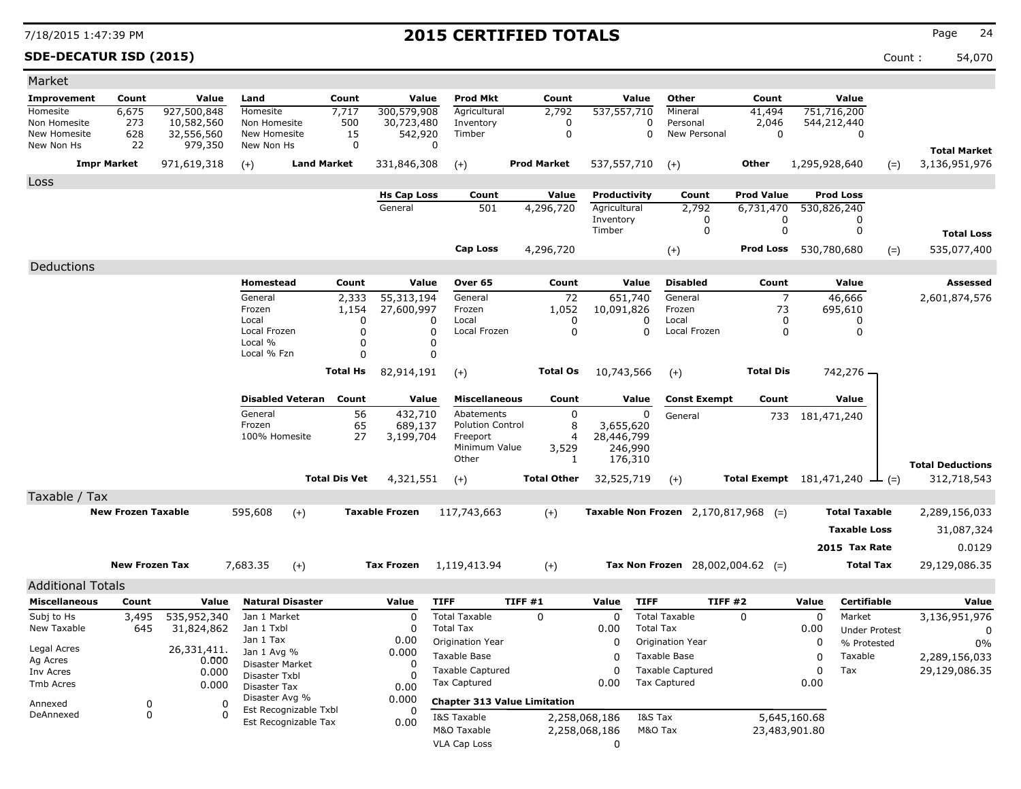### **SDE-DECATUR ISD (2015)** Count : 54,070

| Market                     |                           |                           |                                |                       |                              |                  |                                     |                    |                    |                                |                  |                                         |                                      |               |                                     |       |                                      |
|----------------------------|---------------------------|---------------------------|--------------------------------|-----------------------|------------------------------|------------------|-------------------------------------|--------------------|--------------------|--------------------------------|------------------|-----------------------------------------|--------------------------------------|---------------|-------------------------------------|-------|--------------------------------------|
| Improvement                | Count                     | Value                     | Land                           | Count                 |                              | Value            | <b>Prod Mkt</b>                     |                    | Count              |                                | Value            | Other                                   | Count                                |               | Value                               |       |                                      |
| Homesite                   | 6,675                     | 927,500,848               | Homesite                       | 7,717                 | 300,579,908                  |                  | Agricultural                        |                    | 2,792              | 537,557,710                    |                  | Mineral                                 | 41,494                               |               | 751,716,200                         |       |                                      |
| Non Homesite               | 273                       | 10,582,560                | Non Homesite                   | 500                   | 30,723,480                   |                  | Inventory                           |                    | 0                  |                                | 0<br>$\Omega$    | Personal                                | 2,046                                |               | 544,212,440                         |       |                                      |
| New Homesite<br>New Non Hs | 628<br>22                 | 32,556,560<br>979,350     | New Homesite<br>New Non Hs     |                       | 542,920<br>15<br>$\mathbf 0$ | $\mathbf 0$      | Timber                              |                    | 0                  |                                |                  | New Personal                            | 0                                    |               | 0                                   |       |                                      |
|                            | <b>Impr Market</b>        | 971,619,318               | $(+)$                          | <b>Land Market</b>    | 331,846,308                  |                  | $(+)$                               | <b>Prod Market</b> |                    | 537,557,710                    |                  | $(+)$                                   | Other                                | 1,295,928,640 |                                     | $(=)$ | <b>Total Market</b><br>3,136,951,976 |
| Loss                       |                           |                           |                                |                       |                              |                  |                                     |                    |                    |                                |                  |                                         |                                      |               |                                     |       |                                      |
|                            |                           |                           |                                |                       | <b>Hs Cap Loss</b>           |                  | Count                               |                    | Value              | Productivity                   |                  | Count                                   | <b>Prod Value</b>                    |               | <b>Prod Loss</b>                    |       |                                      |
|                            |                           |                           |                                |                       | General                      |                  | 501                                 |                    | 4,296,720          | Agricultural<br>Inventory      |                  | 2,792                                   | 6,731,470<br>0                       |               | 530,826,240                         |       |                                      |
|                            |                           |                           |                                |                       |                              |                  |                                     |                    |                    | Timber                         |                  | 0<br>0                                  | $\mathbf 0$                          |               | 0<br>0                              |       | <b>Total Loss</b>                    |
|                            |                           |                           |                                |                       |                              |                  | <b>Cap Loss</b>                     |                    |                    |                                |                  |                                         | <b>Prod Loss</b> 530,780,680         |               |                                     |       | 535,077,400                          |
|                            |                           |                           |                                |                       |                              |                  |                                     |                    | 4,296,720          |                                |                  | $(+)$                                   |                                      |               |                                     | $(=)$ |                                      |
| Deductions                 |                           |                           |                                |                       |                              |                  |                                     |                    |                    |                                |                  |                                         |                                      |               |                                     |       |                                      |
|                            |                           |                           | Homestead                      | Count                 |                              | Value            | Over 65                             |                    | Count              |                                | Value            | <b>Disabled</b>                         | Count                                |               | Value                               |       | Assessed                             |
|                            |                           |                           | General<br>Frozen              | 2,333<br>1,154        | 55,313,194<br>27,600,997     |                  | General<br>Frozen                   |                    | 72<br>1,052        | 651,740<br>10,091,826          |                  | General<br>Frozen                       | $\overline{7}$<br>73                 |               | 46,666<br>695,610                   |       | 2,601,874,576                        |
|                            |                           |                           | Local                          |                       | $\Omega$                     | 0                | Local                               |                    | 0                  |                                | 0                | Local                                   | 0                                    |               | 0                                   |       |                                      |
|                            |                           |                           | Local Frozen                   |                       | $\Omega$                     | 0                | Local Frozen                        |                    | 0                  |                                | 0                | Local Frozen                            | 0                                    |               | 0                                   |       |                                      |
|                            |                           |                           | Local %<br>Local % Fzn         |                       | O<br>$\Omega$                | 0<br>$\mathbf 0$ |                                     |                    |                    |                                |                  |                                         |                                      |               |                                     |       |                                      |
|                            |                           |                           |                                |                       |                              |                  |                                     |                    |                    |                                |                  |                                         |                                      |               |                                     |       |                                      |
|                            |                           |                           |                                | Total Hs              | 82,914,191                   |                  | $(+)$                               |                    | <b>Total Os</b>    | 10,743,566                     |                  | $(+)$                                   | <b>Total Dis</b>                     |               | 742,276 -                           |       |                                      |
|                            |                           |                           | <b>Disabled Veteran</b>        | Count                 |                              | Value            | <b>Miscellaneous</b>                |                    | Count              |                                | Value            | <b>Const Exempt</b>                     | Count                                |               | Value                               |       |                                      |
|                            |                           |                           | General                        |                       | 56<br>432,710                |                  | Abatements                          |                    | 0                  |                                | 0                | General                                 | 733                                  |               | 181,471,240                         |       |                                      |
|                            |                           |                           | Frozen                         |                       | 65<br>689,137                |                  | <b>Polution Control</b>             |                    | 8                  | 3,655,620                      |                  |                                         |                                      |               |                                     |       |                                      |
|                            |                           |                           | 100% Homesite                  |                       | 27<br>3,199,704              |                  | Freeport                            |                    | 4                  | 28,446,799                     |                  |                                         |                                      |               |                                     |       |                                      |
|                            |                           |                           |                                |                       |                              |                  | Minimum Value<br>Other              |                    | 3,529<br>1         | 246,990<br>176,310             |                  |                                         |                                      |               |                                     |       |                                      |
|                            |                           |                           |                                |                       |                              |                  |                                     |                    |                    |                                |                  |                                         |                                      |               |                                     |       | <b>Total Deductions</b>              |
|                            |                           |                           |                                | <b>Total Dis Vet</b>  | 4,321,551                    |                  | $(+)$                               |                    | <b>Total Other</b> | 32,525,719                     |                  | $(+)$                                   | Total Exempt $181,471,240 \perp (=)$ |               |                                     |       | 312,718,543                          |
| Taxable / Tax              |                           |                           |                                |                       |                              |                  |                                     |                    |                    |                                |                  |                                         |                                      |               |                                     |       |                                      |
|                            | <b>New Frozen Taxable</b> |                           | 595,608                        | $(+)$                 | <b>Taxable Frozen</b>        |                  | 117,743,663                         |                    | $(+)$              |                                |                  | Taxable Non Frozen $2,170,817,968$ (=)  |                                      |               | <b>Total Taxable</b>                |       | 2,289,156,033                        |
|                            |                           |                           |                                |                       |                              |                  |                                     |                    |                    |                                |                  |                                         |                                      |               | <b>Taxable Loss</b>                 |       | 31,087,324                           |
|                            |                           |                           |                                |                       |                              |                  |                                     |                    |                    |                                |                  |                                         |                                      |               | 2015 Tax Rate                       |       | 0.0129                               |
|                            | <b>New Frozen Tax</b>     |                           | 7,683.35                       | $(+)$                 | Tax Frozen                   |                  | 1,119,413.94                        |                    | $(+)$              |                                |                  | <b>Tax Non Frozen</b> 28,002,004.62 (=) |                                      |               | <b>Total Tax</b>                    |       | 29,129,086.35                        |
|                            |                           |                           |                                |                       |                              |                  |                                     |                    |                    |                                |                  |                                         |                                      |               |                                     |       |                                      |
| <b>Additional Totals</b>   |                           |                           |                                |                       |                              |                  |                                     |                    |                    |                                |                  |                                         |                                      |               |                                     |       |                                      |
| <b>Miscellaneous</b>       | Count                     | Value                     | <b>Natural Disaster</b>        |                       | Value                        | <b>TIFF</b>      |                                     | <b>TIFF #1</b>     |                    | Value                          | <b>TIFF</b>      | <b>TIFF #2</b>                          |                                      | Value         | <b>Certifiable</b>                  |       | Value                                |
| Subj to Hs<br>New Taxable  | 3,495<br>645              | 535,952,340<br>31,824,862 | Jan 1 Market<br>Jan 1 Txbl     |                       | 0<br>0                       | <b>Total Tax</b> | <b>Total Taxable</b>                | $\mathbf{0}$       |                    | $\mathbf 0$<br>0.00            | <b>Total Tax</b> | <b>Total Taxable</b>                    | $\Omega$                             | 0<br>0.00     | Market                              |       | 3,136,951,976                        |
|                            |                           |                           | Jan 1 Tax                      |                       | 0.00                         |                  | Origination Year                    |                    |                    | 0                              |                  | Origination Year                        |                                      | 0             | <b>Under Protest</b><br>% Protested |       | 0<br>$0\%$                           |
| Legal Acres                |                           | 26,331,411.               | Jan 1 Avg %                    |                       | 0.000                        |                  | Taxable Base                        |                    |                    | 0                              |                  | Taxable Base                            |                                      | 0             | Taxable                             |       | 2,289,156,033                        |
| Ag Acres                   |                           | 0.000<br>0.000            | Disaster Market                |                       | 0                            |                  | <b>Taxable Captured</b>             |                    |                    | 0                              |                  | <b>Taxable Captured</b>                 |                                      | 0             | Tax                                 |       | 29,129,086.35                        |
| Inv Acres<br>Tmb Acres     |                           | 0.000                     | Disaster Txbl                  |                       | 0                            |                  | <b>Tax Captured</b>                 |                    |                    | 0.00                           |                  | Tax Captured                            |                                      | 0.00          |                                     |       |                                      |
|                            |                           |                           | Disaster Tax<br>Disaster Avg % |                       | 0.00<br>0.000                |                  | <b>Chapter 313 Value Limitation</b> |                    |                    |                                |                  |                                         |                                      |               |                                     |       |                                      |
| Annexed<br>DeAnnexed       | 0<br>0                    | 0<br>$\Omega$             |                                | Est Recognizable Txbl | 0                            |                  | I&S Taxable                         |                    |                    |                                | I&S Tax          |                                         |                                      | 5,645,160.68  |                                     |       |                                      |
|                            |                           |                           |                                | Est Recognizable Tax  | 0.00                         |                  | M&O Taxable                         |                    |                    | 2,258,068,186<br>2,258,068,186 | M&O Tax          |                                         | 23,483,901.80                        |               |                                     |       |                                      |
|                            |                           |                           |                                |                       |                              |                  | <b>VLA Cap Loss</b>                 |                    |                    | 0                              |                  |                                         |                                      |               |                                     |       |                                      |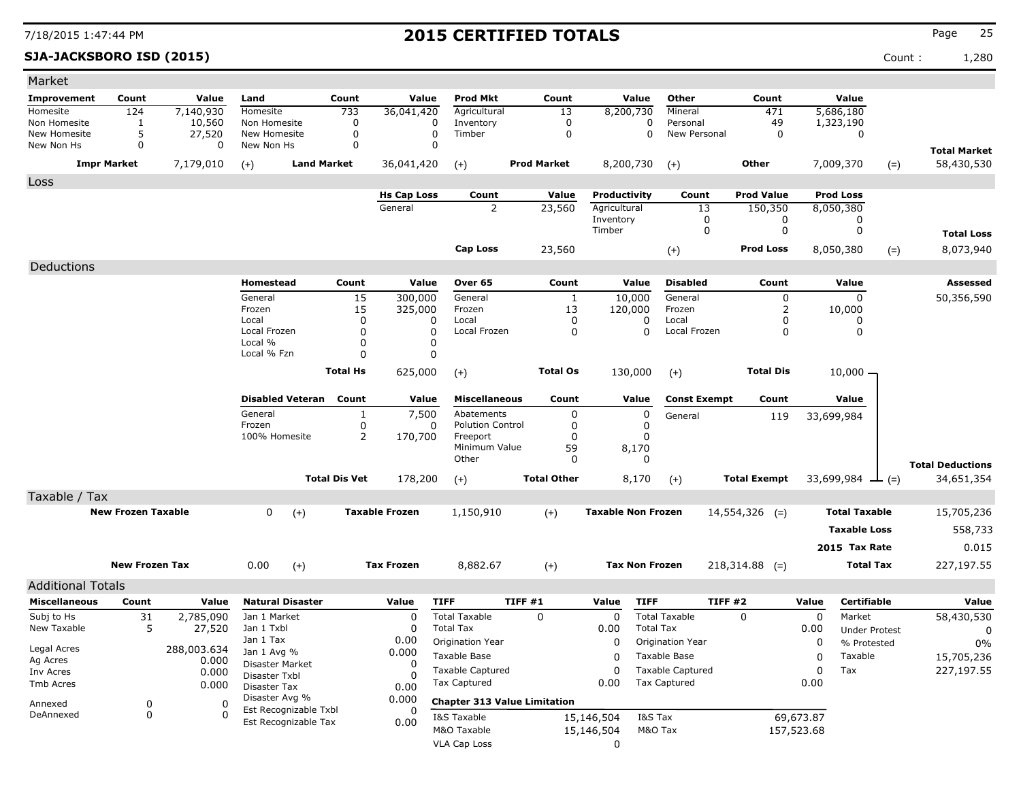**SJA-JACKSBORO ISD (2015)** Count : 1,280

| Market                     |                           |                    |                                |                      |                       |                                          |                                     |                           |                                          |                     |            |                        |                         |
|----------------------------|---------------------------|--------------------|--------------------------------|----------------------|-----------------------|------------------------------------------|-------------------------------------|---------------------------|------------------------------------------|---------------------|------------|------------------------|-------------------------|
| <b>Improvement</b>         | Count                     | Value              | Land                           | Count                | Value                 | <b>Prod Mkt</b>                          | Count                               | Value                     | Other                                    | Count               |            | Value                  |                         |
| Homesite                   | 124                       | 7,140,930          | Homesite                       | 733                  | 36,041,420            | Agricultural                             | 13                                  | 8,200,730                 | Mineral                                  | 471                 |            | 5,686,180              |                         |
| Non Homesite               | 1                         | 10,560             | Non Homesite                   | 0                    | 0                     | Inventory                                | 0                                   | 0                         | Personal                                 | 49                  |            | 1,323,190              |                         |
| New Homesite<br>New Non Hs | 5<br>0                    | 27,520<br>$\Omega$ | New Homesite<br>New Non Hs     | 0<br>0               | 0<br>0                | Timber                                   | 0                                   | 0                         | New Personal                             | $\mathbf 0$         |            | 0                      |                         |
|                            |                           |                    |                                |                      |                       |                                          |                                     |                           |                                          |                     |            |                        | <b>Total Market</b>     |
|                            | <b>Impr Market</b>        | 7,179,010          | <b>Land Market</b><br>$(+)$    |                      | 36,041,420            | $(+)$                                    | <b>Prod Market</b>                  | 8,200,730                 | $(+)$                                    | Other               |            | 7,009,370              | 58,430,530<br>$(=)$     |
| Loss                       |                           |                    |                                |                      |                       |                                          |                                     |                           |                                          |                     |            |                        |                         |
|                            |                           |                    |                                |                      | <b>Hs Cap Loss</b>    | Count                                    | Value                               | Productivity              | Count                                    | <b>Prod Value</b>   |            | <b>Prod Loss</b>       |                         |
|                            |                           |                    |                                |                      | General               | $\overline{2}$                           | 23,560                              | Agricultural              | 13                                       | 150,350             |            | 8,050,380              |                         |
|                            |                           |                    |                                |                      |                       |                                          |                                     | Inventory<br>Timber       | 0<br>0                                   | 0<br>0              |            | 0<br>0                 |                         |
|                            |                           |                    |                                |                      |                       |                                          |                                     |                           |                                          |                     |            |                        | <b>Total Loss</b>       |
|                            |                           |                    |                                |                      |                       | <b>Cap Loss</b>                          | 23,560                              |                           | $(+)$                                    | <b>Prod Loss</b>    |            | 8,050,380              | 8,073,940<br>$(=)$      |
| Deductions                 |                           |                    |                                |                      |                       |                                          |                                     |                           |                                          |                     |            |                        |                         |
|                            |                           |                    | Homestead                      | Count                | Value                 | Over 65                                  | Count                               | Value                     | <b>Disabled</b>                          | Count               |            | Value                  | <b>Assessed</b>         |
|                            |                           |                    | General                        | 15                   | 300,000               | General                                  | 1                                   | 10,000                    | General                                  | 0                   |            | 0                      | 50,356,590              |
|                            |                           |                    | Frozen                         | 15                   | 325,000               | Frozen                                   | 13                                  | 120,000                   | Frozen                                   | 2                   |            | 10,000                 |                         |
|                            |                           |                    | Local<br>Local Frozen          | 0<br>0               | 0<br>0                | Local<br>Local Frozen                    | 0<br>$\mathbf 0$                    | 0<br>0                    | Local<br>Local Frozen                    | 0<br>0              |            | 0<br>0                 |                         |
|                            |                           |                    | Local %                        | 0                    | 0                     |                                          |                                     |                           |                                          |                     |            |                        |                         |
|                            |                           |                    | Local % Fzn                    | $\Omega$             | 0                     |                                          |                                     |                           |                                          |                     |            |                        |                         |
|                            |                           |                    |                                | <b>Total Hs</b>      | 625,000               | $(+)$                                    | <b>Total Os</b>                     | 130,000                   | $(+)$                                    | <b>Total Dis</b>    |            | $10,000 -$             |                         |
|                            |                           |                    |                                |                      |                       |                                          |                                     |                           |                                          |                     |            |                        |                         |
|                            |                           |                    | <b>Disabled Veteran</b>        | Count                | Value                 | <b>Miscellaneous</b>                     | Count                               | Value                     | <b>Const Exempt</b>                      | Count               |            | Value                  |                         |
|                            |                           |                    | General                        | 1                    | 7,500                 | Abatements                               | 0                                   | 0                         | General                                  | 119                 |            | 33,699,984             |                         |
|                            |                           |                    | Frozen                         | 0                    | 0                     | <b>Polution Control</b>                  | 0                                   | 0                         |                                          |                     |            |                        |                         |
|                            |                           |                    | 100% Homesite                  | 2                    | 170,700               | Freeport<br>Minimum Value                | 0<br>59                             | 0<br>8,170                |                                          |                     |            |                        |                         |
|                            |                           |                    |                                |                      |                       | Other                                    | 0                                   | 0                         |                                          |                     |            |                        |                         |
|                            |                           |                    |                                | <b>Total Dis Vet</b> | 178,200               |                                          | <b>Total Other</b>                  | 8,170                     |                                          | <b>Total Exempt</b> |            | 33,699,984             | <b>Total Deductions</b> |
|                            |                           |                    |                                |                      |                       | $(+)$                                    |                                     |                           | $(+)$                                    |                     |            | $ (=)$                 | 34,651,354              |
| Taxable / Tax              |                           |                    |                                |                      |                       |                                          |                                     |                           |                                          |                     |            |                        |                         |
|                            | <b>New Frozen Taxable</b> |                    | 0<br>$(+)$                     |                      | <b>Taxable Frozen</b> | 1,150,910                                | $(+)$                               | <b>Taxable Non Frozen</b> |                                          | $14,554,326$ (=)    |            | <b>Total Taxable</b>   | 15,705,236              |
|                            |                           |                    |                                |                      |                       |                                          |                                     |                           |                                          |                     |            | <b>Taxable Loss</b>    | 558,733                 |
|                            |                           |                    |                                |                      |                       |                                          |                                     |                           |                                          |                     |            | 2015 Tax Rate          | 0.015                   |
|                            | <b>New Frozen Tax</b>     |                    | 0.00<br>$(+)$                  |                      | <b>Tax Frozen</b>     | 8,882.67                                 | $(+)$                               | <b>Tax Non Frozen</b>     |                                          | $218,314.88$ (=)    |            | <b>Total Tax</b>       | 227,197.55              |
|                            |                           |                    |                                |                      |                       |                                          |                                     |                           |                                          |                     |            |                        |                         |
| <b>Additional Totals</b>   |                           |                    |                                |                      |                       |                                          |                                     |                           |                                          |                     |            |                        |                         |
| <b>Miscellaneous</b>       | Count                     | Value              | <b>Natural Disaster</b>        |                      | Value                 | <b>TIFF</b>                              | TIFF #1                             | Value<br><b>TIFF</b>      |                                          | <b>TIFF #2</b>      | Value      | <b>Certifiable</b>     | Value                   |
| Subj to Hs<br>New Taxable  | 31<br>5                   | 2,785,090          | Jan 1 Market<br>Jan 1 Txbl     |                      | $\Omega$<br>$\Omega$  | <b>Total Taxable</b><br><b>Total Tax</b> | 0                                   | 0                         | <b>Total Taxable</b><br><b>Total Tax</b> | $\Omega$            | 0          | Market                 | 58,430,530              |
|                            |                           | 27,520             | Jan 1 Tax                      |                      | 0.00                  | Origination Year                         |                                     | 0.00<br>0                 | Origination Year                         |                     | 0.00<br>0  | <b>Under Protest</b>   | 0                       |
| Legal Acres                |                           | 288,003.634        | Jan 1 Avg %                    |                      | 0.000                 | Taxable Base                             |                                     | 0                         | Taxable Base                             |                     | 0          | % Protested<br>Taxable | $0\%$<br>15,705,236     |
| Ag Acres                   |                           | 0.000<br>0.000     | Disaster Market                |                      | 0                     | <b>Taxable Captured</b>                  |                                     | 0                         | <b>Taxable Captured</b>                  |                     | 0          | Tax                    | 227,197.55              |
| Inv Acres<br>Tmb Acres     |                           | 0.000              | Disaster Txbl                  |                      |                       | Tax Captured                             |                                     | 0.00                      | <b>Tax Captured</b>                      |                     | 0.00       |                        |                         |
|                            |                           |                    | Disaster Tax<br>Disaster Avg % |                      | 0.00<br>0.000         |                                          |                                     |                           |                                          |                     |            |                        |                         |
| Annexed<br>DeAnnexed       | 0                         | 0<br>$\Omega$      | Est Recognizable Txbl          |                      | 0                     |                                          | <b>Chapter 313 Value Limitation</b> |                           |                                          |                     |            |                        |                         |
|                            | 0                         |                    | Est Recognizable Tax           |                      | 0.00                  | I&S Taxable                              |                                     | 15,146,504                | I&S Tax                                  |                     | 69,673.87  |                        |                         |
|                            |                           |                    |                                |                      |                       | M&O Taxable<br><b>VLA Cap Loss</b>       |                                     | 15,146,504                | M&O Tax                                  |                     | 157,523.68 |                        |                         |
|                            |                           |                    |                                |                      |                       |                                          |                                     | $\mathbf 0$               |                                          |                     |            |                        |                         |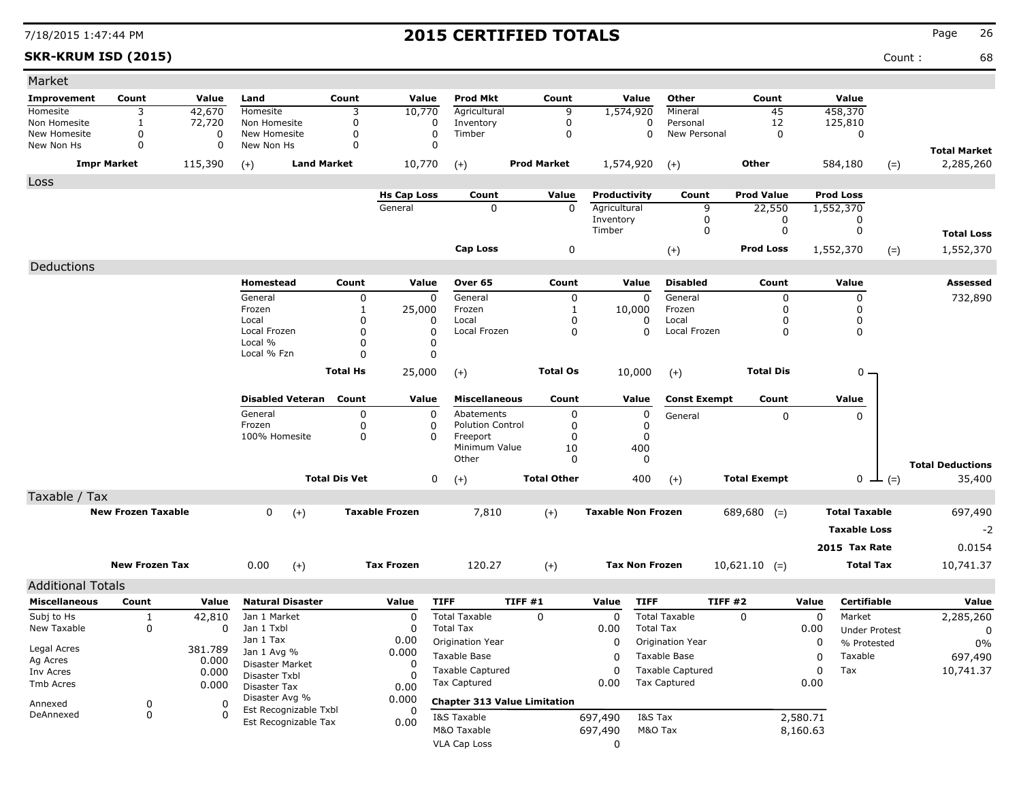### **SKR-KRUM ISD (2015)** Count : 68

| Market                       |                           |                  |                                |                      |                       |                                     |                    |                           |                          |                     |             |                      |        |                                   |
|------------------------------|---------------------------|------------------|--------------------------------|----------------------|-----------------------|-------------------------------------|--------------------|---------------------------|--------------------------|---------------------|-------------|----------------------|--------|-----------------------------------|
| Improvement                  | Count                     | Value            | Land                           | Count                | Value                 | Prod Mkt                            | Count              | Value                     | Other                    | Count               |             | Value                |        |                                   |
| Homesite                     | 3                         | 42,670           | Homesite                       | 3                    | 10,770                | Agricultural                        | 9                  | 1,574,920                 | Mineral                  | 45                  |             | 458,370              |        |                                   |
| Non Homesite<br>New Homesite | 1<br>0                    | 72,720           | Non Homesite<br>New Homesite   | 0<br>0               | 0<br>0                | Inventory<br>Timber                 | 0<br>0             | 0<br>0                    | Personal<br>New Personal | 12<br>0             |             | 125,810              |        |                                   |
| New Non Hs                   | 0                         | 0<br>$\mathbf 0$ | New Non Hs                     | 0                    | $\Omega$              |                                     |                    |                           |                          |                     |             | 0                    |        |                                   |
|                              | <b>Impr Market</b>        | 115,390          | $(+)$                          | <b>Land Market</b>   | 10,770                | $(+)$                               | <b>Prod Market</b> | 1,574,920                 | $(+)$                    | Other               |             | 584,180              | $(=)$  | <b>Total Market</b><br>2,285,260  |
| Loss                         |                           |                  |                                |                      |                       |                                     |                    |                           |                          |                     |             |                      |        |                                   |
|                              |                           |                  |                                |                      | <b>Hs Cap Loss</b>    | Count                               | Value              | Productivity              | Count                    | <b>Prod Value</b>   |             | <b>Prod Loss</b>     |        |                                   |
|                              |                           |                  |                                |                      | General               | 0                                   | $\mathbf 0$        | Agricultural              | 9                        | 22,550              |             | 1,552,370            |        |                                   |
|                              |                           |                  |                                |                      |                       |                                     |                    | Inventory<br>Timber       | 0<br>$\mathbf 0$         | 0<br>$\mathbf 0$    |             | 0<br>0               |        | <b>Total Loss</b>                 |
|                              |                           |                  |                                |                      |                       | Cap Loss                            |                    |                           |                          | <b>Prod Loss</b>    |             |                      |        |                                   |
|                              |                           |                  |                                |                      |                       |                                     | 0                  |                           | $(+)$                    |                     |             | 1,552,370            | $(=)$  | 1,552,370                         |
| Deductions                   |                           |                  |                                |                      |                       |                                     |                    |                           |                          |                     |             |                      |        |                                   |
|                              |                           |                  | Homestead                      | Count                | Value                 | Over 65                             | Count              | Value                     | <b>Disabled</b>          | Count               |             | Value                |        | Assessed                          |
|                              |                           |                  | General<br>Frozen              | 0<br>1               | 0                     | General<br>Frozen                   | 0                  | 0                         | General<br>Frozen        | 0<br>$\Omega$       |             | 0                    |        | 732,890                           |
|                              |                           |                  | Local                          | 0                    | 25,000<br>0           | Local                               | 1<br>0             | 10,000<br>0               | Local                    | 0                   |             | 0<br>0               |        |                                   |
|                              |                           |                  | Local Frozen                   | $\Omega$             | 0                     | Local Frozen                        | 0                  | 0                         | Local Frozen             | 0                   |             | $\mathbf 0$          |        |                                   |
|                              |                           |                  | Local %                        | $\Omega$             | 0                     |                                     |                    |                           |                          |                     |             |                      |        |                                   |
|                              |                           |                  | Local % Fzn                    | $\Omega$             | $\mathbf 0$           |                                     |                    |                           |                          |                     |             |                      |        |                                   |
|                              |                           |                  |                                | <b>Total Hs</b>      | 25,000                | $(+)$                               | <b>Total Os</b>    | 10,000                    | $(+)$                    | <b>Total Dis</b>    |             | $0 -$                |        |                                   |
|                              |                           |                  | <b>Disabled Veteran</b>        | Count                | Value                 | <b>Miscellaneous</b>                | Count              | Value                     | <b>Const Exempt</b>      | Count               |             | Value                |        |                                   |
|                              |                           |                  | General                        | 0                    | 0                     | Abatements                          | 0                  | 0                         | General                  | $\mathbf 0$         |             | 0                    |        |                                   |
|                              |                           |                  | Frozen                         | 0                    | 0                     | <b>Polution Control</b>             | 0                  | 0                         |                          |                     |             |                      |        |                                   |
|                              |                           |                  | 100% Homesite                  | 0                    | $\Omega$              | Freeport<br>Minimum Value           | 0                  | 0<br>400                  |                          |                     |             |                      |        |                                   |
|                              |                           |                  |                                |                      |                       | Other                               | 10<br>0            | 0                         |                          |                     |             |                      |        |                                   |
|                              |                           |                  |                                | <b>Total Dis Vet</b> | 0                     | $(+)$                               | <b>Total Other</b> | 400                       | $(+)$                    | <b>Total Exempt</b> |             | 0                    | $-(-)$ | <b>Total Deductions</b><br>35,400 |
| Taxable / Tax                |                           |                  |                                |                      |                       |                                     |                    |                           |                          |                     |             |                      |        |                                   |
|                              | <b>New Frozen Taxable</b> |                  | 0<br>$(+)$                     |                      | <b>Taxable Frozen</b> | 7,810                               | $(+)$              | <b>Taxable Non Frozen</b> |                          | $689,680$ (=)       |             | <b>Total Taxable</b> |        | 697,490                           |
|                              |                           |                  |                                |                      |                       |                                     |                    |                           |                          |                     |             | <b>Taxable Loss</b>  |        | $-2$                              |
|                              |                           |                  |                                |                      |                       |                                     |                    |                           |                          |                     |             | 2015 Tax Rate        |        | 0.0154                            |
|                              |                           |                  |                                |                      |                       |                                     |                    |                           |                          |                     |             |                      |        |                                   |
|                              | <b>New Frozen Tax</b>     |                  | 0.00<br>$(+)$                  |                      | <b>Tax Frozen</b>     | 120.27                              | $(+)$              | <b>Tax Non Frozen</b>     |                          | $10,621.10$ (=)     |             | <b>Total Tax</b>     |        | 10,741.37                         |
| <b>Additional Totals</b>     |                           |                  |                                |                      |                       |                                     |                    |                           |                          |                     |             |                      |        |                                   |
| <b>Miscellaneous</b>         | Count                     | Value            | <b>Natural Disaster</b>        |                      | Value                 | <b>TIFF</b>                         | <b>TIFF #1</b>     | Value<br><b>TIFF</b>      |                          | <b>TIFF #2</b>      | Value       | <b>Certifiable</b>   |        | Value                             |
| Subj to Hs                   | $\mathbf{1}$              | 42,810           | Jan 1 Market                   |                      | 0                     | <b>Total Taxable</b>                | $\Omega$           | $\mathbf 0$               | <b>Total Taxable</b>     | $\Omega$            | 0           | Market               |        | 2,285,260                         |
| New Taxable                  | 0                         | $\Omega$         | Jan 1 Txbl                     |                      | 0                     | <b>Total Tax</b>                    |                    | 0.00                      | <b>Total Tax</b>         |                     | 0.00        | <b>Under Protest</b> |        | 0                                 |
| Legal Acres                  |                           | 381.789          | Jan 1 Tax                      |                      | 0.00                  | Origination Year                    |                    | 0                         | Origination Year         |                     | 0           | % Protested          |        | 0%                                |
| Ag Acres                     |                           | 0.000            | Jan 1 Avg %<br>Disaster Market |                      | 0.000<br>0            | Taxable Base                        |                    | 0                         | Taxable Base             |                     | 0           | Taxable              |        | 697,490                           |
| Inv Acres                    |                           | 0.000            | Disaster Txbl                  |                      | 0                     | <b>Taxable Captured</b>             |                    | 0                         | <b>Taxable Captured</b>  |                     | $\mathbf 0$ | Tax                  |        | 10,741.37                         |
| Tmb Acres                    |                           | 0.000            | Disaster Tax                   |                      | 0.00                  | <b>Tax Captured</b>                 |                    | 0.00                      | Tax Captured             |                     | 0.00        |                      |        |                                   |
| Annexed                      |                           | 0                | Disaster Avg %                 |                      | 0.000                 | <b>Chapter 313 Value Limitation</b> |                    |                           |                          |                     |             |                      |        |                                   |
| DeAnnexed                    | 0<br>0                    | $\Omega$         | Est Recognizable Txbl          |                      | 0                     | I&S Taxable                         |                    | 697,490                   | I&S Tax                  |                     | 2,580.71    |                      |        |                                   |
|                              |                           |                  | Est Recognizable Tax           |                      | 0.00                  | M&O Taxable                         |                    |                           | M&O Tax                  |                     | 8,160.63    |                      |        |                                   |
|                              |                           |                  |                                |                      |                       | <b>VLA Cap Loss</b>                 |                    | 697,490                   |                          |                     |             |                      |        |                                   |
|                              |                           |                  |                                |                      |                       |                                     |                    | 0                         |                          |                     |             |                      |        |                                   |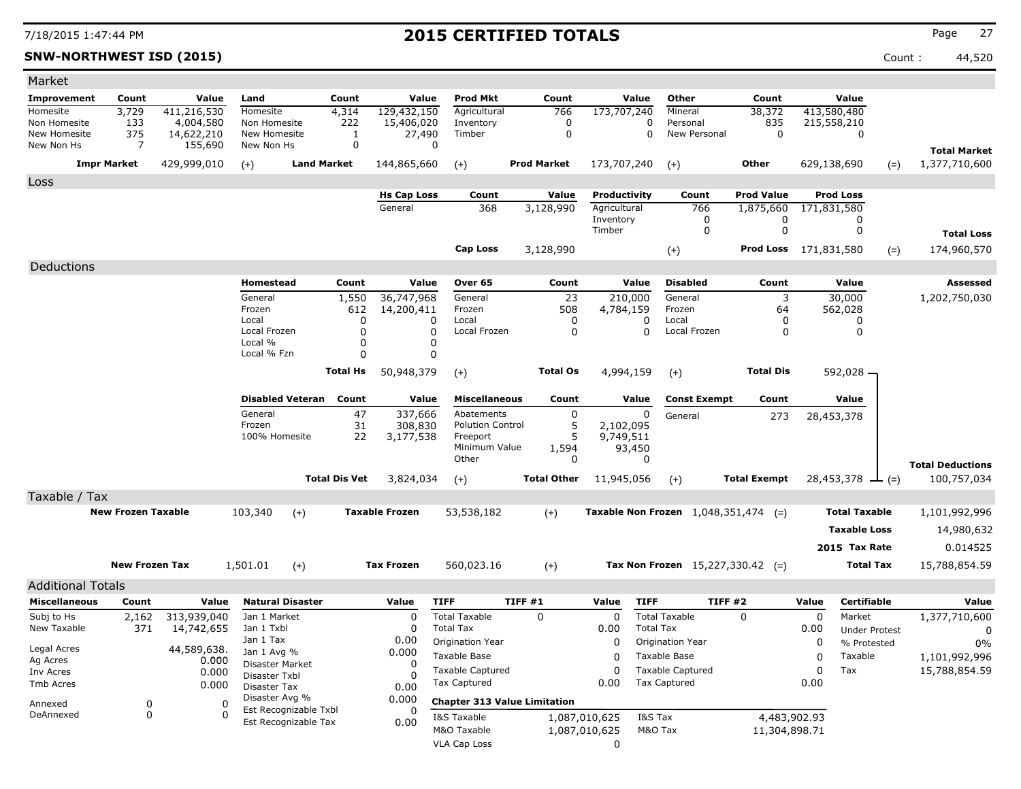**SNW-NORTHWEST ISD (2015)** Count : 44,520

| Market                       |                           |                         |                                               |                      |                       |                                     |                    |                      |                                             |                              |       |                      |                         |
|------------------------------|---------------------------|-------------------------|-----------------------------------------------|----------------------|-----------------------|-------------------------------------|--------------------|----------------------|---------------------------------------------|------------------------------|-------|----------------------|-------------------------|
| <b>Improvement</b>           | Count                     | Value                   | Land                                          | Count                | Value                 | <b>Prod Mkt</b>                     | Count              | Value                | Other                                       | Count                        |       | Value                |                         |
| Homesite                     | 3,729                     | 411,216,530             | <b>Homesite</b>                               | 4,314                | 129,432,150           | Agricultural                        | 766                | 173,707,240          | Mineral                                     | 38,372                       |       | 413,580,480          |                         |
| Non Homesite<br>New Homesite | 133<br>375                | 4,004,580<br>14,622,210 | Non Homesite<br>New Homesite                  | 222<br>1             | 15,406,020<br>27,490  | Inventory<br>Timber                 | 0<br>$\mathbf 0$   | 0<br>0               | Personal<br>New Personal                    | 835<br>$\mathbf 0$           |       | 215,558,210<br>0     |                         |
| New Non Hs                   | 7                         | 155,690                 | New Non Hs                                    | 0                    | 0                     |                                     |                    |                      |                                             |                              |       |                      | <b>Total Market</b>     |
|                              | <b>Impr Market</b>        | 429,999,010             | $(+)$                                         | <b>Land Market</b>   | 144,865,660           | $(+)$                               | <b>Prod Market</b> | 173,707,240          | $(+)$                                       | Other                        |       | 629,138,690<br>$(=)$ | 1,377,710,600           |
| Loss                         |                           |                         |                                               |                      |                       |                                     |                    |                      |                                             |                              |       |                      |                         |
|                              |                           |                         |                                               |                      | <b>Hs Cap Loss</b>    | Count                               | Value              | Productivity         | Count                                       | <b>Prod Value</b>            |       | <b>Prod Loss</b>     |                         |
|                              |                           |                         |                                               |                      | General               | 368                                 | 3,128,990          | Agricultural         | 766                                         | 1,875,660                    |       | 171,831,580          |                         |
|                              |                           |                         |                                               |                      |                       |                                     |                    | Inventory            | 0                                           | 0                            |       | 0                    |                         |
|                              |                           |                         |                                               |                      |                       |                                     |                    | Timber               | 0                                           | 0                            |       | 0                    | <b>Total Loss</b>       |
|                              |                           |                         |                                               |                      |                       | <b>Cap Loss</b>                     | 3,128,990          |                      | $(+)$                                       | <b>Prod Loss</b> 171,831,580 |       | $(=)$                | 174,960,570             |
| Deductions                   |                           |                         |                                               |                      |                       |                                     |                    |                      |                                             |                              |       |                      |                         |
|                              |                           |                         | Homestead                                     | Count                | Value                 | Over 65                             | Count              | Value                | <b>Disabled</b>                             | Count                        |       | Value                | <b>Assessed</b>         |
|                              |                           |                         | General                                       | 1,550                | 36,747,968            | General                             | 23                 | 210,000              | General                                     | 3                            |       | 30,000               | 1,202,750,030           |
|                              |                           |                         | Frozen                                        | 612                  | 14,200,411            | Frozen                              | 508                | 4,784,159            | Frozen                                      | 64                           |       | 562,028              |                         |
|                              |                           |                         | Local<br>Local Frozen                         | 0<br>$\Omega$        | 0<br>$\Omega$         | Local<br>Local Frozen               | 0<br>0             | 0<br>$\Omega$        | Local<br>Local Frozen                       | 0<br>0                       |       | 0<br>0               |                         |
|                              |                           |                         | Local %                                       | $\Omega$             | 0                     |                                     |                    |                      |                                             |                              |       |                      |                         |
|                              |                           |                         | Local % Fzn                                   | $\Omega$             | 0                     |                                     |                    |                      |                                             |                              |       |                      |                         |
|                              |                           |                         |                                               | <b>Total Hs</b>      | 50,948,379            | $(+)$                               | <b>Total Os</b>    | 4,994,159            | $(+)$                                       | <b>Total Dis</b>             |       | 592,028 -            |                         |
|                              |                           |                         |                                               |                      |                       |                                     |                    |                      |                                             |                              |       |                      |                         |
|                              |                           |                         | <b>Disabled Veteran</b>                       | Count                | Value                 | <b>Miscellaneous</b>                | Count              | Value                | <b>Const Exempt</b>                         | Count                        |       | Value                |                         |
|                              |                           |                         | General                                       | 47                   | 337,666               | Abatements                          | 0                  | 0                    | General                                     | 273                          |       | 28,453,378           |                         |
|                              |                           |                         | Frozen<br>100% Homesite                       | 31<br>22             | 308,830               | <b>Polution Control</b><br>Freeport | 5<br>5             | 2,102,095            |                                             |                              |       |                      |                         |
|                              |                           |                         |                                               |                      | 3,177,538             | Minimum Value                       | 1,594              | 9,749,511<br>93,450  |                                             |                              |       |                      |                         |
|                              |                           |                         |                                               |                      |                       | Other                               | 0                  | 0                    |                                             |                              |       |                      | <b>Total Deductions</b> |
|                              |                           |                         |                                               | <b>Total Dis Vet</b> | 3,824,034             | $(+)$                               | <b>Total Other</b> | 11,945,056           | $(+)$                                       | <b>Total Exempt</b>          |       | 28,453,378<br>$ (=)$ | 100,757,034             |
| Taxable / Tax                |                           |                         |                                               |                      |                       |                                     |                    |                      |                                             |                              |       |                      |                         |
|                              | <b>New Frozen Taxable</b> |                         | 103,340<br>$(+)$                              |                      | <b>Taxable Frozen</b> | 53,538,182                          |                    |                      | <b>Taxable Non Frozen</b> 1,048,351,474 (=) |                              |       | <b>Total Taxable</b> | 1,101,992,996           |
|                              |                           |                         |                                               |                      |                       |                                     | $(+)$              |                      |                                             |                              |       |                      |                         |
|                              |                           |                         |                                               |                      |                       |                                     |                    |                      |                                             |                              |       | <b>Taxable Loss</b>  | 14,980,632              |
|                              |                           |                         |                                               |                      |                       |                                     |                    |                      |                                             |                              |       | 2015 Tax Rate        | 0.014525                |
|                              | <b>New Frozen Tax</b>     |                         | 1,501.01<br>$(+)$                             |                      | <b>Tax Frozen</b>     | 560,023.16                          | $(+)$              |                      | Tax Non Frozen $15,227,330.42$ (=)          |                              |       | <b>Total Tax</b>     | 15,788,854.59           |
| <b>Additional Totals</b>     |                           |                         |                                               |                      |                       |                                     |                    |                      |                                             |                              |       |                      |                         |
| <b>Miscellaneous</b>         | Count                     | Value                   | <b>Natural Disaster</b>                       |                      | Value                 | <b>TIFF</b>                         | TIFF #1            | <b>TIFF</b><br>Value |                                             | <b>TIFF #2</b>               | Value | <b>Certifiable</b>   | Value                   |
| Subj to Hs                   | 2,162                     | 313,939,040             | Jan 1 Market                                  |                      | $\Omega$              | <b>Total Taxable</b>                | $\Omega$           | 0                    | <b>Total Taxable</b>                        | $\mathbf{0}$                 | 0     | Market               | 1,377,710,600           |
| New Taxable                  | 371                       | 14,742,655              | Jan 1 Txbl                                    |                      | 0                     | <b>Total Tax</b>                    |                    | 0.00                 | <b>Total Tax</b>                            |                              | 0.00  | <b>Under Protest</b> | 0                       |
| Legal Acres                  |                           |                         | Jan 1 Tax                                     |                      | 0.00                  | Origination Year                    |                    | 0                    | Origination Year                            |                              | 0     | % Protested          | $0\%$                   |
| Ag Acres                     |                           | 44,589,638.<br>0.000    | Jan 1 Avg %<br>Disaster Market                |                      | 0.000                 | Taxable Base                        |                    | 0                    | Taxable Base                                |                              | 0     | Taxable              | 1,101,992,996           |
| Inv Acres                    |                           | 0.000                   | Disaster Txbl                                 |                      | 0<br>O                | <b>Taxable Captured</b>             |                    | 0                    | <b>Taxable Captured</b>                     |                              | 0     | Tax                  | 15,788,854.59           |
| Tmb Acres                    |                           | 0.000                   | Disaster Tax                                  |                      | 0.00                  | Tax Captured                        |                    | 0.00                 | Tax Captured                                |                              | 0.00  |                      |                         |
| Annexed                      | 0                         | 0                       | Disaster Avg %                                |                      | 0.000                 | <b>Chapter 313 Value Limitation</b> |                    |                      |                                             |                              |       |                      |                         |
| DeAnnexed                    | 0                         | 0                       | Est Recognizable Txbl<br>Est Recognizable Tax |                      | 0<br>0.00             | I&S Taxable                         |                    | 1,087,010,625        | I&S Tax                                     | 4,483,902.93                 |       |                      |                         |
|                              |                           |                         |                                               |                      |                       | M&O Taxable                         |                    | 1,087,010,625        | M&O Tax                                     | 11,304,898.71                |       |                      |                         |
|                              |                           |                         |                                               |                      |                       | VLA Cap Loss                        |                    | 0                    |                                             |                              |       |                      |                         |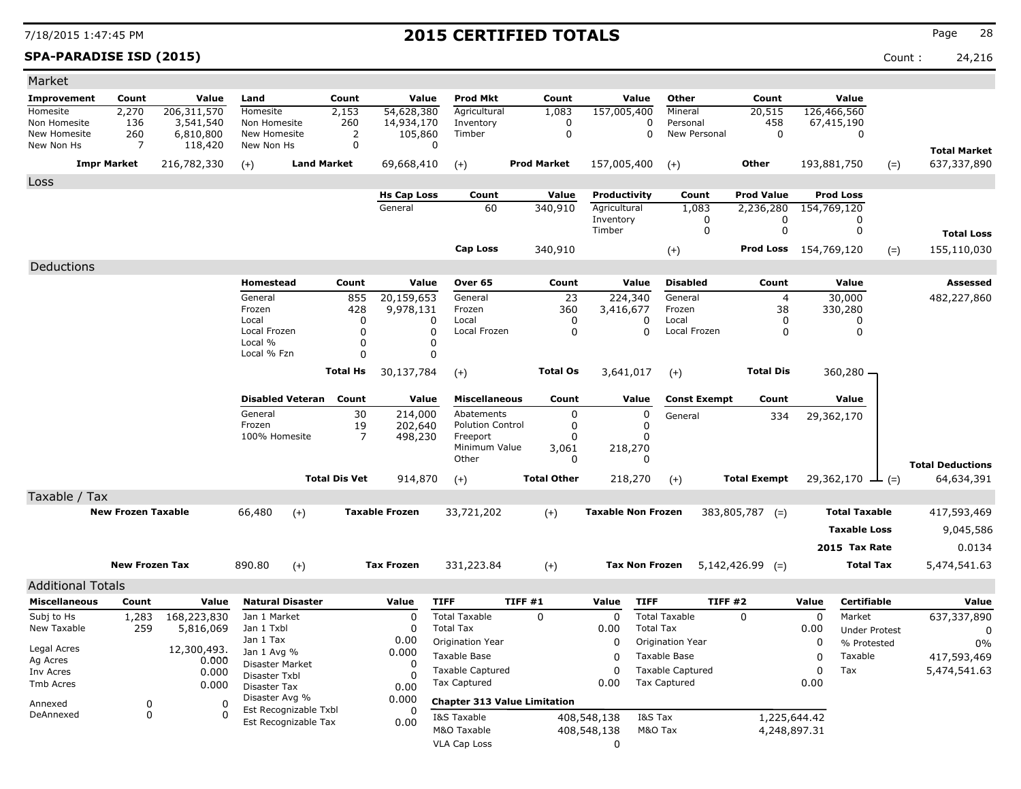**SPA-PARADISE ISD (2015)** Count : 24,216

| <b>Prod Mkt</b><br>Other<br>Value<br><b>Improvement</b><br>Count<br>Value<br>Land<br>Count<br>Value<br>Count<br>Value<br>Count<br>Homesite<br>Homesite<br>2,270<br>206,311,570<br>2,153<br>54,628,380<br>Agricultural<br>157,005,400<br>Mineral<br>20,515<br>126,466,560<br>1,083<br>Non Homesite<br>136<br>3,541,540<br>Non Homesite<br>260<br>14,934,170<br>Inventory<br>$\mathbf 0$<br>$\mathbf 0$<br>Personal<br>458<br>67,415,190<br>260<br>2<br>$\mathbf 0$<br>$\mathbf 0$<br>$\mathbf 0$<br>New Homesite<br>6,810,800<br>New Homesite<br>105,860<br>Timber<br>New Personal<br>$\mathbf 0$<br>New Non Hs<br>New Non Hs<br>$\mathbf 0$<br>7<br>118,420<br>0<br><b>Total Market</b><br><b>Impr Market</b><br>216,782,330<br><b>Land Market</b><br>69,668,410<br><b>Prod Market</b><br>157,005,400<br><b>Other</b><br>193,881,750<br>637,337,890<br>$(+)$<br>$(+)$<br>$(+)$<br>$(=)$<br>Loss<br>Value<br><b>Prod Value</b><br><b>Prod Loss</b><br><b>Hs Cap Loss</b><br>Count<br>Productivity<br>Count<br>60<br>340,910<br>Agricultural<br>1,083<br>2,236,280<br>General<br>154,769,120<br>Inventory<br>0<br>0<br>0<br>$\mathbf 0$<br>$\mathbf 0$<br>$\mathbf 0$<br>Timber<br><b>Total Loss</b><br><b>Cap Loss</b><br>340,910<br>Prod Loss 154,769,120<br>155,110,030<br>$(+)$<br>$(=)$<br>Deductions<br><b>Homestead</b><br>Value<br>Value<br><b>Disabled</b><br>Count<br>Value<br><b>Assessed</b><br>Count<br>Over <sub>65</sub><br>Count<br>General<br>20,159,653<br>23<br>224,340<br>General<br>30,000<br>855<br>General<br>$\overline{4}$<br>482,227,860<br>Frozen<br>360<br>38<br>Frozen<br>428<br>9,978,131<br>3,416,677<br>Frozen<br>330,280<br>0<br>$\mathbf 0$<br>$\Omega$<br>Local<br>0<br>Local<br>Local<br>0<br>0<br>0<br>$\mathbf 0$<br>$\mathbf 0$<br>$\mathbf 0$<br>Local Frozen<br>0<br>0<br>Local Frozen<br>Local Frozen<br>Local %<br>$\mathbf 0$<br>0<br>Local % Fzn<br>0<br>0<br><b>Total Hs</b><br>30,137,784<br><b>Total Os</b><br>3,641,017<br><b>Total Dis</b><br>360,280 -<br>$(+)$<br>$(+)$<br><b>Disabled Veteran</b><br>Count<br>Value<br><b>Miscellaneous</b><br>Count<br>Value<br><b>Const Exempt</b><br>Count<br>Value<br>General<br>30<br>214,000<br>$\mathbf 0$<br>$\mathbf 0$<br>Abatements<br>29,362,170<br>General<br>334<br>Frozen<br>19<br><b>Polution Control</b><br>$\mathbf 0$<br>$\Omega$<br>202,640<br>$\overline{7}$<br>100% Homesite<br>Freeport<br>$\mathbf 0$<br>498,230<br>$\Omega$<br>Minimum Value<br>3,061<br>218,270<br>Other<br>$\Omega$<br>$\Omega$<br><b>Total Deductions</b><br><b>Total Dis Vet</b><br><b>Total Other</b><br><b>Total Exempt</b><br>914,870<br>218,270<br>29,362,170<br>64,634,391<br>$(+)$<br>$(+)$<br>$ (=)$<br>Taxable / Tax<br><b>New Frozen Taxable</b><br>66,480<br><b>Taxable Frozen</b><br>33,721,202<br><b>Taxable Non Frozen</b><br><b>Total Taxable</b><br>417,593,469<br>$(+)$<br>$383,805,787$ (=)<br>$(+)$<br><b>Taxable Loss</b><br>9,045,586<br>2015 Tax Rate<br>0.0134<br><b>New Frozen Tax</b><br><b>Tax Frozen</b><br><b>Total Tax</b><br>5,474,541.63<br>890.80<br>$(+)$<br>331,223.84<br>$(+)$<br><b>Tax Non Frozen</b><br>$5,142,426.99$ (=)<br><b>Additional Totals</b><br><b>TIFF</b><br>TIFF #1<br><b>TIFF</b><br><b>TIFF #2</b><br><b>Miscellaneous</b><br>Count<br>Value<br><b>Natural Disaster</b><br>Value<br>Value<br>Value<br>Certifiable<br>Value<br><b>Total Taxable</b><br><b>Total Taxable</b><br>$\mathbf 0$<br>Market<br>Subj to Hs<br>168,223,830<br>$\Omega$<br>$\Omega$<br>$\mathbf 0$<br>$\Omega$<br>637,337,890<br>1,283<br>Jan 1 Market<br>New Taxable<br><b>Total Tax</b><br>259<br>5,816,069<br>Jan 1 Txbl<br>$\Omega$<br>0.00<br><b>Total Tax</b><br>0.00<br><b>Under Protest</b><br>0<br>Jan 1 Tax<br>0.00<br>Origination Year<br>0<br>$\Omega$<br>Origination Year<br>% Protested<br>0%<br>Legal Acres<br>12,300,493.<br>0.000<br>Jan 1 Avg %<br>Taxable Base<br>$\Omega$<br>$\Omega$<br>417,593,469<br>Taxable Base<br>Taxable<br>Ag Acres<br>0.000<br>Disaster Market<br>0<br>$\mathbf 0$<br>$\mathbf 0$<br><b>Taxable Captured</b><br><b>Taxable Captured</b><br>Tax<br>5,474,541.63<br>0.000<br>Inv Acres<br>Disaster Txbl<br>$\Omega$<br><b>Tax Captured</b><br><b>Tax Captured</b><br>0.00<br>0.00<br>Tmb Acres<br>0.000<br>0.00<br><b>Disaster Tax</b><br>Disaster Avg %<br>0.000<br><b>Chapter 313 Value Limitation</b><br>0<br>$\Omega$<br>Annexed<br>Est Recognizable Txbl<br>$\Omega$<br>DeAnnexed<br>$\mathbf 0$<br>0<br>1,225,644.42<br>I&S Taxable<br>408,548,138<br>I&S Tax<br>Est Recognizable Tax<br>0.00<br>M&O Taxable<br>M&O Tax<br>4,248,897.31<br>408,548,138 | Market |  |  |  |                     |  |             |  |  |  |  |
|------------------------------------------------------------------------------------------------------------------------------------------------------------------------------------------------------------------------------------------------------------------------------------------------------------------------------------------------------------------------------------------------------------------------------------------------------------------------------------------------------------------------------------------------------------------------------------------------------------------------------------------------------------------------------------------------------------------------------------------------------------------------------------------------------------------------------------------------------------------------------------------------------------------------------------------------------------------------------------------------------------------------------------------------------------------------------------------------------------------------------------------------------------------------------------------------------------------------------------------------------------------------------------------------------------------------------------------------------------------------------------------------------------------------------------------------------------------------------------------------------------------------------------------------------------------------------------------------------------------------------------------------------------------------------------------------------------------------------------------------------------------------------------------------------------------------------------------------------------------------------------------------------------------------------------------------------------------------------------------------------------------------------------------------------------------------------------------------------------------------------------------------------------------------------------------------------------------------------------------------------------------------------------------------------------------------------------------------------------------------------------------------------------------------------------------------------------------------------------------------------------------------------------------------------------------------------------------------------------------------------------------------------------------------------------------------------------------------------------------------------------------------------------------------------------------------------------------------------------------------------------------------------------------------------------------------------------------------------------------------------------------------------------------------------------------------------------------------------------------------------------------------------------------------------------------------------------------------------------------------------------------------------------------------------------------------------------------------------------------------------------------------------------------------------------------------------------------------------------------------------------------------------------------------------------------------------------------------------------------------------------------------------------------------------------------------------------------------------------------------------------------------------------------------------------------------------------------------------------------------------------------------------------------------------------------------------------------------------------------------------------------------------------------------------------------------------------------------------------------------------------------------------------------------------------------------------------------------------------------------------------------------------------------------------------------------------------------------------------------------------------------------------------------------------------------------------------------------------------------------------------------------------------------------------------------------------------------------------------------|--------|--|--|--|---------------------|--|-------------|--|--|--|--|
|                                                                                                                                                                                                                                                                                                                                                                                                                                                                                                                                                                                                                                                                                                                                                                                                                                                                                                                                                                                                                                                                                                                                                                                                                                                                                                                                                                                                                                                                                                                                                                                                                                                                                                                                                                                                                                                                                                                                                                                                                                                                                                                                                                                                                                                                                                                                                                                                                                                                                                                                                                                                                                                                                                                                                                                                                                                                                                                                                                                                                                                                                                                                                                                                                                                                                                                                                                                                                                                                                                                                                                                                                                                                                                                                                                                                                                                                                                                                                                                                                                                                                                                                                                                                                                                                                                                                                                                                                                                                                                                                                                                                                  |        |  |  |  |                     |  |             |  |  |  |  |
|                                                                                                                                                                                                                                                                                                                                                                                                                                                                                                                                                                                                                                                                                                                                                                                                                                                                                                                                                                                                                                                                                                                                                                                                                                                                                                                                                                                                                                                                                                                                                                                                                                                                                                                                                                                                                                                                                                                                                                                                                                                                                                                                                                                                                                                                                                                                                                                                                                                                                                                                                                                                                                                                                                                                                                                                                                                                                                                                                                                                                                                                                                                                                                                                                                                                                                                                                                                                                                                                                                                                                                                                                                                                                                                                                                                                                                                                                                                                                                                                                                                                                                                                                                                                                                                                                                                                                                                                                                                                                                                                                                                                                  |        |  |  |  |                     |  |             |  |  |  |  |
|                                                                                                                                                                                                                                                                                                                                                                                                                                                                                                                                                                                                                                                                                                                                                                                                                                                                                                                                                                                                                                                                                                                                                                                                                                                                                                                                                                                                                                                                                                                                                                                                                                                                                                                                                                                                                                                                                                                                                                                                                                                                                                                                                                                                                                                                                                                                                                                                                                                                                                                                                                                                                                                                                                                                                                                                                                                                                                                                                                                                                                                                                                                                                                                                                                                                                                                                                                                                                                                                                                                                                                                                                                                                                                                                                                                                                                                                                                                                                                                                                                                                                                                                                                                                                                                                                                                                                                                                                                                                                                                                                                                                                  |        |  |  |  |                     |  |             |  |  |  |  |
|                                                                                                                                                                                                                                                                                                                                                                                                                                                                                                                                                                                                                                                                                                                                                                                                                                                                                                                                                                                                                                                                                                                                                                                                                                                                                                                                                                                                                                                                                                                                                                                                                                                                                                                                                                                                                                                                                                                                                                                                                                                                                                                                                                                                                                                                                                                                                                                                                                                                                                                                                                                                                                                                                                                                                                                                                                                                                                                                                                                                                                                                                                                                                                                                                                                                                                                                                                                                                                                                                                                                                                                                                                                                                                                                                                                                                                                                                                                                                                                                                                                                                                                                                                                                                                                                                                                                                                                                                                                                                                                                                                                                                  |        |  |  |  |                     |  |             |  |  |  |  |
|                                                                                                                                                                                                                                                                                                                                                                                                                                                                                                                                                                                                                                                                                                                                                                                                                                                                                                                                                                                                                                                                                                                                                                                                                                                                                                                                                                                                                                                                                                                                                                                                                                                                                                                                                                                                                                                                                                                                                                                                                                                                                                                                                                                                                                                                                                                                                                                                                                                                                                                                                                                                                                                                                                                                                                                                                                                                                                                                                                                                                                                                                                                                                                                                                                                                                                                                                                                                                                                                                                                                                                                                                                                                                                                                                                                                                                                                                                                                                                                                                                                                                                                                                                                                                                                                                                                                                                                                                                                                                                                                                                                                                  |        |  |  |  |                     |  |             |  |  |  |  |
|                                                                                                                                                                                                                                                                                                                                                                                                                                                                                                                                                                                                                                                                                                                                                                                                                                                                                                                                                                                                                                                                                                                                                                                                                                                                                                                                                                                                                                                                                                                                                                                                                                                                                                                                                                                                                                                                                                                                                                                                                                                                                                                                                                                                                                                                                                                                                                                                                                                                                                                                                                                                                                                                                                                                                                                                                                                                                                                                                                                                                                                                                                                                                                                                                                                                                                                                                                                                                                                                                                                                                                                                                                                                                                                                                                                                                                                                                                                                                                                                                                                                                                                                                                                                                                                                                                                                                                                                                                                                                                                                                                                                                  |        |  |  |  |                     |  |             |  |  |  |  |
|                                                                                                                                                                                                                                                                                                                                                                                                                                                                                                                                                                                                                                                                                                                                                                                                                                                                                                                                                                                                                                                                                                                                                                                                                                                                                                                                                                                                                                                                                                                                                                                                                                                                                                                                                                                                                                                                                                                                                                                                                                                                                                                                                                                                                                                                                                                                                                                                                                                                                                                                                                                                                                                                                                                                                                                                                                                                                                                                                                                                                                                                                                                                                                                                                                                                                                                                                                                                                                                                                                                                                                                                                                                                                                                                                                                                                                                                                                                                                                                                                                                                                                                                                                                                                                                                                                                                                                                                                                                                                                                                                                                                                  |        |  |  |  |                     |  |             |  |  |  |  |
|                                                                                                                                                                                                                                                                                                                                                                                                                                                                                                                                                                                                                                                                                                                                                                                                                                                                                                                                                                                                                                                                                                                                                                                                                                                                                                                                                                                                                                                                                                                                                                                                                                                                                                                                                                                                                                                                                                                                                                                                                                                                                                                                                                                                                                                                                                                                                                                                                                                                                                                                                                                                                                                                                                                                                                                                                                                                                                                                                                                                                                                                                                                                                                                                                                                                                                                                                                                                                                                                                                                                                                                                                                                                                                                                                                                                                                                                                                                                                                                                                                                                                                                                                                                                                                                                                                                                                                                                                                                                                                                                                                                                                  |        |  |  |  |                     |  |             |  |  |  |  |
|                                                                                                                                                                                                                                                                                                                                                                                                                                                                                                                                                                                                                                                                                                                                                                                                                                                                                                                                                                                                                                                                                                                                                                                                                                                                                                                                                                                                                                                                                                                                                                                                                                                                                                                                                                                                                                                                                                                                                                                                                                                                                                                                                                                                                                                                                                                                                                                                                                                                                                                                                                                                                                                                                                                                                                                                                                                                                                                                                                                                                                                                                                                                                                                                                                                                                                                                                                                                                                                                                                                                                                                                                                                                                                                                                                                                                                                                                                                                                                                                                                                                                                                                                                                                                                                                                                                                                                                                                                                                                                                                                                                                                  |        |  |  |  |                     |  |             |  |  |  |  |
|                                                                                                                                                                                                                                                                                                                                                                                                                                                                                                                                                                                                                                                                                                                                                                                                                                                                                                                                                                                                                                                                                                                                                                                                                                                                                                                                                                                                                                                                                                                                                                                                                                                                                                                                                                                                                                                                                                                                                                                                                                                                                                                                                                                                                                                                                                                                                                                                                                                                                                                                                                                                                                                                                                                                                                                                                                                                                                                                                                                                                                                                                                                                                                                                                                                                                                                                                                                                                                                                                                                                                                                                                                                                                                                                                                                                                                                                                                                                                                                                                                                                                                                                                                                                                                                                                                                                                                                                                                                                                                                                                                                                                  |        |  |  |  |                     |  |             |  |  |  |  |
|                                                                                                                                                                                                                                                                                                                                                                                                                                                                                                                                                                                                                                                                                                                                                                                                                                                                                                                                                                                                                                                                                                                                                                                                                                                                                                                                                                                                                                                                                                                                                                                                                                                                                                                                                                                                                                                                                                                                                                                                                                                                                                                                                                                                                                                                                                                                                                                                                                                                                                                                                                                                                                                                                                                                                                                                                                                                                                                                                                                                                                                                                                                                                                                                                                                                                                                                                                                                                                                                                                                                                                                                                                                                                                                                                                                                                                                                                                                                                                                                                                                                                                                                                                                                                                                                                                                                                                                                                                                                                                                                                                                                                  |        |  |  |  |                     |  |             |  |  |  |  |
|                                                                                                                                                                                                                                                                                                                                                                                                                                                                                                                                                                                                                                                                                                                                                                                                                                                                                                                                                                                                                                                                                                                                                                                                                                                                                                                                                                                                                                                                                                                                                                                                                                                                                                                                                                                                                                                                                                                                                                                                                                                                                                                                                                                                                                                                                                                                                                                                                                                                                                                                                                                                                                                                                                                                                                                                                                                                                                                                                                                                                                                                                                                                                                                                                                                                                                                                                                                                                                                                                                                                                                                                                                                                                                                                                                                                                                                                                                                                                                                                                                                                                                                                                                                                                                                                                                                                                                                                                                                                                                                                                                                                                  |        |  |  |  |                     |  |             |  |  |  |  |
|                                                                                                                                                                                                                                                                                                                                                                                                                                                                                                                                                                                                                                                                                                                                                                                                                                                                                                                                                                                                                                                                                                                                                                                                                                                                                                                                                                                                                                                                                                                                                                                                                                                                                                                                                                                                                                                                                                                                                                                                                                                                                                                                                                                                                                                                                                                                                                                                                                                                                                                                                                                                                                                                                                                                                                                                                                                                                                                                                                                                                                                                                                                                                                                                                                                                                                                                                                                                                                                                                                                                                                                                                                                                                                                                                                                                                                                                                                                                                                                                                                                                                                                                                                                                                                                                                                                                                                                                                                                                                                                                                                                                                  |        |  |  |  |                     |  |             |  |  |  |  |
|                                                                                                                                                                                                                                                                                                                                                                                                                                                                                                                                                                                                                                                                                                                                                                                                                                                                                                                                                                                                                                                                                                                                                                                                                                                                                                                                                                                                                                                                                                                                                                                                                                                                                                                                                                                                                                                                                                                                                                                                                                                                                                                                                                                                                                                                                                                                                                                                                                                                                                                                                                                                                                                                                                                                                                                                                                                                                                                                                                                                                                                                                                                                                                                                                                                                                                                                                                                                                                                                                                                                                                                                                                                                                                                                                                                                                                                                                                                                                                                                                                                                                                                                                                                                                                                                                                                                                                                                                                                                                                                                                                                                                  |        |  |  |  |                     |  |             |  |  |  |  |
|                                                                                                                                                                                                                                                                                                                                                                                                                                                                                                                                                                                                                                                                                                                                                                                                                                                                                                                                                                                                                                                                                                                                                                                                                                                                                                                                                                                                                                                                                                                                                                                                                                                                                                                                                                                                                                                                                                                                                                                                                                                                                                                                                                                                                                                                                                                                                                                                                                                                                                                                                                                                                                                                                                                                                                                                                                                                                                                                                                                                                                                                                                                                                                                                                                                                                                                                                                                                                                                                                                                                                                                                                                                                                                                                                                                                                                                                                                                                                                                                                                                                                                                                                                                                                                                                                                                                                                                                                                                                                                                                                                                                                  |        |  |  |  |                     |  |             |  |  |  |  |
|                                                                                                                                                                                                                                                                                                                                                                                                                                                                                                                                                                                                                                                                                                                                                                                                                                                                                                                                                                                                                                                                                                                                                                                                                                                                                                                                                                                                                                                                                                                                                                                                                                                                                                                                                                                                                                                                                                                                                                                                                                                                                                                                                                                                                                                                                                                                                                                                                                                                                                                                                                                                                                                                                                                                                                                                                                                                                                                                                                                                                                                                                                                                                                                                                                                                                                                                                                                                                                                                                                                                                                                                                                                                                                                                                                                                                                                                                                                                                                                                                                                                                                                                                                                                                                                                                                                                                                                                                                                                                                                                                                                                                  |        |  |  |  |                     |  |             |  |  |  |  |
|                                                                                                                                                                                                                                                                                                                                                                                                                                                                                                                                                                                                                                                                                                                                                                                                                                                                                                                                                                                                                                                                                                                                                                                                                                                                                                                                                                                                                                                                                                                                                                                                                                                                                                                                                                                                                                                                                                                                                                                                                                                                                                                                                                                                                                                                                                                                                                                                                                                                                                                                                                                                                                                                                                                                                                                                                                                                                                                                                                                                                                                                                                                                                                                                                                                                                                                                                                                                                                                                                                                                                                                                                                                                                                                                                                                                                                                                                                                                                                                                                                                                                                                                                                                                                                                                                                                                                                                                                                                                                                                                                                                                                  |        |  |  |  |                     |  |             |  |  |  |  |
|                                                                                                                                                                                                                                                                                                                                                                                                                                                                                                                                                                                                                                                                                                                                                                                                                                                                                                                                                                                                                                                                                                                                                                                                                                                                                                                                                                                                                                                                                                                                                                                                                                                                                                                                                                                                                                                                                                                                                                                                                                                                                                                                                                                                                                                                                                                                                                                                                                                                                                                                                                                                                                                                                                                                                                                                                                                                                                                                                                                                                                                                                                                                                                                                                                                                                                                                                                                                                                                                                                                                                                                                                                                                                                                                                                                                                                                                                                                                                                                                                                                                                                                                                                                                                                                                                                                                                                                                                                                                                                                                                                                                                  |        |  |  |  |                     |  |             |  |  |  |  |
|                                                                                                                                                                                                                                                                                                                                                                                                                                                                                                                                                                                                                                                                                                                                                                                                                                                                                                                                                                                                                                                                                                                                                                                                                                                                                                                                                                                                                                                                                                                                                                                                                                                                                                                                                                                                                                                                                                                                                                                                                                                                                                                                                                                                                                                                                                                                                                                                                                                                                                                                                                                                                                                                                                                                                                                                                                                                                                                                                                                                                                                                                                                                                                                                                                                                                                                                                                                                                                                                                                                                                                                                                                                                                                                                                                                                                                                                                                                                                                                                                                                                                                                                                                                                                                                                                                                                                                                                                                                                                                                                                                                                                  |        |  |  |  |                     |  |             |  |  |  |  |
|                                                                                                                                                                                                                                                                                                                                                                                                                                                                                                                                                                                                                                                                                                                                                                                                                                                                                                                                                                                                                                                                                                                                                                                                                                                                                                                                                                                                                                                                                                                                                                                                                                                                                                                                                                                                                                                                                                                                                                                                                                                                                                                                                                                                                                                                                                                                                                                                                                                                                                                                                                                                                                                                                                                                                                                                                                                                                                                                                                                                                                                                                                                                                                                                                                                                                                                                                                                                                                                                                                                                                                                                                                                                                                                                                                                                                                                                                                                                                                                                                                                                                                                                                                                                                                                                                                                                                                                                                                                                                                                                                                                                                  |        |  |  |  |                     |  |             |  |  |  |  |
|                                                                                                                                                                                                                                                                                                                                                                                                                                                                                                                                                                                                                                                                                                                                                                                                                                                                                                                                                                                                                                                                                                                                                                                                                                                                                                                                                                                                                                                                                                                                                                                                                                                                                                                                                                                                                                                                                                                                                                                                                                                                                                                                                                                                                                                                                                                                                                                                                                                                                                                                                                                                                                                                                                                                                                                                                                                                                                                                                                                                                                                                                                                                                                                                                                                                                                                                                                                                                                                                                                                                                                                                                                                                                                                                                                                                                                                                                                                                                                                                                                                                                                                                                                                                                                                                                                                                                                                                                                                                                                                                                                                                                  |        |  |  |  |                     |  |             |  |  |  |  |
|                                                                                                                                                                                                                                                                                                                                                                                                                                                                                                                                                                                                                                                                                                                                                                                                                                                                                                                                                                                                                                                                                                                                                                                                                                                                                                                                                                                                                                                                                                                                                                                                                                                                                                                                                                                                                                                                                                                                                                                                                                                                                                                                                                                                                                                                                                                                                                                                                                                                                                                                                                                                                                                                                                                                                                                                                                                                                                                                                                                                                                                                                                                                                                                                                                                                                                                                                                                                                                                                                                                                                                                                                                                                                                                                                                                                                                                                                                                                                                                                                                                                                                                                                                                                                                                                                                                                                                                                                                                                                                                                                                                                                  |        |  |  |  |                     |  |             |  |  |  |  |
|                                                                                                                                                                                                                                                                                                                                                                                                                                                                                                                                                                                                                                                                                                                                                                                                                                                                                                                                                                                                                                                                                                                                                                                                                                                                                                                                                                                                                                                                                                                                                                                                                                                                                                                                                                                                                                                                                                                                                                                                                                                                                                                                                                                                                                                                                                                                                                                                                                                                                                                                                                                                                                                                                                                                                                                                                                                                                                                                                                                                                                                                                                                                                                                                                                                                                                                                                                                                                                                                                                                                                                                                                                                                                                                                                                                                                                                                                                                                                                                                                                                                                                                                                                                                                                                                                                                                                                                                                                                                                                                                                                                                                  |        |  |  |  |                     |  |             |  |  |  |  |
|                                                                                                                                                                                                                                                                                                                                                                                                                                                                                                                                                                                                                                                                                                                                                                                                                                                                                                                                                                                                                                                                                                                                                                                                                                                                                                                                                                                                                                                                                                                                                                                                                                                                                                                                                                                                                                                                                                                                                                                                                                                                                                                                                                                                                                                                                                                                                                                                                                                                                                                                                                                                                                                                                                                                                                                                                                                                                                                                                                                                                                                                                                                                                                                                                                                                                                                                                                                                                                                                                                                                                                                                                                                                                                                                                                                                                                                                                                                                                                                                                                                                                                                                                                                                                                                                                                                                                                                                                                                                                                                                                                                                                  |        |  |  |  |                     |  |             |  |  |  |  |
|                                                                                                                                                                                                                                                                                                                                                                                                                                                                                                                                                                                                                                                                                                                                                                                                                                                                                                                                                                                                                                                                                                                                                                                                                                                                                                                                                                                                                                                                                                                                                                                                                                                                                                                                                                                                                                                                                                                                                                                                                                                                                                                                                                                                                                                                                                                                                                                                                                                                                                                                                                                                                                                                                                                                                                                                                                                                                                                                                                                                                                                                                                                                                                                                                                                                                                                                                                                                                                                                                                                                                                                                                                                                                                                                                                                                                                                                                                                                                                                                                                                                                                                                                                                                                                                                                                                                                                                                                                                                                                                                                                                                                  |        |  |  |  |                     |  |             |  |  |  |  |
|                                                                                                                                                                                                                                                                                                                                                                                                                                                                                                                                                                                                                                                                                                                                                                                                                                                                                                                                                                                                                                                                                                                                                                                                                                                                                                                                                                                                                                                                                                                                                                                                                                                                                                                                                                                                                                                                                                                                                                                                                                                                                                                                                                                                                                                                                                                                                                                                                                                                                                                                                                                                                                                                                                                                                                                                                                                                                                                                                                                                                                                                                                                                                                                                                                                                                                                                                                                                                                                                                                                                                                                                                                                                                                                                                                                                                                                                                                                                                                                                                                                                                                                                                                                                                                                                                                                                                                                                                                                                                                                                                                                                                  |        |  |  |  |                     |  |             |  |  |  |  |
|                                                                                                                                                                                                                                                                                                                                                                                                                                                                                                                                                                                                                                                                                                                                                                                                                                                                                                                                                                                                                                                                                                                                                                                                                                                                                                                                                                                                                                                                                                                                                                                                                                                                                                                                                                                                                                                                                                                                                                                                                                                                                                                                                                                                                                                                                                                                                                                                                                                                                                                                                                                                                                                                                                                                                                                                                                                                                                                                                                                                                                                                                                                                                                                                                                                                                                                                                                                                                                                                                                                                                                                                                                                                                                                                                                                                                                                                                                                                                                                                                                                                                                                                                                                                                                                                                                                                                                                                                                                                                                                                                                                                                  |        |  |  |  |                     |  |             |  |  |  |  |
|                                                                                                                                                                                                                                                                                                                                                                                                                                                                                                                                                                                                                                                                                                                                                                                                                                                                                                                                                                                                                                                                                                                                                                                                                                                                                                                                                                                                                                                                                                                                                                                                                                                                                                                                                                                                                                                                                                                                                                                                                                                                                                                                                                                                                                                                                                                                                                                                                                                                                                                                                                                                                                                                                                                                                                                                                                                                                                                                                                                                                                                                                                                                                                                                                                                                                                                                                                                                                                                                                                                                                                                                                                                                                                                                                                                                                                                                                                                                                                                                                                                                                                                                                                                                                                                                                                                                                                                                                                                                                                                                                                                                                  |        |  |  |  |                     |  |             |  |  |  |  |
|                                                                                                                                                                                                                                                                                                                                                                                                                                                                                                                                                                                                                                                                                                                                                                                                                                                                                                                                                                                                                                                                                                                                                                                                                                                                                                                                                                                                                                                                                                                                                                                                                                                                                                                                                                                                                                                                                                                                                                                                                                                                                                                                                                                                                                                                                                                                                                                                                                                                                                                                                                                                                                                                                                                                                                                                                                                                                                                                                                                                                                                                                                                                                                                                                                                                                                                                                                                                                                                                                                                                                                                                                                                                                                                                                                                                                                                                                                                                                                                                                                                                                                                                                                                                                                                                                                                                                                                                                                                                                                                                                                                                                  |        |  |  |  |                     |  |             |  |  |  |  |
|                                                                                                                                                                                                                                                                                                                                                                                                                                                                                                                                                                                                                                                                                                                                                                                                                                                                                                                                                                                                                                                                                                                                                                                                                                                                                                                                                                                                                                                                                                                                                                                                                                                                                                                                                                                                                                                                                                                                                                                                                                                                                                                                                                                                                                                                                                                                                                                                                                                                                                                                                                                                                                                                                                                                                                                                                                                                                                                                                                                                                                                                                                                                                                                                                                                                                                                                                                                                                                                                                                                                                                                                                                                                                                                                                                                                                                                                                                                                                                                                                                                                                                                                                                                                                                                                                                                                                                                                                                                                                                                                                                                                                  |        |  |  |  |                     |  |             |  |  |  |  |
|                                                                                                                                                                                                                                                                                                                                                                                                                                                                                                                                                                                                                                                                                                                                                                                                                                                                                                                                                                                                                                                                                                                                                                                                                                                                                                                                                                                                                                                                                                                                                                                                                                                                                                                                                                                                                                                                                                                                                                                                                                                                                                                                                                                                                                                                                                                                                                                                                                                                                                                                                                                                                                                                                                                                                                                                                                                                                                                                                                                                                                                                                                                                                                                                                                                                                                                                                                                                                                                                                                                                                                                                                                                                                                                                                                                                                                                                                                                                                                                                                                                                                                                                                                                                                                                                                                                                                                                                                                                                                                                                                                                                                  |        |  |  |  |                     |  |             |  |  |  |  |
|                                                                                                                                                                                                                                                                                                                                                                                                                                                                                                                                                                                                                                                                                                                                                                                                                                                                                                                                                                                                                                                                                                                                                                                                                                                                                                                                                                                                                                                                                                                                                                                                                                                                                                                                                                                                                                                                                                                                                                                                                                                                                                                                                                                                                                                                                                                                                                                                                                                                                                                                                                                                                                                                                                                                                                                                                                                                                                                                                                                                                                                                                                                                                                                                                                                                                                                                                                                                                                                                                                                                                                                                                                                                                                                                                                                                                                                                                                                                                                                                                                                                                                                                                                                                                                                                                                                                                                                                                                                                                                                                                                                                                  |        |  |  |  |                     |  |             |  |  |  |  |
|                                                                                                                                                                                                                                                                                                                                                                                                                                                                                                                                                                                                                                                                                                                                                                                                                                                                                                                                                                                                                                                                                                                                                                                                                                                                                                                                                                                                                                                                                                                                                                                                                                                                                                                                                                                                                                                                                                                                                                                                                                                                                                                                                                                                                                                                                                                                                                                                                                                                                                                                                                                                                                                                                                                                                                                                                                                                                                                                                                                                                                                                                                                                                                                                                                                                                                                                                                                                                                                                                                                                                                                                                                                                                                                                                                                                                                                                                                                                                                                                                                                                                                                                                                                                                                                                                                                                                                                                                                                                                                                                                                                                                  |        |  |  |  |                     |  |             |  |  |  |  |
|                                                                                                                                                                                                                                                                                                                                                                                                                                                                                                                                                                                                                                                                                                                                                                                                                                                                                                                                                                                                                                                                                                                                                                                                                                                                                                                                                                                                                                                                                                                                                                                                                                                                                                                                                                                                                                                                                                                                                                                                                                                                                                                                                                                                                                                                                                                                                                                                                                                                                                                                                                                                                                                                                                                                                                                                                                                                                                                                                                                                                                                                                                                                                                                                                                                                                                                                                                                                                                                                                                                                                                                                                                                                                                                                                                                                                                                                                                                                                                                                                                                                                                                                                                                                                                                                                                                                                                                                                                                                                                                                                                                                                  |        |  |  |  |                     |  |             |  |  |  |  |
|                                                                                                                                                                                                                                                                                                                                                                                                                                                                                                                                                                                                                                                                                                                                                                                                                                                                                                                                                                                                                                                                                                                                                                                                                                                                                                                                                                                                                                                                                                                                                                                                                                                                                                                                                                                                                                                                                                                                                                                                                                                                                                                                                                                                                                                                                                                                                                                                                                                                                                                                                                                                                                                                                                                                                                                                                                                                                                                                                                                                                                                                                                                                                                                                                                                                                                                                                                                                                                                                                                                                                                                                                                                                                                                                                                                                                                                                                                                                                                                                                                                                                                                                                                                                                                                                                                                                                                                                                                                                                                                                                                                                                  |        |  |  |  |                     |  |             |  |  |  |  |
|                                                                                                                                                                                                                                                                                                                                                                                                                                                                                                                                                                                                                                                                                                                                                                                                                                                                                                                                                                                                                                                                                                                                                                                                                                                                                                                                                                                                                                                                                                                                                                                                                                                                                                                                                                                                                                                                                                                                                                                                                                                                                                                                                                                                                                                                                                                                                                                                                                                                                                                                                                                                                                                                                                                                                                                                                                                                                                                                                                                                                                                                                                                                                                                                                                                                                                                                                                                                                                                                                                                                                                                                                                                                                                                                                                                                                                                                                                                                                                                                                                                                                                                                                                                                                                                                                                                                                                                                                                                                                                                                                                                                                  |        |  |  |  |                     |  |             |  |  |  |  |
|                                                                                                                                                                                                                                                                                                                                                                                                                                                                                                                                                                                                                                                                                                                                                                                                                                                                                                                                                                                                                                                                                                                                                                                                                                                                                                                                                                                                                                                                                                                                                                                                                                                                                                                                                                                                                                                                                                                                                                                                                                                                                                                                                                                                                                                                                                                                                                                                                                                                                                                                                                                                                                                                                                                                                                                                                                                                                                                                                                                                                                                                                                                                                                                                                                                                                                                                                                                                                                                                                                                                                                                                                                                                                                                                                                                                                                                                                                                                                                                                                                                                                                                                                                                                                                                                                                                                                                                                                                                                                                                                                                                                                  |        |  |  |  |                     |  |             |  |  |  |  |
|                                                                                                                                                                                                                                                                                                                                                                                                                                                                                                                                                                                                                                                                                                                                                                                                                                                                                                                                                                                                                                                                                                                                                                                                                                                                                                                                                                                                                                                                                                                                                                                                                                                                                                                                                                                                                                                                                                                                                                                                                                                                                                                                                                                                                                                                                                                                                                                                                                                                                                                                                                                                                                                                                                                                                                                                                                                                                                                                                                                                                                                                                                                                                                                                                                                                                                                                                                                                                                                                                                                                                                                                                                                                                                                                                                                                                                                                                                                                                                                                                                                                                                                                                                                                                                                                                                                                                                                                                                                                                                                                                                                                                  |        |  |  |  |                     |  |             |  |  |  |  |
|                                                                                                                                                                                                                                                                                                                                                                                                                                                                                                                                                                                                                                                                                                                                                                                                                                                                                                                                                                                                                                                                                                                                                                                                                                                                                                                                                                                                                                                                                                                                                                                                                                                                                                                                                                                                                                                                                                                                                                                                                                                                                                                                                                                                                                                                                                                                                                                                                                                                                                                                                                                                                                                                                                                                                                                                                                                                                                                                                                                                                                                                                                                                                                                                                                                                                                                                                                                                                                                                                                                                                                                                                                                                                                                                                                                                                                                                                                                                                                                                                                                                                                                                                                                                                                                                                                                                                                                                                                                                                                                                                                                                                  |        |  |  |  |                     |  |             |  |  |  |  |
|                                                                                                                                                                                                                                                                                                                                                                                                                                                                                                                                                                                                                                                                                                                                                                                                                                                                                                                                                                                                                                                                                                                                                                                                                                                                                                                                                                                                                                                                                                                                                                                                                                                                                                                                                                                                                                                                                                                                                                                                                                                                                                                                                                                                                                                                                                                                                                                                                                                                                                                                                                                                                                                                                                                                                                                                                                                                                                                                                                                                                                                                                                                                                                                                                                                                                                                                                                                                                                                                                                                                                                                                                                                                                                                                                                                                                                                                                                                                                                                                                                                                                                                                                                                                                                                                                                                                                                                                                                                                                                                                                                                                                  |        |  |  |  |                     |  |             |  |  |  |  |
|                                                                                                                                                                                                                                                                                                                                                                                                                                                                                                                                                                                                                                                                                                                                                                                                                                                                                                                                                                                                                                                                                                                                                                                                                                                                                                                                                                                                                                                                                                                                                                                                                                                                                                                                                                                                                                                                                                                                                                                                                                                                                                                                                                                                                                                                                                                                                                                                                                                                                                                                                                                                                                                                                                                                                                                                                                                                                                                                                                                                                                                                                                                                                                                                                                                                                                                                                                                                                                                                                                                                                                                                                                                                                                                                                                                                                                                                                                                                                                                                                                                                                                                                                                                                                                                                                                                                                                                                                                                                                                                                                                                                                  |        |  |  |  |                     |  |             |  |  |  |  |
|                                                                                                                                                                                                                                                                                                                                                                                                                                                                                                                                                                                                                                                                                                                                                                                                                                                                                                                                                                                                                                                                                                                                                                                                                                                                                                                                                                                                                                                                                                                                                                                                                                                                                                                                                                                                                                                                                                                                                                                                                                                                                                                                                                                                                                                                                                                                                                                                                                                                                                                                                                                                                                                                                                                                                                                                                                                                                                                                                                                                                                                                                                                                                                                                                                                                                                                                                                                                                                                                                                                                                                                                                                                                                                                                                                                                                                                                                                                                                                                                                                                                                                                                                                                                                                                                                                                                                                                                                                                                                                                                                                                                                  |        |  |  |  | <b>VLA Cap Loss</b> |  | $\mathbf 0$ |  |  |  |  |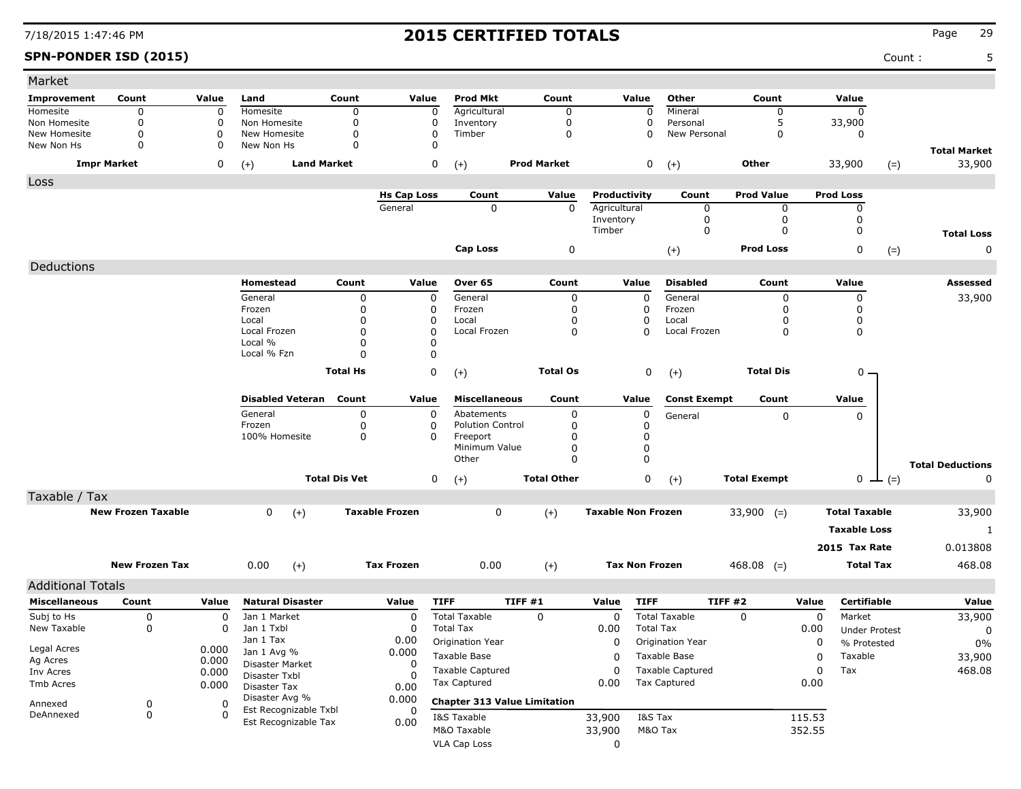### **SPN-PONDER ISD (2015)** Count : 5

| Market                       |                           |                |                                |                      |                       |                                     |                    |                           |                                                  |                            |        |                      |                         |
|------------------------------|---------------------------|----------------|--------------------------------|----------------------|-----------------------|-------------------------------------|--------------------|---------------------------|--------------------------------------------------|----------------------------|--------|----------------------|-------------------------|
| Improvement                  | Count                     | Value          | Land                           | Count                | Value                 | <b>Prod Mkt</b>                     | Count              | Value                     | Other                                            | Count                      |        | Value                |                         |
| Homesite                     | 0                         | 0              | Homesite                       | $\Omega$             | 0                     | Agricultural                        | $\mathbf 0$        |                           | Mineral                                          | 0                          |        | 0                    |                         |
| Non Homesite<br>New Homesite | 0<br>0                    | $\Omega$<br>0  | Non Homesite<br>New Homesite   | 0<br>$\mathbf 0$     | 0<br>0                | Inventory<br>Timber                 | 0<br>$\mathbf 0$   |                           | $\Omega$<br>Personal<br>$\Omega$<br>New Personal | 5<br>0                     |        | 33,900<br>0          |                         |
| New Non Hs                   | 0                         | 0              | New Non Hs                     | 0                    | 0                     |                                     |                    |                           |                                                  |                            |        |                      | <b>Total Market</b>     |
|                              | <b>Impr Market</b>        | 0              | <b>Land Market</b><br>$(+)$    |                      | 0                     | $(+)$                               | <b>Prod Market</b> |                           | 0<br>$(+)$                                       | Other                      |        | 33,900               | 33,900<br>$(=)$         |
| Loss                         |                           |                |                                |                      |                       |                                     |                    |                           |                                                  |                            |        |                      |                         |
|                              |                           |                |                                |                      | <b>Hs Cap Loss</b>    | Count                               | Value              | Productivity              | Count                                            | <b>Prod Value</b>          |        | <b>Prod Loss</b>     |                         |
|                              |                           |                |                                |                      | General               | 0                                   | $\mathbf 0$        | Agricultural<br>Inventory |                                                  | 0<br>0<br>$\mathbf 0$<br>0 |        | 0<br>0               |                         |
|                              |                           |                |                                |                      |                       |                                     |                    | Timber                    |                                                  | 0<br>0                     |        | 0                    | <b>Total Loss</b>       |
|                              |                           |                |                                |                      |                       | <b>Cap Loss</b>                     | 0                  |                           | $(+)$                                            | <b>Prod Loss</b>           |        | 0                    | 0<br>$(=)$              |
| Deductions                   |                           |                |                                |                      |                       |                                     |                    |                           |                                                  |                            |        |                      |                         |
|                              |                           |                | Homestead                      | Count                | Value                 | Over 65                             | Count              | Value                     | <b>Disabled</b>                                  | Count                      |        | Value                | Assessed                |
|                              |                           |                | General                        | 0                    | 0                     | General                             | 0                  |                           | General<br>0                                     | 0                          |        | 0                    | 33,900                  |
|                              |                           |                | Frozen                         | 0                    | 0                     | Frozen                              | 0                  |                           | 0<br>Frozen                                      | 0                          |        | 0                    |                         |
|                              |                           |                | Local                          | 0                    | 0                     | Local                               | 0                  |                           | 0<br>Local                                       | O                          |        | 0                    |                         |
|                              |                           |                | Local Frozen                   | 0                    | 0                     | Local Frozen                        | $\mathbf 0$        |                           | 0<br>Local Frozen                                | 0                          |        | 0                    |                         |
|                              |                           |                | Local %<br>Local % Fzn         | 0<br>0               | 0<br>0                |                                     |                    |                           |                                                  |                            |        |                      |                         |
|                              |                           |                |                                |                      |                       |                                     |                    |                           |                                                  |                            |        |                      |                         |
|                              |                           |                |                                | <b>Total Hs</b>      | 0                     | $(+)$                               | <b>Total Os</b>    |                           | 0<br>$(+)$                                       | <b>Total Dis</b>           |        | $0 -$                |                         |
|                              |                           |                | <b>Disabled Veteran</b>        | Count                | Value                 | <b>Miscellaneous</b>                | Count              | Value                     | <b>Const Exempt</b>                              | Count                      |        | Value                |                         |
|                              |                           |                | General                        | 0                    | 0                     | Abatements                          | 0                  |                           | 0<br>General                                     | 0                          |        | $\Omega$             |                         |
|                              |                           |                | Frozen                         | 0                    | 0                     | <b>Polution Control</b>             | 0                  |                           | $\Omega$                                         |                            |        |                      |                         |
|                              |                           |                | 100% Homesite                  | 0                    | $\Omega$              | Freeport                            | 0                  |                           | 0                                                |                            |        |                      |                         |
|                              |                           |                |                                |                      |                       | Minimum Value<br>Other              | 0<br>$\Omega$      |                           | 0<br>$\mathbf 0$                                 |                            |        |                      |                         |
|                              |                           |                |                                |                      |                       |                                     |                    |                           |                                                  |                            |        |                      | <b>Total Deductions</b> |
|                              |                           |                |                                | <b>Total Dis Vet</b> | 0                     | $(+)$                               | <b>Total Other</b> |                           | 0<br>$(+)$                                       | <b>Total Exempt</b>        |        | $0 \perp (=)$        | 0                       |
| Taxable / Tax                |                           |                |                                |                      |                       |                                     |                    |                           |                                                  |                            |        |                      |                         |
|                              | <b>New Frozen Taxable</b> |                | 0<br>$(+)$                     |                      | <b>Taxable Frozen</b> | 0                                   | $(+)$              | <b>Taxable Non Frozen</b> |                                                  | $33,900$ (=)               |        | <b>Total Taxable</b> | 33,900                  |
|                              |                           |                |                                |                      |                       |                                     |                    |                           |                                                  |                            |        | <b>Taxable Loss</b>  | 1                       |
|                              |                           |                |                                |                      |                       |                                     |                    |                           |                                                  |                            |        | 2015 Tax Rate        | 0.013808                |
|                              | <b>New Frozen Tax</b>     |                | 0.00<br>$(+)$                  |                      | <b>Tax Frozen</b>     | 0.00                                | $(+)$              | <b>Tax Non Frozen</b>     |                                                  | $468.08$ (=)               |        | <b>Total Tax</b>     | 468.08                  |
| <b>Additional Totals</b>     |                           |                |                                |                      |                       |                                     |                    |                           |                                                  |                            |        |                      |                         |
| <b>Miscellaneous</b>         | Count                     | Value          | <b>Natural Disaster</b>        |                      | Value                 | <b>TIFF</b>                         | TIFF #1            | Value                     | <b>TIFF</b>                                      | TIFF #2                    | Value  | <b>Certifiable</b>   | Value                   |
| Subj to Hs                   | 0                         | 0              | Jan 1 Market                   |                      | 0                     | <b>Total Taxable</b>                | 0                  | 0                         | <b>Total Taxable</b>                             | 0                          | 0      | Market               | 33,900                  |
| New Taxable                  | 0                         | 0              | Jan 1 Txbl                     |                      | 0                     | <b>Total Tax</b>                    |                    | 0.00                      | <b>Total Tax</b>                                 |                            | 0.00   | <b>Under Protest</b> | 0                       |
|                              |                           |                | Jan 1 Tax                      |                      | 0.00                  | Origination Year                    |                    | 0                         | Origination Year                                 |                            | 0      | % Protested          | 0%                      |
| Legal Acres                  |                           | 0.000          | Jan 1 Avg %                    |                      | 0.000                 | Taxable Base                        |                    | 0                         | Taxable Base                                     |                            | 0      | Taxable              | 33,900                  |
| Ag Acres<br>Inv Acres        |                           | 0.000<br>0.000 | Disaster Market                |                      | 0                     | Taxable Captured                    |                    | 0                         | Taxable Captured                                 |                            | 0      | Tax                  | 468.08                  |
| Tmb Acres                    |                           | 0.000          | Disaster Txbl                  |                      | $\Omega$              | <b>Tax Captured</b>                 |                    | 0.00                      | <b>Tax Captured</b>                              |                            | 0.00   |                      |                         |
|                              |                           |                | Disaster Tax<br>Disaster Avg % |                      | 0.00<br>0.000         |                                     |                    |                           |                                                  |                            |        |                      |                         |
| Annexed<br>DeAnnexed         | 0                         | 0<br>0         | Est Recognizable Txbl          |                      | 0                     | <b>Chapter 313 Value Limitation</b> |                    |                           |                                                  |                            |        |                      |                         |
|                              | 0                         |                | Est Recognizable Tax           |                      | 0.00                  | I&S Taxable                         |                    | 33,900                    | I&S Tax                                          |                            | 115.53 |                      |                         |
|                              |                           |                |                                |                      |                       | M&O Taxable                         |                    | 33,900                    | M&O Tax                                          |                            | 352.55 |                      |                         |
|                              |                           |                |                                |                      |                       | <b>VLA Cap Loss</b>                 |                    | 0                         |                                                  |                            |        |                      |                         |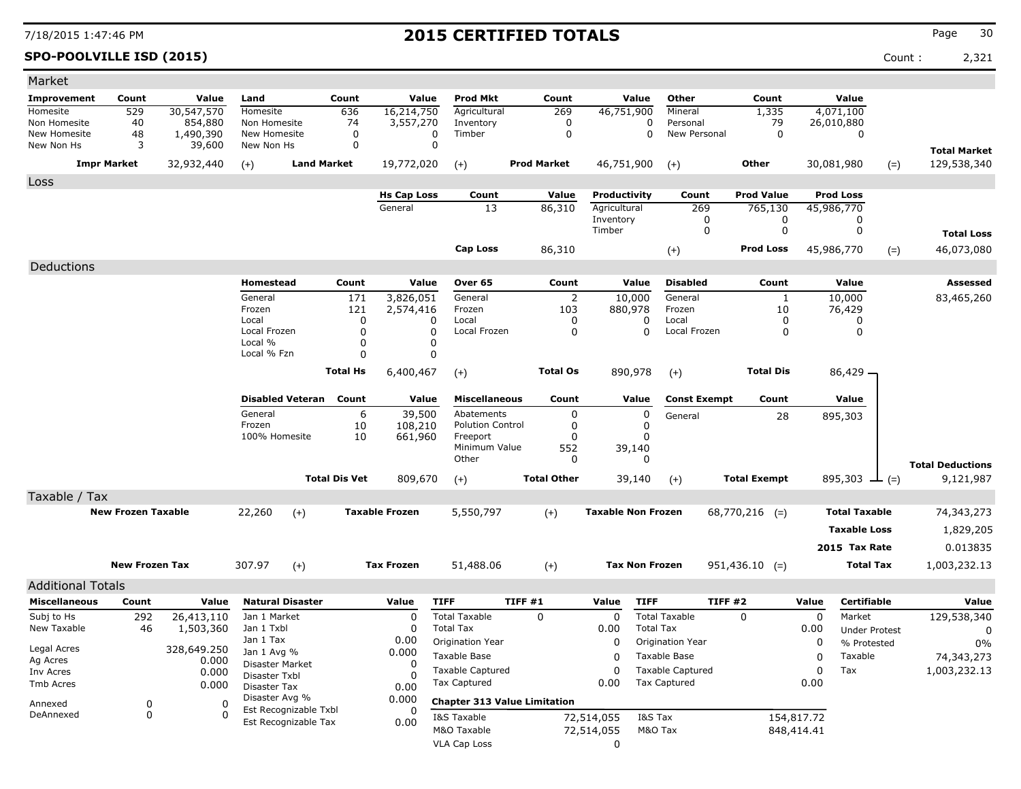**SPO-POOLVILLE ISD (2015)** Count : 2,321

| Market                                           |                           |                      |                                  |                                               |                      |                       |                                     |         |                       |                           |                       |                          |                     |            |                      |       |                         |
|--------------------------------------------------|---------------------------|----------------------|----------------------------------|-----------------------------------------------|----------------------|-----------------------|-------------------------------------|---------|-----------------------|---------------------------|-----------------------|--------------------------|---------------------|------------|----------------------|-------|-------------------------|
| Improvement                                      | Count                     | Value                | Land                             |                                               | Count                | Value                 | <b>Prod Mkt</b>                     |         | Count                 |                           | Value                 | <b>Other</b>             | Count               |            | Value                |       |                         |
| Homesite                                         | 529                       | 30,547,570           | Homesite                         |                                               | 636                  | 16,214,750            | Agricultural                        |         | 269                   | 46,751,900                |                       | Mineral                  | 1,335               |            | 4,071,100            |       |                         |
| Non Homesite<br>New Homesite                     | 40<br>48                  | 854,880<br>1,490,390 | Non Homesite<br>New Homesite     |                                               | 74<br>$\mathbf 0$    | 3,557,270<br>0        | Inventory<br>Timber                 |         | 0<br>0                |                           | 0<br>$\Omega$         | Personal<br>New Personal | 79<br>0             |            | 26,010,880<br>0      |       |                         |
| New Non Hs                                       | 3                         | 39,600               | New Non Hs                       |                                               | 0                    | 0                     |                                     |         |                       |                           |                       |                          |                     |            |                      |       | <b>Total Market</b>     |
| <b>Impr Market</b>                               |                           | 32,932,440           | $(+)$                            | <b>Land Market</b>                            |                      | 19,772,020            | $(+)$                               |         | <b>Prod Market</b>    | 46,751,900                |                       | $(+)$                    | <b>Other</b>        |            | 30,081,980           | $(=)$ | 129,538,340             |
| Loss                                             |                           |                      |                                  |                                               |                      |                       |                                     |         |                       |                           |                       |                          |                     |            |                      |       |                         |
|                                                  |                           |                      |                                  |                                               |                      | <b>Hs Cap Loss</b>    | Count                               |         | Value                 | Productivity              |                       | Count                    | <b>Prod Value</b>   |            | <b>Prod Loss</b>     |       |                         |
|                                                  |                           |                      |                                  |                                               |                      | General               | 13                                  |         | 86,310                | Agricultural              |                       | 269                      | 765,130             |            | 45,986,770           |       |                         |
|                                                  |                           |                      |                                  |                                               |                      |                       |                                     |         |                       | Inventory<br>Timber       |                       | 0<br>0                   | 0<br>0              |            | 0<br>0               |       |                         |
|                                                  |                           |                      |                                  |                                               |                      |                       |                                     |         |                       |                           |                       |                          |                     |            |                      |       | <b>Total Loss</b>       |
|                                                  |                           |                      |                                  |                                               |                      |                       | <b>Cap Loss</b>                     |         | 86,310                |                           |                       | $(+)$                    | <b>Prod Loss</b>    |            | 45,986,770           | $(=)$ | 46,073,080              |
| Deductions                                       |                           |                      |                                  |                                               |                      |                       |                                     |         |                       |                           |                       |                          |                     |            |                      |       |                         |
|                                                  |                           |                      | Homestead                        |                                               | Count                | Value                 | Over 65                             |         | Count                 |                           | Value                 | <b>Disabled</b>          | Count               |            | Value                |       | Assessed                |
|                                                  |                           |                      | General<br>Frozen                |                                               | 171<br>121           | 3,826,051             | General                             |         | $\overline{2}$<br>103 |                           | 10,000                | General<br>Frozen        | $\mathbf{1}$<br>10  |            | 10,000               |       | 83,465,260              |
|                                                  |                           |                      | Local                            |                                               | 0                    | 2,574,416<br>0        | Frozen<br>Local                     |         | 0                     |                           | 880,978<br>0          | Local                    | 0                   |            | 76,429<br>0          |       |                         |
|                                                  |                           |                      | Local Frozen                     |                                               | 0                    | 0                     | Local Frozen                        |         | 0                     |                           | 0                     | Local Frozen             | 0                   |            | 0                    |       |                         |
|                                                  |                           |                      | Local %<br>Local % Fzn           |                                               | 0<br>0               | 0<br>0                |                                     |         |                       |                           |                       |                          |                     |            |                      |       |                         |
|                                                  |                           |                      |                                  |                                               |                      |                       |                                     |         |                       |                           |                       |                          |                     |            |                      |       |                         |
|                                                  |                           |                      |                                  |                                               | <b>Total Hs</b>      | 6,400,467             | $(+)$                               |         | <b>Total Os</b>       |                           | 890,978               | $(+)$                    | <b>Total Dis</b>    |            | 86,429 -             |       |                         |
|                                                  |                           |                      |                                  | <b>Disabled Veteran</b>                       | Count                | Value                 | <b>Miscellaneous</b>                |         | Count                 |                           | Value                 | <b>Const Exempt</b>      | Count               |            | Value                |       |                         |
|                                                  |                           |                      | General                          |                                               | 6                    | 39,500                | Abatements                          |         | 0                     |                           | 0                     | General                  | 28                  |            | 895,303              |       |                         |
|                                                  |                           |                      | Frozen<br>100% Homesite          |                                               | 10<br>10             | 108,210<br>661,960    | <b>Polution Control</b><br>Freeport |         | $\Omega$<br>$\Omega$  |                           | 0<br>0                |                          |                     |            |                      |       |                         |
|                                                  |                           |                      |                                  |                                               |                      |                       | Minimum Value                       |         | 552                   |                           | 39,140                |                          |                     |            |                      |       |                         |
|                                                  |                           |                      |                                  |                                               |                      |                       | Other                               |         | 0                     |                           | 0                     |                          |                     |            |                      |       | <b>Total Deductions</b> |
|                                                  |                           |                      |                                  |                                               | <b>Total Dis Vet</b> | 809,670               | $(+)$                               |         | <b>Total Other</b>    |                           | 39,140                | $(+)$                    | <b>Total Exempt</b> |            | 895,303 $\perp$ (=)  |       | 9,121,987               |
| Taxable / Tax                                    |                           |                      |                                  |                                               |                      |                       |                                     |         |                       |                           |                       |                          |                     |            |                      |       |                         |
|                                                  | <b>New Frozen Taxable</b> |                      | 22,260                           | $(+)$                                         |                      | <b>Taxable Frozen</b> | 5,550,797                           |         | $(+)$                 | <b>Taxable Non Frozen</b> |                       |                          | $68,770,216$ (=)    |            | <b>Total Taxable</b> |       | 74,343,273              |
|                                                  |                           |                      |                                  |                                               |                      |                       |                                     |         |                       |                           |                       |                          |                     |            | <b>Taxable Loss</b>  |       | 1,829,205               |
|                                                  |                           |                      |                                  |                                               |                      |                       |                                     |         |                       |                           |                       |                          |                     |            | 2015 Tax Rate        |       | 0.013835                |
|                                                  | <b>New Frozen Tax</b>     |                      | 307.97                           | $(+)$                                         |                      | <b>Tax Frozen</b>     | 51,488.06                           |         | $(+)$                 |                           | <b>Tax Non Frozen</b> |                          | $951,436.10$ (=)    |            | <b>Total Tax</b>     |       | 1,003,232.13            |
|                                                  |                           |                      |                                  |                                               |                      |                       |                                     |         |                       |                           |                       |                          |                     |            |                      |       |                         |
| <b>Additional Totals</b><br><b>Miscellaneous</b> | Count                     | Value                |                                  | <b>Natural Disaster</b>                       |                      | Value                 | <b>TIFF</b>                         | TIFF #1 |                       | Value                     | <b>TIFF</b>           |                          | TIFF #2             | Value      | <b>Certifiable</b>   |       | Value                   |
| Subj to Hs                                       | 292                       | 26,413,110           | Jan 1 Market                     |                                               |                      | 0                     | <b>Total Taxable</b>                |         | 0                     | 0                         |                       | <b>Total Taxable</b>     | 0                   | 0          | Market               |       | 129,538,340             |
| New Taxable                                      | 46                        | 1,503,360            | Jan 1 Txbl                       |                                               |                      | O                     | <b>Total Tax</b>                    |         |                       | 0.00                      | <b>Total Tax</b>      |                          |                     | 0.00       | <b>Under Protest</b> |       | 0                       |
|                                                  |                           |                      | Jan 1 Tax                        |                                               |                      | 0.00                  | Origination Year                    |         |                       | 0                         |                       | Origination Year         |                     | 0          | % Protested          |       | $0\%$                   |
| Legal Acres<br>Ag Acres                          |                           | 328,649.250<br>0.000 | Jan 1 Avg %                      |                                               |                      | 0.000                 | Taxable Base                        |         |                       | 0                         |                       | Taxable Base             |                     | 0          | Taxable              |       | 74,343,273              |
| Inv Acres                                        |                           | 0.000                | Disaster Market<br>Disaster Txbl |                                               |                      | 0<br>$\Omega$         | <b>Taxable Captured</b>             |         |                       | 0                         |                       | <b>Taxable Captured</b>  |                     | 0          | Tax                  |       | 1,003,232.13            |
| Tmb Acres                                        |                           | 0.000                | Disaster Tax                     |                                               |                      | 0.00                  | <b>Tax Captured</b>                 |         |                       | 0.00                      |                       | <b>Tax Captured</b>      |                     | 0.00       |                      |       |                         |
| Annexed                                          | 0                         | 0                    | Disaster Avg %                   |                                               |                      | 0.000                 | <b>Chapter 313 Value Limitation</b> |         |                       |                           |                       |                          |                     |            |                      |       |                         |
| DeAnnexed                                        | 0                         | $\Omega$             |                                  | Est Recognizable Txbl<br>Est Recognizable Tax |                      | 0.00                  | I&S Taxable                         |         |                       | 72,514,055                | I&S Tax               |                          |                     | 154,817.72 |                      |       |                         |
|                                                  |                           |                      |                                  |                                               |                      |                       | M&O Taxable                         |         |                       | 72,514,055                | M&O Tax               |                          |                     | 848,414.41 |                      |       |                         |
|                                                  |                           |                      |                                  |                                               |                      |                       | <b>VLA Cap Loss</b>                 |         |                       | 0                         |                       |                          |                     |            |                      |       |                         |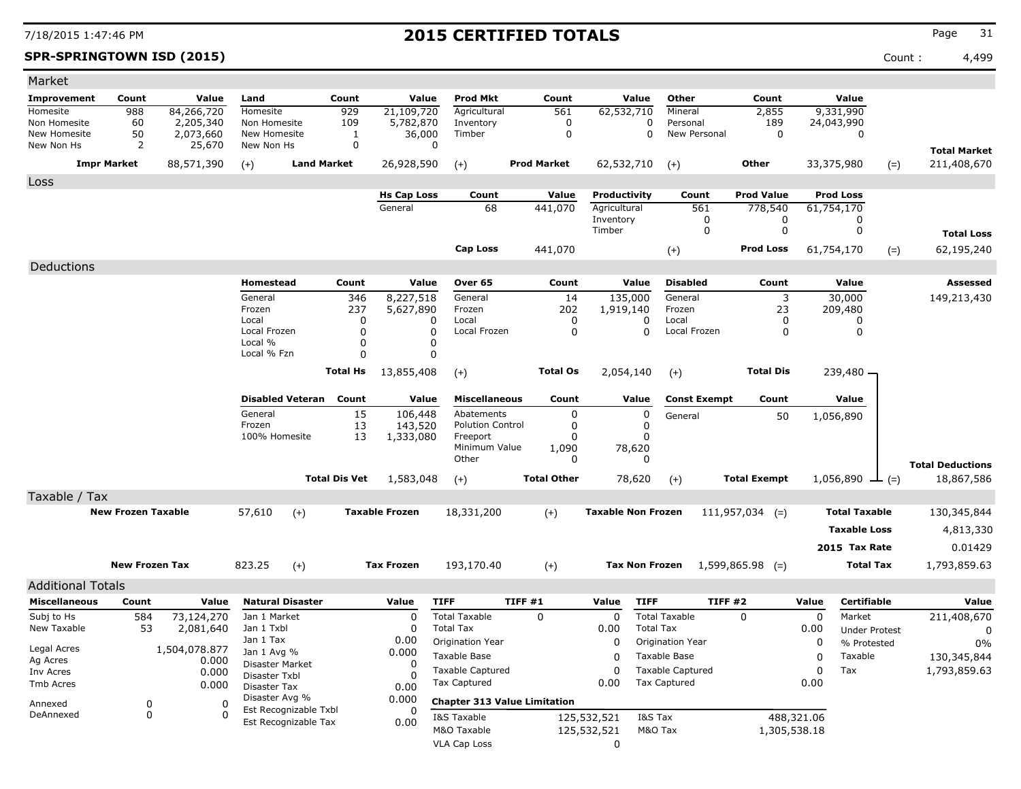**SPR-SPRINGTOWN ISD (2015)** Count : 4,499

| Market                                           |                           |                        |                                  |                                               |                      |                       |                                     |        |                      |                           |                  |                          |                     |              |                       |       |                         |
|--------------------------------------------------|---------------------------|------------------------|----------------------------------|-----------------------------------------------|----------------------|-----------------------|-------------------------------------|--------|----------------------|---------------------------|------------------|--------------------------|---------------------|--------------|-----------------------|-------|-------------------------|
| Improvement                                      | Count                     | Value                  | Land                             |                                               | Count                | Value                 | <b>Prod Mkt</b>                     |        | Count                |                           | Value            | <b>Other</b>             | Count               |              | Value                 |       |                         |
| Homesite                                         | 988                       | 84,266,720             | Homesite                         |                                               | 929                  | 21,109,720            | Agricultural                        |        | 561                  | 62,532,710                |                  | Mineral                  | 2,855               |              | 9,331,990             |       |                         |
| Non Homesite<br>New Homesite                     | 60<br>50                  | 2,205,340<br>2,073,660 | Non Homesite<br>New Homesite     |                                               | 109<br>1             | 5,782,870<br>36,000   | Inventory<br>Timber                 |        | 0<br>0               |                           | 0<br>$\Omega$    | Personal<br>New Personal | 189<br>0            |              | 24,043,990<br>0       |       |                         |
| New Non Hs                                       | 2                         | 25,670                 | New Non Hs                       |                                               | 0                    | 0                     |                                     |        |                      |                           |                  |                          |                     |              |                       |       | <b>Total Market</b>     |
|                                                  | <b>Impr Market</b>        | 88,571,390             | $(+)$                            | <b>Land Market</b>                            |                      | 26,928,590            | $(+)$                               |        | <b>Prod Market</b>   | 62,532,710                |                  | $(+)$                    | Other               |              | 33,375,980            | $(=)$ | 211,408,670             |
| Loss                                             |                           |                        |                                  |                                               |                      |                       |                                     |        |                      |                           |                  |                          |                     |              |                       |       |                         |
|                                                  |                           |                        |                                  |                                               |                      | <b>Hs Cap Loss</b>    | Count                               |        | Value                | Productivity              |                  | Count                    | <b>Prod Value</b>   |              | <b>Prod Loss</b>      |       |                         |
|                                                  |                           |                        |                                  |                                               |                      | General               | 68                                  |        | 441,070              | Agricultural              |                  | 561                      | 778,540             |              | 61,754,170            |       |                         |
|                                                  |                           |                        |                                  |                                               |                      |                       |                                     |        |                      | Inventory<br>Timber       |                  | 0<br>0                   | 0<br>0              |              | 0<br>0                |       |                         |
|                                                  |                           |                        |                                  |                                               |                      |                       |                                     |        |                      |                           |                  |                          |                     |              |                       |       | <b>Total Loss</b>       |
|                                                  |                           |                        |                                  |                                               |                      |                       | <b>Cap Loss</b>                     |        | 441,070              |                           |                  | $(+)$                    | <b>Prod Loss</b>    |              | 61,754,170            | $(=)$ | 62,195,240              |
| Deductions                                       |                           |                        |                                  |                                               |                      |                       |                                     |        |                      |                           |                  |                          |                     |              |                       |       |                         |
|                                                  |                           |                        | Homestead                        |                                               | Count                | Value                 | Over 65                             |        | Count                |                           | Value            | <b>Disabled</b>          | Count               |              | Value                 |       | Assessed                |
|                                                  |                           |                        | General<br>Frozen                |                                               | 346                  | 8,227,518             | General                             |        | 14                   | 135,000                   |                  | General                  | 3                   |              | 30,000                |       | 149,213,430             |
|                                                  |                           |                        | Local                            |                                               | 237<br>0             | 5,627,890<br>0        | Frozen<br>Local                     |        | 202<br>$\Omega$      | 1,919,140                 | 0                | Frozen<br>Local          | 23<br>0             |              | 209,480<br>0          |       |                         |
|                                                  |                           |                        | Local Frozen                     |                                               | 0                    | <sup>0</sup>          | Local Frozen                        |        | $\mathbf 0$          |                           | $\Omega$         | Local Frozen             | 0                   |              | 0                     |       |                         |
|                                                  |                           |                        | Local %<br>Local % Fzn           |                                               | 0<br>0               |                       |                                     |        |                      |                           |                  |                          |                     |              |                       |       |                         |
|                                                  |                           |                        |                                  |                                               |                      |                       |                                     |        |                      |                           |                  |                          |                     |              |                       |       |                         |
|                                                  |                           |                        |                                  |                                               | <b>Total Hs</b>      | 13,855,408            | $(+)$                               |        | <b>Total Os</b>      | 2,054,140                 |                  | $(+)$                    | <b>Total Dis</b>    |              | 239,480 -             |       |                         |
|                                                  |                           |                        |                                  | <b>Disabled Veteran</b>                       | Count                | Value                 | <b>Miscellaneous</b>                |        | Count                |                           | Value            | <b>Const Exempt</b>      | Count               |              | Value                 |       |                         |
|                                                  |                           |                        | General                          |                                               | 15                   | 106,448               | Abatements                          |        | 0                    |                           | 0                | General                  | 50                  |              | 1,056,890             |       |                         |
|                                                  |                           |                        | Frozen<br>100% Homesite          |                                               | 13<br>13             | 143,520<br>1,333,080  | <b>Polution Control</b><br>Freeport |        | $\Omega$<br>$\Omega$ |                           | 0<br>$\Omega$    |                          |                     |              |                       |       |                         |
|                                                  |                           |                        |                                  |                                               |                      |                       | Minimum Value                       |        | 1,090                | 78,620                    |                  |                          |                     |              |                       |       |                         |
|                                                  |                           |                        |                                  |                                               |                      |                       | Other                               |        | 0                    |                           | 0                |                          |                     |              |                       |       | <b>Total Deductions</b> |
|                                                  |                           |                        |                                  |                                               | <b>Total Dis Vet</b> | 1,583,048             | $(+)$                               |        | <b>Total Other</b>   | 78,620                    |                  | $(+)$                    | <b>Total Exempt</b> |              | 1,056,890 $\perp$ (=) |       | 18,867,586              |
| Taxable / Tax                                    |                           |                        |                                  |                                               |                      |                       |                                     |        |                      |                           |                  |                          |                     |              |                       |       |                         |
|                                                  | <b>New Frozen Taxable</b> |                        | 57,610                           | $(+)$                                         |                      | <b>Taxable Frozen</b> | 18,331,200                          |        | $(+)$                | <b>Taxable Non Frozen</b> |                  |                          | $111,957,034$ (=)   |              | <b>Total Taxable</b>  |       | 130,345,844             |
|                                                  |                           |                        |                                  |                                               |                      |                       |                                     |        |                      |                           |                  |                          |                     |              | <b>Taxable Loss</b>   |       | 4,813,330               |
|                                                  |                           |                        |                                  |                                               |                      |                       |                                     |        |                      |                           |                  |                          |                     |              | 2015 Tax Rate         |       | 0.01429                 |
|                                                  | <b>New Frozen Tax</b>     |                        | 823.25                           | $(+)$                                         |                      | <b>Tax Frozen</b>     | 193,170.40                          |        | $(+)$                | <b>Tax Non Frozen</b>     |                  |                          | $1,599,865.98$ (=)  |              | <b>Total Tax</b>      |       | 1,793,859.63            |
|                                                  |                           |                        |                                  |                                               |                      |                       |                                     |        |                      |                           |                  |                          |                     |              |                       |       |                         |
| <b>Additional Totals</b><br><b>Miscellaneous</b> | Count                     | Value                  |                                  | <b>Natural Disaster</b>                       |                      | Value                 | <b>TIFF</b>                         | TIFF#1 |                      | Value                     | <b>TIFF</b>      | TIFF #2                  |                     | Value        | <b>Certifiable</b>    |       | Value                   |
| Subj to Hs                                       | 584                       | 73,124,270             | Jan 1 Market                     |                                               |                      | $\Omega$              | <b>Total Taxable</b>                |        | 0                    | 0                         |                  | <b>Total Taxable</b>     | 0                   | 0            | Market                |       | 211,408,670             |
| New Taxable                                      | 53                        | 2,081,640              | Jan 1 Txbl                       |                                               |                      | O                     | <b>Total Tax</b>                    |        |                      | 0.00                      | <b>Total Tax</b> |                          |                     | 0.00         | <b>Under Protest</b>  |       | 0                       |
|                                                  |                           |                        | Jan 1 Tax                        |                                               |                      | 0.00                  | Origination Year                    |        |                      | 0                         |                  | Origination Year         |                     | 0            | % Protested           |       | 0%                      |
| Legal Acres<br>Ag Acres                          |                           | 1,504,078.877<br>0.000 | Jan 1 Avg %                      |                                               |                      | 0.000                 | Taxable Base                        |        |                      | 0                         |                  | Taxable Base             |                     | 0            | Taxable               |       | 130,345,844             |
| Inv Acres                                        |                           | 0.000                  | Disaster Market<br>Disaster Txbl |                                               |                      | $\Omega$              | <b>Taxable Captured</b>             |        |                      | 0                         |                  | <b>Taxable Captured</b>  |                     | 0            | Tax                   |       | 1,793,859.63            |
| Tmb Acres                                        |                           | 0.000                  | Disaster Tax                     |                                               |                      | 0.00                  | <b>Tax Captured</b>                 |        |                      | 0.00                      |                  | <b>Tax Captured</b>      |                     | 0.00         |                       |       |                         |
| Annexed                                          | 0                         | 0                      | Disaster Avg %                   |                                               |                      | 0.000                 | <b>Chapter 313 Value Limitation</b> |        |                      |                           |                  |                          |                     |              |                       |       |                         |
| DeAnnexed                                        | 0                         | $\Omega$               |                                  | Est Recognizable Txbl<br>Est Recognizable Tax |                      | 0.00                  | I&S Taxable                         |        |                      | 125,532,521               | I&S Tax          |                          |                     | 488,321.06   |                       |       |                         |
|                                                  |                           |                        |                                  |                                               |                      |                       | M&O Taxable                         |        |                      | 125,532,521               | M&O Tax          |                          |                     | 1,305,538.18 |                       |       |                         |
|                                                  |                           |                        |                                  |                                               |                      |                       | <b>VLA Cap Loss</b>                 |        |                      | 0                         |                  |                          |                     |              |                       |       |                         |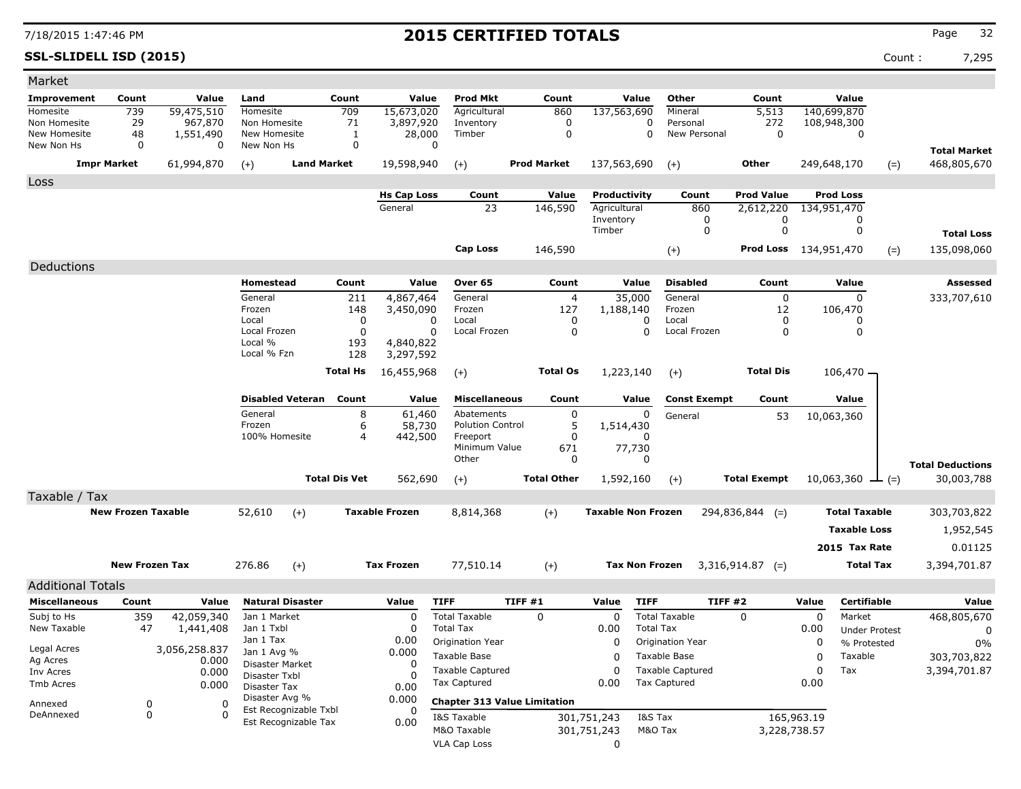**SSL-SLIDELL ISD (2015)** Count : 7,295

| Market                     |                           |                         |                                      |                               |                      |                       |                                          |                    |                    |                           |                    |                         |                     |             |                                |       |                         |
|----------------------------|---------------------------|-------------------------|--------------------------------------|-------------------------------|----------------------|-----------------------|------------------------------------------|--------------------|--------------------|---------------------------|--------------------|-------------------------|---------------------|-------------|--------------------------------|-------|-------------------------|
| <b>Improvement</b>         | Count                     | Value                   | Land                                 |                               | Count                | Value                 | <b>Prod Mkt</b>                          |                    | Count              |                           | Value              | Other                   | Count               |             | Value                          |       |                         |
| Homesite                   | 739                       | 59,475,510              | Homesite                             |                               | 709                  | 15,673,020            | Agricultural                             |                    | 860                | 137,563,690               |                    | Mineral                 | 5,513               |             | 140,699,870                    |       |                         |
| Non Homesite               | 29                        | 967,870                 | Non Homesite                         |                               | 71                   | 3,897,920             | Inventory                                |                    | 0                  |                           | 0                  | Personal                | 272                 |             | 108,948,300                    |       |                         |
| New Homesite<br>New Non Hs | 48<br>0                   | 1,551,490<br>0          | New Homesite<br>New Non Hs           |                               | 1<br>0               | 28,000<br>0           | Timber                                   |                    | $\mathbf 0$        |                           | 0                  | New Personal            | 0                   |             | 0                              |       |                         |
|                            |                           |                         |                                      |                               |                      |                       |                                          |                    |                    |                           |                    |                         |                     |             |                                |       | <b>Total Market</b>     |
|                            | <b>Impr Market</b>        | 61,994,870              | $(+)$                                | <b>Land Market</b>            |                      | 19,598,940            | $(+)$                                    | <b>Prod Market</b> |                    | 137,563,690               |                    | $(+)$                   | Other               |             | 249,648,170                    | $(=)$ | 468,805,670             |
| Loss                       |                           |                         |                                      |                               |                      |                       |                                          |                    |                    |                           |                    |                         |                     |             |                                |       |                         |
|                            |                           |                         |                                      |                               |                      | <b>Hs Cap Loss</b>    | Count                                    |                    | Value              | Productivity              |                    | Count                   | Prod Value          |             | <b>Prod Loss</b>               |       |                         |
|                            |                           |                         |                                      |                               |                      | General               | 23                                       |                    | 146,590            | Agricultural              |                    | 860                     | 2,612,220           |             | 134,951,470                    |       |                         |
|                            |                           |                         |                                      |                               |                      |                       |                                          |                    |                    | Inventory<br>Timber       |                    | 0<br>0                  | 0<br>$\mathbf 0$    |             | 0<br>0                         |       |                         |
|                            |                           |                         |                                      |                               |                      |                       |                                          |                    |                    |                           |                    |                         |                     |             |                                |       | <b>Total Loss</b>       |
|                            |                           |                         |                                      |                               |                      |                       | <b>Cap Loss</b>                          |                    | 146,590            |                           |                    | $(+)$                   | <b>Prod Loss</b>    | 134,951,470 |                                | $(=)$ | 135,098,060             |
| Deductions                 |                           |                         |                                      |                               |                      |                       |                                          |                    |                    |                           |                    |                         |                     |             |                                |       |                         |
|                            |                           |                         | Homestead                            |                               | Count                | Value                 | Over 65                                  |                    | Count              |                           | Value              | <b>Disabled</b>         | Count               |             | Value                          |       | Assessed                |
|                            |                           |                         | General                              |                               | 211                  | 4,867,464             | General                                  |                    | $\overline{4}$     | 35,000                    |                    | General                 | 0                   |             | $\mathbf 0$                    |       | 333,707,610             |
|                            |                           |                         | Frozen                               |                               | 148                  | 3,450,090             | Frozen                                   |                    | 127                | 1,188,140                 |                    | Frozen                  | 12                  |             | 106,470                        |       |                         |
|                            |                           |                         | Local<br>Local Frozen                |                               | 0<br>0               | 0<br>0                | Local<br>Local Frozen                    |                    | 0<br>$\mathbf 0$   |                           | 0<br>0             | Local<br>Local Frozen   | 0<br>0              |             | 0<br>0                         |       |                         |
|                            |                           |                         | Local %                              |                               | 193                  | 4,840,822             |                                          |                    |                    |                           |                    |                         |                     |             |                                |       |                         |
|                            |                           |                         | Local % Fzn                          |                               | 128                  | 3,297,592             |                                          |                    |                    |                           |                    |                         |                     |             |                                |       |                         |
|                            |                           |                         |                                      |                               | <b>Total Hs</b>      | 16,455,968            | $(+)$                                    |                    | <b>Total Os</b>    | 1,223,140                 |                    | $(+)$                   | <b>Total Dis</b>    |             | $106,470 -$                    |       |                         |
|                            |                           |                         |                                      |                               |                      |                       |                                          |                    |                    |                           |                    |                         |                     |             |                                |       |                         |
|                            |                           |                         |                                      | <b>Disabled Veteran</b> Count |                      | Value                 | <b>Miscellaneous</b>                     |                    | Count              |                           | Value              | <b>Const Exempt</b>     | Count               |             | Value                          |       |                         |
|                            |                           |                         | General                              |                               | 8                    | 61,460                | Abatements                               |                    | 0                  |                           | 0                  | General                 | 53                  |             | 10,063,360                     |       |                         |
|                            |                           |                         | Frozen                               |                               | 6                    | 58,730                | <b>Polution Control</b>                  |                    | 5                  | 1,514,430                 |                    |                         |                     |             |                                |       |                         |
|                            |                           |                         | 100% Homesite                        |                               | 4                    | 442,500               | Freeport<br>Minimum Value                |                    | 0<br>671           | 77,730                    | $\Omega$           |                         |                     |             |                                |       |                         |
|                            |                           |                         |                                      |                               |                      |                       | Other                                    |                    | 0                  |                           | 0                  |                         |                     |             |                                |       | <b>Total Deductions</b> |
|                            |                           |                         |                                      |                               | <b>Total Dis Vet</b> | 562,690               | $(+)$                                    |                    | <b>Total Other</b> | 1,592,160                 |                    | $(+)$                   | <b>Total Exempt</b> |             | 10,063,360 $\perp$ (=)         |       | 30,003,788              |
| Taxable / Tax              |                           |                         |                                      |                               |                      |                       |                                          |                    |                    |                           |                    |                         |                     |             |                                |       |                         |
|                            | <b>New Frozen Taxable</b> |                         | 52,610                               |                               |                      | <b>Taxable Frozen</b> |                                          |                    |                    |                           |                    |                         |                     |             | <b>Total Taxable</b>           |       |                         |
|                            |                           |                         |                                      | $(+)$                         |                      |                       | 8,814,368                                |                    | $(+)$              | <b>Taxable Non Frozen</b> |                    |                         | $294,836,844$ (=)   |             |                                |       | 303,703,822             |
|                            |                           |                         |                                      |                               |                      |                       |                                          |                    |                    |                           |                    |                         |                     |             | <b>Taxable Loss</b>            |       | 1,952,545               |
|                            |                           |                         |                                      |                               |                      |                       |                                          |                    |                    |                           |                    |                         |                     |             | 2015 Tax Rate                  |       | 0.01125                 |
|                            | <b>New Frozen Tax</b>     |                         | 276.86                               | $(+)$                         |                      | <b>Tax Frozen</b>     | 77,510.14                                |                    | $(+)$              | <b>Tax Non Frozen</b>     |                    |                         | $3,316,914.87$ (=)  |             | <b>Total Tax</b>               |       | 3,394,701.87            |
|                            |                           |                         |                                      |                               |                      |                       |                                          |                    |                    |                           |                    |                         |                     |             |                                |       |                         |
| <b>Additional Totals</b>   |                           |                         |                                      |                               |                      |                       |                                          |                    |                    |                           |                    |                         |                     |             |                                |       |                         |
| <b>Miscellaneous</b>       | Count                     | Value                   | <b>Natural Disaster</b>              |                               |                      | Value<br>$\Omega$     | <b>TIFF</b>                              | <b>TIFF #1</b>     |                    | Value                     | <b>TIFF</b>        | TIFF #2                 |                     | Value       | <b>Certifiable</b>             |       | Value                   |
| Subj to Hs<br>New Taxable  | 359<br>47                 | 42,059,340<br>1,441,408 | Jan 1 Market<br>Jan 1 Txbl           |                               |                      | $\Omega$              | <b>Total Taxable</b><br><b>Total Tax</b> | 0                  |                    | 0<br>0.00                 | <b>Total Tax</b>   | <b>Total Taxable</b>    | 0                   | 0<br>0.00   | Market<br><b>Under Protest</b> |       | 468,805,670<br>0        |
|                            |                           |                         | Jan 1 Tax                            |                               |                      | 0.00                  | Origination Year                         |                    |                    | 0                         |                    | Origination Year        |                     | 0           | % Protested                    |       | 0%                      |
| Legal Acres                |                           | 3,056,258.837           | Jan 1 Avg %                          |                               |                      | 0.000                 | Taxable Base                             |                    |                    | 0                         |                    | Taxable Base            |                     | 0           | Taxable                        |       | 303,703,822             |
| Ag Acres<br>Inv Acres      |                           | 0.000<br>0.000          | Disaster Market                      |                               |                      | $\Omega$              | <b>Taxable Captured</b>                  |                    |                    | 0                         |                    | <b>Taxable Captured</b> |                     | 0           | Tax                            |       | 3,394,701.87            |
| Tmb Acres                  |                           | 0.000                   | Disaster Txbl<br><b>Disaster Tax</b> |                               |                      | 0.00                  | Tax Captured                             |                    |                    | 0.00                      |                    | <b>Tax Captured</b>     |                     | 0.00        |                                |       |                         |
|                            |                           |                         | Disaster Avg %                       |                               |                      | 0.000                 | <b>Chapter 313 Value Limitation</b>      |                    |                    |                           |                    |                         |                     |             |                                |       |                         |
| Annexed<br>DeAnnexed       | 0<br>0                    | 0<br>0                  |                                      | Est Recognizable Txbl         |                      |                       |                                          |                    |                    |                           |                    |                         |                     |             |                                |       |                         |
|                            |                           |                         |                                      | Est Recognizable Tax          |                      | 0.00                  | I&S Taxable<br>M&O Taxable               |                    |                    | 301,751,243               | I&S Tax<br>M&O Tax |                         | 3,228,738.57        | 165,963.19  |                                |       |                         |
|                            |                           |                         |                                      |                               |                      |                       | <b>VLA Cap Loss</b>                      |                    |                    | 301,751,243<br>0          |                    |                         |                     |             |                                |       |                         |
|                            |                           |                         |                                      |                               |                      |                       |                                          |                    |                    |                           |                    |                         |                     |             |                                |       |                         |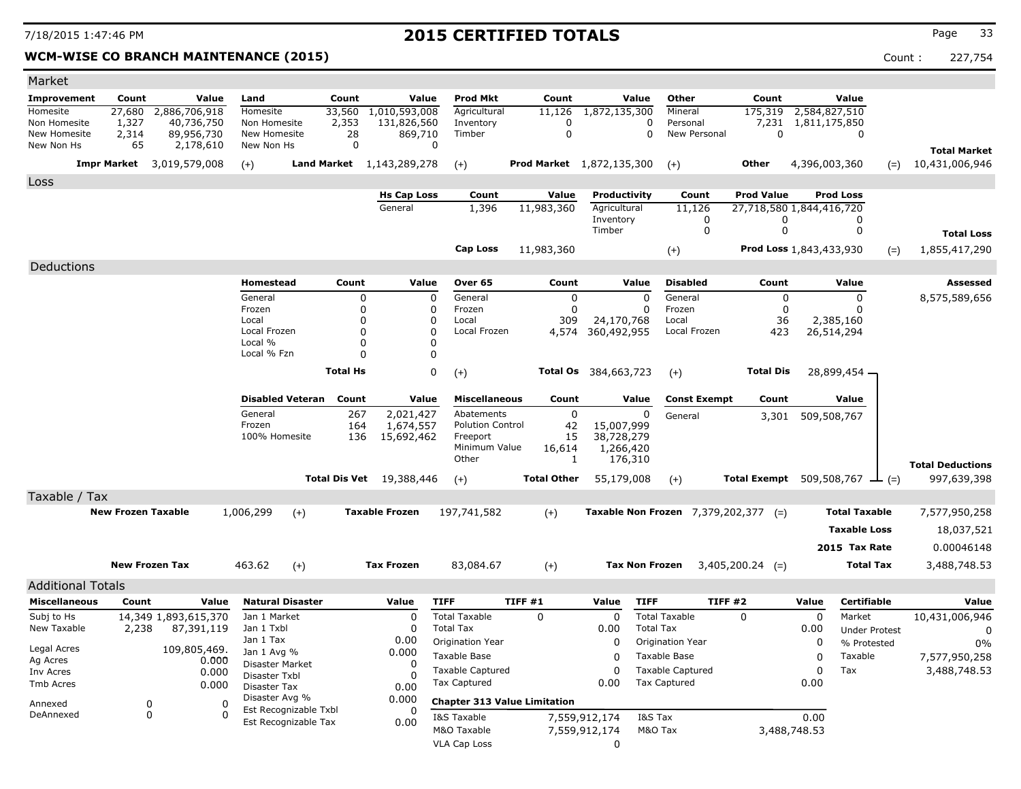### **WCM-WISE CO BRANCH MAINTENANCE (2015)** Count : 227,754

| Market                       |                           |                          |                                |                         |                 |                                  |                                         |                                     |                                |                       |                                                |                          |                      |                                             |                         |
|------------------------------|---------------------------|--------------------------|--------------------------------|-------------------------|-----------------|----------------------------------|-----------------------------------------|-------------------------------------|--------------------------------|-----------------------|------------------------------------------------|--------------------------|----------------------|---------------------------------------------|-------------------------|
| <b>Improvement</b>           | Count                     | Value                    | Land                           |                         | Count           | Value                            | Prod Mkt                                | Count                               |                                | Value                 | <b>Other</b>                                   | Count                    |                      | Value                                       |                         |
| Homesite                     | 27,680                    | 2,886,706,918            | Homesite                       |                         | 33,560          | 1,010,593,008                    | Agricultural                            | 11,126                              | 1,872,135,300                  |                       | Mineral                                        | 175,319                  | 2,584,827,510        |                                             |                         |
| Non Homesite<br>New Homesite | 1,327<br>2,314            | 40,736,750<br>89,956,730 | Non Homesite<br>New Homesite   |                         | 2,353<br>28     | 131,826,560<br>869,710           | Inventory<br>Timber                     | $\Omega$<br>$\mathbf 0$             |                                | 0<br>$\Omega$         | Personal<br>New Personal                       | 0                        | 7,231 1,811,175,850  | 0                                           |                         |
| New Non Hs                   | 65                        | 2,178,610                | New Non Hs                     |                         | $\mathbf 0$     | $\mathbf 0$                      |                                         |                                     |                                |                       |                                                |                          |                      |                                             | <b>Total Market</b>     |
|                              | <b>Impr Market</b>        | 3,019,579,008            | $(+)$                          |                         |                 | <b>Land Market</b> 1,143,289,278 | $(+)$                                   | <b>Prod Market</b> 1,872,135,300    |                                |                       | $(+)$                                          | <b>Other</b>             | 4,396,003,360        | $(=)$                                       | 10,431,006,946          |
| Loss                         |                           |                          |                                |                         |                 |                                  |                                         |                                     |                                |                       |                                                |                          |                      |                                             |                         |
|                              |                           |                          |                                |                         |                 | <b>Hs Cap Loss</b>               | Count                                   | Value                               |                                | Productivity          | Count                                          | <b>Prod Value</b>        |                      | <b>Prod Loss</b>                            |                         |
|                              |                           |                          |                                |                         |                 | General                          | 1,396                                   | 11,983,360                          | Agricultural                   |                       | 11,126                                         | 27,718,580 1,844,416,720 |                      |                                             |                         |
|                              |                           |                          |                                |                         |                 |                                  |                                         |                                     | Inventory                      |                       | 0                                              | 0                        |                      | 0                                           |                         |
|                              |                           |                          |                                |                         |                 |                                  |                                         |                                     | Timber                         |                       | 0                                              | $\Omega$                 |                      | 0                                           | <b>Total Loss</b>       |
|                              |                           |                          |                                |                         |                 |                                  | Cap Loss                                | 11,983,360                          |                                |                       | $^{(+)}$                                       | Prod Loss 1,843,433,930  |                      | $(=)$                                       | 1,855,417,290           |
| Deductions                   |                           |                          |                                |                         |                 |                                  |                                         |                                     |                                |                       |                                                |                          |                      |                                             |                         |
|                              |                           |                          | Homestead                      |                         | Count           | Value                            | Over 65                                 | Count                               |                                | Value                 | <b>Disabled</b>                                | Count                    |                      | Value                                       | Assessed                |
|                              |                           |                          | General                        |                         | 0               | $\mathbf 0$                      | General                                 |                                     | $\mathbf 0$                    | $\Omega$              | General                                        | $\mathbf 0$              |                      | $\mathbf 0$                                 | 8,575,589,656           |
|                              |                           |                          | Frozen                         |                         | 0               | 0                                | Frozen                                  |                                     | $\mathbf 0$                    | $\Omega$              | Frozen                                         | $\mathbf 0$              |                      | O                                           |                         |
|                              |                           |                          | Local<br>Local Frozen          |                         | 0<br>0          | $\Omega$<br>$\Omega$             | Local<br>Local Frozen                   | 309<br>4,574                        | 24,170,768<br>360,492,955      |                       | Local<br>Local Frozen                          | 36<br>423                |                      | 2,385,160<br>26,514,294                     |                         |
|                              |                           |                          | Local %                        |                         | $\Omega$        | $\Omega$                         |                                         |                                     |                                |                       |                                                |                          |                      |                                             |                         |
|                              |                           |                          | Local % Fzn                    |                         | $\Omega$        | $\mathbf 0$                      |                                         |                                     |                                |                       |                                                |                          |                      |                                             |                         |
|                              |                           |                          |                                |                         | <b>Total Hs</b> | 0                                | $(+)$                                   |                                     | Total Os 384,663,723           |                       | $(+)$                                          | <b>Total Dis</b>         |                      | 28,899,454 -                                |                         |
|                              |                           |                          |                                |                         |                 |                                  |                                         |                                     |                                |                       |                                                |                          |                      |                                             |                         |
|                              |                           |                          |                                | <b>Disabled Veteran</b> | Count           | Value                            | <b>Miscellaneous</b>                    | Count                               |                                | Value                 | <b>Const Exempt</b>                            | Count                    |                      | Value                                       |                         |
|                              |                           |                          | General<br>Frozen              |                         | 267<br>164      | 2,021,427                        | Abatements<br><b>Polution Control</b>   | 42                                  | 0<br>15,007,999                | 0                     | General                                        | 3,301                    |                      | 509,508,767                                 |                         |
|                              |                           |                          | 100% Homesite                  |                         | 136             | 1,674,557<br>15,692,462          | Freeport                                | 15                                  | 38,728,279                     |                       |                                                |                          |                      |                                             |                         |
|                              |                           |                          |                                |                         |                 |                                  | Minimum Value                           | 16,614                              |                                | 1,266,420             |                                                |                          |                      |                                             |                         |
|                              |                           |                          |                                |                         |                 |                                  | Other                                   |                                     | 1                              | 176,310               |                                                |                          |                      |                                             | <b>Total Deductions</b> |
|                              |                           |                          |                                | <b>Total Dis Vet</b>    |                 | 19,388,446                       | $(+)$                                   | <b>Total Other</b>                  |                                | 55,179,008            | $(+)$                                          |                          |                      | <b>Total Exempt</b> 509,508,767 $\perp$ (=) | 997,639,398             |
| Taxable / Tax                |                           |                          |                                |                         |                 |                                  |                                         |                                     |                                |                       |                                                |                          |                      |                                             |                         |
|                              | <b>New Frozen Taxable</b> |                          | 1,006,299                      | $(+)$                   |                 | <b>Taxable Frozen</b>            | 197,741,582                             | $(+)$                               |                                |                       | Taxable Non Frozen $7,379,202,377$ (=)         |                          |                      | <b>Total Taxable</b>                        | 7,577,950,258           |
|                              |                           |                          |                                |                         |                 |                                  |                                         |                                     |                                |                       |                                                |                          |                      | <b>Taxable Loss</b>                         | 18,037,521              |
|                              |                           |                          |                                |                         |                 |                                  |                                         |                                     |                                |                       |                                                |                          |                      | 2015 Tax Rate                               | 0.00046148              |
|                              | <b>New Frozen Tax</b>     |                          | 463.62                         |                         |                 | <b>Tax Frozen</b>                |                                         |                                     |                                | <b>Tax Non Frozen</b> |                                                |                          |                      | <b>Total Tax</b>                            |                         |
|                              |                           |                          |                                | $(+)$                   |                 |                                  | 83,084.67                               | $(+)$                               |                                |                       |                                                | $3,405,200.24$ (=)       |                      |                                             | 3,488,748.53            |
| <b>Additional Totals</b>     |                           |                          |                                |                         |                 |                                  |                                         |                                     |                                |                       |                                                |                          |                      |                                             |                         |
| <b>Miscellaneous</b>         | Count                     | Value                    |                                | <b>Natural Disaster</b> |                 | Value                            | <b>TIFF</b>                             | TIFF #1                             | Value                          | <b>TIFF</b>           | TIFF#2                                         |                          | Value                | <b>Certifiable</b>                          | Value                   |
| Subj to Hs                   |                           | 14,349 1,893,615,370     | Jan 1 Market                   |                         |                 | $\Omega$                         | <b>Total Taxable</b>                    | $\mathbf 0$                         | $\mathbf 0$                    |                       | <b>Total Taxable</b>                           | $\mathbf 0$              | $\mathbf 0$          | Market                                      | 10,431,006,946          |
| New Taxable                  | 2,238                     | 87,391,119               | Jan 1 Txbl<br>Jan 1 Tax        |                         |                 | $\Omega$<br>0.00                 | <b>Total Tax</b>                        |                                     | 0.00                           | <b>Total Tax</b>      |                                                |                          | 0.00                 | <b>Under Protest</b>                        | $\mathbf 0$             |
| Legal Acres                  |                           | 109,805,469.             | Jan 1 Avg %                    |                         |                 | 0.000                            | Origination Year                        |                                     | O<br>O                         |                       | Origination Year                               |                          | 0<br>$\Omega$        | % Protested                                 | $0\%$                   |
| Ag Acres                     |                           | 0.000                    | Disaster Market                |                         |                 | $\Omega$                         | <b>Taxable Base</b>                     |                                     | 0                              |                       | <b>Taxable Base</b><br><b>Taxable Captured</b> |                          | 0                    | Taxable<br>Tax                              | 7,577,950,258           |
| Inv Acres<br>Tmb Acres       |                           | 0.000<br>0.000           | Disaster Txbl                  |                         |                 | $\Omega$                         | Taxable Captured<br><b>Tax Captured</b> |                                     | 0.00                           |                       | <b>Tax Captured</b>                            |                          | 0.00                 |                                             | 3,488,748.53            |
|                              |                           |                          | Disaster Tax<br>Disaster Avg % |                         |                 | 0.00<br>0.000                    |                                         | <b>Chapter 313 Value Limitation</b> |                                |                       |                                                |                          |                      |                                             |                         |
| Annexed<br>DeAnnexed         | 0<br>$\Omega$             |                          | 0<br>$\Omega$                  | Est Recognizable Txbl   |                 | $\Omega$                         |                                         |                                     |                                |                       |                                                |                          |                      |                                             |                         |
|                              |                           |                          |                                | Est Recognizable Tax    |                 | 0.00                             | I&S Taxable<br>M&O Taxable              |                                     | 7,559,912,174<br>7,559,912,174 | I&S Tax<br>M&O Tax    |                                                |                          | 0.00<br>3,488,748.53 |                                             |                         |
|                              |                           |                          |                                |                         |                 |                                  | <b>VLA Cap Loss</b>                     |                                     | $\Omega$                       |                       |                                                |                          |                      |                                             |                         |
|                              |                           |                          |                                |                         |                 |                                  |                                         |                                     |                                |                       |                                                |                          |                      |                                             |                         |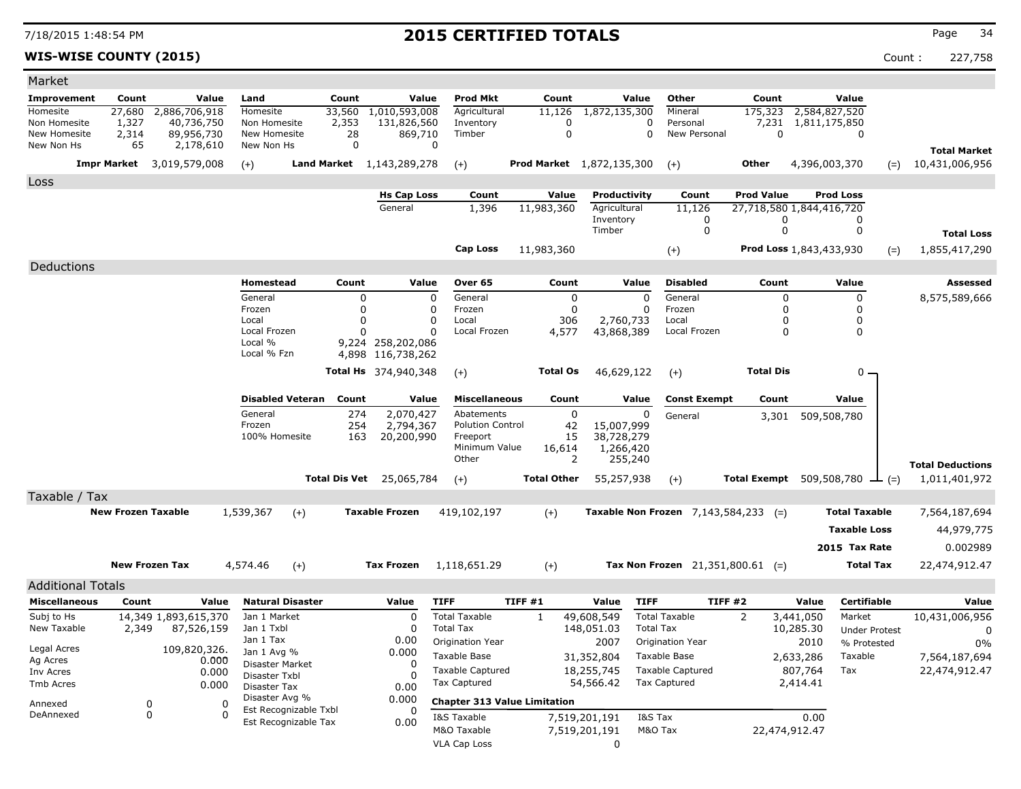### **WIS-WISE COUNTY (2015)** Count : 227,758

| Market                       |                           |                                  |                                |                       |                               |                                     |                                     |                                  |                                               |                   |                                      |                      |                         |
|------------------------------|---------------------------|----------------------------------|--------------------------------|-----------------------|-------------------------------|-------------------------------------|-------------------------------------|----------------------------------|-----------------------------------------------|-------------------|--------------------------------------|----------------------|-------------------------|
| Improvement                  | Count                     | Value                            | Land                           | Count                 | Value                         | <b>Prod Mkt</b>                     | Count                               | Value                            | Other                                         | Count             | Value                                |                      |                         |
| Homesite                     | 27,680                    | 2,886,706,918                    | Homesite                       | 33,560                | 1,010,593,008                 | Agricultural                        | 11,126                              | 1,872,135,300                    | Mineral                                       | 175,323           | 2,584,827,520                        |                      |                         |
| Non Homesite<br>New Homesite | 1,327<br>2,314            | 40,736,750<br>89,956,730         | Non Homesite<br>New Homesite   | 2,353<br>28           | 131,826,560<br>869,710        | Inventory<br>Timber                 | 0<br>$\mathbf 0$                    | 0<br>0                           | Personal<br>New Personal                      | 0                 | 7,231 1,811,175,850                  | 0                    |                         |
| New Non Hs                   | 65                        | 2,178,610                        | New Non Hs                     | 0                     |                               | 0                                   |                                     |                                  |                                               |                   |                                      |                      | <b>Total Market</b>     |
|                              |                           | <b>Impr Market</b> 3,019,579,008 | $(+)$                          |                       | Land Market 1, 143, 289, 278  | $(+)$                               |                                     | <b>Prod Market</b> 1,872,135,300 | $(+)$                                         | Other             | 4,396,003,370                        | $(=)$                | 10,431,006,956          |
| Loss                         |                           |                                  |                                |                       |                               |                                     |                                     |                                  |                                               |                   |                                      |                      |                         |
|                              |                           |                                  |                                |                       | <b>Hs Cap Loss</b>            | Count                               | Value                               | Productivity                     | Count                                         | <b>Prod Value</b> | <b>Prod Loss</b>                     |                      |                         |
|                              |                           |                                  |                                |                       | General                       | 1,396                               | 11,983,360                          | Agricultural                     | 11,126                                        |                   | 27,718,580 1,844,416,720             |                      |                         |
|                              |                           |                                  |                                |                       |                               |                                     |                                     | Inventory<br>Timber              | 0<br>0                                        | 0<br>0            |                                      | 0<br>0               |                         |
|                              |                           |                                  |                                |                       |                               |                                     |                                     |                                  |                                               |                   |                                      |                      | <b>Total Loss</b>       |
|                              |                           |                                  |                                |                       |                               | Cap Loss                            | 11,983,360                          |                                  | $(+)$                                         |                   | Prod Loss 1,843,433,930              | $(=)$                | 1,855,417,290           |
| Deductions                   |                           |                                  |                                |                       |                               |                                     |                                     |                                  |                                               |                   |                                      |                      |                         |
|                              |                           |                                  | Homestead<br>General           | Count                 | Value                         | Over 65                             | Count                               | Value<br>$\mathbf 0$             | <b>Disabled</b><br>General                    | Count             | Value                                | 0                    | Assessed                |
|                              |                           |                                  | Frozen                         |                       | 0<br>$\Omega$                 | 0<br>General<br>0<br>Frozen         |                                     | 0<br>0                           | Frozen                                        | 0<br>0            |                                      | $\mathbf 0$          | 8,575,589,666           |
|                              |                           |                                  | Local                          |                       | $\Omega$                      | 0<br>Local                          | 306                                 | 2,760,733                        | Local                                         | 0                 |                                      | 0                    |                         |
|                              |                           |                                  | Local Frozen<br>Local %        |                       | $\Omega$<br>9,224 258,202,086 | 0<br>Local Frozen                   | 4,577                               | 43,868,389                       | Local Frozen                                  | 0                 |                                      | $\mathbf 0$          |                         |
|                              |                           |                                  | Local % Fzn                    |                       | 4,898 116,738,262             |                                     |                                     |                                  |                                               |                   |                                      |                      |                         |
|                              |                           |                                  |                                |                       | <b>Total Hs</b> 374,940,348   | $(+)$                               | <b>Total Os</b>                     | 46,629,122                       | $(+)$                                         | <b>Total Dis</b>  |                                      | $0 -$                |                         |
|                              |                           |                                  |                                |                       |                               |                                     |                                     |                                  |                                               |                   |                                      |                      |                         |
|                              |                           |                                  | <b>Disabled Veteran</b>        | Count                 | Value                         | <b>Miscellaneous</b>                | Count                               | Value                            | <b>Const Exempt</b>                           | Count             | Value                                |                      |                         |
|                              |                           |                                  | General                        | 274                   | 2,070,427                     | Abatements                          |                                     | 0<br>0                           | General                                       |                   | 3,301 509,508,780                    |                      |                         |
|                              |                           |                                  | Frozen<br>100% Homesite        | 254<br>163            | 2,794,367<br>20,200,990       | <b>Polution Control</b><br>Freeport | 42<br>15                            | 15,007,999<br>38,728,279         |                                               |                   |                                      |                      |                         |
|                              |                           |                                  |                                |                       |                               | Minimum Value                       | 16,614                              | 1,266,420                        |                                               |                   |                                      |                      |                         |
|                              |                           |                                  |                                |                       |                               | Other                               |                                     | 2<br>255,240                     |                                               |                   |                                      |                      | <b>Total Deductions</b> |
|                              |                           |                                  |                                | <b>Total Dis Vet</b>  | 25,065,784                    | $(+)$                               | <b>Total Other</b>                  | 55,257,938                       | $(+)$                                         |                   | Total Exempt $509,508,780 \perp (=)$ |                      | 1,011,401,972           |
| Taxable / Tax                |                           |                                  |                                |                       |                               |                                     |                                     |                                  |                                               |                   |                                      |                      |                         |
|                              | <b>New Frozen Taxable</b> |                                  | 1,539,367                      | $(+)$                 | <b>Taxable Frozen</b>         | 419,102,197                         | $(+)$                               |                                  | <b>Taxable Non Frozen</b> $7,143,584,233$ (=) |                   |                                      | <b>Total Taxable</b> | 7,564,187,694           |
|                              |                           |                                  |                                |                       |                               |                                     |                                     |                                  |                                               |                   |                                      | <b>Taxable Loss</b>  | 44,979,775              |
|                              |                           |                                  |                                |                       |                               |                                     |                                     |                                  |                                               |                   | 2015 Tax Rate                        |                      | 0.002989                |
|                              | <b>New Frozen Tax</b>     |                                  | 4,574.46                       | $(+)$                 | <b>Tax Frozen</b>             | 1,118,651.29                        | $(+)$                               |                                  | Tax Non Frozen $21,351,800.61$ (=)            |                   |                                      | <b>Total Tax</b>     | 22,474,912.47           |
| <b>Additional Totals</b>     |                           |                                  |                                |                       |                               |                                     |                                     |                                  |                                               |                   |                                      |                      |                         |
| <b>Miscellaneous</b>         | Count                     | Value                            | <b>Natural Disaster</b>        |                       | Value                         | <b>TIFF</b>                         | TIFF #1                             | <b>TIFF</b><br>Value             |                                               | TIFF#2            | Value                                | Certifiable          | Value                   |
| Subj to Hs                   |                           | 14,349 1,893,615,370             | Jan 1 Market                   |                       | 0                             | <b>Total Taxable</b>                | 1                                   | 49,608,549                       | <b>Total Taxable</b>                          | 2                 | 3,441,050                            | Market               | 10,431,006,956          |
| New Taxable                  | 2,349                     | 87,526,159                       | Jan 1 Txbl                     |                       | 0                             | <b>Total Tax</b>                    |                                     | 148,051.03                       | <b>Total Tax</b>                              |                   | 10,285.30                            | <b>Under Protest</b> | 0                       |
| Legal Acres                  |                           | 109,820,326.                     | Jan 1 Tax                      |                       | 0.00                          | Origination Year                    |                                     | 2007                             | Origination Year                              |                   | 2010                                 | % Protested          | 0%                      |
| Ag Acres                     |                           | 0.000                            | Jan 1 Avg %<br>Disaster Market |                       | 0.000<br>0                    | Taxable Base                        |                                     | 31,352,804                       | Taxable Base                                  |                   | 2,633,286                            | Taxable              | 7,564,187,694           |
| Inv Acres                    |                           | 0.000                            | Disaster Txbl                  |                       |                               | <b>Taxable Captured</b>             |                                     | 18,255,745                       | <b>Taxable Captured</b>                       |                   | 807,764<br>Tax                       |                      | 22,474,912.47           |
| Tmb Acres                    |                           | 0.000                            | Disaster Tax                   |                       | 0.00                          | <b>Tax Captured</b>                 |                                     | 54,566.42                        | Tax Captured                                  |                   | 2,414.41                             |                      |                         |
| Annexed                      | 0                         | 0                                | Disaster Avg %                 | Est Recognizable Txbl | 0.000<br>0                    |                                     | <b>Chapter 313 Value Limitation</b> |                                  |                                               |                   |                                      |                      |                         |
| DeAnnexed                    | 0                         | $\Omega$                         |                                | Est Recognizable Tax  | 0.00                          | I&S Taxable                         |                                     | 7,519,201,191                    | I&S Tax<br>M&O Tax                            |                   | 0.00                                 |                      |                         |
|                              |                           |                                  |                                |                       |                               | M&O Taxable<br>VLA Cap Loss         |                                     | 7,519,201,191<br>0               |                                               |                   | 22,474,912.47                        |                      |                         |
|                              |                           |                                  |                                |                       |                               |                                     |                                     |                                  |                                               |                   |                                      |                      |                         |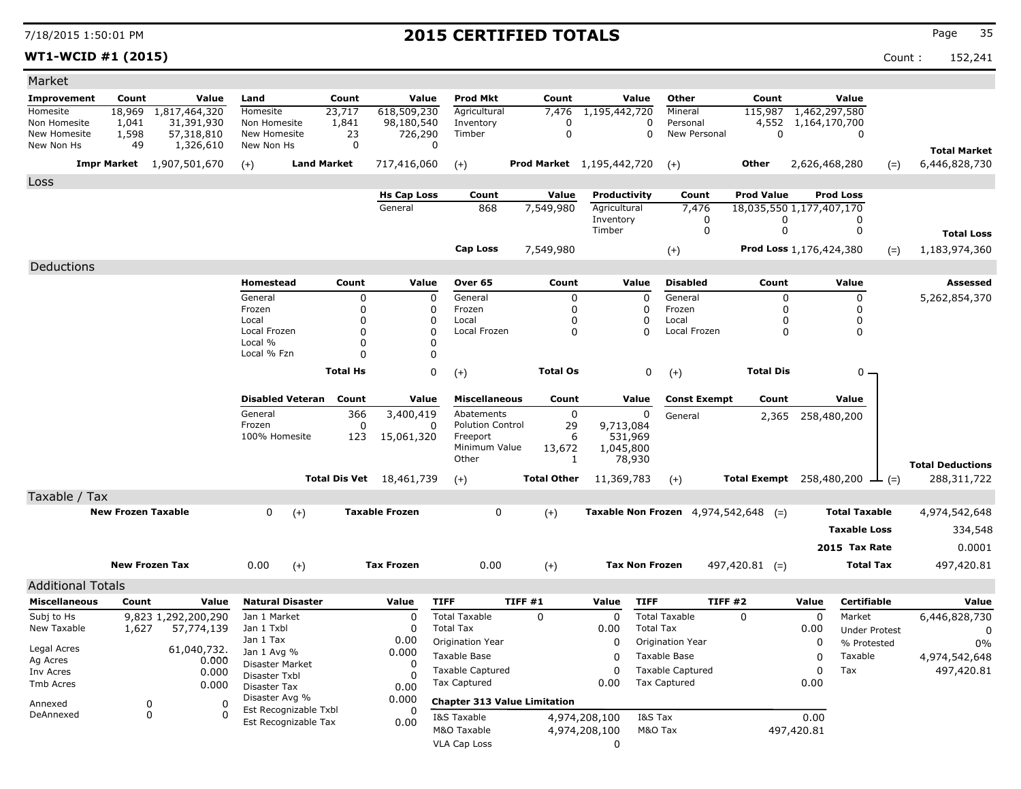**WT1-WCID #1 (2015)** Count : 152,241

| Market                                           |                           |                                  |                                |                         |                            |                          |                                     |                                  |               |                       |                                        |                                 |               |                      |        |                         |
|--------------------------------------------------|---------------------------|----------------------------------|--------------------------------|-------------------------|----------------------------|--------------------------|-------------------------------------|----------------------------------|---------------|-----------------------|----------------------------------------|---------------------------------|---------------|----------------------|--------|-------------------------|
| <b>Improvement</b>                               | Count                     | Value                            | Land                           |                         | Count                      | Value                    | <b>Prod Mkt</b>                     | Count                            |               | Value                 | Other                                  | Count                           |               | Value                |        |                         |
| Homesite                                         | 18,969                    | 1,817,464,320                    | Homesite                       |                         | 23,717                     | 618,509,230              | Agricultural                        | 7,476                            | 1,195,442,720 |                       | Mineral                                | 115,987                         | 1,462,297,580 |                      |        |                         |
| Non Homesite<br>New Homesite                     | 1,041<br>1,598            | 31,391,930<br>57,318,810         | Non Homesite<br>New Homesite   |                         | 1,841<br>23                | 98,180,540<br>726,290    | Inventory<br>Timber                 | $\Omega$<br>$\mathbf 0$          |               | 0<br>$\mathbf 0$      | Personal<br>New Personal               | 4,552<br>$\mathbf 0$            | 1,164,170,700 | 0                    |        |                         |
| New Non Hs                                       | 49                        | 1,326,610                        | New Non Hs                     |                         | $\mathbf 0$                |                          | $\Omega$                            |                                  |               |                       |                                        |                                 |               |                      |        | <b>Total Market</b>     |
|                                                  |                           | <b>Impr Market</b> 1,907,501,670 | $(+)$                          | <b>Land Market</b>      |                            | 717,416,060              | $(+)$                               | <b>Prod Market</b> 1,195,442,720 |               |                       | $(+)$                                  | <b>Other</b>                    | 2,626,468,280 |                      | $(=)$  | 6,446,828,730           |
| Loss                                             |                           |                                  |                                |                         |                            |                          |                                     |                                  |               |                       |                                        |                                 |               |                      |        |                         |
|                                                  |                           |                                  |                                |                         |                            | <b>Hs Cap Loss</b>       | Count                               | Value                            | Productivity  |                       | Count                                  | <b>Prod Value</b>               |               | <b>Prod Loss</b>     |        |                         |
|                                                  |                           |                                  |                                |                         |                            | General                  | 868                                 | 7,549,980                        | Agricultural  |                       | 7,476                                  | 18,035,550 1,177,407,170        |               |                      |        |                         |
|                                                  |                           |                                  |                                |                         |                            |                          |                                     |                                  | Inventory     |                       | 0                                      | 0                               |               | 0                    |        |                         |
|                                                  |                           |                                  |                                |                         |                            |                          |                                     |                                  | Timber        |                       | $\mathbf 0$                            | $\mathbf 0$                     |               | $\mathbf 0$          |        | <b>Total Loss</b>       |
|                                                  |                           |                                  |                                |                         |                            |                          | Cap Loss                            | 7,549,980                        |               |                       | $(+)$                                  | Prod Loss 1,176,424,380         |               |                      | $(=)$  | 1,183,974,360           |
| Deductions                                       |                           |                                  |                                |                         |                            |                          |                                     |                                  |               |                       |                                        |                                 |               |                      |        |                         |
|                                                  |                           |                                  | <b>Homestead</b>               |                         | Count                      | Value                    | Over 65                             | Count                            |               | Value                 | <b>Disabled</b>                        | Count                           |               | Value                |        | <b>Assessed</b>         |
|                                                  |                           |                                  | General                        |                         | $\mathbf 0$                |                          | $\mathbf 0$<br>General              | $\mathbf 0$                      |               | $\mathbf 0$           | General                                | $\mathbf 0$                     |               | $\mathbf 0$          |        | 5,262,854,370           |
|                                                  |                           |                                  | Frozen<br>Local                |                         | $\mathbf 0$<br>$\mathbf 0$ |                          | Frozen<br>0<br>0<br>Local           | $\mathbf 0$<br>$\mathbf 0$       |               | 0<br>0                | Frozen<br>Local                        | 0<br>$\Omega$                   |               | 0<br>0               |        |                         |
|                                                  |                           |                                  | Local Frozen                   |                         | 0                          |                          | 0<br>Local Frozen                   | 0                                |               | $\Omega$              | Local Frozen                           | 0                               |               | 0                    |        |                         |
|                                                  |                           |                                  | Local %                        |                         | $\Omega$                   |                          | 0                                   |                                  |               |                       |                                        |                                 |               |                      |        |                         |
|                                                  |                           |                                  | Local % Fzn                    |                         | $\Omega$                   |                          | $\mathbf 0$                         |                                  |               |                       |                                        |                                 |               |                      |        |                         |
|                                                  |                           |                                  |                                |                         | <b>Total Hs</b>            |                          | 0<br>$(+)$                          | <b>Total Os</b>                  |               | 0                     | $(+)$                                  | <b>Total Dis</b>                |               | 0                    |        |                         |
|                                                  |                           |                                  |                                | <b>Disabled Veteran</b> | Count                      | Value                    | <b>Miscellaneous</b>                | Count                            |               | Value                 | <b>Const Exempt</b>                    | Count                           |               | Value                |        |                         |
|                                                  |                           |                                  | General                        |                         | 366                        | 3,400,419                | Abatements                          | $\mathbf 0$                      |               | $\Omega$              | General                                | 2,365                           |               | 258,480,200          |        |                         |
|                                                  |                           |                                  | Frozen<br>100% Homesite        |                         | 0                          |                          | <b>Polution Control</b><br>0        | 29                               | 9,713,084     |                       |                                        |                                 |               |                      |        |                         |
|                                                  |                           |                                  |                                |                         | 123                        | 15,061,320               | Freeport<br>Minimum Value           | 6<br>13,672                      | 1,045,800     | 531,969               |                                        |                                 |               |                      |        |                         |
|                                                  |                           |                                  |                                |                         |                            |                          | Other                               | 1                                |               | 78,930                |                                        |                                 |               |                      |        | <b>Total Deductions</b> |
|                                                  |                           |                                  |                                |                         |                            | Total Dis Vet 18,461,739 | $(+)$                               | <b>Total Other</b>               | 11,369,783    |                       | $(+)$                                  | <b>Total Exempt</b> 258,480,200 |               |                      | $ (=)$ | 288,311,722             |
| Taxable / Tax                                    |                           |                                  |                                |                         |                            |                          |                                     |                                  |               |                       |                                        |                                 |               |                      |        |                         |
|                                                  | <b>New Frozen Taxable</b> |                                  | 0                              | $(+)$                   |                            | <b>Taxable Frozen</b>    | $\mathbf 0$                         | $(+)$                            |               |                       | Taxable Non Frozen $4,974,542,648$ (=) |                                 |               | <b>Total Taxable</b> |        | 4,974,542,648           |
|                                                  |                           |                                  |                                |                         |                            |                          |                                     |                                  |               |                       |                                        |                                 |               | <b>Taxable Loss</b>  |        | 334,548                 |
|                                                  |                           |                                  |                                |                         |                            |                          |                                     |                                  |               |                       |                                        |                                 |               | 2015 Tax Rate        |        | 0.0001                  |
|                                                  | <b>New Frozen Tax</b>     |                                  | 0.00                           | $(+)$                   |                            | <b>Tax Frozen</b>        | 0.00                                | $(+)$                            |               | <b>Tax Non Frozen</b> |                                        | $497,420.81$ (=)                |               | <b>Total Tax</b>     |        | 497,420.81              |
|                                                  |                           |                                  |                                |                         |                            |                          |                                     |                                  |               |                       |                                        |                                 |               |                      |        |                         |
| <b>Additional Totals</b><br><b>Miscellaneous</b> | Count                     | Value                            | <b>Natural Disaster</b>        |                         |                            | Value                    | <b>TIFF</b>                         | TIFF#1                           | Value         | <b>TIFF</b>           | TIFF#2                                 |                                 | Value         | Certifiable          |        | Value                   |
| Subj to Hs                                       |                           | 9,823 1,292,200,290              | Jan 1 Market                   |                         |                            | $\mathbf 0$              | <b>Total Taxable</b>                | $\Omega$                         | $\Omega$      |                       | <b>Total Taxable</b>                   | $\Omega$                        | $\mathbf 0$   | Market               |        | 6,446,828,730           |
| New Taxable                                      | 1,627                     | 57,774,139                       | Jan 1 Txbl                     |                         |                            | 0                        | <b>Total Tax</b>                    |                                  | 0.00          | <b>Total Tax</b>      |                                        |                                 | 0.00          | <b>Under Protest</b> |        | 0                       |
|                                                  |                           |                                  | Jan 1 Tax                      |                         |                            | 0.00                     | Origination Year                    |                                  | $\Omega$      |                       | Origination Year                       |                                 | $\mathbf 0$   | % Protested          |        | 0%                      |
| Legal Acres<br>Ag Acres                          |                           | 61,040,732.<br>0.000             | Jan 1 Avg %<br>Disaster Market |                         |                            | 0.000<br>0               | <b>Taxable Base</b>                 |                                  | $\Omega$      |                       | Taxable Base                           |                                 | $\Omega$      | Taxable              |        | 4,974,542,648           |
| Inv Acres                                        |                           | 0.000                            | Disaster Txbl                  |                         |                            | $\Omega$                 | <b>Taxable Captured</b>             |                                  | $\Omega$      |                       | <b>Taxable Captured</b>                |                                 | 0             | Tax                  |        | 497,420.81              |
| Tmb Acres                                        |                           | 0.000                            | Disaster Tax                   |                         |                            | 0.00                     | <b>Tax Captured</b>                 |                                  | 0.00          |                       | <b>Tax Captured</b>                    |                                 | 0.00          |                      |        |                         |
| Annexed                                          | $\mathbf 0$               | $\mathbf 0$                      | Disaster Avg %                 | Est Recognizable Txbl   |                            | 0.000<br>0               | <b>Chapter 313 Value Limitation</b> |                                  |               |                       |                                        |                                 |               |                      |        |                         |
| DeAnnexed                                        | 0                         | $\Omega$                         |                                | Est Recognizable Tax    |                            | 0.00                     | I&S Taxable                         |                                  | 4,974,208,100 | I&S Tax               |                                        |                                 | 0.00          |                      |        |                         |
|                                                  |                           |                                  |                                |                         |                            |                          | M&O Taxable                         |                                  | 4,974,208,100 | M&O Tax               |                                        |                                 | 497,420.81    |                      |        |                         |
|                                                  |                           |                                  |                                |                         |                            |                          | <b>VLA Cap Loss</b>                 |                                  | $\mathbf{0}$  |                       |                                        |                                 |               |                      |        |                         |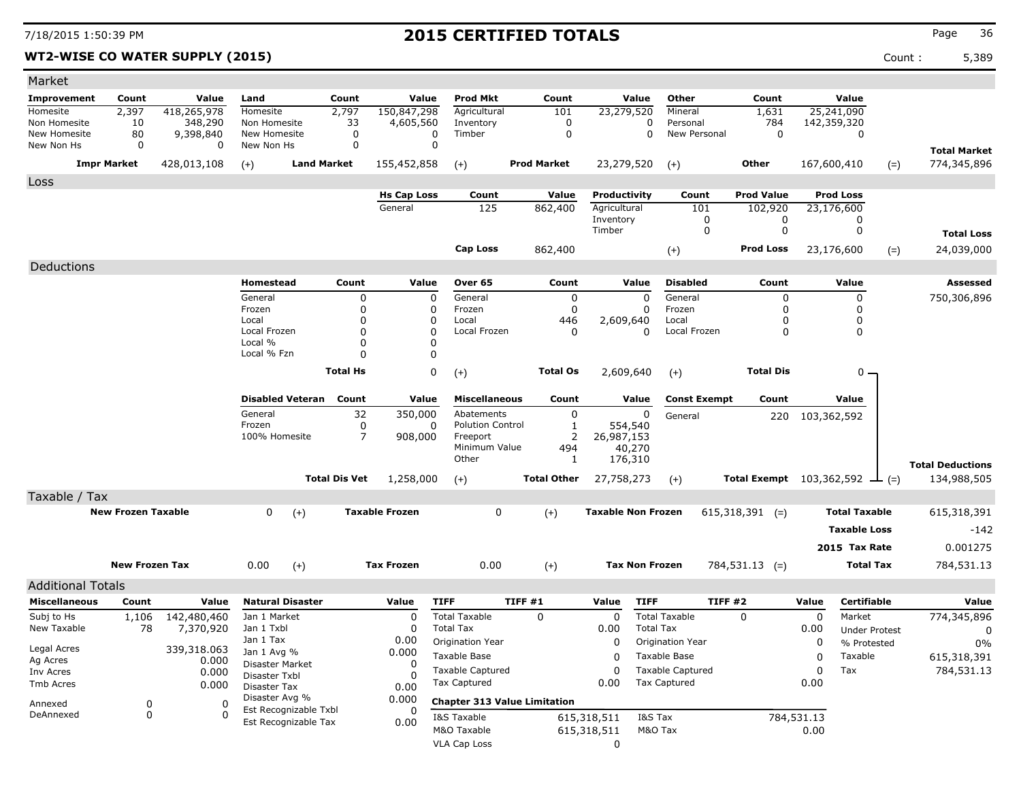Deductions

Additional Totals

**Homesite Improvement** Non Homesite

Market

New Non Hs New Homesite

Loss

### 7/18/2015 1:50:39 PM **2015 CERTIFIED TOTALS** Page <sup>36</sup>

### **WT2-WISE CO WATER SUP**

|              |                       | <b>ISE CO WATER SUPPLY (2015)</b> |                         |                      |                        |                         |                    |                        |                          |                        |                                               | Count: | 5,389                   |
|--------------|-----------------------|-----------------------------------|-------------------------|----------------------|------------------------|-------------------------|--------------------|------------------------|--------------------------|------------------------|-----------------------------------------------|--------|-------------------------|
|              |                       | Value                             |                         | Count                | Value                  | <b>Prod Mkt</b>         | Count              | Value                  | Other                    | Count                  | Value                                         |        |                         |
| ıent         | Count                 |                                   | Land<br>Homesite        |                      |                        | Agricultural            |                    |                        | Mineral                  |                        |                                               |        |                         |
|              | 2,397                 | 418,265,978                       | Non Homesite            | 2,797                | 150,847,298            |                         | 101                | 23,279,520<br>$\Omega$ |                          | 1,631                  | 25,241,090                                    |        |                         |
| site<br>site | 10                    | 348,290                           | New Homesite            | 33<br>0              | 4,605,560<br>0         | Inventory<br>Timber     | 0<br>$\Omega$      | $\mathbf 0$            | Personal<br>New Personal | 784<br>0               | 142,359,320<br>0                              |        |                         |
| s            | 80<br>$\mathbf 0$     | 9,398,840<br>$\mathbf 0$          | New Non Hs              | 0                    | $\mathbf 0$            |                         |                    |                        |                          |                        |                                               |        |                         |
|              |                       |                                   |                         |                      |                        |                         |                    |                        |                          |                        |                                               |        | <b>Total Market</b>     |
|              | Impr Market           | 428,013,108                       | $(+)$                   | <b>Land Market</b>   | 155,452,858            | $(+)$                   | <b>Prod Market</b> | 23,279,520             | $(+)$                    | Other                  | 167,600,410                                   | $(=)$  | 774,345,896             |
|              |                       |                                   |                         |                      |                        |                         |                    |                        |                          |                        |                                               |        |                         |
|              |                       |                                   |                         |                      | <b>Hs Cap Loss</b>     | Count                   | Value              | Productivity           | Count                    | <b>Prod Value</b>      | <b>Prod Loss</b>                              |        |                         |
|              |                       |                                   |                         |                      | General                | 125                     | 862,400            | Agricultural           | 101                      | 102,920                | 23,176,600                                    |        |                         |
|              |                       |                                   |                         |                      |                        |                         |                    | Inventory              | 0                        | 0                      | 0                                             |        |                         |
|              |                       |                                   |                         |                      |                        |                         |                    | Timber                 | $\mathbf 0$              | 0                      | 0                                             |        | <b>Total Loss</b>       |
|              |                       |                                   |                         |                      |                        | <b>Cap Loss</b>         | 862,400            |                        | $(+)$                    | <b>Prod Loss</b>       | 23,176,600                                    | $(=)$  | 24,039,000              |
|              |                       |                                   |                         |                      |                        |                         |                    |                        |                          |                        |                                               |        |                         |
| ons          |                       |                                   |                         |                      |                        |                         |                    |                        |                          |                        |                                               |        |                         |
|              |                       |                                   | Homestead               | Count                | Value                  | Over 65                 | Count              | Value                  | <b>Disabled</b>          | Count                  | Value                                         |        | <b>Assessed</b>         |
|              |                       |                                   | General                 | 0                    | $\Omega$               | General                 | 0                  | $\Omega$               | General                  | <sup>0</sup>           | $\mathbf{0}$                                  |        | 750,306,896             |
|              |                       |                                   | Frozen                  |                      | 0                      | Frozen                  | 0                  | $\Omega$               | Frozen                   |                        |                                               |        |                         |
|              |                       |                                   | Local                   |                      | 0                      | Local                   | 446                | 2,609,640              | Local                    | 0                      | 0                                             |        |                         |
|              |                       |                                   | Local Frozen            |                      | 0                      | Local Frozen            | 0                  | 0                      | Local Frozen             | 0                      | 0                                             |        |                         |
|              |                       |                                   | Local %                 |                      | 0                      |                         |                    |                        |                          |                        |                                               |        |                         |
|              |                       |                                   | Local % Fzn             | $\Omega$             | $\Omega$               |                         |                    |                        |                          |                        |                                               |        |                         |
|              |                       |                                   |                         | <b>Total Hs</b>      | 0                      | $(+)$                   | <b>Total Os</b>    | 2,609,640              | $(+)$                    | <b>Total Dis</b>       | $0 -$                                         |        |                         |
|              |                       |                                   | <b>Disabled Veteran</b> | Count                | Value                  | <b>Miscellaneous</b>    | Count              | Value                  | <b>Const Exempt</b>      | Count                  | Value                                         |        |                         |
|              |                       |                                   | General                 | 32                   | 350,000                | Abatements              | 0                  | 0                      | General                  | 220                    | 103,362,592                                   |        |                         |
|              |                       |                                   | Frozen                  | 0                    | $\Omega$               | <b>Polution Control</b> |                    | 554,540                |                          |                        |                                               |        |                         |
|              |                       |                                   | 100% Homesite           | $\overline{7}$       | 908,000                | Freeport                | 2                  | 26,987,153             |                          |                        |                                               |        |                         |
|              |                       |                                   |                         |                      |                        | Minimum Value           | 494                | 40,270                 |                          |                        |                                               |        |                         |
|              |                       |                                   |                         |                      |                        | Other                   | -1                 | 176,310                |                          |                        |                                               |        | <b>Total Deductions</b> |
|              |                       |                                   |                         | <b>Total Dis Vet</b> | 1,258,000              | $(+)$                   | <b>Total Other</b> | 27,758,273             | $(+)$                    |                        | <b>Total Exempt</b> $103,362,592$ $\perp$ (=) |        | 134,988,505             |
| / Tax        |                       |                                   |                         |                      |                        |                         |                    |                        |                          |                        |                                               |        |                         |
|              | Marie Foxesa Tarochia |                                   | $\sim$<br>$\lambda$     |                      | <b>Terrable France</b> |                         | $\lambda$          | Taxable New Freeze     |                          | $C15.210.201 \t\t\t N$ | <b>Tatal Tawahia</b>                          |        | C15.210.201             |

| Taxable / Tax             |      |       |                       |      |          |                           |                      |                      |             |
|---------------------------|------|-------|-----------------------|------|----------|---------------------------|----------------------|----------------------|-------------|
| <b>New Frozen Taxable</b> |      | $(+)$ | <b>Taxable Frozen</b> |      | $(+)$    | <b>Taxable Non Frozen</b> | 615,318,391<br>$(=)$ | <b>Total Taxable</b> | 615,318,391 |
|                           |      |       |                       |      |          |                           |                      | <b>Taxable Loss</b>  | $-142$      |
|                           |      |       |                       |      |          |                           |                      | 2015 Tax Rate        | 0.001275    |
| New Frozen Tax            | 0.00 | $(+)$ | <b>Tax Frozen</b>     | 0.00 | $^{(+)}$ | <b>Tax Non Frozen</b>     | $784,531.13$ (=)     | <b>Total Tax</b>     | 784,531.13  |

| <b>Miscellaneous</b>      | Count                          | Value                    | <b>Natural Disaster</b>                       | Value | <b>TIFF</b>                                       | TIFF #1                             | Value                      | <b>TIFF</b>                             | TIFF <sub>#2</sub> | Value              | Certifiable                         | Value       |
|---------------------------|--------------------------------|--------------------------|-----------------------------------------------|-------|---------------------------------------------------|-------------------------------------|----------------------------|-----------------------------------------|--------------------|--------------------|-------------------------------------|-------------|
| Subj to Hs<br>New Taxable | 1,106<br>78                    | 142,480,460<br>7,370,920 | Jan 1 Market<br>Jan 1 Txbl                    |       | Total Taxable<br>Total Tax                        |                                     | 0.00                       | <b>Total Taxable</b><br>Total Tax       | 0                  | 0.00               | Market                              | 774,345,896 |
| Legal Acres               |                                |                          | Jan 1 Tax                                     | 0.00  | Origination Year                                  |                                     | 0                          | Origination Year                        |                    |                    | <b>Under Protest</b><br>% Protested | $0\%$       |
| Ag Acres                  |                                | 339,318.063<br>0.000     | Jan $1$ Avg $\%$<br><b>Disaster Market</b>    | 0.000 | Taxable Base                                      |                                     | 0                          | Taxable Base                            |                    | 0                  | Taxable                             | 615,318,391 |
| Inv Acres<br>Tmb Acres    |                                | 0.000<br>0.000           | Disaster Txbl                                 |       | Taxable Captured<br>Tax Captured                  |                                     | 0.00                       | <b>Taxable Captured</b><br>Tax Captured |                    | 0<br>0.00          | Tax                                 | 784,531.13  |
| Annexed                   | Disaster Tax<br>Disaster Avg % |                          | 0.00<br>0.000                                 |       |                                                   | <b>Chapter 313 Value Limitation</b> |                            |                                         |                    |                    |                                     |             |
| DeAnnexed                 | 0                              |                          | Est Recognizable Txbl<br>Est Recognizable Tax | 0.00  | I&S Taxable<br>M&O Taxable<br><b>VLA Cap Loss</b> |                                     | 615,318,511<br>615,318,511 | I&S Tax<br>M&O Tax                      |                    | 784,531.13<br>0.00 |                                     |             |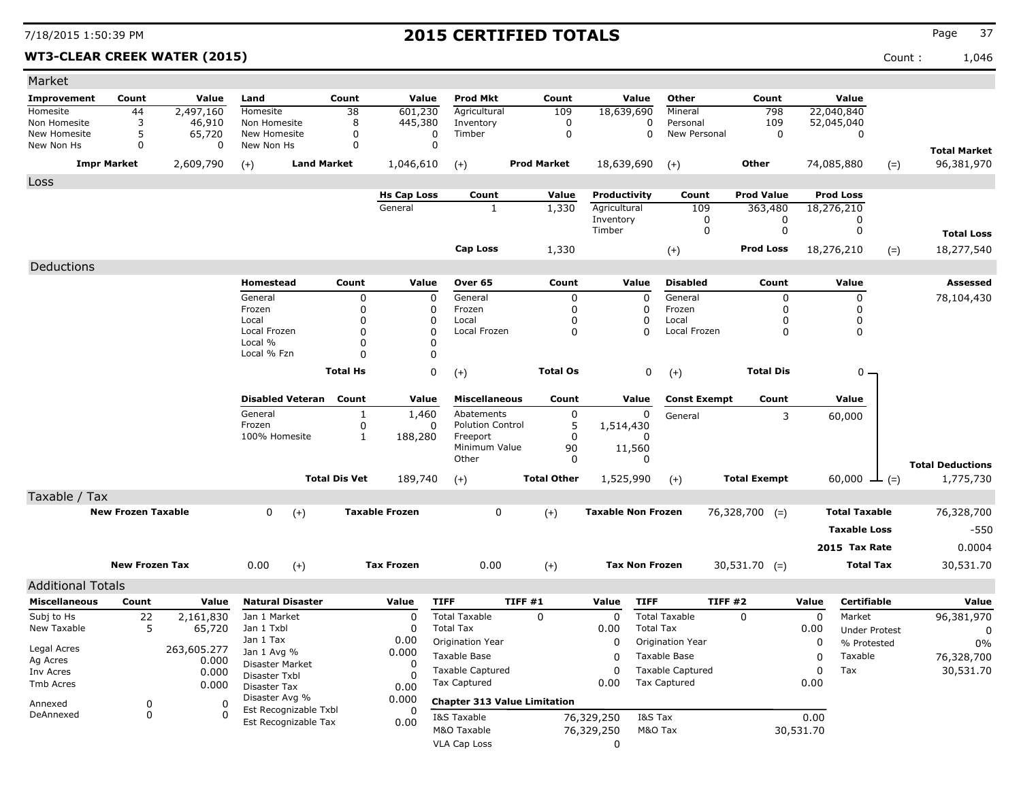**WT3-CLEAR CREEK WATER (2015)** Count : 1,046

| Market                   |                           |                      |                               |                      |                       |                                     |                    |                           |                             |                     |           |                      |       |                         |
|--------------------------|---------------------------|----------------------|-------------------------------|----------------------|-----------------------|-------------------------------------|--------------------|---------------------------|-----------------------------|---------------------|-----------|----------------------|-------|-------------------------|
| Improvement              | Count                     | Value                | Land                          | Count                | Value                 | <b>Prod Mkt</b>                     | Count              | Value                     | Other                       | Count               |           | Value                |       |                         |
| Homesite                 | 44                        | 2,497,160            | Homesite                      | 38                   | 601,230               | Agricultural                        | 109                | 18,639,690                | Mineral                     | 798                 |           | 22,040,840           |       |                         |
| Non Homesite             | 3                         | 46,910               | Non Homesite                  | 8                    | 445,380               | Inventory                           | 0                  |                           | 0<br>Personal               | 109                 |           | 52,045,040           |       |                         |
| New Homesite             | 5                         | 65,720               | New Homesite                  | 0                    | 0                     | Timber                              | 0                  |                           | $\mathbf 0$<br>New Personal | 0                   |           | 0                    |       |                         |
| New Non Hs               | 0                         | 0                    | New Non Hs                    | $\mathbf 0$          | $\mathbf 0$           |                                     |                    |                           |                             |                     |           |                      |       | <b>Total Market</b>     |
|                          | <b>Impr Market</b>        | 2,609,790            | $(+)$                         | <b>Land Market</b>   | 1,046,610             | $(+)$                               | <b>Prod Market</b> | 18,639,690                | $(+)$                       | Other               |           | 74,085,880           | $(=)$ | 96,381,970              |
| Loss                     |                           |                      |                               |                      |                       |                                     |                    |                           |                             |                     |           |                      |       |                         |
|                          |                           |                      |                               |                      | <b>Hs Cap Loss</b>    | Count                               | Value              | Productivity              | Count                       | <b>Prod Value</b>   |           | <b>Prod Loss</b>     |       |                         |
|                          |                           |                      |                               |                      | General               | 1                                   | 1,330              | Agricultural              | 109                         | 363,480             |           | 18,276,210           |       |                         |
|                          |                           |                      |                               |                      |                       |                                     |                    | Inventory<br>Timber       | 0<br>0                      | 0<br>0              |           | 0<br>0               |       |                         |
|                          |                           |                      |                               |                      |                       |                                     |                    |                           |                             |                     |           |                      |       | <b>Total Loss</b>       |
|                          |                           |                      |                               |                      |                       | Cap Loss                            | 1,330              |                           | $(+)$                       | <b>Prod Loss</b>    |           | 18,276,210           | $(=)$ | 18,277,540              |
| Deductions               |                           |                      |                               |                      |                       |                                     |                    |                           |                             |                     |           |                      |       |                         |
|                          |                           |                      | Homestead                     | Count                | Value                 | Over 65                             | Count              | Value                     | <b>Disabled</b>             | Count               |           | Value                |       | Assessed                |
|                          |                           |                      | General                       | 0                    | 0                     | General                             | 0                  |                           | General<br>$\mathbf 0$      | 0                   |           | 0                    |       | 78,104,430              |
|                          |                           |                      | Frozen                        | 0                    | 0                     | Frozen                              | 0                  |                           | Frozen<br>0                 | O                   |           | 0                    |       |                         |
|                          |                           |                      | Local                         | 0                    | 0                     | Local                               | 0                  |                           | 0<br>Local                  | 0                   |           | 0                    |       |                         |
|                          |                           |                      | Local Frozen<br>Local %       | O<br>0               | $\mathbf 0$<br>0      | Local Frozen                        | 0                  |                           | $\Omega$<br>Local Frozen    | 0                   |           | 0                    |       |                         |
|                          |                           |                      | Local % Fzn                   | O                    | 0                     |                                     |                    |                           |                             |                     |           |                      |       |                         |
|                          |                           |                      |                               |                      | $\mathbf 0$           |                                     |                    |                           |                             |                     |           |                      |       |                         |
|                          |                           |                      |                               | <b>Total Hs</b>      |                       | $(+)$                               | <b>Total Os</b>    |                           | 0<br>$(+)$                  | <b>Total Dis</b>    |           | 0                    |       |                         |
|                          |                           |                      | <b>Disabled Veteran</b>       | Count                | Value                 | <b>Miscellaneous</b>                | Count              | Value                     | <b>Const Exempt</b>         | Count               |           | Value                |       |                         |
|                          |                           |                      | General                       | 1                    | 1,460                 | Abatements                          | 0                  |                           | 0                           |                     |           |                      |       |                         |
|                          |                           |                      | Frozen                        | 0                    | 0                     | <b>Polution Control</b>             | 5                  | 1,514,430                 | General                     |                     | 3         | 60,000               |       |                         |
|                          |                           |                      | 100% Homesite                 | $\mathbf{1}$         | 188,280               | Freeport                            | 0                  |                           |                             |                     |           |                      |       |                         |
|                          |                           |                      |                               |                      |                       | Minimum Value                       | 90                 | 11,560                    |                             |                     |           |                      |       |                         |
|                          |                           |                      |                               |                      |                       | Other                               | 0                  |                           | $\Omega$                    |                     |           |                      |       | <b>Total Deductions</b> |
|                          |                           |                      |                               | <b>Total Dis Vet</b> | 189,740               | $(+)$                               | <b>Total Other</b> | 1,525,990                 | $(+)$                       | <b>Total Exempt</b> |           | 60,000 $\perp$ (=)   |       | 1,775,730               |
| Taxable / Tax            |                           |                      |                               |                      |                       |                                     |                    |                           |                             |                     |           |                      |       |                         |
|                          | <b>New Frozen Taxable</b> |                      | 0<br>$(+)$                    |                      | <b>Taxable Frozen</b> | 0                                   | $(+)$              | <b>Taxable Non Frozen</b> |                             | $76,328,700$ (=)    |           | <b>Total Taxable</b> |       | 76,328,700              |
|                          |                           |                      |                               |                      |                       |                                     |                    |                           |                             |                     |           | <b>Taxable Loss</b>  |       | $-550$                  |
|                          |                           |                      |                               |                      |                       |                                     |                    |                           |                             |                     |           |                      |       |                         |
|                          |                           |                      |                               |                      |                       |                                     |                    |                           |                             |                     |           | 2015 Tax Rate        |       | 0.0004                  |
|                          | <b>New Frozen Tax</b>     |                      | 0.00<br>$(+)$                 |                      | <b>Tax Frozen</b>     | 0.00                                | $(+)$              |                           | <b>Tax Non Frozen</b>       | $30,531.70$ (=)     |           | <b>Total Tax</b>     |       | 30,531.70               |
| <b>Additional Totals</b> |                           |                      |                               |                      |                       |                                     |                    |                           |                             |                     |           |                      |       |                         |
| <b>Miscellaneous</b>     | Count                     | Value                | <b>Natural Disaster</b>       |                      | Value                 | <b>TIFF</b>                         | TIFF#1             | Value                     | <b>TIFF</b>                 | TIFF#2              | Value     | <b>Certifiable</b>   |       | Value                   |
| Subj to Hs               | 22                        | 2,161,830            | Jan 1 Market                  |                      | 0                     | <b>Total Taxable</b>                | $\mathbf 0$        | 0                         | <b>Total Taxable</b>        | $\Omega$            | 0         | Market               |       | 96,381,970              |
| New Taxable              | 5                         | 65,720               | Jan 1 Txbl                    |                      | 0                     | <b>Total Tax</b>                    |                    | 0.00                      | <b>Total Tax</b>            |                     | 0.00      | <b>Under Protest</b> |       | $\mathbf 0$             |
|                          |                           |                      | Jan 1 Tax                     |                      | 0.00                  | Origination Year                    |                    | 0                         | Origination Year            |                     | 0         | % Protested          |       | 0%                      |
| Legal Acres<br>Ag Acres  |                           | 263,605.277<br>0.000 | Jan 1 Avg %                   |                      | 0.000                 | Taxable Base                        |                    | 0                         | Taxable Base                |                     | 0         | Taxable              |       | 76,328,700              |
| Inv Acres                |                           | 0.000                | Disaster Market               |                      | 0                     | <b>Taxable Captured</b>             |                    | 0                         | <b>Taxable Captured</b>     |                     | 0         | Tax                  |       | 30,531.70               |
| Tmb Acres                |                           | 0.000                | Disaster Txbl<br>Disaster Tax |                      | 0<br>0.00             | <b>Tax Captured</b>                 |                    | 0.00                      | <b>Tax Captured</b>         |                     | 0.00      |                      |       |                         |
|                          |                           |                      | Disaster Avg %                |                      | 0.000                 | <b>Chapter 313 Value Limitation</b> |                    |                           |                             |                     |           |                      |       |                         |
| Annexed<br>DeAnnexed     | 0<br>0                    | 0<br>$\Omega$        | Est Recognizable Txbl         |                      | 0                     |                                     |                    |                           | I&S Tax                     |                     |           |                      |       |                         |
|                          |                           |                      | Est Recognizable Tax          |                      | 0.00                  | I&S Taxable<br>M&O Taxable          |                    | 76,329,250                | M&O Tax                     |                     | 0.00      |                      |       |                         |
|                          |                           |                      |                               |                      |                       | <b>VLA Cap Loss</b>                 |                    | 76,329,250                |                             |                     | 30,531.70 |                      |       |                         |
|                          |                           |                      |                               |                      |                       |                                     |                    | 0                         |                             |                     |           |                      |       |                         |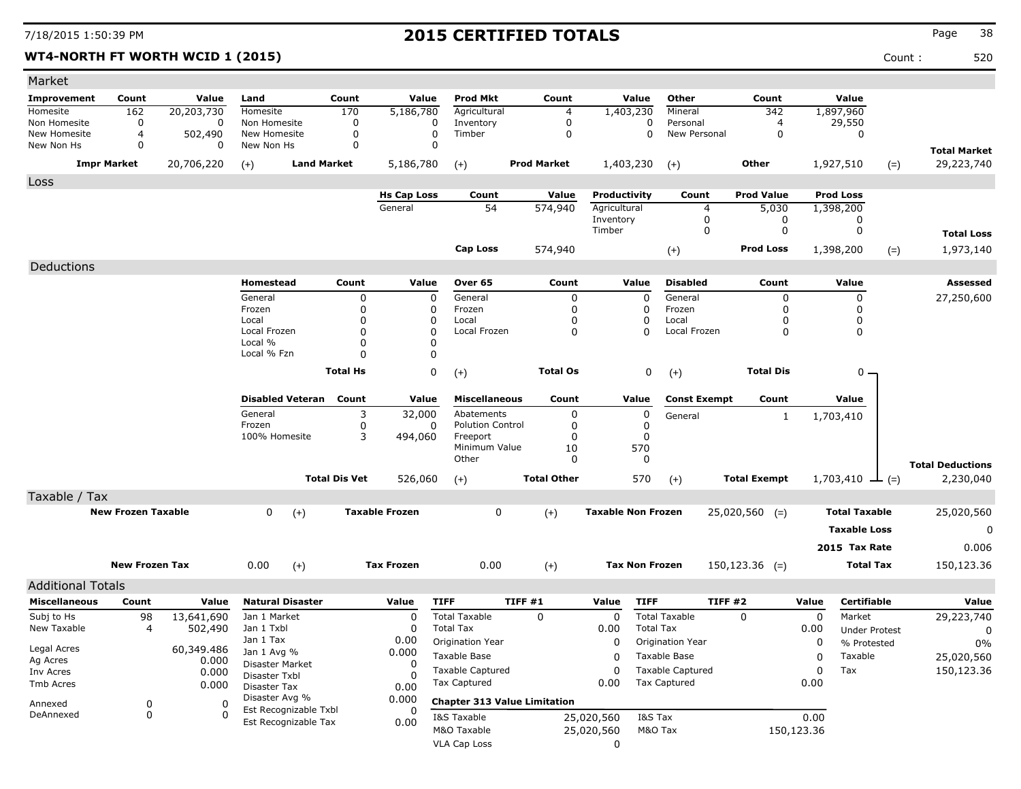### **WT4-NORTH FT WORTH WCID 1 (2015)** 520

| Market                       |                           |              |                                               |                      |                       |                           |                                     |                           |                  |                          |                     |            |                      |                                      |
|------------------------------|---------------------------|--------------|-----------------------------------------------|----------------------|-----------------------|---------------------------|-------------------------------------|---------------------------|------------------|--------------------------|---------------------|------------|----------------------|--------------------------------------|
| Improvement                  | Count                     | Value        | Land                                          | Count                | Value                 | <b>Prod Mkt</b>           | Count                               |                           | Value            | Other                    | Count               |            | Value                |                                      |
| Homesite                     | 162                       | 20,203,730   | Homesite                                      | 170                  | 5,186,780             | Agricultural              | $\overline{4}$                      | 1,403,230                 |                  | Mineral                  | 342                 |            | 1,897,960            |                                      |
| Non Homesite<br>New Homesite | 0<br>4                    | 0<br>502,490 | Non Homesite<br>New Homesite                  | 0<br>0               | 0<br>0                | Inventory<br>Timber       | 0<br>$\mathbf 0$                    |                           | 0<br>$\Omega$    | Personal<br>New Personal | 4<br>0              |            | 29,550<br>0          |                                      |
| New Non Hs                   | 0                         | 0            | New Non Hs                                    | $\Omega$             | 0                     |                           |                                     |                           |                  |                          |                     |            |                      | <b>Total Market</b>                  |
|                              | <b>Impr Market</b>        | 20,706,220   | <b>Land Market</b><br>$(+)$                   |                      | 5,186,780             | $(+)$                     | <b>Prod Market</b>                  | 1,403,230                 |                  | $(+)$                    | Other               |            | 1,927,510<br>$(=)$   | 29,223,740                           |
| Loss                         |                           |              |                                               |                      |                       |                           |                                     |                           |                  |                          |                     |            |                      |                                      |
|                              |                           |              |                                               |                      | <b>Hs Cap Loss</b>    | Count                     | Value                               | Productivity              |                  | Count                    | <b>Prod Value</b>   |            | <b>Prod Loss</b>     |                                      |
|                              |                           |              |                                               |                      | General               | 54                        | 574,940                             | Agricultural<br>Inventory |                  | 4<br>0                   | 5,030<br>0          |            | 1,398,200<br>0       |                                      |
|                              |                           |              |                                               |                      |                       |                           |                                     | Timber                    |                  | 0                        | 0                   |            | 0                    | <b>Total Loss</b>                    |
|                              |                           |              |                                               |                      |                       | Cap Loss                  | 574,940                             |                           |                  | $(+)$                    | <b>Prod Loss</b>    |            | 1,398,200<br>$(=)$   | 1,973,140                            |
|                              |                           |              |                                               |                      |                       |                           |                                     |                           |                  |                          |                     |            |                      |                                      |
| Deductions                   |                           |              |                                               |                      |                       |                           |                                     |                           |                  |                          |                     |            |                      |                                      |
|                              |                           |              | Homestead                                     | Count                | Value                 | Over 65                   | Count                               |                           | Value            | <b>Disabled</b>          | Count               |            | Value                | Assessed                             |
|                              |                           |              | General<br>Frozen                             | 0<br>0               | 0<br>0                | General<br>Frozen         | 0<br>$\mathbf 0$                    |                           | 0<br>0           | General<br>Frozen        | 0<br>0              |            | 0<br>0               | 27,250,600                           |
|                              |                           |              | Local                                         | 0                    | 0                     | Local                     | 0                                   |                           | $\Omega$         | Local                    | O                   |            | 0                    |                                      |
|                              |                           |              | Local Frozen                                  | 0                    | $\Omega$              | Local Frozen              | 0                                   |                           | $\Omega$         | Local Frozen             | 0                   |            | 0                    |                                      |
|                              |                           |              | Local %<br>Local % Fzn                        | 0<br>0               | O<br>$\Omega$         |                           |                                     |                           |                  |                          |                     |            |                      |                                      |
|                              |                           |              |                                               |                      |                       |                           |                                     |                           |                  |                          |                     |            |                      |                                      |
|                              |                           |              |                                               | <b>Total Hs</b>      | 0                     | $(+)$                     | <b>Total Os</b>                     |                           | 0                | $(+)$                    | <b>Total Dis</b>    |            | 0 -                  |                                      |
|                              |                           |              | <b>Disabled Veteran</b>                       | Count                | Value                 | <b>Miscellaneous</b>      | Count                               |                           | Value            | <b>Const Exempt</b>      | Count               |            | Value                |                                      |
|                              |                           |              | General                                       | 3                    | 32,000                | Abatements                | 0                                   |                           | 0                | General                  | 1                   |            | 1,703,410            |                                      |
|                              |                           |              | Frozen                                        | 0                    | 0                     | <b>Polution Control</b>   | 0                                   |                           | $\Omega$         |                          |                     |            |                      |                                      |
|                              |                           |              | 100% Homesite                                 | 3                    | 494,060               | Freeport<br>Minimum Value | 0<br>10                             |                           | $\Omega$<br>570  |                          |                     |            |                      |                                      |
|                              |                           |              |                                               |                      |                       | Other                     | $\Omega$                            |                           | 0                |                          |                     |            |                      |                                      |
|                              |                           |              |                                               | <b>Total Dis Vet</b> | 526,060               | $(+)$                     | <b>Total Other</b>                  |                           | 570              | $(+)$                    | <b>Total Exempt</b> |            | 1,703,410<br>$ (=)$  | <b>Total Deductions</b><br>2,230,040 |
| Taxable / Tax                |                           |              |                                               |                      |                       |                           |                                     |                           |                  |                          |                     |            |                      |                                      |
|                              | <b>New Frozen Taxable</b> |              | 0<br>$(+)$                                    |                      | <b>Taxable Frozen</b> | 0                         | $(+)$                               | <b>Taxable Non Frozen</b> |                  |                          | $25,020,560$ (=)    |            | <b>Total Taxable</b> | 25,020,560                           |
|                              |                           |              |                                               |                      |                       |                           |                                     |                           |                  |                          |                     |            | <b>Taxable Loss</b>  | 0                                    |
|                              |                           |              |                                               |                      |                       |                           |                                     |                           |                  |                          |                     |            | 2015 Tax Rate        | 0.006                                |
|                              | <b>New Frozen Tax</b>     |              | 0.00                                          |                      | <b>Tax Frozen</b>     | 0.00                      |                                     | <b>Tax Non Frozen</b>     |                  |                          | $150, 123.36$ (=)   |            | <b>Total Tax</b>     |                                      |
|                              |                           |              | $(+)$                                         |                      |                       |                           | $(+)$                               |                           |                  |                          |                     |            |                      | 150,123.36                           |
| <b>Additional Totals</b>     |                           |              |                                               |                      |                       |                           |                                     |                           |                  |                          |                     |            |                      |                                      |
| <b>Miscellaneous</b>         | Count                     | Value        | <b>Natural Disaster</b>                       |                      | Value                 | <b>TIFF</b>               | TIFF#1                              | Value                     | <b>TIFF</b>      | TIFF#2                   |                     | Value      | <b>Certifiable</b>   | Value                                |
| Subj to Hs                   | 98                        | 13,641,690   | Jan 1 Market                                  |                      | 0                     | <b>Total Taxable</b>      | $\Omega$                            | 0                         |                  | <b>Total Taxable</b>     | 0                   | 0          | Market               | 29,223,740                           |
| New Taxable                  | 4                         | 502,490      | Jan 1 Txbl                                    |                      | $\Omega$              | <b>Total Tax</b>          |                                     | 0.00                      | <b>Total Tax</b> |                          |                     | 0.00       | <b>Under Protest</b> | 0                                    |
| Legal Acres                  |                           | 60,349.486   | Jan 1 Tax<br>Jan 1 Avg %                      |                      | 0.00<br>0.000         | Origination Year          |                                     | 0                         |                  | Origination Year         |                     | 0          | % Protested          | 0%                                   |
| Ag Acres                     |                           | 0.000        | Disaster Market                               |                      | 0                     | Taxable Base              |                                     | 0                         |                  | Taxable Base             |                     | 0          | Taxable              | 25,020,560                           |
| Inv Acres                    |                           | 0.000        | Disaster Txbl                                 |                      |                       | <b>Taxable Captured</b>   |                                     | 0                         |                  | <b>Taxable Captured</b>  |                     | 0          | Tax                  | 150,123.36                           |
| Tmb Acres                    |                           | 0.000        | Disaster Tax                                  |                      | 0.00                  | Tax Captured              |                                     | 0.00                      |                  | <b>Tax Captured</b>      |                     | 0.00       |                      |                                      |
| Annexed                      | 0                         | 0            | Disaster Avg %                                |                      | 0.000                 |                           | <b>Chapter 313 Value Limitation</b> |                           |                  |                          |                     |            |                      |                                      |
| DeAnnexed                    | 0                         | $\Omega$     | Est Recognizable Txbl<br>Est Recognizable Tax |                      | 0<br>0.00             | I&S Taxable               |                                     | 25,020,560                | I&S Tax          |                          |                     | 0.00       |                      |                                      |
|                              |                           |              |                                               |                      |                       | M&O Taxable               |                                     | 25,020,560                | M&O Tax          |                          |                     | 150,123.36 |                      |                                      |
|                              |                           |              |                                               |                      |                       | <b>VLA Cap Loss</b>       |                                     | 0                         |                  |                          |                     |            |                      |                                      |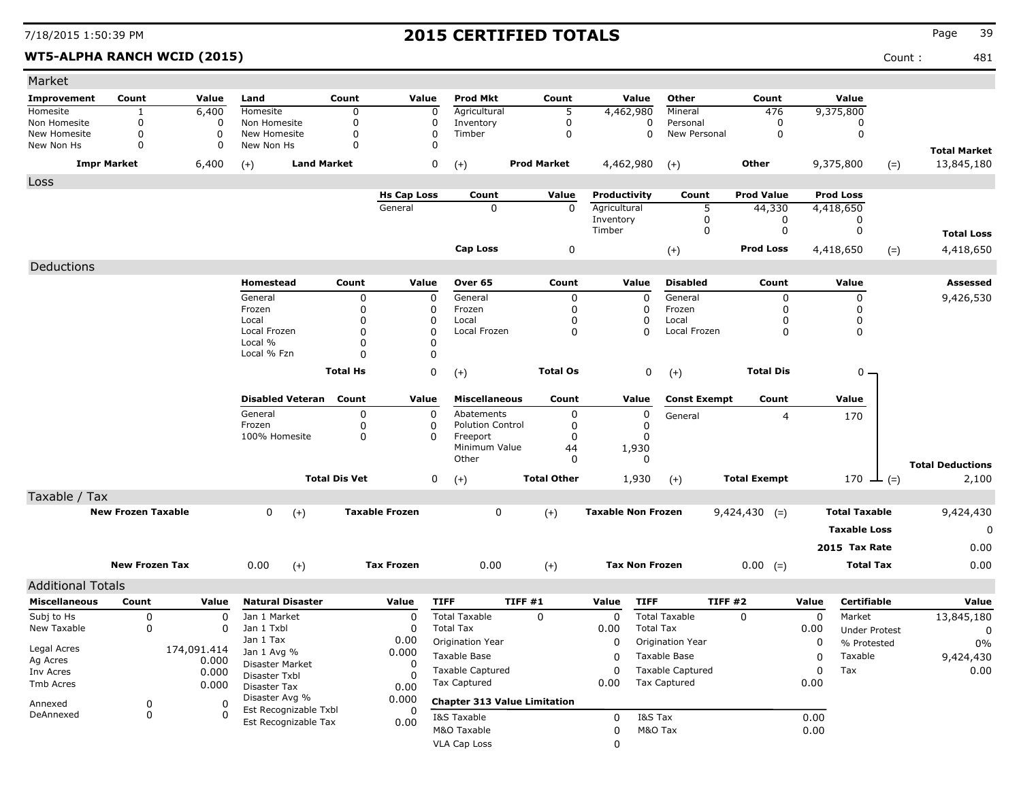WT5-ALPHA RANCH WCID (2015) **Count :** 481

| Market                       |                           |                  |                               |                      |                       |                                          |                    |                           |                                          |                     |           |                                |                                   |
|------------------------------|---------------------------|------------------|-------------------------------|----------------------|-----------------------|------------------------------------------|--------------------|---------------------------|------------------------------------------|---------------------|-----------|--------------------------------|-----------------------------------|
| <b>Improvement</b>           | Count                     | Value            | Land                          | Count                | Value                 | <b>Prod Mkt</b>                          | Count              | Value                     | Other                                    | Count               |           | Value                          |                                   |
| Homesite                     | 1                         | 6,400            | Homesite                      | 0                    | 0                     | Agricultural                             | 5                  | 4,462,980                 | Mineral                                  | 476                 |           | 9,375,800                      |                                   |
| Non Homesite<br>New Homesite | 0<br>0                    | 0<br>$\mathbf 0$ | Non Homesite<br>New Homesite  | 0<br>0               | 0<br>0                | Inventory<br>Timber                      | 0<br>0             |                           | 0<br>Personal<br>0<br>New Personal       | 0<br>0              |           | 0<br>$\mathbf 0$               |                                   |
| New Non Hs                   | 0                         | 0                | New Non Hs                    | 0                    | $\mathbf 0$           |                                          |                    |                           |                                          |                     |           |                                |                                   |
|                              | <b>Impr Market</b>        | 6,400            | <b>Land Market</b><br>$(+)$   |                      | 0                     | $(+)$                                    | <b>Prod Market</b> | 4,462,980                 | $(+)$                                    | <b>Other</b>        |           | 9,375,800<br>$(=)$             | <b>Total Market</b><br>13,845,180 |
| Loss                         |                           |                  |                               |                      |                       |                                          |                    |                           |                                          |                     |           |                                |                                   |
|                              |                           |                  |                               |                      | <b>Hs Cap Loss</b>    | Count                                    | Value              | Productivity              | Count                                    | <b>Prod Value</b>   |           | <b>Prod Loss</b>               |                                   |
|                              |                           |                  |                               |                      | General               | 0                                        | $\mathbf 0$        | Agricultural              |                                          | 5<br>44,330         |           | 4,418,650                      |                                   |
|                              |                           |                  |                               |                      |                       |                                          |                    | Inventory<br>Timber       |                                          | 0<br>0<br>0<br>0    |           | 0<br>0                         |                                   |
|                              |                           |                  |                               |                      |                       |                                          |                    |                           |                                          |                     |           |                                | <b>Total Loss</b>                 |
|                              |                           |                  |                               |                      |                       | <b>Cap Loss</b>                          | 0                  |                           | $(+)$                                    | <b>Prod Loss</b>    |           | 4,418,650<br>$(=)$             | 4,418,650                         |
| Deductions                   |                           |                  |                               |                      |                       |                                          |                    |                           |                                          |                     |           |                                |                                   |
|                              |                           |                  | Homestead                     | Count                | Value                 | Over 65                                  | Count              | Value                     | <b>Disabled</b>                          | Count               |           | Value                          | Assessed                          |
|                              |                           |                  | General                       | 0                    | $\mathbf 0$           | General                                  | 0                  |                           | General<br>0                             | 0                   |           | $\pmb{0}$                      | 9,426,530                         |
|                              |                           |                  | Frozen<br>Local               | 0<br>0               | 0<br>0                | Frozen<br>Local                          | 0<br>0             |                           | 0<br>Frozen<br>0<br>Local                | 0<br>0              |           | 0<br>0                         |                                   |
|                              |                           |                  | Local Frozen                  | $\Omega$             | 0                     | Local Frozen                             | 0                  |                           | 0<br>Local Frozen                        | 0                   |           | 0                              |                                   |
|                              |                           |                  | Local %                       | 0                    | 0                     |                                          |                    |                           |                                          |                     |           |                                |                                   |
|                              |                           |                  | Local % Fzn                   | 0                    | 0                     |                                          |                    |                           |                                          |                     |           |                                |                                   |
|                              |                           |                  |                               | <b>Total Hs</b>      | 0                     | $(+)$                                    | <b>Total Os</b>    |                           | 0<br>$(+)$                               | <b>Total Dis</b>    |           | $0 -$                          |                                   |
|                              |                           |                  | <b>Disabled Veteran</b>       | Count                | Value                 | <b>Miscellaneous</b>                     | Count              | Value                     | <b>Const Exempt</b>                      | Count               |           | Value                          |                                   |
|                              |                           |                  | General                       | 0                    | 0                     | Abatements                               | 0                  |                           | 0<br>General                             | $\overline{4}$      |           | 170                            |                                   |
|                              |                           |                  | Frozen                        | 0                    | 0                     | <b>Polution Control</b>                  | 0                  |                           | 0                                        |                     |           |                                |                                   |
|                              |                           |                  | 100% Homesite                 | $\mathbf 0$          | $\Omega$              | Freeport<br>Minimum Value                | 0                  |                           | 0                                        |                     |           |                                |                                   |
|                              |                           |                  |                               |                      |                       | Other                                    | 44<br>0            | 1,930                     | 0                                        |                     |           |                                |                                   |
|                              |                           |                  |                               |                      |                       |                                          |                    |                           |                                          |                     |           |                                | <b>Total Deductions</b>           |
|                              |                           |                  |                               | <b>Total Dis Vet</b> | 0                     | $(+)$                                    | <b>Total Other</b> | 1,930                     | $(+)$                                    | <b>Total Exempt</b> |           | 170 $\perp$ (=)                | 2,100                             |
| Taxable / Tax                |                           |                  |                               |                      |                       |                                          |                    |                           |                                          |                     |           |                                |                                   |
|                              | <b>New Frozen Taxable</b> |                  | 0<br>$(+)$                    |                      | <b>Taxable Frozen</b> | 0                                        | $(+)$              | <b>Taxable Non Frozen</b> |                                          | $9,424,430$ (=)     |           | <b>Total Taxable</b>           | 9,424,430                         |
|                              |                           |                  |                               |                      |                       |                                          |                    |                           |                                          |                     |           | <b>Taxable Loss</b>            | 0                                 |
|                              |                           |                  |                               |                      |                       |                                          |                    |                           |                                          |                     |           | 2015 Tax Rate                  | 0.00                              |
|                              | <b>New Frozen Tax</b>     |                  | 0.00<br>$(+)$                 |                      | <b>Tax Frozen</b>     | 0.00                                     | $(+)$              |                           | <b>Tax Non Frozen</b>                    | $0.00 (=)$          |           | <b>Total Tax</b>               | 0.00                              |
|                              |                           |                  |                               |                      |                       |                                          |                    |                           |                                          |                     |           |                                |                                   |
| <b>Additional Totals</b>     |                           |                  |                               |                      |                       |                                          |                    |                           |                                          |                     |           |                                |                                   |
| <b>Miscellaneous</b>         | Count                     | Value            | <b>Natural Disaster</b>       |                      | Value                 | <b>TIFF</b>                              | TIFF#1             | Value                     | <b>TIFF</b>                              | TIFF#2              | Value     | Certifiable                    | Value                             |
| Subj to Hs<br>New Taxable    | 0<br>0                    | 0<br>0           | Jan 1 Market<br>Jan 1 Txbl    |                      | 0<br>0                | <b>Total Taxable</b><br><b>Total Tax</b> | 0                  | 0<br>0.00                 | <b>Total Taxable</b><br><b>Total Tax</b> | $\mathbf 0$         | 0<br>0.00 | Market<br><b>Under Protest</b> | 13,845,180<br>0                   |
|                              |                           |                  | Jan 1 Tax                     |                      | 0.00                  | Origination Year                         |                    | 0                         | Origination Year                         |                     | 0         | % Protested                    | $0\%$                             |
| Legal Acres                  |                           | 174,091.414      | Jan 1 Avg %                   |                      | 0.000                 | Taxable Base                             |                    | 0                         | Taxable Base                             |                     | 0         | Taxable                        | 9,424,430                         |
| Ag Acres<br>Inv Acres        |                           | 0.000<br>0.000   | Disaster Market               |                      | 0                     | <b>Taxable Captured</b>                  |                    | 0                         | <b>Taxable Captured</b>                  |                     | 0         | Tax                            | 0.00                              |
| Tmb Acres                    |                           | 0.000            | Disaster Txbl<br>Disaster Tax |                      | <sup>0</sup><br>0.00  | Tax Captured                             |                    | 0.00                      | Tax Captured                             |                     | 0.00      |                                |                                   |
| Annexed                      |                           | 0                | Disaster Avg %                |                      | 0.000                 | <b>Chapter 313 Value Limitation</b>      |                    |                           |                                          |                     |           |                                |                                   |
| DeAnnexed                    | 0<br>0                    | 0                | Est Recognizable Txbl         |                      | 0                     | I&S Taxable                              |                    | 0                         | I&S Tax                                  |                     | 0.00      |                                |                                   |
|                              |                           |                  | Est Recognizable Tax          |                      | 0.00                  | M&O Taxable                              |                    | 0                         | M&O Tax                                  |                     | 0.00      |                                |                                   |
|                              |                           |                  |                               |                      |                       | VLA Cap Loss                             |                    | 0                         |                                          |                     |           |                                |                                   |